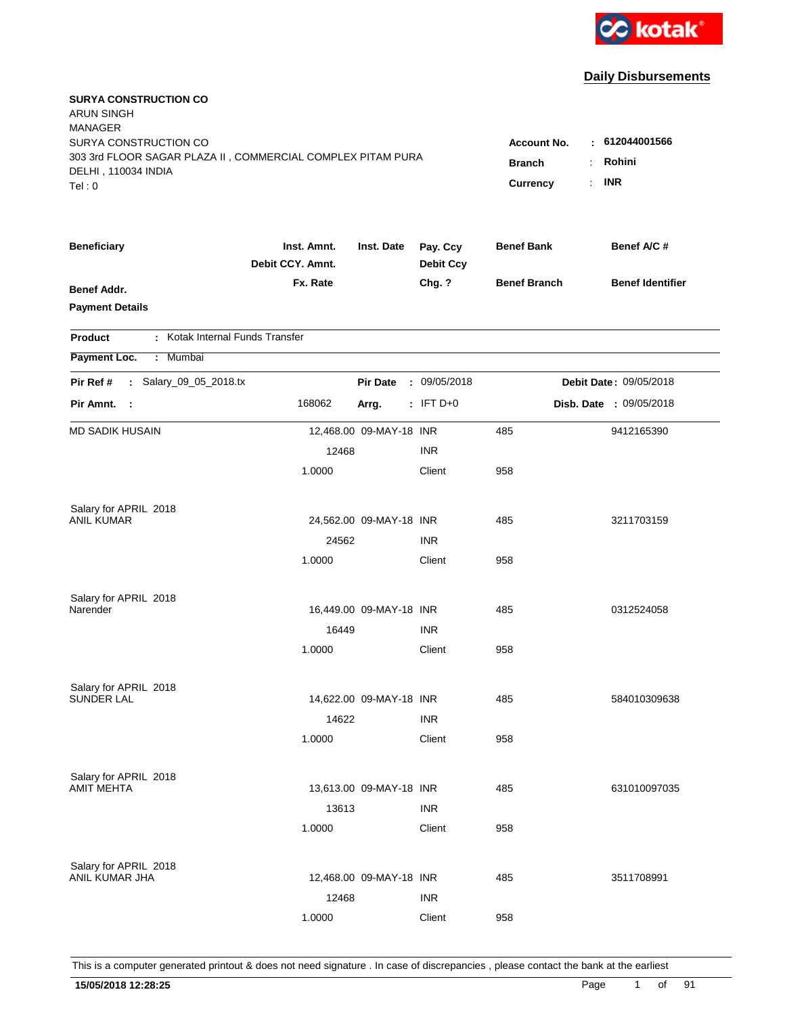

| <b>SURYA CONSTRUCTION CO</b><br><b>ARUN SINGH</b><br><b>MANAGER</b><br>SURYA CONSTRUCTION CO<br>303 3rd FLOOR SAGAR PLAZA II, COMMERCIAL COMPLEX PITAM PURA<br>DELHI, 110034 INDIA<br>Tel:0 | Account No.<br><b>Branch</b><br>Currency | : 612044001566<br>Rohini<br><b>INR</b><br>$\mathcal{L}_{\mathcal{A}}$ |                              |                     |                         |
|---------------------------------------------------------------------------------------------------------------------------------------------------------------------------------------------|------------------------------------------|-----------------------------------------------------------------------|------------------------------|---------------------|-------------------------|
| <b>Beneficiary</b>                                                                                                                                                                          | Inst. Amnt.<br>Debit CCY. Amnt.          | Inst. Date                                                            | Pay. Ccy<br><b>Debit Ccy</b> | <b>Benef Bank</b>   | Benef A/C#              |
| Benef Addr.<br><b>Payment Details</b>                                                                                                                                                       | Fx. Rate                                 |                                                                       | Chg. ?                       | <b>Benef Branch</b> | <b>Benef Identifier</b> |
| : Kotak Internal Funds Transfer<br><b>Product</b>                                                                                                                                           |                                          |                                                                       |                              |                     |                         |
| Payment Loc.<br>: Mumbai                                                                                                                                                                    |                                          |                                                                       |                              |                     |                         |
| Salary_09_05_2018.tx<br>Pir Ref #<br>$\mathcal{L}$                                                                                                                                          |                                          | <b>Pir Date</b>                                                       | : 09/05/2018                 |                     | Debit Date: 09/05/2018  |
| Pir Amnt. :                                                                                                                                                                                 | 168062                                   | Arrg.                                                                 | $:$ IFT D+0                  |                     | Disb. Date : 09/05/2018 |
| <b>MD SADIK HUSAIN</b>                                                                                                                                                                      |                                          | 12,468.00 09-MAY-18 INR                                               |                              | 485                 | 9412165390              |
|                                                                                                                                                                                             | 12468                                    |                                                                       | <b>INR</b>                   |                     |                         |
|                                                                                                                                                                                             | 1.0000                                   |                                                                       | Client                       | 958                 |                         |
| Salary for APRIL 2018                                                                                                                                                                       |                                          |                                                                       |                              |                     |                         |
| ANIL KUMAR                                                                                                                                                                                  |                                          | 24,562.00 09-MAY-18 INR                                               |                              | 485                 | 3211703159              |
|                                                                                                                                                                                             | 24562                                    |                                                                       | <b>INR</b>                   |                     |                         |
|                                                                                                                                                                                             | 1.0000                                   |                                                                       | Client                       | 958                 |                         |
| Salary for APRIL 2018                                                                                                                                                                       |                                          |                                                                       |                              |                     |                         |
| Narender                                                                                                                                                                                    |                                          | 16,449.00 09-MAY-18 INR                                               |                              | 485                 | 0312524058              |
|                                                                                                                                                                                             | 16449                                    |                                                                       | <b>INR</b>                   |                     |                         |
|                                                                                                                                                                                             | 1.0000                                   |                                                                       | Client                       | 958                 |                         |
| Salary for APRIL 2018                                                                                                                                                                       |                                          |                                                                       |                              |                     |                         |
| <b>SUNDER LAL</b>                                                                                                                                                                           |                                          | 14,622.00 09-MAY-18 INR                                               |                              | 485                 | 584010309638            |
|                                                                                                                                                                                             | 14622                                    |                                                                       | <b>INR</b>                   |                     |                         |
|                                                                                                                                                                                             | 1.0000                                   |                                                                       | Client                       | 958                 |                         |
| Salary for APRIL 2018                                                                                                                                                                       |                                          |                                                                       |                              |                     |                         |
| <b>AMIT MEHTA</b>                                                                                                                                                                           |                                          | 13,613.00 09-MAY-18 INR                                               |                              | 485                 | 631010097035            |
|                                                                                                                                                                                             | 13613                                    |                                                                       | <b>INR</b>                   |                     |                         |
|                                                                                                                                                                                             | 1.0000                                   |                                                                       | Client                       | 958                 |                         |
| Salary for APRIL 2018                                                                                                                                                                       |                                          |                                                                       |                              |                     |                         |
| ANIL KUMAR JHA                                                                                                                                                                              |                                          | 12,468.00 09-MAY-18 INR                                               |                              | 485                 | 3511708991              |
|                                                                                                                                                                                             | 12468                                    |                                                                       | <b>INR</b>                   |                     |                         |
|                                                                                                                                                                                             | 1.0000                                   |                                                                       | Client                       | 958                 |                         |
|                                                                                                                                                                                             |                                          |                                                                       |                              |                     |                         |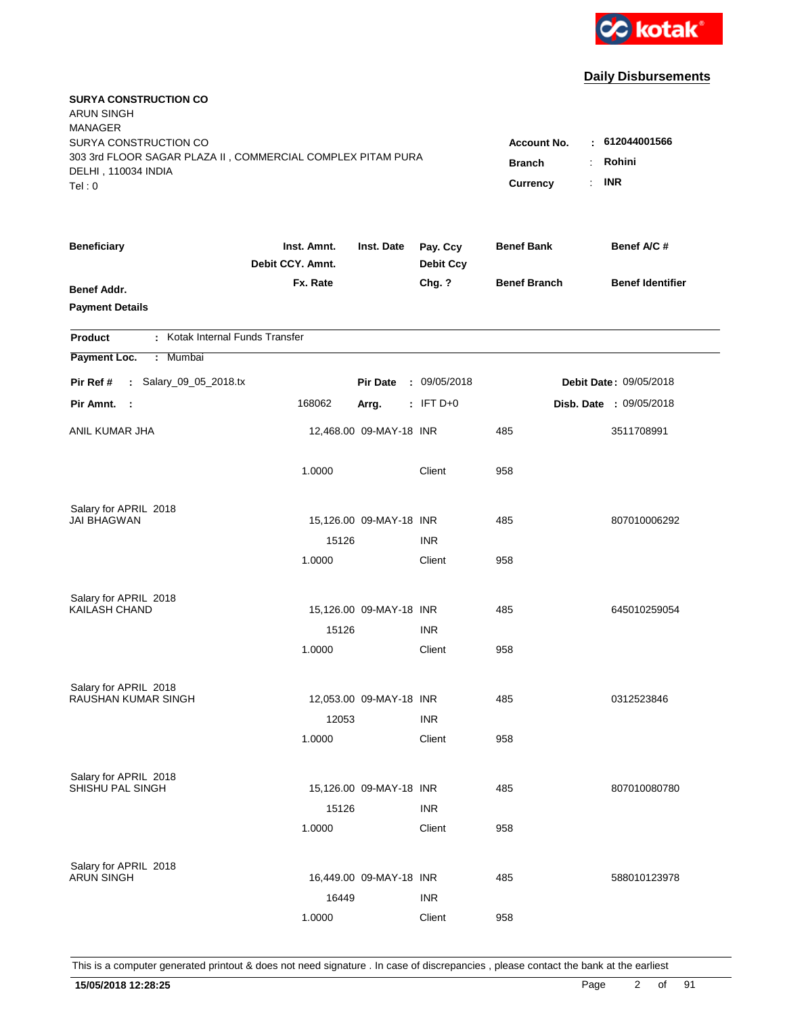

| <b>SURYA CONSTRUCTION CO</b><br><b>ARUN SINGH</b><br><b>MANAGER</b>                |                                 |                         |                              |                     |                               |
|------------------------------------------------------------------------------------|---------------------------------|-------------------------|------------------------------|---------------------|-------------------------------|
| SURYA CONSTRUCTION CO                                                              |                                 |                         |                              | Account No.         | : 612044001566                |
| 303 3rd FLOOR SAGAR PLAZA II, COMMERCIAL COMPLEX PITAM PURA<br>DELHI, 110034 INDIA |                                 |                         |                              | <b>Branch</b>       | Rohini                        |
| Tel: 0                                                                             |                                 |                         |                              | Currency            | <b>INR</b><br>÷.              |
| <b>Beneficiary</b>                                                                 | Inst. Amnt.<br>Debit CCY. Amnt. | Inst. Date              | Pay. Ccy<br><b>Debit Ccy</b> | <b>Benef Bank</b>   | Benef A/C #                   |
| <b>Benef Addr.</b>                                                                 | Fx. Rate                        |                         | Chg. ?                       | <b>Benef Branch</b> | <b>Benef Identifier</b>       |
| <b>Payment Details</b><br>: Kotak Internal Funds Transfer<br><b>Product</b>        |                                 |                         |                              |                     |                               |
| Payment Loc.<br>Mumbai<br>÷.                                                       |                                 |                         |                              |                     |                               |
| : Salary_09_05_2018.tx<br>Pir Ref #                                                |                                 | <b>Pir Date</b>         | : 09/05/2018                 |                     | <b>Debit Date: 09/05/2018</b> |
| Pir Amnt.<br>- 1                                                                   | 168062                          | Arrg.                   | $:$ IFT D+0                  |                     | Disb. Date : 09/05/2018       |
| ANIL KUMAR JHA                                                                     |                                 | 12,468.00 09-MAY-18 INR |                              | 485                 | 3511708991                    |
|                                                                                    | 1.0000                          |                         | Client                       | 958                 |                               |
| Salary for APRIL 2018                                                              |                                 |                         |                              |                     |                               |
| <b>JAI BHAGWAN</b>                                                                 |                                 | 15,126.00 09-MAY-18 INR |                              | 485                 | 807010006292                  |
|                                                                                    | 15126                           |                         | <b>INR</b>                   |                     |                               |
|                                                                                    | 1.0000                          |                         | Client                       | 958                 |                               |
| Salary for APRIL 2018                                                              |                                 |                         |                              |                     |                               |
| <b>KAILASH CHAND</b>                                                               |                                 | 15,126.00 09-MAY-18 INR |                              | 485                 | 645010259054                  |
|                                                                                    | 15126                           |                         | <b>INR</b>                   |                     |                               |
|                                                                                    | 1.0000                          |                         | Client                       | 958                 |                               |
| Salary for APRIL 2018                                                              |                                 |                         |                              |                     |                               |
| RAUSHAN KUMAR SINGH                                                                |                                 | 12,053.00 09-MAY-18 INR |                              | 485                 | 0312523846                    |
|                                                                                    | 12053                           |                         | <b>INR</b>                   |                     |                               |
|                                                                                    | 1.0000                          |                         | Client                       | 958                 |                               |
| Salary for APRIL 2018                                                              |                                 |                         |                              |                     |                               |
| SHISHU PAL SINGH                                                                   |                                 | 15,126.00 09-MAY-18 INR |                              | 485                 | 807010080780                  |
|                                                                                    | 15126                           |                         | <b>INR</b>                   |                     |                               |
|                                                                                    | 1.0000                          |                         | Client                       | 958                 |                               |
| Salary for APRIL 2018                                                              |                                 |                         |                              |                     |                               |
| <b>ARUN SINGH</b>                                                                  |                                 | 16,449.00 09-MAY-18 INR |                              | 485                 | 588010123978                  |
|                                                                                    | 16449                           |                         | <b>INR</b>                   |                     |                               |
|                                                                                    | 1.0000                          |                         | Client                       | 958                 |                               |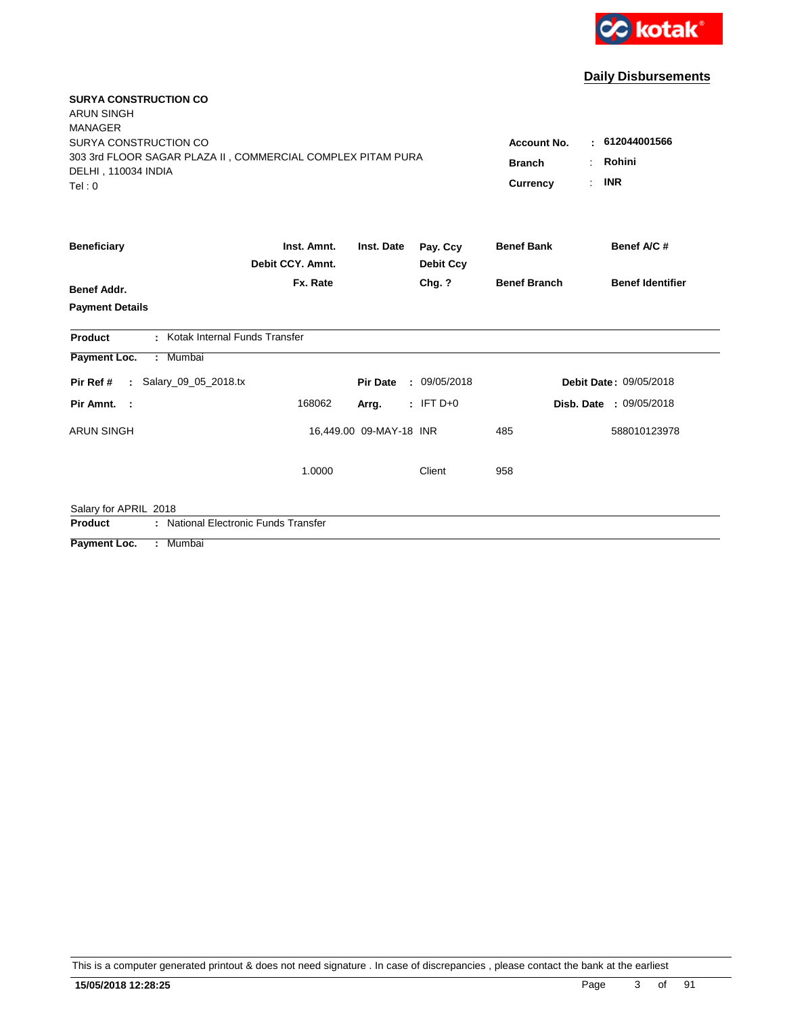

| <b>SURYA CONSTRUCTION CO</b><br><b>ARUN SINGH</b>                                                                                       |                                                        |                                      |                              |                     |                         |
|-----------------------------------------------------------------------------------------------------------------------------------------|--------------------------------------------------------|--------------------------------------|------------------------------|---------------------|-------------------------|
| <b>MANAGER</b><br>SURYA CONSTRUCTION CO<br>303 3rd FLOOR SAGAR PLAZA II, COMMERCIAL COMPLEX PITAM PURA<br>DELHI, 110034 INDIA<br>Tel: 0 | <b>Account No.</b><br><b>Branch</b><br><b>Currency</b> | 612044001566<br>Rohini<br><b>INR</b> |                              |                     |                         |
| <b>Beneficiary</b>                                                                                                                      | Inst. Amnt.<br>Debit CCY. Amnt.                        | Inst. Date                           | Pay. Ccy<br><b>Debit Ccy</b> | <b>Benef Bank</b>   | Benef A/C #             |
| <b>Benef Addr.</b>                                                                                                                      | Fx. Rate                                               |                                      | Chg. ?                       | <b>Benef Branch</b> | <b>Benef Identifier</b> |
| <b>Payment Details</b>                                                                                                                  |                                                        |                                      |                              |                     |                         |
| : Kotak Internal Funds Transfer<br>Product                                                                                              |                                                        |                                      |                              |                     |                         |
| Payment Loc.<br>: Mumbai                                                                                                                |                                                        |                                      |                              |                     |                         |
| : Salary 09 05 2018.tx<br>Pir Ref #                                                                                                     |                                                        | <b>Pir Date</b>                      | : 09/05/2018                 |                     | Debit Date: 09/05/2018  |
| Pir Amnt. :                                                                                                                             | 168062                                                 | Arrg.                                | $:$ IFT D+0                  |                     | Disb. Date: 09/05/2018  |
| <b>ARUN SINGH</b>                                                                                                                       |                                                        | 16,449.00 09-MAY-18 INR              |                              | 485                 | 588010123978            |
|                                                                                                                                         | 1.0000                                                 |                                      | Client                       | 958                 |                         |
| Salary for APRIL 2018                                                                                                                   |                                                        |                                      |                              |                     |                         |
| : National Electronic Funds Transfer<br>Product                                                                                         |                                                        |                                      |                              |                     |                         |
| $\overline{\phantom{a}}$ . The set of $\overline{\phantom{a}}$<br>$A$ $A$ and $B$ $A$ $B$ $B$ $C$ $D$ $D$ $D$ $F$ $F$ $F$               |                                                        |                                      |                              |                     |                         |

**Payment Loc. : Mumbai**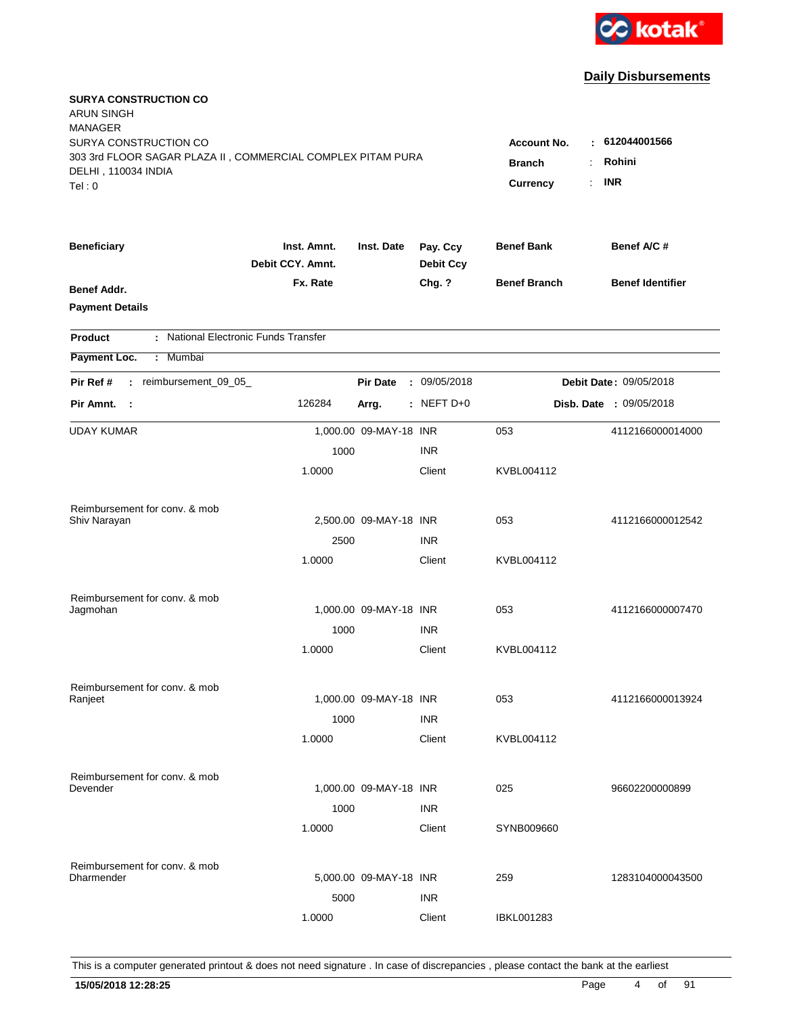

| <b>SURYA CONSTRUCTION CO</b><br><b>ARUN SINGH</b><br><b>MANAGER</b>                                                  |                                      |                                                 |                                                                         |                     |                         |
|----------------------------------------------------------------------------------------------------------------------|--------------------------------------|-------------------------------------------------|-------------------------------------------------------------------------|---------------------|-------------------------|
| SURYA CONSTRUCTION CO<br>303 3rd FLOOR SAGAR PLAZA II, COMMERCIAL COMPLEX PITAM PURA<br>DELHI, 110034 INDIA<br>Tel:0 |                                      | <b>Account No.</b><br><b>Branch</b><br>Currency | 612044001566<br>t.<br>Rohini<br><b>INR</b><br>$\mathbb{R}^{\mathbb{Z}}$ |                     |                         |
| <b>Beneficiary</b>                                                                                                   | Inst. Amnt.<br>Debit CCY. Amnt.      | Inst. Date                                      | Pay. Ccy<br><b>Debit Ccy</b>                                            | <b>Benef Bank</b>   | Benef A/C #             |
| <b>Benef Addr.</b><br><b>Payment Details</b>                                                                         | Fx. Rate                             |                                                 | Chg. ?                                                                  | <b>Benef Branch</b> | <b>Benef Identifier</b> |
| <b>Product</b>                                                                                                       | : National Electronic Funds Transfer |                                                 |                                                                         |                     |                         |
| Payment Loc.<br>: Mumbai                                                                                             |                                      |                                                 |                                                                         |                     |                         |
| : reimbursement_09_05_<br>Pir Ref #                                                                                  |                                      | <b>Pir Date</b>                                 | : 09/05/2018                                                            |                     | Debit Date: 09/05/2018  |
| Pir Amnt. :                                                                                                          | 126284                               | Arrg.                                           | $:$ NEFT D+0                                                            |                     | Disb. Date : 09/05/2018 |
| <b>UDAY KUMAR</b>                                                                                                    |                                      | 1,000.00 09-MAY-18 INR                          |                                                                         | 053                 | 4112166000014000        |
|                                                                                                                      | 1000                                 |                                                 | <b>INR</b>                                                              |                     |                         |
|                                                                                                                      | 1.0000                               |                                                 | Client                                                                  | KVBL004112          |                         |
| Reimbursement for conv. & mob                                                                                        |                                      |                                                 |                                                                         |                     |                         |
| Shiv Narayan                                                                                                         |                                      | 2,500.00 09-MAY-18 INR                          |                                                                         | 053                 | 4112166000012542        |
|                                                                                                                      | 2500                                 |                                                 | <b>INR</b>                                                              |                     |                         |
|                                                                                                                      | 1.0000                               |                                                 | Client                                                                  | KVBL004112          |                         |
| Reimbursement for conv. & mob                                                                                        |                                      |                                                 |                                                                         |                     |                         |
| Jagmohan                                                                                                             |                                      | 1,000.00 09-MAY-18 INR                          |                                                                         | 053                 | 4112166000007470        |
|                                                                                                                      | 1000                                 |                                                 | <b>INR</b>                                                              |                     |                         |
|                                                                                                                      | 1.0000                               |                                                 | Client                                                                  | KVBL004112          |                         |
| Reimbursement for conv. & mob                                                                                        |                                      |                                                 |                                                                         |                     |                         |
| Ranjeet                                                                                                              |                                      | 1,000.00 09-MAY-18 INR                          |                                                                         | 053                 | 4112166000013924        |
|                                                                                                                      | 1000<br>1.0000                       |                                                 | <b>INR</b><br>Client                                                    | KVBL004112          |                         |
|                                                                                                                      |                                      |                                                 |                                                                         |                     |                         |
| Reimbursement for conv. & mob                                                                                        |                                      |                                                 |                                                                         |                     |                         |
| Devender                                                                                                             |                                      | 1,000.00 09-MAY-18 INR                          |                                                                         | 025                 | 96602200000899          |
|                                                                                                                      | 1000                                 |                                                 | <b>INR</b>                                                              |                     |                         |
|                                                                                                                      | 1.0000                               |                                                 | Client                                                                  | SYNB009660          |                         |
| Reimbursement for conv. & mob                                                                                        |                                      |                                                 |                                                                         |                     |                         |
| <b>Dharmender</b>                                                                                                    |                                      | 5,000.00 09-MAY-18 INR                          |                                                                         | 259                 | 1283104000043500        |
|                                                                                                                      | 5000                                 |                                                 | <b>INR</b>                                                              |                     |                         |
|                                                                                                                      | 1.0000                               |                                                 | Client                                                                  | IBKL001283          |                         |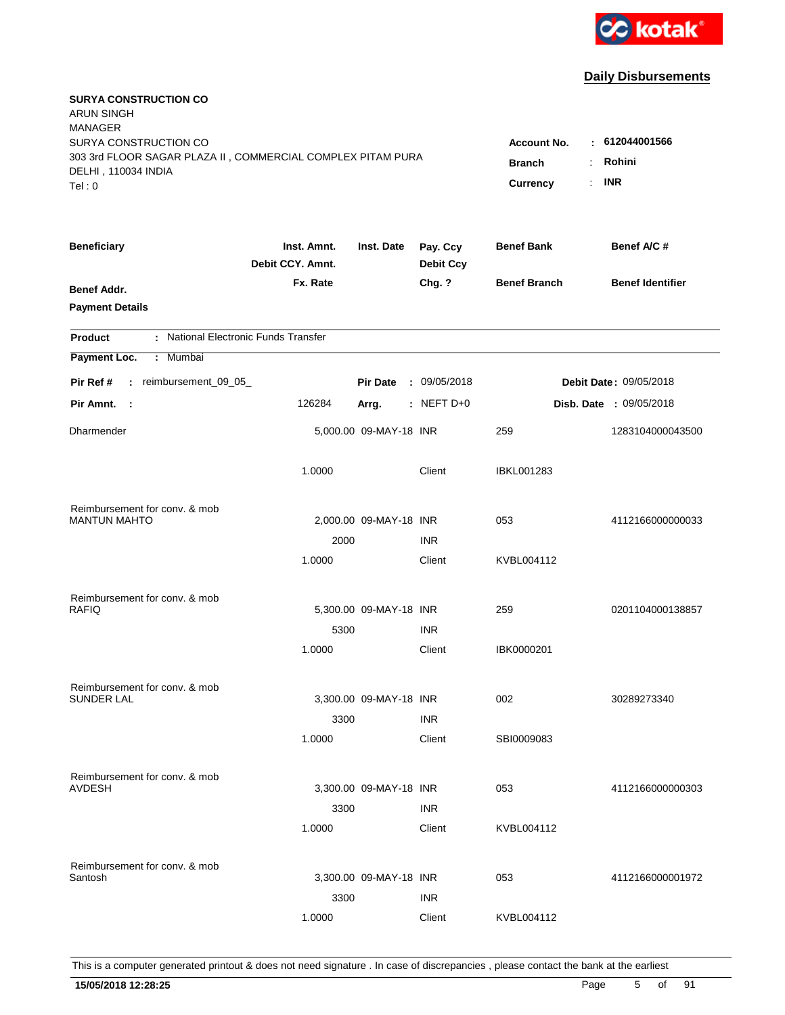

| <b>SURYA CONSTRUCTION CO</b><br><b>ARUN SINGH</b><br><b>MANAGER</b> |                                 |                        |                              |                     |                         |
|---------------------------------------------------------------------|---------------------------------|------------------------|------------------------------|---------------------|-------------------------|
| SURYA CONSTRUCTION CO                                               |                                 |                        |                              | <b>Account No.</b>  | : 612044001566          |
| 303 3rd FLOOR SAGAR PLAZA II, COMMERCIAL COMPLEX PITAM PURA         | <b>Branch</b><br>÷              | Rohini                 |                              |                     |                         |
| DELHI, 110034 INDIA                                                 |                                 |                        |                              | Currency<br>÷.      | <b>INR</b>              |
| Tel: 0                                                              |                                 |                        |                              |                     |                         |
| <b>Beneficiary</b>                                                  | Inst. Amnt.<br>Debit CCY. Amnt. | Inst. Date             | Pay. Ccy<br><b>Debit Ccy</b> | <b>Benef Bank</b>   | Benef A/C #             |
| Benef Addr.                                                         | Fx. Rate                        |                        | Chg. ?                       | <b>Benef Branch</b> | <b>Benef Identifier</b> |
| <b>Payment Details</b>                                              |                                 |                        |                              |                     |                         |
| : National Electronic Funds Transfer<br><b>Product</b>              |                                 |                        |                              |                     |                         |
| Payment Loc.<br>: Mumbai                                            |                                 |                        |                              |                     |                         |
| : reimbursement_09_05_<br>Pir Ref #                                 |                                 | <b>Pir Date</b>        | : 09/05/2018                 |                     | Debit Date: 09/05/2018  |
| Pir Amnt. :                                                         | 126284                          | Arrg.                  | $:$ NEFT D+0                 |                     | Disb. Date : 09/05/2018 |
| Dharmender                                                          |                                 | 5,000.00 09-MAY-18 INR |                              | 259                 | 1283104000043500        |
|                                                                     | 1.0000                          |                        | Client                       | <b>IBKL001283</b>   |                         |
| Reimbursement for conv. & mob                                       |                                 |                        |                              |                     |                         |
| <b>MANTUN MAHTO</b>                                                 |                                 | 2,000.00 09-MAY-18 INR |                              | 053                 | 4112166000000033        |
|                                                                     | 2000                            |                        | <b>INR</b>                   |                     |                         |
|                                                                     | 1.0000                          |                        | Client                       | KVBL004112          |                         |
| Reimbursement for conv. & mob                                       |                                 |                        |                              |                     |                         |
| <b>RAFIQ</b>                                                        |                                 | 5,300.00 09-MAY-18 INR |                              | 259                 | 0201104000138857        |
|                                                                     | 5300                            |                        | <b>INR</b>                   |                     |                         |
|                                                                     | 1.0000                          |                        | Client                       | IBK0000201          |                         |
| Reimbursement for conv. & mob                                       |                                 |                        |                              |                     |                         |
| <b>SUNDER LAL</b>                                                   |                                 | 3,300.00 09-MAY-18 INR |                              | 002                 | 30289273340             |
|                                                                     | 3300                            |                        | <b>INR</b>                   |                     |                         |
|                                                                     | 1.0000                          |                        | Client                       | SBI0009083          |                         |
| Reimbursement for conv. & mob                                       |                                 |                        |                              |                     |                         |
| <b>AVDESH</b>                                                       |                                 | 3,300.00 09-MAY-18 INR |                              | 053                 | 4112166000000303        |
|                                                                     | 3300                            |                        | <b>INR</b>                   |                     |                         |
|                                                                     | 1.0000                          |                        | Client                       | KVBL004112          |                         |
| Reimbursement for conv. & mob                                       |                                 |                        |                              |                     |                         |
| Santosh                                                             |                                 | 3,300.00 09-MAY-18 INR |                              | 053                 | 4112166000001972        |
|                                                                     | 3300                            |                        | <b>INR</b>                   |                     |                         |
|                                                                     | 1.0000                          |                        | Client                       | KVBL004112          |                         |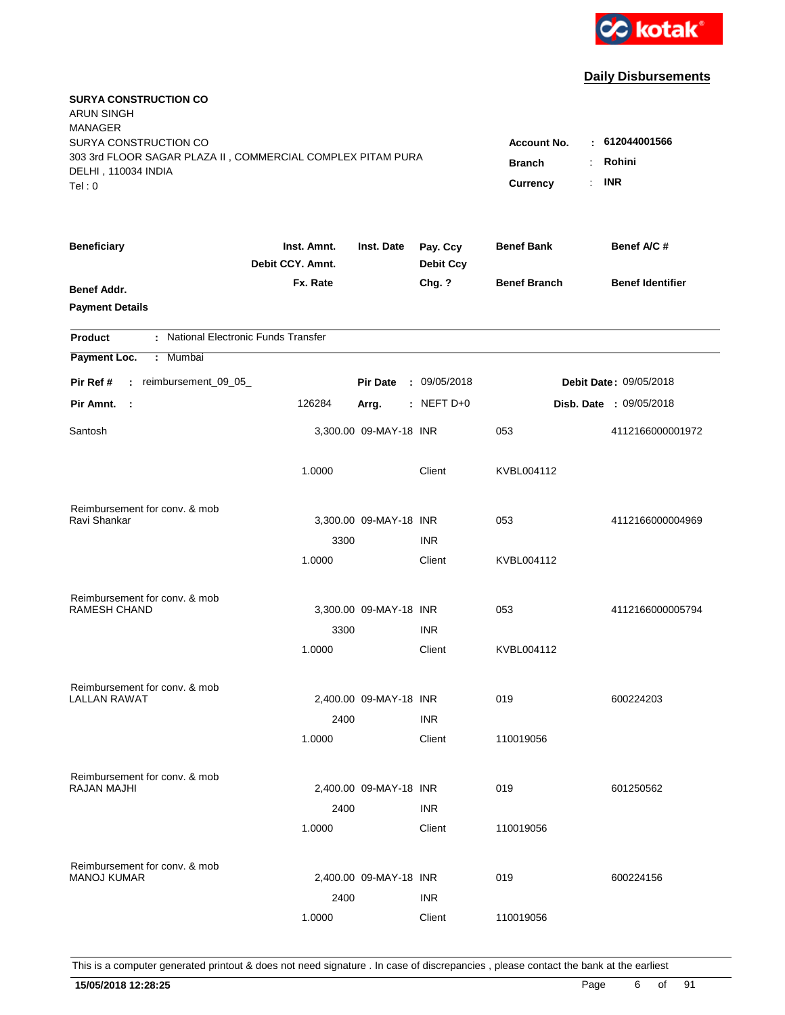

| <b>SURYA CONSTRUCTION CO</b><br><b>ARUN SINGH</b>           |                                 |                        |                              |                     |                         |
|-------------------------------------------------------------|---------------------------------|------------------------|------------------------------|---------------------|-------------------------|
| <b>MANAGER</b>                                              |                                 |                        |                              |                     |                         |
| SURYA CONSTRUCTION CO                                       |                                 | <b>Account No.</b>     | $-612044001566$              |                     |                         |
| 303 3rd FLOOR SAGAR PLAZA II, COMMERCIAL COMPLEX PITAM PURA | <b>Branch</b><br>÷              | Rohini                 |                              |                     |                         |
| DELHI, 110034 INDIA<br>Tel: 0                               |                                 | ÷.<br>Currency         | <b>INR</b>                   |                     |                         |
|                                                             |                                 |                        |                              |                     |                         |
| <b>Beneficiary</b>                                          | Inst. Amnt.<br>Debit CCY. Amnt. | Inst. Date             | Pay. Ccy<br><b>Debit Ccy</b> | <b>Benef Bank</b>   | Benef A/C #             |
| Benef Addr.                                                 | Fx. Rate                        |                        | Chg. ?                       | <b>Benef Branch</b> | <b>Benef Identifier</b> |
| <b>Payment Details</b>                                      |                                 |                        |                              |                     |                         |
| : National Electronic Funds Transfer<br><b>Product</b>      |                                 |                        |                              |                     |                         |
| Payment Loc.<br>: Mumbai                                    |                                 |                        |                              |                     |                         |
| reimbursement_09_05_<br>Pir Ref #<br>$\mathbb{R}^n$         |                                 | <b>Pir Date</b>        | : 09/05/2018                 |                     | Debit Date: 09/05/2018  |
| Pir Amnt.<br>- 1                                            | 126284                          | Arrg.                  | $:$ NEFT D+0                 |                     | Disb. Date : 09/05/2018 |
| Santosh                                                     |                                 | 3,300.00 09-MAY-18 INR |                              | 053                 | 4112166000001972        |
|                                                             | 1.0000                          |                        | Client                       | KVBL004112          |                         |
| Reimbursement for conv. & mob                               |                                 |                        |                              |                     |                         |
| Ravi Shankar                                                |                                 | 3,300.00 09-MAY-18 INR |                              | 053                 | 4112166000004969        |
|                                                             | 3300                            |                        | <b>INR</b>                   |                     |                         |
|                                                             | 1.0000                          |                        | Client                       | KVBL004112          |                         |
| Reimbursement for conv. & mob                               |                                 |                        |                              |                     |                         |
| RAMESH CHAND                                                |                                 | 3,300.00 09-MAY-18 INR |                              | 053                 | 4112166000005794        |
|                                                             | 3300                            |                        | <b>INR</b>                   |                     |                         |
|                                                             | 1.0000                          |                        | Client                       | KVBL004112          |                         |
| Reimbursement for conv. & mob                               |                                 |                        |                              |                     |                         |
| LALLAN RAWAT                                                |                                 | 2,400.00 09-MAY-18 INR |                              | 019                 | 600224203               |
|                                                             | 2400                            |                        | <b>INR</b>                   |                     |                         |
|                                                             | 1.0000                          |                        | Client                       | 110019056           |                         |
| Reimbursement for conv. & mob                               |                                 |                        |                              |                     |                         |
| RAJAN MAJHI                                                 |                                 | 2,400.00 09-MAY-18 INR |                              | 019                 | 601250562               |
|                                                             | 2400                            |                        | <b>INR</b>                   |                     |                         |
|                                                             | 1.0000                          |                        | Client                       | 110019056           |                         |
| Reimbursement for conv. & mob                               |                                 |                        |                              |                     |                         |
| <b>MANOJ KUMAR</b>                                          |                                 | 2,400.00 09-MAY-18 INR |                              | 019                 | 600224156               |
|                                                             | 2400                            |                        | <b>INR</b>                   |                     |                         |
|                                                             | 1.0000                          |                        | Client                       | 110019056           |                         |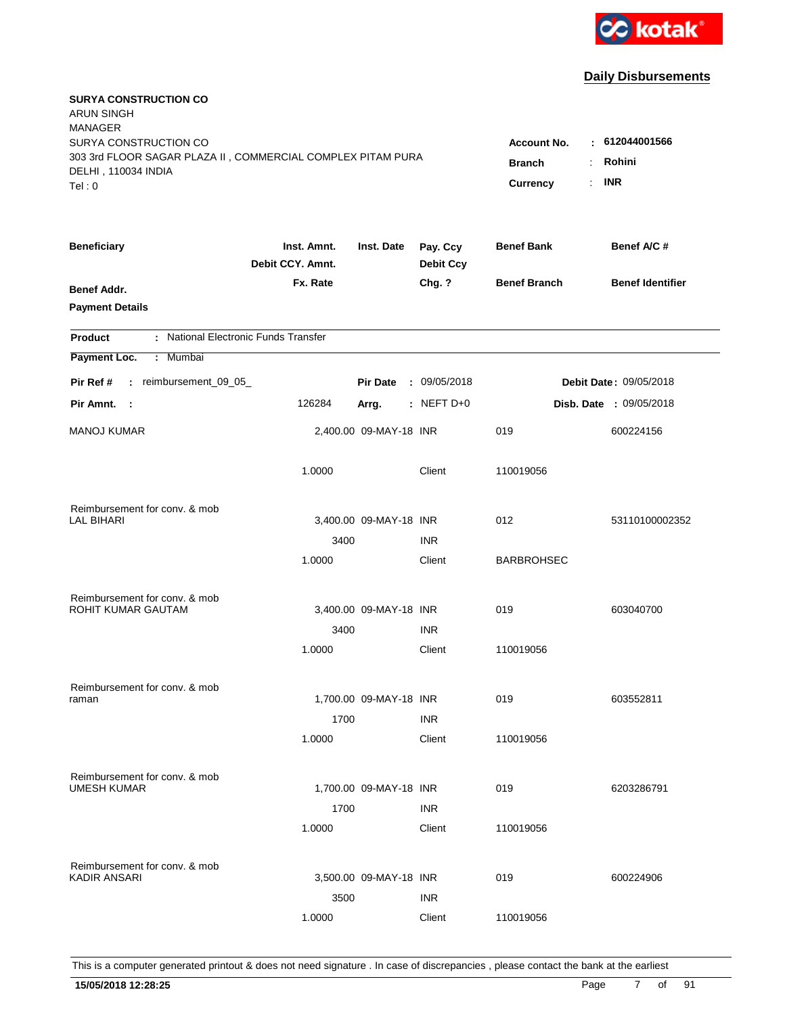

| <b>SURYA CONSTRUCTION CO</b><br>ARUN SINGH<br><b>MANAGER</b> |                                 |                        |                              |                     |                                |
|--------------------------------------------------------------|---------------------------------|------------------------|------------------------------|---------------------|--------------------------------|
| SURYA CONSTRUCTION CO                                        |                                 |                        |                              | Account No.         | : 612044001566                 |
| 303 3rd FLOOR SAGAR PLAZA II, COMMERCIAL COMPLEX PITAM PURA  |                                 | <b>Branch</b>          | Rohini                       |                     |                                |
| DELHI, 110034 INDIA                                          |                                 |                        | $\cdot$ INR                  |                     |                                |
| Tel: 0                                                       |                                 |                        |                              | <b>Currency</b>     |                                |
| <b>Beneficiary</b>                                           | Inst. Amnt.<br>Debit CCY. Amnt. | Inst. Date             | Pay. Ccy<br><b>Debit Ccy</b> | <b>Benef Bank</b>   | Benef A/C #                    |
| Benef Addr.                                                  | Fx. Rate                        |                        | Chg. ?                       | <b>Benef Branch</b> | <b>Benef Identifier</b>        |
| <b>Payment Details</b>                                       |                                 |                        |                              |                     |                                |
| : National Electronic Funds Transfer<br><b>Product</b>       |                                 |                        |                              |                     |                                |
| : Mumbai<br>Payment Loc.                                     |                                 |                        |                              |                     |                                |
| : reimbursement_09_05_<br>Pir Ref #                          |                                 | <b>Pir Date</b>        | : 09/05/2018                 |                     | <b>Debit Date: 09/05/2018</b>  |
| Pir Amnt. :                                                  | 126284                          | Arrg.                  | : NEFT $D+0$                 |                     | <b>Disb. Date : 09/05/2018</b> |
| <b>MANOJ KUMAR</b>                                           |                                 | 2,400.00 09-MAY-18 INR |                              | 019                 | 600224156                      |
|                                                              | 1.0000                          |                        | Client                       | 110019056           |                                |
| Reimbursement for conv. & mob                                |                                 |                        |                              |                     |                                |
| LAL BIHARI                                                   |                                 | 3,400.00 09-MAY-18 INR |                              | 012                 | 53110100002352                 |
|                                                              | 3400                            |                        | <b>INR</b>                   |                     |                                |
|                                                              | 1.0000                          |                        | Client                       | <b>BARBROHSEC</b>   |                                |
| Reimbursement for conv. & mob                                |                                 |                        |                              |                     |                                |
| ROHIT KUMAR GAUTAM                                           |                                 | 3,400.00 09-MAY-18 INR |                              | 019                 | 603040700                      |
|                                                              | 3400                            |                        | <b>INR</b>                   |                     |                                |
|                                                              | 1.0000                          |                        | Client                       | 110019056           |                                |
| Reimbursement for conv. & mob                                |                                 |                        |                              |                     |                                |
| raman                                                        |                                 | 1,700.00 09-MAY-18 INR |                              | 019                 | 603552811                      |
|                                                              | 1700                            |                        | <b>INR</b>                   |                     |                                |
|                                                              | 1.0000                          |                        | Client                       | 110019056           |                                |
| Reimbursement for conv. & mob                                |                                 |                        |                              |                     |                                |
| <b>UMESH KUMAR</b>                                           |                                 | 1,700.00 09-MAY-18 INR |                              | 019                 | 6203286791                     |
|                                                              | 1700                            |                        | <b>INR</b>                   |                     |                                |
|                                                              | 1.0000                          |                        | Client                       | 110019056           |                                |
| Reimbursement for conv. & mob                                |                                 |                        |                              |                     |                                |
| KADIR ANSARI                                                 |                                 | 3,500.00 09-MAY-18 INR |                              | 019                 | 600224906                      |
|                                                              | 3500                            |                        | <b>INR</b>                   |                     |                                |
|                                                              | 1.0000                          |                        | Client                       | 110019056           |                                |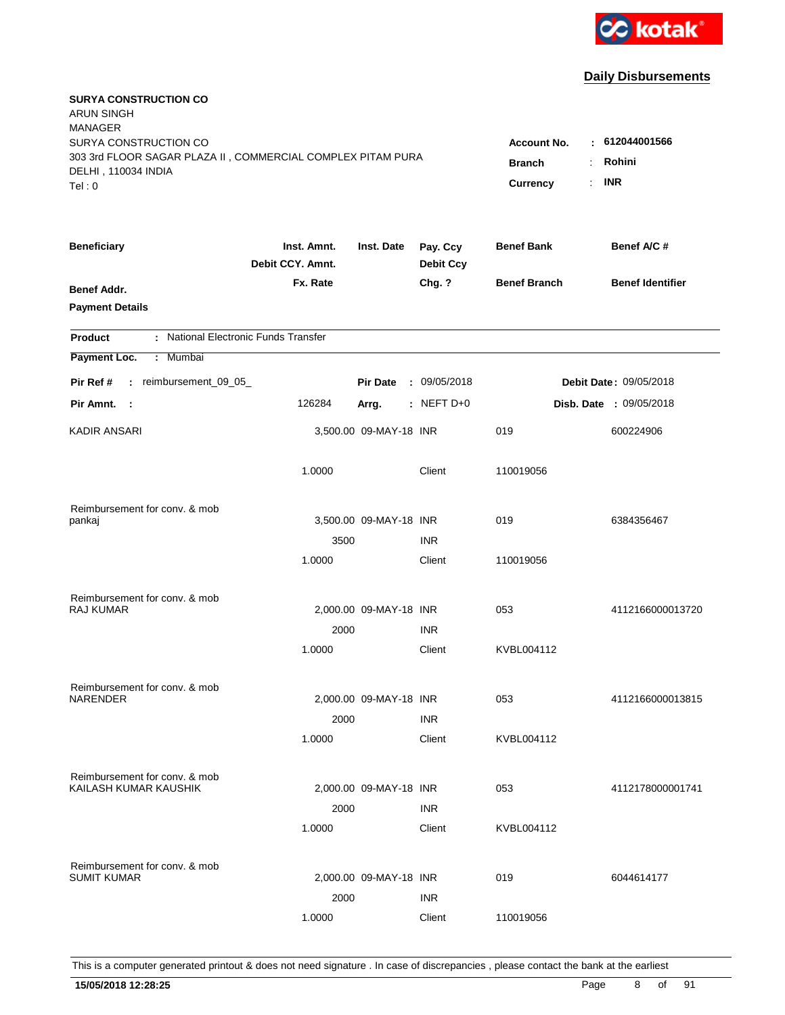

| <b>SURYA CONSTRUCTION CO</b><br><b>ARUN SINGH</b><br><b>MANAGER</b> |                                 |                        |                              |                       |                         |
|---------------------------------------------------------------------|---------------------------------|------------------------|------------------------------|-----------------------|-------------------------|
| SURYA CONSTRUCTION CO                                               |                                 |                        |                              | <b>Account No.</b>    | 612044001566            |
| 303 3rd FLOOR SAGAR PLAZA II, COMMERCIAL COMPLEX PITAM PURA         |                                 | <b>Branch</b>          | Rohini                       |                       |                         |
| DELHI, 110034 INDIA                                                 |                                 |                        |                              | <b>Currency</b><br>÷. | <b>INR</b>              |
| Tel: 0                                                              |                                 |                        |                              |                       |                         |
| <b>Beneficiary</b>                                                  | Inst. Amnt.<br>Debit CCY. Amnt. | Inst. Date             | Pay. Ccy<br><b>Debit Ccy</b> | <b>Benef Bank</b>     | Benef A/C #             |
| Benef Addr.                                                         | Fx. Rate                        |                        | Chg. ?                       | <b>Benef Branch</b>   | <b>Benef Identifier</b> |
| <b>Payment Details</b>                                              |                                 |                        |                              |                       |                         |
| : National Electronic Funds Transfer<br><b>Product</b>              |                                 |                        |                              |                       |                         |
| Payment Loc.<br>: Mumbai                                            |                                 |                        |                              |                       |                         |
| : reimbursement_09_05_<br>Pir Ref #                                 |                                 | <b>Pir Date</b>        | : 09/05/2018                 |                       | Debit Date: 09/05/2018  |
| Pir Amnt. :                                                         | 126284                          | Arrg.                  | $:$ NEFT D+0                 |                       | Disb. Date : 09/05/2018 |
| KADIR ANSARI                                                        |                                 | 3,500.00 09-MAY-18 INR |                              | 019                   | 600224906               |
|                                                                     | 1.0000                          |                        | Client                       | 110019056             |                         |
| Reimbursement for conv. & mob                                       |                                 |                        |                              |                       |                         |
| pankaj                                                              |                                 | 3,500.00 09-MAY-18 INR |                              | 019                   | 6384356467              |
|                                                                     | 3500                            |                        | <b>INR</b>                   |                       |                         |
|                                                                     | 1.0000                          |                        | Client                       | 110019056             |                         |
| Reimbursement for conv. & mob                                       |                                 |                        |                              |                       |                         |
| <b>RAJ KUMAR</b>                                                    |                                 | 2,000.00 09-MAY-18 INR |                              | 053                   | 4112166000013720        |
|                                                                     | 2000                            |                        | <b>INR</b>                   |                       |                         |
|                                                                     | 1.0000                          |                        | Client                       | KVBL004112            |                         |
| Reimbursement for conv. & mob                                       |                                 |                        |                              |                       |                         |
| <b>NARENDER</b>                                                     |                                 | 2,000.00 09-MAY-18 INR |                              | 053                   | 4112166000013815        |
|                                                                     | 2000                            |                        | <b>INR</b>                   |                       |                         |
|                                                                     | 1.0000                          |                        | Client                       | KVBL004112            |                         |
| Reimbursement for conv. & mob                                       |                                 |                        |                              |                       |                         |
| KAILASH KUMAR KAUSHIK                                               |                                 | 2,000.00 09-MAY-18 INR |                              | 053                   | 4112178000001741        |
|                                                                     | 2000                            |                        | <b>INR</b>                   |                       |                         |
|                                                                     | 1.0000                          |                        | Client                       | KVBL004112            |                         |
| Reimbursement for conv. & mob                                       |                                 |                        |                              |                       |                         |
| <b>SUMIT KUMAR</b>                                                  |                                 | 2,000.00 09-MAY-18 INR |                              | 019                   | 6044614177              |
|                                                                     | 2000                            |                        | <b>INR</b>                   |                       |                         |
|                                                                     | 1.0000                          |                        | Client                       | 110019056             |                         |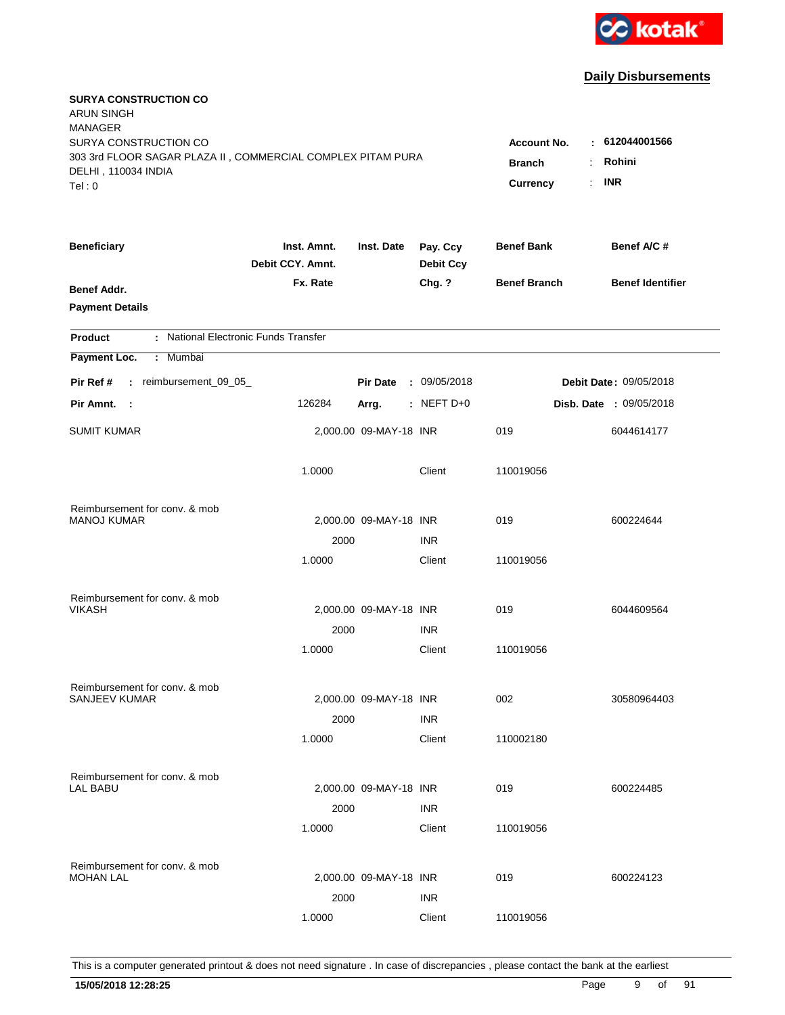

| <b>SURYA CONSTRUCTION CO</b><br><b>ARUN SINGH</b><br><b>MANAGER</b>                |                                 |                        |                              |                     |                               |
|------------------------------------------------------------------------------------|---------------------------------|------------------------|------------------------------|---------------------|-------------------------------|
| SURYA CONSTRUCTION CO                                                              |                                 |                        |                              | <b>Account No.</b>  | : 612044001566                |
| 303 3rd FLOOR SAGAR PLAZA II, COMMERCIAL COMPLEX PITAM PURA<br>DELHI, 110034 INDIA | <b>Branch</b>                   | Rohini<br>÷            |                              |                     |                               |
| Tel:0                                                                              |                                 |                        |                              | Currency            | <b>INR</b><br>÷.              |
|                                                                                    |                                 |                        |                              |                     |                               |
| <b>Beneficiary</b>                                                                 | Inst. Amnt.<br>Debit CCY. Amnt. | Inst. Date             | Pay. Ccy<br><b>Debit Ccy</b> | <b>Benef Bank</b>   | Benef A/C #                   |
| <b>Benef Addr.</b>                                                                 | Fx. Rate                        |                        | Chg. ?                       | <b>Benef Branch</b> | <b>Benef Identifier</b>       |
| <b>Payment Details</b>                                                             |                                 |                        |                              |                     |                               |
| : National Electronic Funds Transfer<br><b>Product</b>                             |                                 |                        |                              |                     |                               |
| Payment Loc.<br>: Mumbai                                                           |                                 |                        |                              |                     |                               |
| : reimbursement_09_05_<br>Pir Ref #                                                |                                 | <b>Pir Date</b>        | : 09/05/2018                 |                     | <b>Debit Date: 09/05/2018</b> |
| Pir Amnt. :                                                                        | 126284                          | Arrg.                  | $:$ NEFT D+0                 |                     | Disb. Date : 09/05/2018       |
| <b>SUMIT KUMAR</b>                                                                 |                                 | 2,000.00 09-MAY-18 INR |                              | 019                 | 6044614177                    |
|                                                                                    | 1.0000                          |                        | Client                       | 110019056           |                               |
| Reimbursement for conv. & mob                                                      |                                 |                        |                              |                     |                               |
| <b>MANOJ KUMAR</b>                                                                 |                                 | 2,000.00 09-MAY-18 INR |                              | 019                 | 600224644                     |
|                                                                                    | 2000                            |                        | <b>INR</b>                   |                     |                               |
|                                                                                    | 1.0000                          |                        | Client                       | 110019056           |                               |
| Reimbursement for conv. & mob                                                      |                                 |                        |                              |                     |                               |
| <b>VIKASH</b>                                                                      |                                 | 2,000.00 09-MAY-18 INR |                              | 019                 | 6044609564                    |
|                                                                                    | 2000                            |                        | <b>INR</b>                   |                     |                               |
|                                                                                    | 1.0000                          |                        | Client                       | 110019056           |                               |
| Reimbursement for conv. & mob                                                      |                                 |                        |                              |                     |                               |
| SANJEEV KUMAR                                                                      |                                 | 2,000.00 09-MAY-18 INR |                              | 002                 | 30580964403                   |
|                                                                                    | 2000                            |                        | <b>INR</b>                   |                     |                               |
|                                                                                    | 1.0000                          |                        | Client                       | 110002180           |                               |
| Reimbursement for conv. & mob                                                      |                                 |                        |                              |                     |                               |
| LAL BABU                                                                           |                                 | 2,000.00 09-MAY-18 INR |                              | 019                 | 600224485                     |
|                                                                                    | 2000                            |                        | <b>INR</b>                   |                     |                               |
|                                                                                    | 1.0000                          |                        | Client                       | 110019056           |                               |
| Reimbursement for conv. & mob                                                      |                                 |                        |                              |                     |                               |
| <b>MOHAN LAL</b>                                                                   |                                 | 2,000.00 09-MAY-18 INR |                              | 019                 | 600224123                     |
|                                                                                    | 2000                            |                        | <b>INR</b>                   |                     |                               |
|                                                                                    | 1.0000                          |                        | Client                       | 110019056           |                               |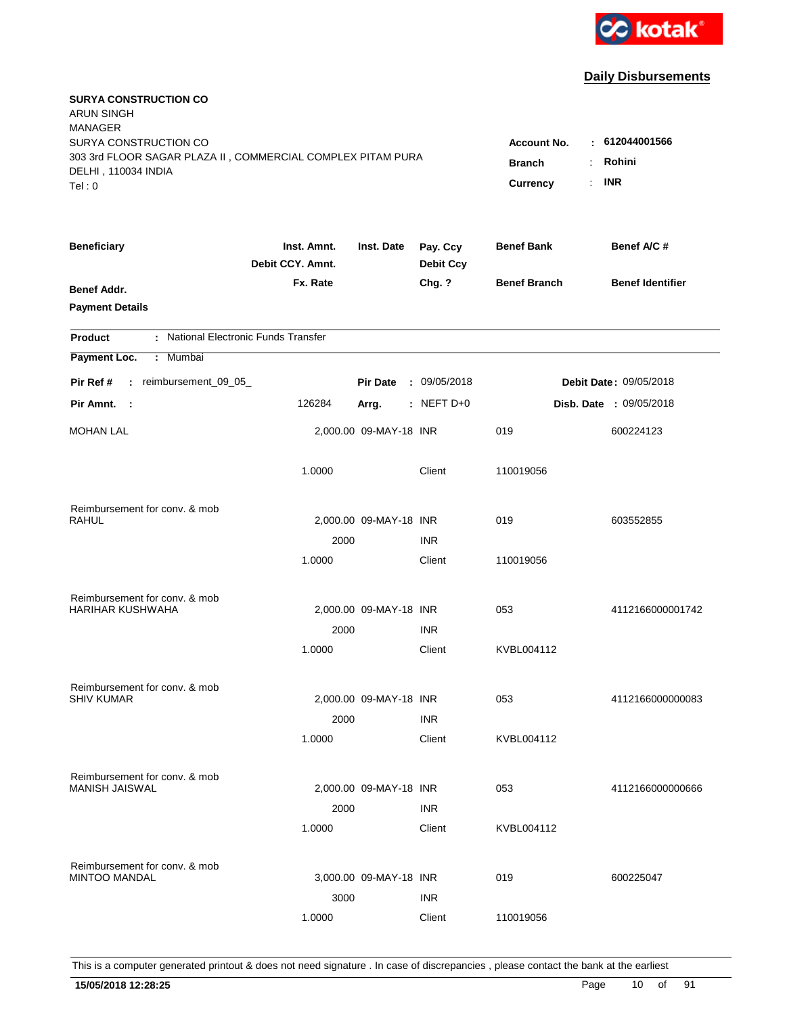

| <b>SURYA CONSTRUCTION CO</b><br><b>ARUN SINGH</b><br><b>MANAGER</b>                                                   |                                                              |                                        |                              |                     |                         |
|-----------------------------------------------------------------------------------------------------------------------|--------------------------------------------------------------|----------------------------------------|------------------------------|---------------------|-------------------------|
| SURYA CONSTRUCTION CO<br>303 3rd FLOOR SAGAR PLAZA II, COMMERCIAL COMPLEX PITAM PURA<br>DELHI, 110034 INDIA<br>Tel: 0 | <b>Account No.</b><br><b>Branch</b><br><b>Currency</b><br>÷. | : 612044001566<br>Rohini<br><b>INR</b> |                              |                     |                         |
| <b>Beneficiary</b>                                                                                                    | Inst. Amnt.<br>Debit CCY. Amnt.                              | Inst. Date                             | Pay. Ccy<br><b>Debit Ccy</b> | <b>Benef Bank</b>   | Benef A/C #             |
| Benef Addr.<br><b>Payment Details</b>                                                                                 | Fx. Rate                                                     |                                        | Chg. ?                       | <b>Benef Branch</b> | <b>Benef Identifier</b> |
| : National Electronic Funds Transfer<br><b>Product</b>                                                                |                                                              |                                        |                              |                     |                         |
| Payment Loc.<br>: Mumbai                                                                                              |                                                              |                                        |                              |                     |                         |
| : reimbursement_09_05_<br>Pir Ref #                                                                                   |                                                              | <b>Pir Date</b>                        | : 09/05/2018                 |                     | Debit Date: 09/05/2018  |
| Pir Amnt. :                                                                                                           | 126284                                                       | Arrg.                                  | : NEFT $D+0$                 |                     | Disb. Date : 09/05/2018 |
| <b>MOHAN LAL</b>                                                                                                      |                                                              | 2,000.00 09-MAY-18 INR                 |                              | 019                 | 600224123               |
|                                                                                                                       | 1.0000                                                       |                                        | Client                       | 110019056           |                         |
| Reimbursement for conv. & mob                                                                                         |                                                              |                                        |                              |                     |                         |
| RAHUL                                                                                                                 |                                                              | 2,000.00 09-MAY-18 INR                 |                              | 019                 | 603552855               |
|                                                                                                                       | 2000<br>1.0000                                               |                                        | <b>INR</b><br>Client         | 110019056           |                         |
| Reimbursement for conv. & mob                                                                                         |                                                              |                                        |                              |                     |                         |
| <b>HARIHAR KUSHWAHA</b>                                                                                               |                                                              | 2,000.00 09-MAY-18 INR                 |                              | 053                 | 4112166000001742        |
|                                                                                                                       | 2000                                                         |                                        | <b>INR</b>                   |                     |                         |
|                                                                                                                       | 1.0000                                                       |                                        | Client                       | KVBL004112          |                         |
| Reimbursement for conv. & mob                                                                                         |                                                              |                                        |                              |                     |                         |
| <b>SHIV KUMAR</b>                                                                                                     |                                                              | 2,000.00 09-MAY-18 INR                 |                              | 053                 | 4112166000000083        |
|                                                                                                                       | 2000<br>1.0000                                               |                                        | <b>INR</b><br>Client         | KVBL004112          |                         |
|                                                                                                                       |                                                              |                                        |                              |                     |                         |
| Reimbursement for conv. & mob                                                                                         |                                                              |                                        |                              |                     |                         |
| <b>MANISH JAISWAL</b>                                                                                                 |                                                              | 2,000.00 09-MAY-18 INR                 |                              | 053                 | 4112166000000666        |
|                                                                                                                       | 2000<br>1.0000                                               |                                        | <b>INR</b><br>Client         | KVBL004112          |                         |
|                                                                                                                       |                                                              |                                        |                              |                     |                         |
| Reimbursement for conv. & mob<br><b>MINTOO MANDAL</b>                                                                 |                                                              | 3,000.00 09-MAY-18 INR                 |                              | 019                 | 600225047               |
|                                                                                                                       | 3000                                                         |                                        | <b>INR</b>                   |                     |                         |
|                                                                                                                       | 1.0000                                                       |                                        | Client                       | 110019056           |                         |
|                                                                                                                       |                                                              |                                        |                              |                     |                         |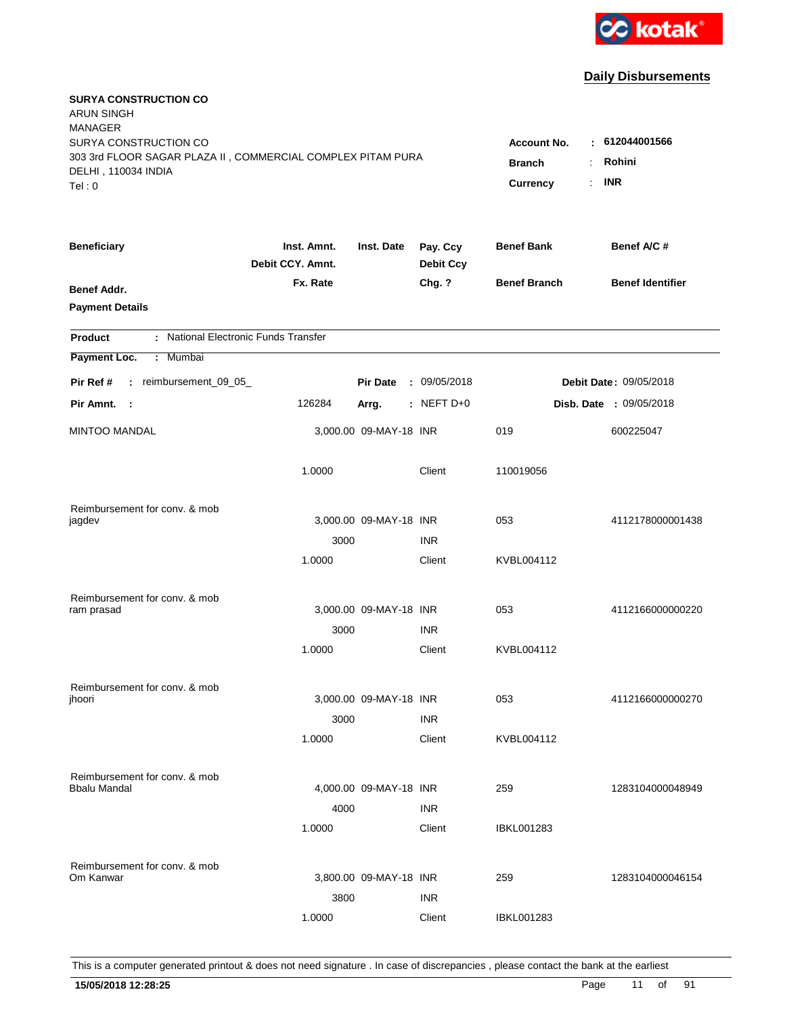

| <b>SURYA CONSTRUCTION CO</b><br>ARUN SINGH                                                   |                                 |                                                    |                              |                     |                                |
|----------------------------------------------------------------------------------------------|---------------------------------|----------------------------------------------------|------------------------------|---------------------|--------------------------------|
| <b>MANAGER</b><br>SURYA CONSTRUCTION CO                                                      |                                 |                                                    |                              | <b>Account No.</b>  | $-612044001566$                |
| 303 3rd FLOOR SAGAR PLAZA II, COMMERCIAL COMPLEX PITAM PURA<br>DELHI, 110034 INDIA<br>Tel: 0 | <b>Branch</b><br>Currency       | Rohini<br>$\ddot{\phantom{a}}$<br><b>INR</b><br>÷. |                              |                     |                                |
|                                                                                              |                                 |                                                    |                              |                     |                                |
| <b>Beneficiary</b>                                                                           | Inst. Amnt.<br>Debit CCY. Amnt. | Inst. Date                                         | Pay. Ccy<br><b>Debit Ccy</b> | <b>Benef Bank</b>   | Benef A/C #                    |
| Benef Addr.<br><b>Payment Details</b>                                                        | Fx. Rate                        |                                                    | Chg. ?                       | <b>Benef Branch</b> | <b>Benef Identifier</b>        |
| : National Electronic Funds Transfer<br><b>Product</b>                                       |                                 |                                                    |                              |                     |                                |
| Payment Loc.<br>: Mumbai                                                                     |                                 |                                                    |                              |                     |                                |
| : reimbursement_09_05_<br>Pir Ref #                                                          |                                 | <b>Pir Date</b>                                    | : 09/05/2018                 |                     | Debit Date: 09/05/2018         |
| Pir Amnt. :                                                                                  | 126284                          | Arrg.                                              | $:$ NEFT D+0                 |                     | <b>Disb. Date : 09/05/2018</b> |
| <b>MINTOO MANDAL</b>                                                                         |                                 | 3,000.00 09-MAY-18 INR                             |                              | 019                 | 600225047                      |
|                                                                                              | 1.0000                          |                                                    | Client                       | 110019056           |                                |
| Reimbursement for conv. & mob                                                                |                                 |                                                    |                              |                     |                                |
| jagdev                                                                                       |                                 | 3,000.00 09-MAY-18 INR                             |                              | 053                 | 4112178000001438               |
|                                                                                              | 3000                            |                                                    | <b>INR</b>                   |                     |                                |
|                                                                                              | 1.0000                          |                                                    | Client                       | KVBL004112          |                                |
| Reimbursement for conv. & mob                                                                |                                 |                                                    |                              |                     |                                |
| ram prasad                                                                                   |                                 | 3,000.00 09-MAY-18 INR                             |                              | 053                 | 4112166000000220               |
|                                                                                              | 3000                            |                                                    | <b>INR</b>                   |                     |                                |
|                                                                                              | 1.0000                          |                                                    | Client                       | KVBL004112          |                                |
| Reimbursement for conv. & mob                                                                |                                 |                                                    |                              |                     |                                |
| jhoori                                                                                       |                                 | 3,000.00 09-MAY-18 INR                             |                              | 053                 | 4112166000000270               |
|                                                                                              | 3000                            |                                                    | <b>INR</b>                   |                     |                                |
|                                                                                              | 1.0000                          |                                                    | Client                       | KVBL004112          |                                |
| Reimbursement for conv. & mob                                                                |                                 |                                                    |                              |                     |                                |
| Bbalu Mandal                                                                                 |                                 | 4,000.00 09-MAY-18 INR                             |                              | 259                 | 1283104000048949               |
|                                                                                              | 4000                            |                                                    | <b>INR</b>                   |                     |                                |
|                                                                                              | 1.0000                          |                                                    | Client                       | IBKL001283          |                                |
| Reimbursement for conv. & mob                                                                |                                 |                                                    |                              |                     |                                |
| Om Kanwar                                                                                    |                                 | 3,800.00 09-MAY-18 INR                             |                              | 259                 | 1283104000046154               |
|                                                                                              | 3800                            |                                                    | <b>INR</b>                   |                     |                                |
|                                                                                              | 1.0000                          |                                                    | Client                       | <b>IBKL001283</b>   |                                |
|                                                                                              |                                 |                                                    |                              |                     |                                |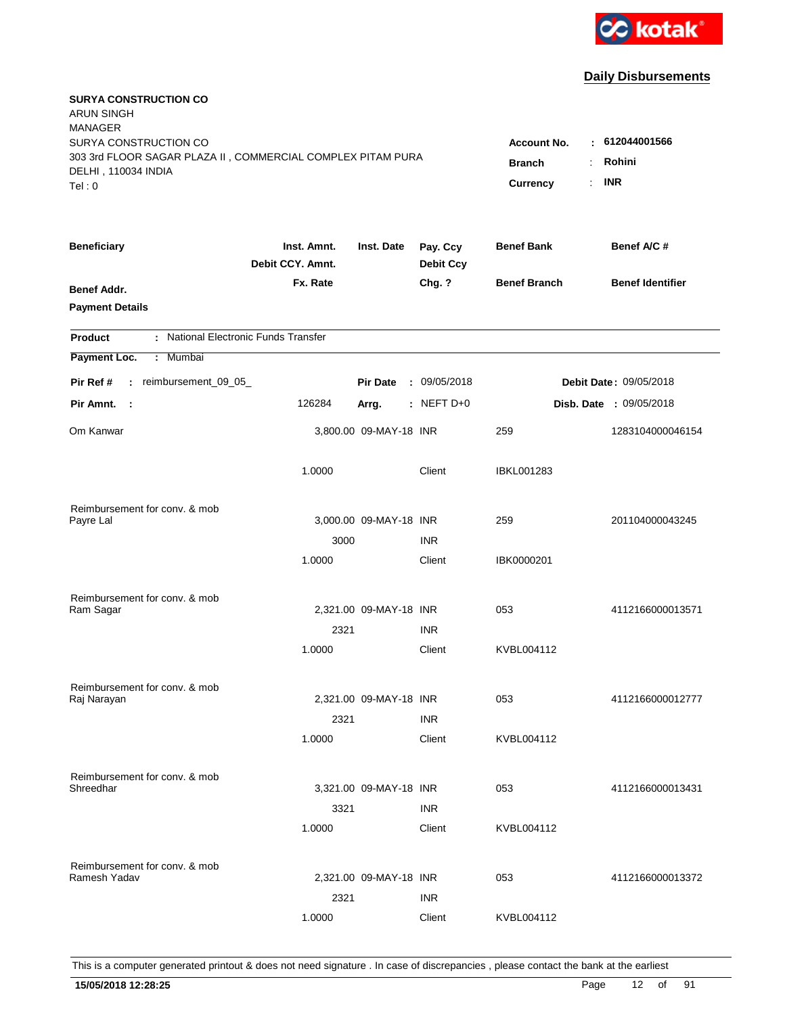

| <b>SURYA CONSTRUCTION CO</b><br><b>ARUN SINGH</b>           |                                 |                        |                              |                     |                                |
|-------------------------------------------------------------|---------------------------------|------------------------|------------------------------|---------------------|--------------------------------|
| <b>MANAGER</b><br>SURYA CONSTRUCTION CO                     |                                 |                        |                              |                     | : 612044001566                 |
| 303 3rd FLOOR SAGAR PLAZA II, COMMERCIAL COMPLEX PITAM PURA |                                 |                        |                              | <b>Account No.</b>  |                                |
| DELHI, 110034 INDIA                                         | <b>Branch</b><br>÷              | Rohini                 |                              |                     |                                |
| Tel: 0                                                      |                                 |                        |                              | Currency<br>÷.      | <b>INR</b>                     |
| <b>Beneficiary</b>                                          | Inst. Amnt.<br>Debit CCY. Amnt. | Inst. Date             | Pay. Ccy<br><b>Debit Ccy</b> | <b>Benef Bank</b>   | Benef A/C #                    |
| Benef Addr.                                                 | Fx. Rate                        |                        | Chg. ?                       | <b>Benef Branch</b> | <b>Benef Identifier</b>        |
| <b>Payment Details</b>                                      |                                 |                        |                              |                     |                                |
| : National Electronic Funds Transfer<br><b>Product</b>      |                                 |                        |                              |                     |                                |
| Payment Loc.<br>Mumbai<br>÷.                                |                                 |                        |                              |                     |                                |
| : reimbursement_09_05_<br>Pir Ref #                         |                                 | <b>Pir Date</b>        | : 09/05/2018                 |                     | Debit Date: 09/05/2018         |
| Pir Amnt. :                                                 | 126284                          | Arrg.                  | : NEFT $D+0$                 |                     | <b>Disb. Date : 09/05/2018</b> |
| Om Kanwar                                                   |                                 | 3,800.00 09-MAY-18 INR |                              | 259                 | 1283104000046154               |
|                                                             | 1.0000                          |                        | Client                       | <b>IBKL001283</b>   |                                |
| Reimbursement for conv. & mob                               |                                 |                        |                              |                     |                                |
| Payre Lal                                                   |                                 | 3,000.00 09-MAY-18 INR |                              | 259                 | 201104000043245                |
|                                                             | 3000                            |                        | <b>INR</b>                   |                     |                                |
|                                                             | 1.0000                          |                        | Client                       | IBK0000201          |                                |
| Reimbursement for conv. & mob                               |                                 |                        |                              |                     |                                |
| Ram Sagar                                                   |                                 | 2,321.00 09-MAY-18 INR |                              | 053                 | 4112166000013571               |
|                                                             | 2321                            |                        | <b>INR</b>                   |                     |                                |
|                                                             | 1.0000                          |                        | Client                       | KVBL004112          |                                |
| Reimbursement for conv. & mob                               |                                 |                        |                              |                     |                                |
| Raj Narayan                                                 |                                 | 2,321.00 09-MAY-18 INR |                              | 053                 | 4112166000012777               |
|                                                             | 2321                            |                        | <b>INR</b>                   |                     |                                |
|                                                             | 1.0000                          |                        | Client                       | KVBL004112          |                                |
| Reimbursement for conv. & mob                               |                                 |                        |                              |                     |                                |
| Shreedhar                                                   |                                 | 3,321.00 09-MAY-18 INR |                              | 053                 | 4112166000013431               |
|                                                             | 3321                            |                        | <b>INR</b>                   |                     |                                |
|                                                             | 1.0000                          |                        | Client                       | KVBL004112          |                                |
| Reimbursement for conv. & mob                               |                                 |                        |                              |                     |                                |
| Ramesh Yadav                                                |                                 | 2,321.00 09-MAY-18 INR |                              | 053                 | 4112166000013372               |
|                                                             | 2321                            |                        | <b>INR</b>                   |                     |                                |
|                                                             | 1.0000                          |                        | Client                       | KVBL004112          |                                |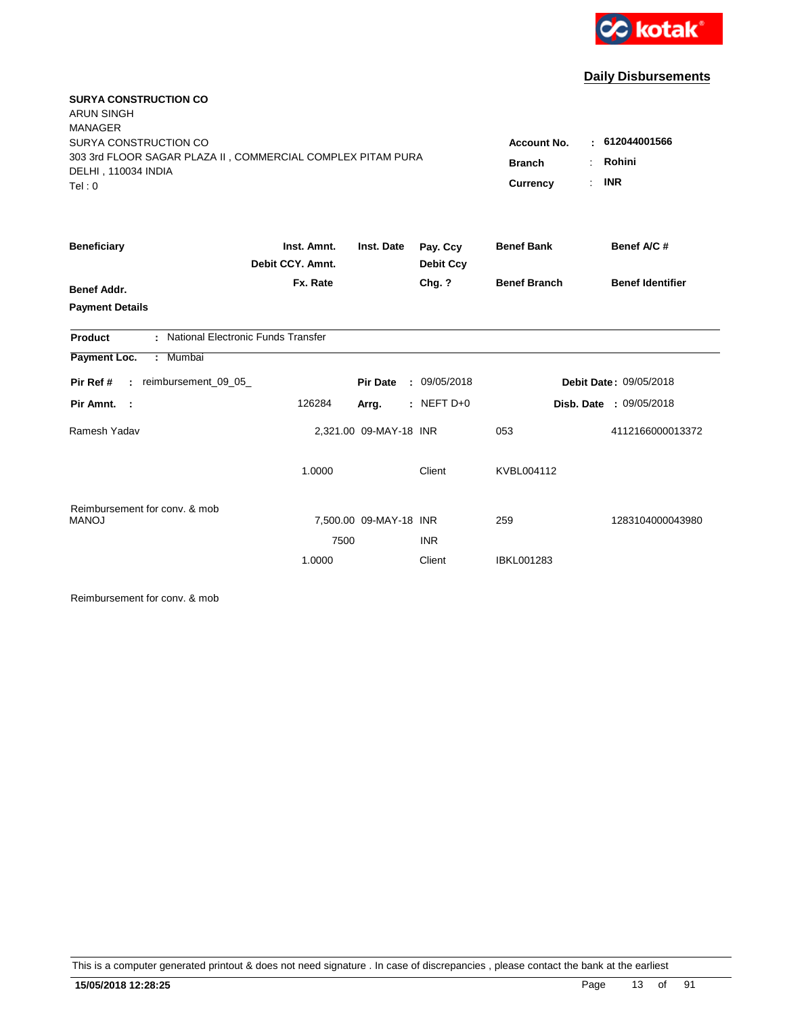

| <b>SURYA CONSTRUCTION CO</b><br><b>ARUN SINGH</b>                                  |                                 |                        |                              |                       |                         |
|------------------------------------------------------------------------------------|---------------------------------|------------------------|------------------------------|-----------------------|-------------------------|
| <b>MANAGER</b><br>SURYA CONSTRUCTION CO                                            |                                 |                        |                              | <b>Account No.</b>    | : 612044001566          |
| 303 3rd FLOOR SAGAR PLAZA II, COMMERCIAL COMPLEX PITAM PURA<br>DELHI, 110034 INDIA |                                 |                        |                              | <b>Branch</b>         | Rohini                  |
| Tel:0                                                                              |                                 |                        |                              | Currency<br>$\bullet$ | <b>INR</b>              |
| <b>Beneficiary</b>                                                                 | Inst. Amnt.<br>Debit CCY. Amnt. | Inst. Date             | Pay. Ccy<br><b>Debit Ccy</b> | <b>Benef Bank</b>     | Benef A/C #             |
|                                                                                    | Fx. Rate                        |                        | Chg. ?                       | <b>Benef Branch</b>   | <b>Benef Identifier</b> |
| <b>Benef Addr.</b>                                                                 |                                 |                        |                              |                       |                         |
| <b>Payment Details</b>                                                             |                                 |                        |                              |                       |                         |
| : National Electronic Funds Transfer<br>Product                                    |                                 |                        |                              |                       |                         |
| Payment Loc.<br>: Mumbai                                                           |                                 |                        |                              |                       |                         |
| : reimbursement_09_05_<br>Pir Ref #                                                |                                 | <b>Pir Date</b>        | : 09/05/2018                 |                       | Debit Date: 09/05/2018  |
| Pir Amnt. :                                                                        | 126284                          | Arrg.                  | : NEFT $D+0$                 |                       | Disb. Date : 09/05/2018 |
| Ramesh Yadav                                                                       |                                 | 2,321.00 09-MAY-18 INR |                              | 053                   | 4112166000013372        |
|                                                                                    | 1.0000                          |                        | Client                       | KVBL004112            |                         |
| Reimbursement for conv. & mob<br><b>MANOJ</b>                                      |                                 | 7,500.00 09-MAY-18 INR |                              | 259                   | 1283104000043980        |
|                                                                                    | 7500                            |                        | <b>INR</b>                   |                       |                         |
|                                                                                    | 1.0000                          |                        | Client                       | IBKL001283            |                         |
|                                                                                    |                                 |                        |                              |                       |                         |

Reimbursement for conv. & mob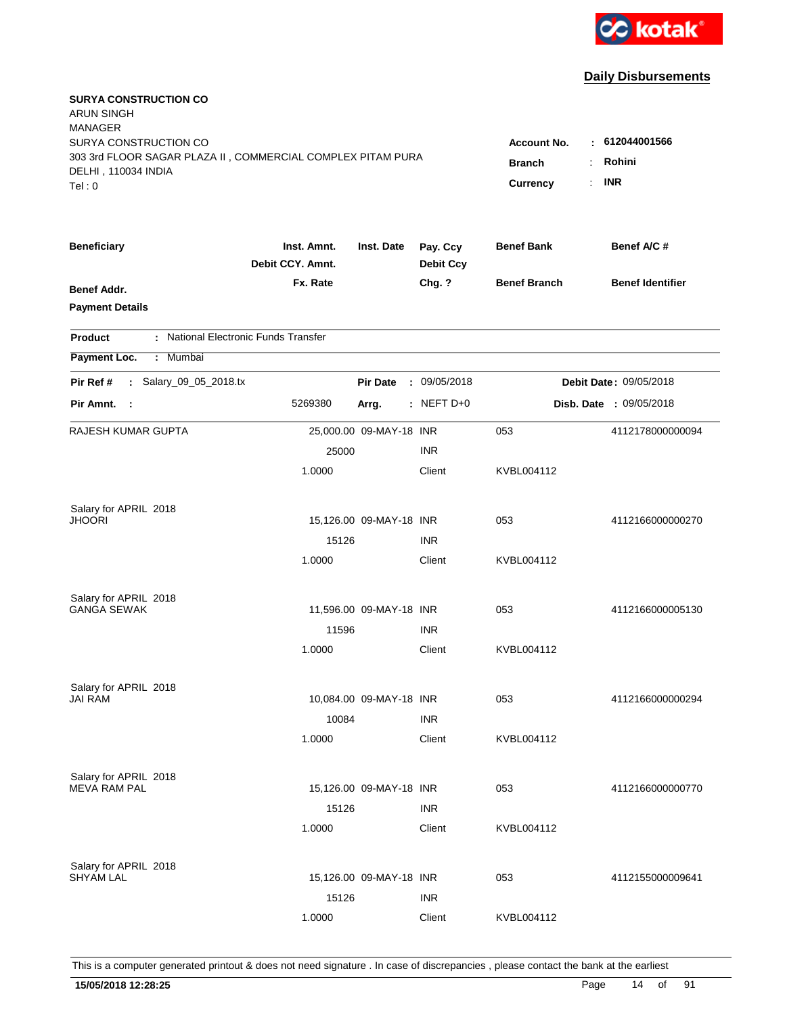

| <b>SURYA CONSTRUCTION CO</b><br><b>ARUN SINGH</b><br><b>MANAGER</b>                  |                                     |                          |                              |                     |                         |
|--------------------------------------------------------------------------------------|-------------------------------------|--------------------------|------------------------------|---------------------|-------------------------|
| SURYA CONSTRUCTION CO<br>303 3rd FLOOR SAGAR PLAZA II, COMMERCIAL COMPLEX PITAM PURA | <b>Account No.</b><br><b>Branch</b> | : 612044001566<br>Rohini |                              |                     |                         |
| DELHI, 110034 INDIA<br>Tel: 0                                                        |                                     |                          |                              | <b>Currency</b>     | <b>INR</b>              |
| <b>Beneficiary</b>                                                                   | Inst. Amnt.<br>Debit CCY, Amnt.     | Inst. Date               | Pay. Ccy<br><b>Debit Ccy</b> | <b>Benef Bank</b>   | Benef A/C #             |
| Benef Addr.<br><b>Payment Details</b>                                                | Fx. Rate                            |                          | Chg. ?                       | <b>Benef Branch</b> | <b>Benef Identifier</b> |
| : National Electronic Funds Transfer<br><b>Product</b>                               |                                     |                          |                              |                     |                         |
| Payment Loc.<br>: Mumbai                                                             |                                     |                          |                              |                     |                         |
| : Salary_09_05_2018.tx<br>Pir Ref #                                                  |                                     | <b>Pir Date</b>          | : 09/05/2018                 |                     | Debit Date: 09/05/2018  |
| Pir Amnt.<br>$\sim$ 1                                                                | 5269380                             | Arrg.                    | $:$ NEFT D+0                 |                     | Disb. Date : 09/05/2018 |
| RAJESH KUMAR GUPTA                                                                   |                                     | 25,000.00 09-MAY-18 INR  |                              | 053                 | 4112178000000094        |
|                                                                                      | 25000                               |                          | <b>INR</b>                   |                     |                         |
|                                                                                      | 1.0000                              |                          | Client                       | KVBL004112          |                         |
| Salary for APRIL 2018                                                                |                                     |                          |                              |                     |                         |
| <b>JHOORI</b>                                                                        |                                     | 15,126.00 09-MAY-18 INR  |                              | 053                 | 4112166000000270        |
|                                                                                      | 15126                               |                          | <b>INR</b>                   |                     |                         |
|                                                                                      | 1.0000                              |                          | Client                       | KVBL004112          |                         |
| Salary for APRIL 2018                                                                |                                     |                          |                              |                     |                         |
| <b>GANGA SEWAK</b>                                                                   |                                     | 11,596.00 09-MAY-18 INR  |                              | 053                 | 4112166000005130        |
|                                                                                      | 11596                               |                          | <b>INR</b>                   |                     |                         |
|                                                                                      | 1.0000                              |                          | Client                       | KVBL004112          |                         |
| Salary for APRIL 2018                                                                |                                     |                          |                              |                     |                         |
| <b>JAI RAM</b>                                                                       |                                     | 10,084.00 09-MAY-18 INR  |                              | 053                 | 4112166000000294        |
|                                                                                      | 10084                               |                          | <b>INR</b>                   |                     |                         |
|                                                                                      | 1.0000                              |                          | Client                       | KVBL004112          |                         |
| Salary for APRIL 2018<br><b>MEVA RAM PAL</b>                                         |                                     | 15,126.00 09-MAY-18 INR  |                              | 053                 | 4112166000000770        |
|                                                                                      | 15126                               |                          | <b>INR</b>                   |                     |                         |
|                                                                                      | 1.0000                              |                          | Client                       | KVBL004112          |                         |
|                                                                                      |                                     |                          |                              |                     |                         |
| Salary for APRIL 2018<br><b>SHYAM LAL</b>                                            |                                     | 15,126.00 09-MAY-18 INR  |                              | 053                 | 4112155000009641        |
|                                                                                      | 15126                               |                          | <b>INR</b>                   |                     |                         |
|                                                                                      | 1.0000                              |                          | Client                       | KVBL004112          |                         |
|                                                                                      |                                     |                          |                              |                     |                         |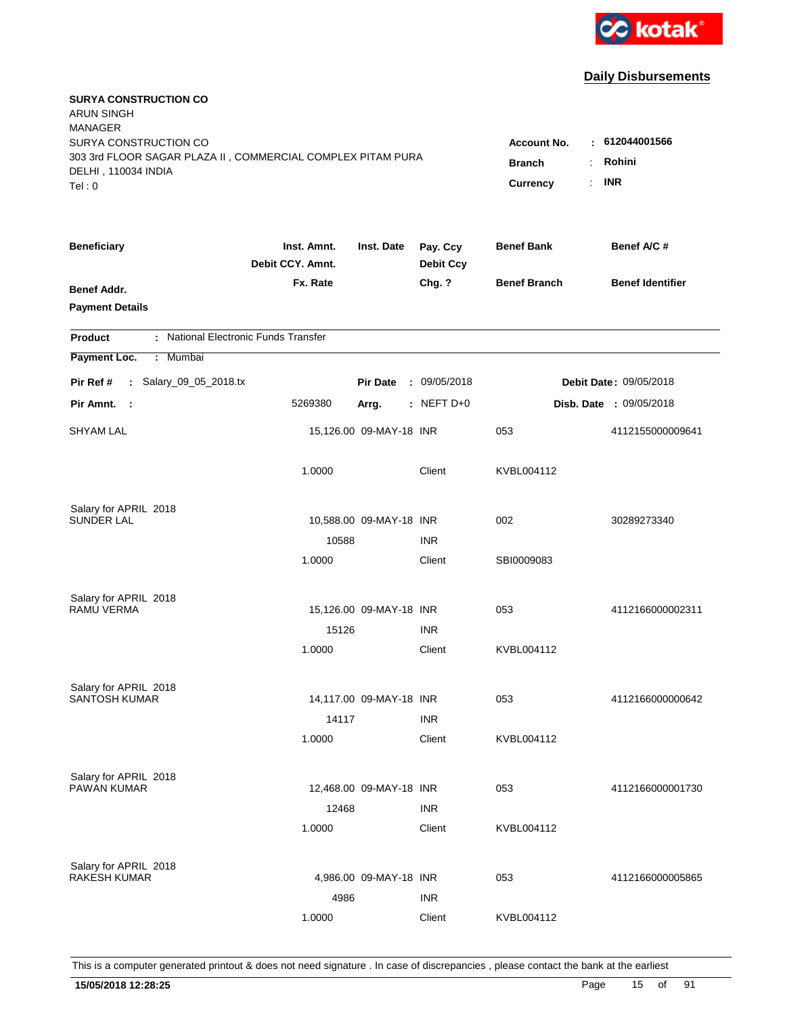

| <b>SURYA CONSTRUCTION CO</b><br><b>ARUN SINGH</b><br><b>MANAGER</b><br>SURYA CONSTRUCTION CO |                                 |                         |                              | <b>Account No.</b>               | : 612044001566          |
|----------------------------------------------------------------------------------------------|---------------------------------|-------------------------|------------------------------|----------------------------------|-------------------------|
| 303 3rd FLOOR SAGAR PLAZA II, COMMERCIAL COMPLEX PITAM PURA<br>DELHI, 110034 INDIA<br>Tel: 0 |                                 |                         | <b>Branch</b><br>Currency    | Rohini<br>÷.<br><b>INR</b><br>÷. |                         |
| <b>Beneficiary</b>                                                                           | Inst. Amnt.<br>Debit CCY. Amnt. | Inst. Date              | Pay. Ccy<br><b>Debit Ccy</b> | <b>Benef Bank</b>                | Benef A/C#              |
| Benef Addr.<br><b>Payment Details</b>                                                        | Fx. Rate                        |                         | Chg. ?                       | <b>Benef Branch</b>              | <b>Benef Identifier</b> |
| : National Electronic Funds Transfer<br><b>Product</b>                                       |                                 |                         |                              |                                  |                         |
| Payment Loc.<br>: Mumbai                                                                     |                                 |                         |                              |                                  |                         |
| : Salary_09_05_2018.tx<br>Pir Ref #                                                          |                                 | <b>Pir Date</b>         | : 09/05/2018                 |                                  | Debit Date: 09/05/2018  |
| Pir Amnt. :                                                                                  | 5269380                         | Arrg.                   | $:$ NEFT D+0                 |                                  | Disb. Date : 09/05/2018 |
| <b>SHYAM LAL</b>                                                                             |                                 | 15,126.00 09-MAY-18 INR |                              | 053                              | 4112155000009641        |
|                                                                                              | 1.0000                          |                         | Client                       | KVBL004112                       |                         |
| Salary for APRIL 2018<br><b>SUNDER LAL</b>                                                   |                                 |                         |                              |                                  |                         |
|                                                                                              | 10588                           | 10,588.00 09-MAY-18 INR | <b>INR</b>                   | 002                              | 30289273340             |
|                                                                                              | 1.0000                          |                         | Client                       | SBI0009083                       |                         |
| Salary for APRIL 2018                                                                        |                                 |                         |                              |                                  |                         |
| RAMU VERMA                                                                                   |                                 | 15,126.00 09-MAY-18 INR |                              | 053                              | 4112166000002311        |
|                                                                                              | 15126                           |                         | <b>INR</b>                   |                                  |                         |
|                                                                                              | 1.0000                          |                         | Client                       | KVBL004112                       |                         |
| Salary for APRIL 2018                                                                        |                                 |                         |                              |                                  |                         |
| SANTOSH KUMAR                                                                                |                                 | 14,117.00 09-MAY-18 INR |                              | 053                              | 4112166000000642        |
|                                                                                              | 14117                           |                         | <b>INR</b>                   |                                  |                         |
|                                                                                              | 1.0000                          |                         | Client                       | KVBL004112                       |                         |
| Salary for APRIL 2018                                                                        |                                 |                         |                              |                                  |                         |
| <b>PAWAN KUMAR</b>                                                                           |                                 | 12,468.00 09-MAY-18 INR |                              | 053                              | 4112166000001730        |
|                                                                                              | 12468<br>1.0000                 |                         | <b>INR</b><br>Client         | KVBL004112                       |                         |
|                                                                                              |                                 |                         |                              |                                  |                         |
| Salary for APRIL 2018                                                                        |                                 |                         |                              |                                  |                         |
| <b>RAKESH KUMAR</b>                                                                          |                                 | 4,986.00 09-MAY-18 INR  |                              | 053                              | 4112166000005865        |
|                                                                                              | 4986                            |                         | <b>INR</b>                   |                                  |                         |
|                                                                                              | 1.0000                          |                         | Client                       | KVBL004112                       |                         |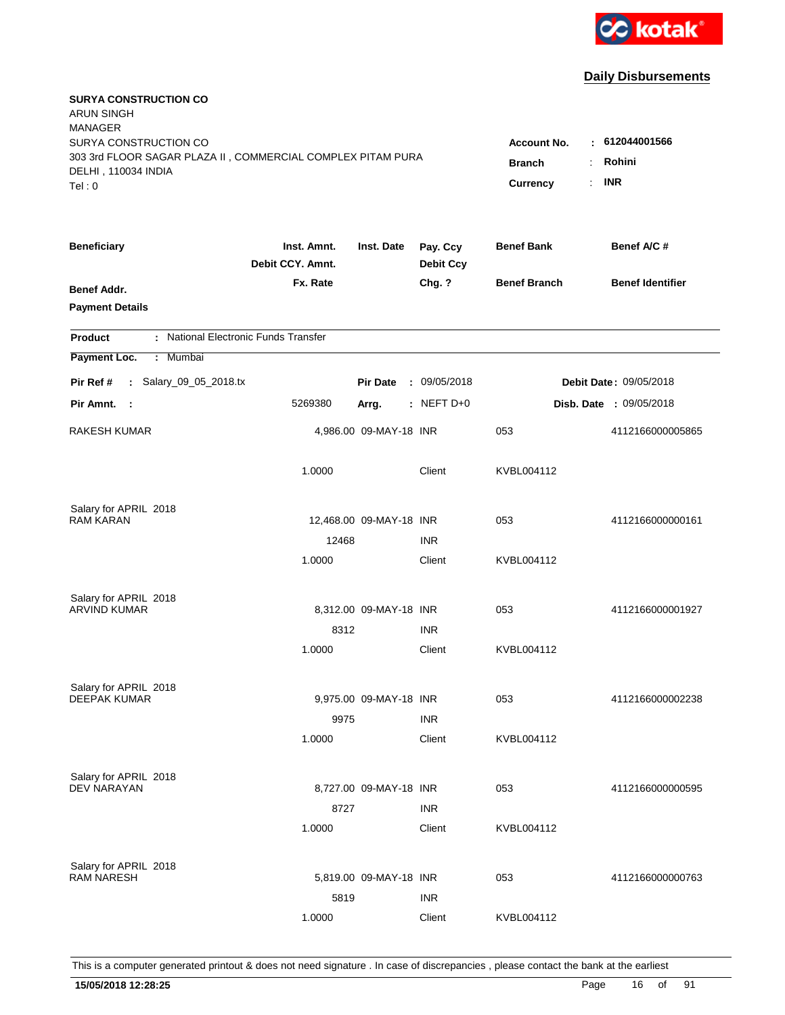

| <b>SURYA CONSTRUCTION CO</b><br><b>ARUN SINGH</b><br><b>MANAGER</b><br>SURYA CONSTRUCTION CO<br>303 3rd FLOOR SAGAR PLAZA II, COMMERCIAL COMPLEX PITAM PURA |                                 |                         |                              | <b>Account No.</b><br><b>Branch</b> | : 612044001566<br>Rohini<br>÷. |
|-------------------------------------------------------------------------------------------------------------------------------------------------------------|---------------------------------|-------------------------|------------------------------|-------------------------------------|--------------------------------|
| DELHI, 110034 INDIA<br>Tel: 0                                                                                                                               |                                 |                         |                              | Currency                            | <b>INR</b><br>÷.               |
| <b>Beneficiary</b>                                                                                                                                          | Inst. Amnt.<br>Debit CCY. Amnt. | Inst. Date              | Pay. Ccy<br><b>Debit Ccy</b> | <b>Benef Bank</b>                   | Benef A/C#                     |
| Benef Addr.<br><b>Payment Details</b>                                                                                                                       | Fx. Rate                        |                         | Chg. ?                       | <b>Benef Branch</b>                 | <b>Benef Identifier</b>        |
| : National Electronic Funds Transfer<br><b>Product</b>                                                                                                      |                                 |                         |                              |                                     |                                |
| Payment Loc.<br>: Mumbai                                                                                                                                    |                                 |                         |                              |                                     |                                |
| : Salary_09_05_2018.tx<br>Pir Ref #                                                                                                                         |                                 | <b>Pir Date</b>         | : 09/05/2018                 |                                     | Debit Date: 09/05/2018         |
| Pir Amnt. :                                                                                                                                                 | 5269380                         | Arrg.                   | $:$ NEFT D+0                 |                                     | Disb. Date : 09/05/2018        |
| <b>RAKESH KUMAR</b>                                                                                                                                         |                                 | 4,986.00 09-MAY-18 INR  |                              | 053                                 | 4112166000005865               |
|                                                                                                                                                             | 1.0000                          |                         | Client                       | KVBL004112                          |                                |
| Salary for APRIL 2018                                                                                                                                       |                                 |                         |                              |                                     |                                |
| <b>RAM KARAN</b>                                                                                                                                            |                                 | 12,468.00 09-MAY-18 INR |                              | 053                                 | 4112166000000161               |
|                                                                                                                                                             | 12468                           |                         | <b>INR</b>                   |                                     |                                |
|                                                                                                                                                             | 1.0000                          |                         | Client                       | KVBL004112                          |                                |
| Salary for APRIL 2018                                                                                                                                       |                                 |                         |                              |                                     |                                |
| <b>ARVIND KUMAR</b>                                                                                                                                         |                                 | 8,312.00 09-MAY-18 INR  |                              | 053                                 | 4112166000001927               |
|                                                                                                                                                             | 8312                            |                         | <b>INR</b>                   |                                     |                                |
|                                                                                                                                                             | 1.0000                          |                         | Client                       | KVBL004112                          |                                |
| Salary for APRIL 2018                                                                                                                                       |                                 |                         |                              |                                     |                                |
| <b>DEEPAK KUMAR</b>                                                                                                                                         |                                 | 9,975.00 09-MAY-18 INR  |                              | 053                                 | 4112166000002238               |
|                                                                                                                                                             | 9975                            |                         | <b>INR</b>                   |                                     |                                |
|                                                                                                                                                             | 1.0000                          |                         | Client                       | KVBL004112                          |                                |
|                                                                                                                                                             |                                 |                         |                              |                                     |                                |
| Salary for APRIL 2018<br>DEV NARAYAN                                                                                                                        |                                 | 8,727.00 09-MAY-18 INR  |                              | 053                                 | 4112166000000595               |
|                                                                                                                                                             | 8727                            |                         | <b>INR</b>                   |                                     |                                |
|                                                                                                                                                             | 1.0000                          |                         | Client                       | KVBL004112                          |                                |
|                                                                                                                                                             |                                 |                         |                              |                                     |                                |
| Salary for APRIL 2018<br><b>RAM NARESH</b>                                                                                                                  |                                 | 5,819.00 09-MAY-18 INR  |                              | 053                                 | 4112166000000763               |
|                                                                                                                                                             | 5819                            |                         | <b>INR</b>                   |                                     |                                |
|                                                                                                                                                             | 1.0000                          |                         | Client                       | KVBL004112                          |                                |
|                                                                                                                                                             |                                 |                         |                              |                                     |                                |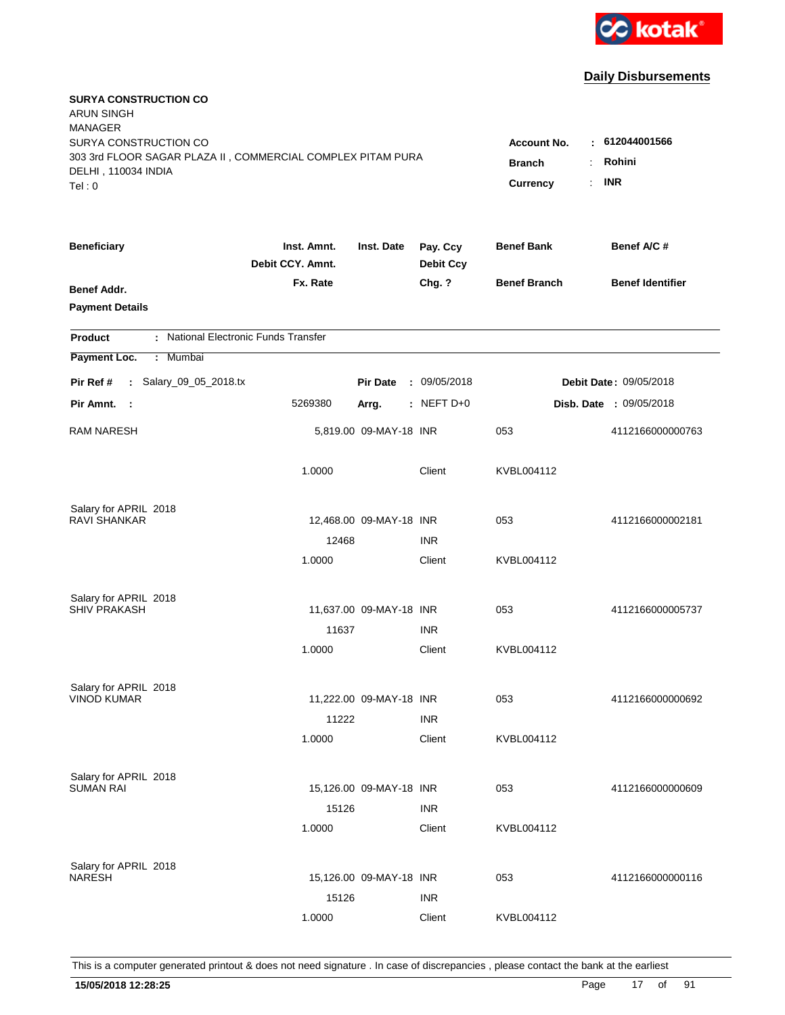

| <b>SURYA CONSTRUCTION CO</b><br><b>ARUN SINGH</b><br><b>MANAGER</b><br>SURYA CONSTRUCTION CO<br>303 3rd FLOOR SAGAR PLAZA II, COMMERCIAL COMPLEX PITAM PURA<br>DELHI, 110034 INDIA<br>Tel: 0 | Account No.<br><b>Branch</b><br>Currency | : 612044001566<br>Rohini<br>÷.<br><b>INR</b><br>$\mathbf{r}$ |                              |                     |                                |
|----------------------------------------------------------------------------------------------------------------------------------------------------------------------------------------------|------------------------------------------|--------------------------------------------------------------|------------------------------|---------------------|--------------------------------|
| <b>Beneficiary</b>                                                                                                                                                                           | Inst. Amnt.<br>Debit CCY. Amnt.          | Inst. Date                                                   | Pay. Ccy<br><b>Debit Ccy</b> | <b>Benef Bank</b>   | Benef A/C #                    |
| Benef Addr.<br><b>Payment Details</b>                                                                                                                                                        | Fx. Rate                                 |                                                              | Chg. ?                       | <b>Benef Branch</b> | <b>Benef Identifier</b>        |
| : National Electronic Funds Transfer<br><b>Product</b>                                                                                                                                       |                                          |                                                              |                              |                     |                                |
| Payment Loc.<br>Mumbai<br>÷.                                                                                                                                                                 |                                          |                                                              |                              |                     |                                |
| : Salary_09_05_2018.tx<br>Pir Ref #                                                                                                                                                          |                                          | <b>Pir Date</b>                                              | : 09/05/2018                 |                     | Debit Date: 09/05/2018         |
| Pir Amnt. :                                                                                                                                                                                  | 5269380                                  | Arrg.                                                        | $:$ NEFT D+0                 |                     | <b>Disb. Date : 09/05/2018</b> |
| <b>RAM NARESH</b>                                                                                                                                                                            |                                          | 5,819.00 09-MAY-18 INR                                       |                              | 053                 | 4112166000000763               |
|                                                                                                                                                                                              | 1.0000                                   |                                                              | Client                       | KVBL004112          |                                |
| Salary for APRIL 2018                                                                                                                                                                        |                                          |                                                              |                              |                     |                                |
| <b>RAVI SHANKAR</b>                                                                                                                                                                          | 12468                                    | 12,468.00 09-MAY-18 INR                                      | <b>INR</b>                   | 053                 | 4112166000002181               |
|                                                                                                                                                                                              | 1.0000                                   |                                                              | Client                       | KVBL004112          |                                |
| Salary for APRIL 2018                                                                                                                                                                        |                                          |                                                              |                              |                     |                                |
| <b>SHIV PRAKASH</b>                                                                                                                                                                          |                                          | 11,637.00 09-MAY-18 INR                                      |                              | 053                 | 4112166000005737               |
|                                                                                                                                                                                              | 11637                                    |                                                              | <b>INR</b>                   |                     |                                |
|                                                                                                                                                                                              | 1.0000                                   |                                                              | Client                       | KVBL004112          |                                |
| Salary for APRIL 2018                                                                                                                                                                        |                                          |                                                              |                              |                     |                                |
| <b>VINOD KUMAR</b>                                                                                                                                                                           |                                          | 11,222.00 09-MAY-18 INR                                      |                              | 053                 | 4112166000000692               |
|                                                                                                                                                                                              | 11222                                    |                                                              | <b>INR</b>                   |                     |                                |
|                                                                                                                                                                                              | 1.0000                                   |                                                              | Client                       | KVBL004112          |                                |
| Salary for APRIL 2018<br><b>SUMAN RAI</b>                                                                                                                                                    |                                          | 15,126.00 09-MAY-18 INR                                      |                              | 053                 | 4112166000000609               |
|                                                                                                                                                                                              | 15126                                    |                                                              | <b>INR</b>                   |                     |                                |
|                                                                                                                                                                                              | 1.0000                                   |                                                              | Client                       | KVBL004112          |                                |
| Salary for APRIL 2018                                                                                                                                                                        |                                          |                                                              |                              |                     |                                |
| <b>NARESH</b>                                                                                                                                                                                |                                          | 15,126.00 09-MAY-18 INR                                      |                              | 053                 | 4112166000000116               |
|                                                                                                                                                                                              | 15126                                    |                                                              | <b>INR</b>                   |                     |                                |
|                                                                                                                                                                                              | 1.0000                                   |                                                              | Client                       | KVBL004112          |                                |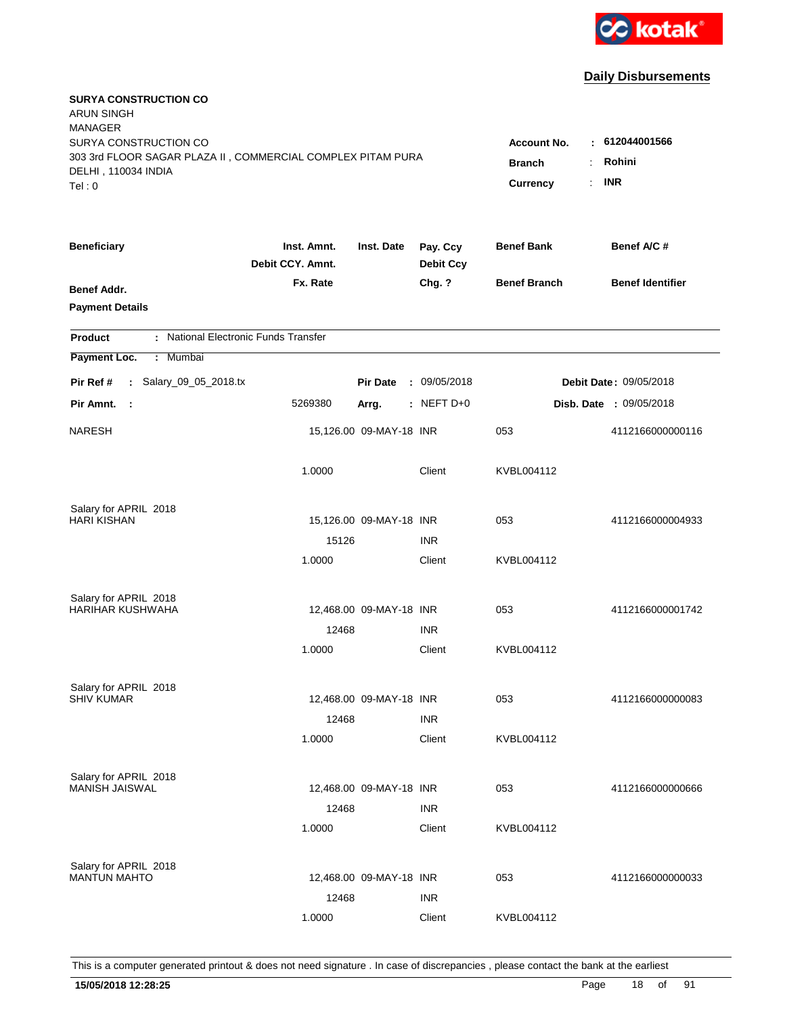

| <b>SURYA CONSTRUCTION CO</b><br><b>ARUN SINGH</b><br><b>MANAGER</b><br>SURYA CONSTRUCTION CO<br>303 3rd FLOOR SAGAR PLAZA II, COMMERCIAL COMPLEX PITAM PURA<br>DELHI, 110034 INDIA<br>Tel: 0 | <b>Account No.</b><br><b>Branch</b><br>÷<br><b>Currency</b> | : 612044001566<br>Rohini<br><b>INR</b><br>$\mathbb{R}^{\mathbb{Z}}$ |                              |                     |                                |
|----------------------------------------------------------------------------------------------------------------------------------------------------------------------------------------------|-------------------------------------------------------------|---------------------------------------------------------------------|------------------------------|---------------------|--------------------------------|
| <b>Beneficiary</b>                                                                                                                                                                           | Inst. Amnt.<br>Debit CCY. Amnt.                             | Inst. Date                                                          | Pay. Ccy<br><b>Debit Ccy</b> | <b>Benef Bank</b>   | Benef A/C #                    |
| Benef Addr.<br><b>Payment Details</b>                                                                                                                                                        | Fx. Rate                                                    |                                                                     | Chg. ?                       | <b>Benef Branch</b> | <b>Benef Identifier</b>        |
| : National Electronic Funds Transfer<br><b>Product</b>                                                                                                                                       |                                                             |                                                                     |                              |                     |                                |
| Payment Loc.<br>Mumbai<br>÷                                                                                                                                                                  |                                                             |                                                                     |                              |                     |                                |
| : Salary_09_05_2018.tx<br>Pir Ref #                                                                                                                                                          |                                                             | <b>Pir Date</b>                                                     | : 09/05/2018                 |                     | <b>Debit Date: 09/05/2018</b>  |
| Pir Amnt.<br>$\sim$                                                                                                                                                                          | 5269380                                                     | Arrg.                                                               | : NEFT D+0                   |                     | <b>Disb. Date : 09/05/2018</b> |
| <b>NARESH</b>                                                                                                                                                                                |                                                             | 15,126.00 09-MAY-18 INR                                             |                              | 053                 | 4112166000000116               |
|                                                                                                                                                                                              | 1.0000                                                      |                                                                     | Client                       | KVBL004112          |                                |
| Salary for APRIL 2018                                                                                                                                                                        |                                                             |                                                                     |                              |                     |                                |
| <b>HARI KISHAN</b>                                                                                                                                                                           |                                                             | 15,126.00 09-MAY-18 INR                                             |                              | 053                 | 4112166000004933               |
|                                                                                                                                                                                              | 15126                                                       |                                                                     | <b>INR</b>                   |                     |                                |
|                                                                                                                                                                                              | 1.0000                                                      |                                                                     | Client                       | KVBL004112          |                                |
| Salary for APRIL 2018                                                                                                                                                                        |                                                             |                                                                     |                              |                     |                                |
| <b>HARIHAR KUSHWAHA</b>                                                                                                                                                                      |                                                             | 12,468.00 09-MAY-18 INR                                             |                              | 053                 | 4112166000001742               |
|                                                                                                                                                                                              | 12468                                                       |                                                                     | <b>INR</b>                   |                     |                                |
|                                                                                                                                                                                              | 1.0000                                                      |                                                                     | Client                       | KVBL004112          |                                |
| Salary for APRIL 2018                                                                                                                                                                        |                                                             |                                                                     |                              |                     |                                |
| <b>SHIV KUMAR</b>                                                                                                                                                                            |                                                             | 12,468.00 09-MAY-18 INR                                             |                              | 053                 | 4112166000000083               |
|                                                                                                                                                                                              | 12468                                                       |                                                                     | <b>INR</b>                   |                     |                                |
|                                                                                                                                                                                              | 1.0000                                                      |                                                                     | Client                       | KVBL004112          |                                |
|                                                                                                                                                                                              |                                                             |                                                                     |                              |                     |                                |
| Salary for APRIL 2018<br><b>MANISH JAISWAL</b>                                                                                                                                               |                                                             | 12,468.00 09-MAY-18 INR                                             |                              | 053                 | 4112166000000666               |
|                                                                                                                                                                                              | 12468                                                       |                                                                     | <b>INR</b>                   |                     |                                |
|                                                                                                                                                                                              | 1.0000                                                      |                                                                     | Client                       | KVBL004112          |                                |
|                                                                                                                                                                                              |                                                             |                                                                     |                              |                     |                                |
| Salary for APRIL 2018<br><b>MANTUN MAHTO</b>                                                                                                                                                 |                                                             | 12,468.00 09-MAY-18 INR                                             |                              | 053                 | 4112166000000033               |
|                                                                                                                                                                                              | 12468                                                       |                                                                     | <b>INR</b>                   |                     |                                |
|                                                                                                                                                                                              | 1.0000                                                      |                                                                     | Client                       | KVBL004112          |                                |
|                                                                                                                                                                                              |                                                             |                                                                     |                              |                     |                                |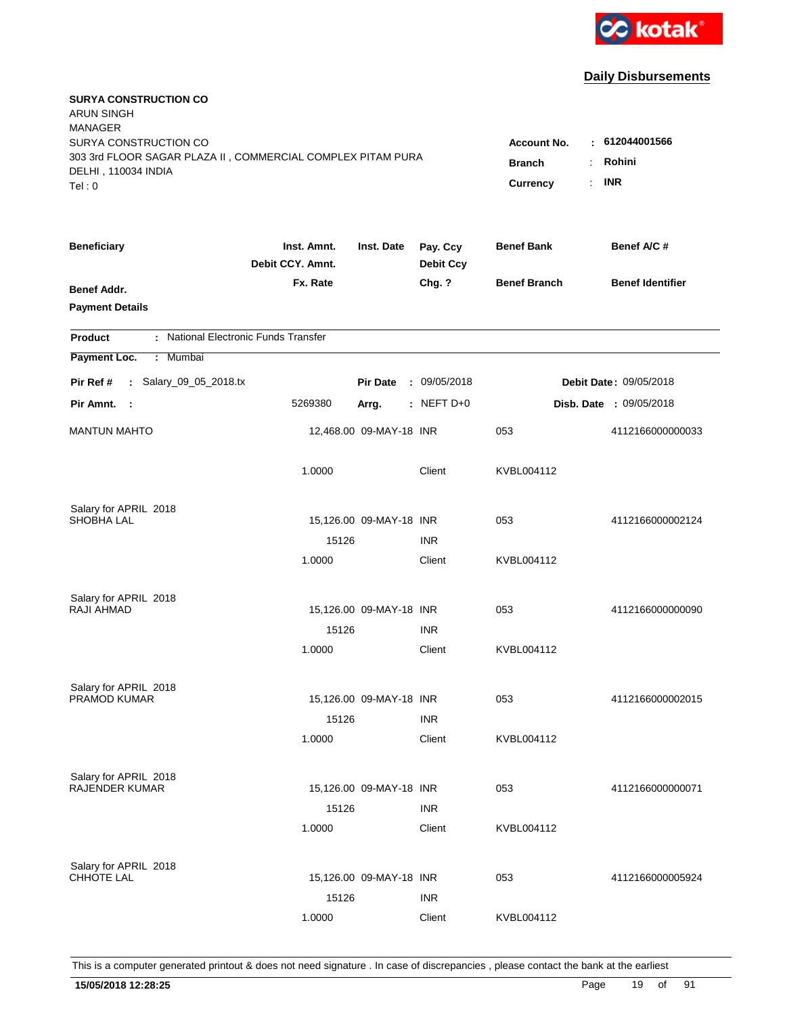

| <b>SURYA CONSTRUCTION CO</b><br><b>ARUN SINGH</b><br><b>MANAGER</b><br>SURYA CONSTRUCTION CO<br>303 3rd FLOOR SAGAR PLAZA II, COMMERCIAL COMPLEX PITAM PURA |                                 |                         |                              | <b>Account No.</b><br>$\sim$         | 612044001566            |
|-------------------------------------------------------------------------------------------------------------------------------------------------------------|---------------------------------|-------------------------|------------------------------|--------------------------------------|-------------------------|
| DELHI, 110034 INDIA<br>Tel: 0                                                                                                                               |                                 |                         |                              | <b>Branch</b><br>÷<br>Currency<br>÷. | Rohini<br><b>INR</b>    |
| <b>Beneficiary</b>                                                                                                                                          | Inst. Amnt.<br>Debit CCY. Amnt. | Inst. Date              | Pay. Ccy<br><b>Debit Ccy</b> | <b>Benef Bank</b>                    | Benef A/C#              |
| Benef Addr.<br><b>Payment Details</b>                                                                                                                       | Fx. Rate                        |                         | Chg. ?                       | <b>Benef Branch</b>                  | <b>Benef Identifier</b> |
| : National Electronic Funds Transfer<br><b>Product</b>                                                                                                      |                                 |                         |                              |                                      |                         |
| Payment Loc.<br>: Mumbai                                                                                                                                    |                                 |                         |                              |                                      |                         |
| : Salary_09_05_2018.tx<br>Pir Ref #                                                                                                                         |                                 | <b>Pir Date</b>         | : 09/05/2018                 |                                      | Debit Date: 09/05/2018  |
| Pir Amnt.<br>- 1                                                                                                                                            | 5269380                         | Arrg.                   | $:$ NEFT D+0                 |                                      | Disb. Date : 09/05/2018 |
| <b>MANTUN MAHTO</b>                                                                                                                                         |                                 | 12,468.00 09-MAY-18 INR |                              | 053                                  | 4112166000000033        |
|                                                                                                                                                             | 1.0000                          |                         | Client                       | KVBL004112                           |                         |
| Salary for APRIL 2018                                                                                                                                       |                                 |                         |                              |                                      |                         |
| <b>SHOBHA LAL</b>                                                                                                                                           |                                 | 15,126.00 09-MAY-18 INR | <b>INR</b>                   | 053                                  | 4112166000002124        |
|                                                                                                                                                             | 15126<br>1.0000                 |                         | Client                       | KVBL004112                           |                         |
| Salary for APRIL 2018                                                                                                                                       |                                 |                         |                              |                                      |                         |
| RAJI AHMAD                                                                                                                                                  |                                 | 15,126.00 09-MAY-18 INR | <b>INR</b>                   | 053                                  | 4112166000000090        |
|                                                                                                                                                             | 15126<br>1.0000                 |                         | Client                       | KVBL004112                           |                         |
| Salary for APRIL 2018                                                                                                                                       |                                 |                         |                              |                                      |                         |
| PRAMOD KUMAR                                                                                                                                                |                                 | 15,126.00 09-MAY-18 INR |                              | 053                                  | 4112166000002015        |
|                                                                                                                                                             | 15126                           |                         | <b>INR</b>                   |                                      |                         |
|                                                                                                                                                             | 1.0000                          |                         | Client                       | KVBL004112                           |                         |
| Salary for APRIL 2018                                                                                                                                       |                                 |                         |                              |                                      |                         |
| RAJENDER KUMAR                                                                                                                                              |                                 | 15,126.00 09-MAY-18 INR |                              | 053                                  | 4112166000000071        |
|                                                                                                                                                             | 15126                           |                         | <b>INR</b>                   |                                      |                         |
|                                                                                                                                                             | 1.0000                          |                         | Client                       | KVBL004112                           |                         |
| Salary for APRIL 2018                                                                                                                                       |                                 |                         |                              |                                      |                         |
| <b>CHHOTE LAL</b>                                                                                                                                           |                                 | 15,126.00 09-MAY-18 INR |                              | 053                                  | 4112166000005924        |
|                                                                                                                                                             | 15126                           |                         | <b>INR</b>                   |                                      |                         |
|                                                                                                                                                             | 1.0000                          |                         | Client                       | KVBL004112                           |                         |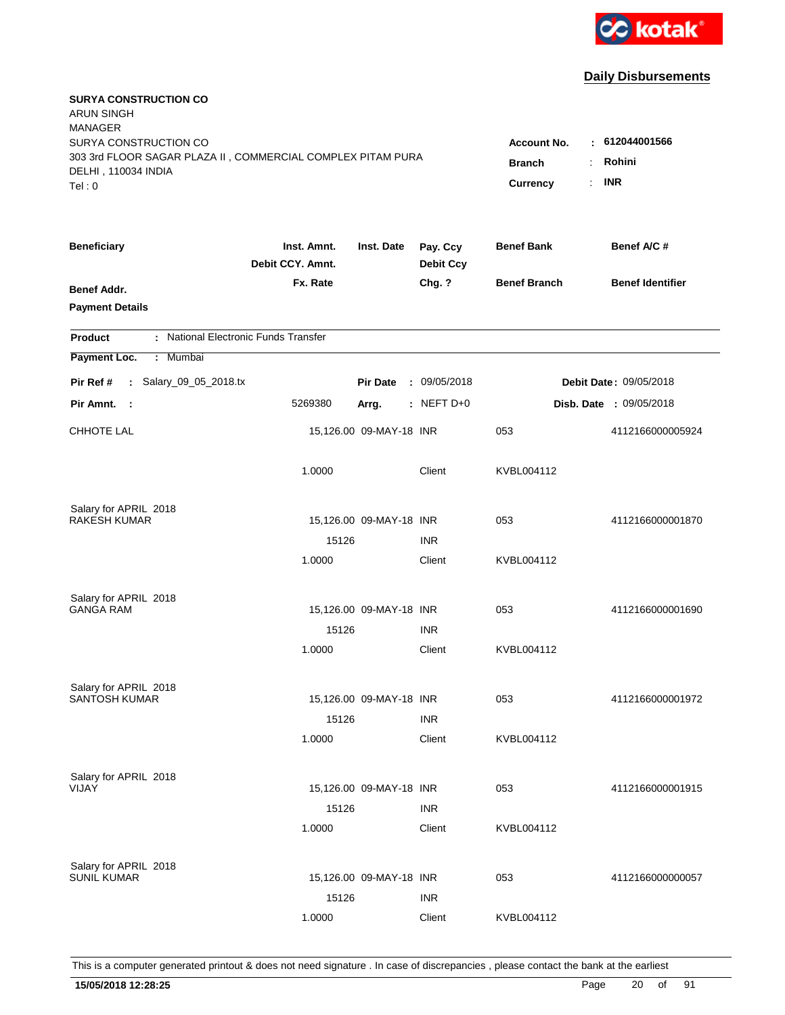

| <b>SURYA CONSTRUCTION CO</b><br><b>ARUN SINGH</b><br><b>MANAGER</b><br>SURYA CONSTRUCTION CO<br>303 3rd FLOOR SAGAR PLAZA II, COMMERCIAL COMPLEX PITAM PURA<br>DELHI, 110034 INDIA<br>Tel: 0 | <b>Account No.</b><br><b>Branch</b><br>Currency | : 612044001566<br>Rohini<br>÷.<br><b>INR</b><br>$\mathbf{r}$ |                              |                     |                                |
|----------------------------------------------------------------------------------------------------------------------------------------------------------------------------------------------|-------------------------------------------------|--------------------------------------------------------------|------------------------------|---------------------|--------------------------------|
| <b>Beneficiary</b>                                                                                                                                                                           | Inst. Amnt.<br>Debit CCY. Amnt.                 | Inst. Date                                                   | Pay. Ccy<br><b>Debit Ccy</b> | <b>Benef Bank</b>   | Benef A/C #                    |
| Benef Addr.<br><b>Payment Details</b>                                                                                                                                                        | Fx. Rate                                        |                                                              | Chg. ?                       | <b>Benef Branch</b> | <b>Benef Identifier</b>        |
| : National Electronic Funds Transfer<br><b>Product</b>                                                                                                                                       |                                                 |                                                              |                              |                     |                                |
| Payment Loc.<br>Mumbai<br>÷.                                                                                                                                                                 |                                                 |                                                              |                              |                     |                                |
| : Salary_09_05_2018.tx<br>Pir Ref #                                                                                                                                                          |                                                 | <b>Pir Date</b>                                              | : 09/05/2018                 |                     | <b>Debit Date: 09/05/2018</b>  |
| Pir Amnt. :                                                                                                                                                                                  | 5269380                                         | Arrg.                                                        | $:$ NEFT D+0                 |                     | <b>Disb. Date : 09/05/2018</b> |
| <b>CHHOTE LAL</b>                                                                                                                                                                            |                                                 | 15,126.00 09-MAY-18 INR                                      |                              | 053                 | 4112166000005924               |
|                                                                                                                                                                                              | 1.0000                                          |                                                              | Client                       | KVBL004112          |                                |
| Salary for APRIL 2018                                                                                                                                                                        |                                                 |                                                              |                              |                     |                                |
| <b>RAKESH KUMAR</b>                                                                                                                                                                          |                                                 | 15,126.00 09-MAY-18 INR                                      |                              | 053                 | 4112166000001870               |
|                                                                                                                                                                                              | 15126<br>1.0000                                 |                                                              | <b>INR</b><br>Client         | KVBL004112          |                                |
| Salary for APRIL 2018                                                                                                                                                                        |                                                 |                                                              |                              |                     |                                |
| <b>GANGA RAM</b>                                                                                                                                                                             |                                                 | 15,126.00 09-MAY-18 INR                                      |                              | 053                 | 4112166000001690               |
|                                                                                                                                                                                              | 15126                                           |                                                              | <b>INR</b>                   |                     |                                |
|                                                                                                                                                                                              | 1.0000                                          |                                                              | Client                       | KVBL004112          |                                |
| Salary for APRIL 2018<br><b>SANTOSH KUMAR</b>                                                                                                                                                |                                                 |                                                              |                              |                     |                                |
|                                                                                                                                                                                              | 15126                                           | 15,126.00 09-MAY-18 INR                                      | <b>INR</b>                   | 053                 | 4112166000001972               |
|                                                                                                                                                                                              | 1.0000                                          |                                                              | Client                       | KVBL004112          |                                |
| Salary for APRIL 2018                                                                                                                                                                        |                                                 |                                                              |                              |                     |                                |
| VIJAY                                                                                                                                                                                        |                                                 | 15,126.00 09-MAY-18 INR                                      |                              | 053                 | 4112166000001915               |
|                                                                                                                                                                                              | 15126                                           |                                                              | <b>INR</b>                   |                     |                                |
|                                                                                                                                                                                              | 1.0000                                          |                                                              | Client                       | KVBL004112          |                                |
| Salary for APRIL 2018                                                                                                                                                                        |                                                 |                                                              |                              |                     |                                |
| <b>SUNIL KUMAR</b>                                                                                                                                                                           |                                                 | 15,126.00 09-MAY-18 INR                                      |                              | 053                 | 4112166000000057               |
|                                                                                                                                                                                              | 15126                                           |                                                              | <b>INR</b>                   |                     |                                |
|                                                                                                                                                                                              | 1.0000                                          |                                                              | Client                       | KVBL004112          |                                |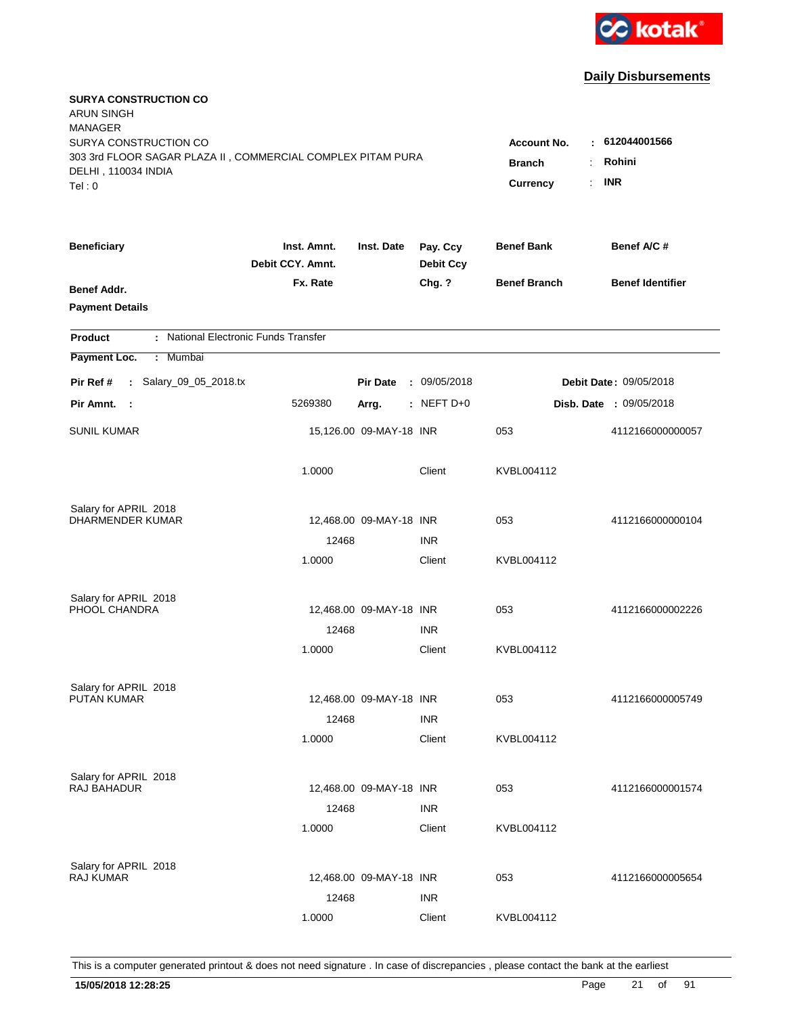

| <b>SURYA CONSTRUCTION CO</b><br><b>ARUN SINGH</b><br><b>MANAGER</b><br>SURYA CONSTRUCTION CO<br>303 3rd FLOOR SAGAR PLAZA II, COMMERCIAL COMPLEX PITAM PURA<br>DELHI, 110034 INDIA<br>Tel: 0 | Account No.<br><b>Branch</b><br>Currency | $-612044001566$<br>Rohini<br>÷.<br><b>INR</b><br>$\mathbf{r}$ |                              |                     |                                |
|----------------------------------------------------------------------------------------------------------------------------------------------------------------------------------------------|------------------------------------------|---------------------------------------------------------------|------------------------------|---------------------|--------------------------------|
| <b>Beneficiary</b>                                                                                                                                                                           | Inst. Amnt.<br>Debit CCY. Amnt.          | Inst. Date                                                    | Pay. Ccy<br><b>Debit Ccy</b> | <b>Benef Bank</b>   | Benef A/C #                    |
| Benef Addr.<br><b>Payment Details</b>                                                                                                                                                        | Fx. Rate                                 |                                                               | Chg. ?                       | <b>Benef Branch</b> | <b>Benef Identifier</b>        |
| : National Electronic Funds Transfer<br><b>Product</b>                                                                                                                                       |                                          |                                                               |                              |                     |                                |
| Payment Loc.<br>Mumbai<br>÷.                                                                                                                                                                 |                                          |                                                               |                              |                     |                                |
| : Salary_09_05_2018.tx<br>Pir Ref #                                                                                                                                                          |                                          | <b>Pir Date</b>                                               | : 09/05/2018                 |                     | <b>Debit Date: 09/05/2018</b>  |
| Pir Amnt. :                                                                                                                                                                                  | 5269380                                  | Arrg.                                                         | $:$ NEFT D+0                 |                     | <b>Disb. Date : 09/05/2018</b> |
| <b>SUNIL KUMAR</b>                                                                                                                                                                           |                                          | 15,126.00 09-MAY-18 INR                                       |                              | 053                 | 4112166000000057               |
|                                                                                                                                                                                              | 1.0000                                   |                                                               | Client                       | KVBL004112          |                                |
| Salary for APRIL 2018                                                                                                                                                                        |                                          |                                                               |                              |                     |                                |
| DHARMENDER KUMAR                                                                                                                                                                             |                                          | 12,468.00 09-MAY-18 INR                                       |                              | 053                 | 4112166000000104               |
|                                                                                                                                                                                              | 12468<br>1.0000                          |                                                               | <b>INR</b><br>Client         | KVBL004112          |                                |
|                                                                                                                                                                                              |                                          |                                                               |                              |                     |                                |
| Salary for APRIL 2018<br>PHOOL CHANDRA                                                                                                                                                       |                                          | 12,468.00 09-MAY-18 INR                                       |                              | 053                 | 4112166000002226               |
|                                                                                                                                                                                              | 12468                                    |                                                               | <b>INR</b>                   |                     |                                |
|                                                                                                                                                                                              | 1.0000                                   |                                                               | Client                       | KVBL004112          |                                |
| Salary for APRIL 2018                                                                                                                                                                        |                                          |                                                               |                              |                     |                                |
| PUTAN KUMAR                                                                                                                                                                                  |                                          | 12,468.00 09-MAY-18 INR                                       |                              | 053                 | 4112166000005749               |
|                                                                                                                                                                                              | 12468                                    |                                                               | <b>INR</b>                   |                     |                                |
|                                                                                                                                                                                              | 1.0000                                   |                                                               | Client                       | KVBL004112          |                                |
| Salary for APRIL 2018                                                                                                                                                                        |                                          |                                                               |                              |                     |                                |
| <b>RAJ BAHADUR</b>                                                                                                                                                                           |                                          | 12,468.00 09-MAY-18 INR                                       |                              | 053                 | 4112166000001574               |
|                                                                                                                                                                                              | 12468                                    |                                                               | <b>INR</b>                   |                     |                                |
|                                                                                                                                                                                              | 1.0000                                   |                                                               | Client                       | KVBL004112          |                                |
| Salary for APRIL 2018                                                                                                                                                                        |                                          |                                                               |                              |                     |                                |
| <b>RAJ KUMAR</b>                                                                                                                                                                             |                                          | 12,468.00 09-MAY-18 INR                                       |                              | 053                 | 4112166000005654               |
|                                                                                                                                                                                              | 12468                                    |                                                               | <b>INR</b>                   |                     |                                |
|                                                                                                                                                                                              | 1.0000                                   |                                                               | Client                       | KVBL004112          |                                |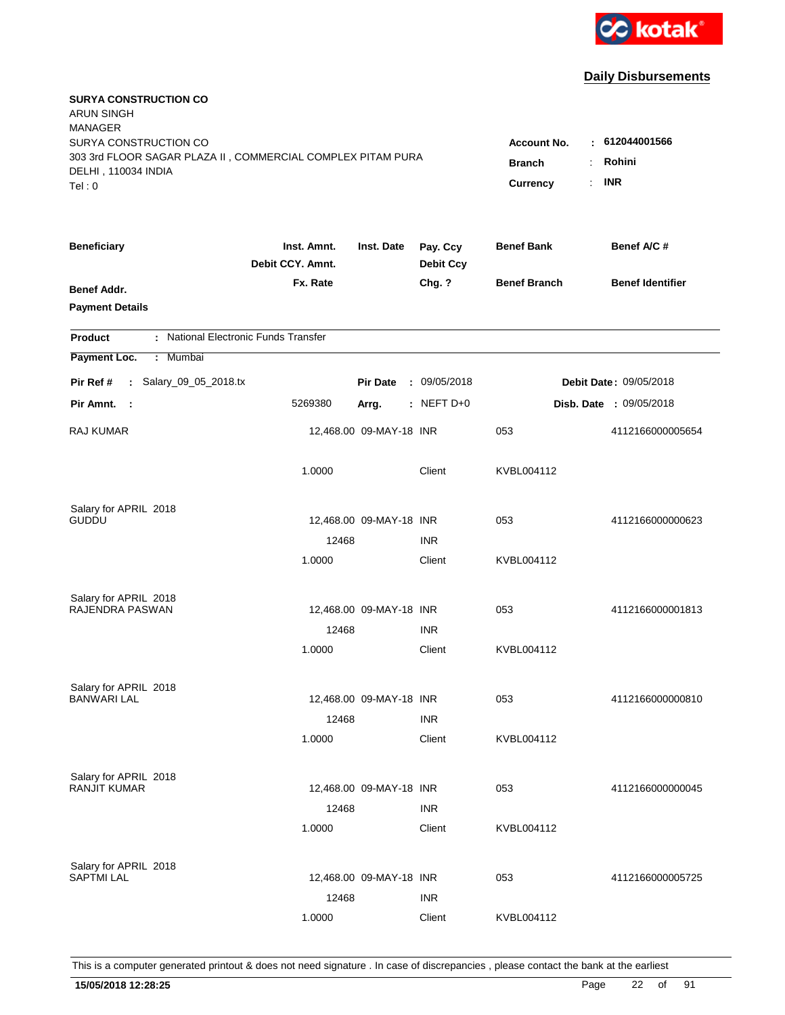

| <b>SURYA CONSTRUCTION CO</b><br><b>ARUN SINGH</b><br><b>MANAGER</b>                                                   |                                                                      |                                      |                              |                     |                         |
|-----------------------------------------------------------------------------------------------------------------------|----------------------------------------------------------------------|--------------------------------------|------------------------------|---------------------|-------------------------|
| SURYA CONSTRUCTION CO<br>303 3rd FLOOR SAGAR PLAZA II, COMMERCIAL COMPLEX PITAM PURA<br>DELHI, 110034 INDIA<br>Tel: 0 | <b>Account No.</b><br>$\sim$<br><b>Branch</b><br>÷<br>Currency<br>÷. | 612044001566<br>Rohini<br><b>INR</b> |                              |                     |                         |
|                                                                                                                       |                                                                      |                                      |                              |                     |                         |
| <b>Beneficiary</b>                                                                                                    | Inst. Amnt.<br>Debit CCY. Amnt.                                      | Inst. Date                           | Pay. Ccy<br><b>Debit Ccy</b> | <b>Benef Bank</b>   | Benef A/C #             |
| Benef Addr.<br><b>Payment Details</b>                                                                                 | Fx. Rate                                                             |                                      | Chg. ?                       | <b>Benef Branch</b> | <b>Benef Identifier</b> |
| : National Electronic Funds Transfer<br><b>Product</b>                                                                |                                                                      |                                      |                              |                     |                         |
| Payment Loc.<br>: Mumbai                                                                                              |                                                                      |                                      |                              |                     |                         |
| : Salary_09_05_2018.tx<br>Pir Ref #                                                                                   |                                                                      | <b>Pir Date</b>                      | : 09/05/2018                 |                     | Debit Date: 09/05/2018  |
| Pir Amnt. :                                                                                                           | 5269380                                                              | Arrg.                                | $:$ NEFT D+0                 |                     | Disb. Date : 09/05/2018 |
| RAJ KUMAR                                                                                                             |                                                                      | 12,468.00 09-MAY-18 INR              |                              | 053                 | 4112166000005654        |
|                                                                                                                       | 1.0000                                                               |                                      | Client                       | KVBL004112          |                         |
| Salary for APRIL 2018                                                                                                 |                                                                      |                                      |                              |                     |                         |
| <b>GUDDU</b>                                                                                                          |                                                                      | 12,468.00 09-MAY-18 INR              |                              | 053                 | 4112166000000623        |
|                                                                                                                       | 12468<br>1.0000                                                      |                                      | <b>INR</b><br>Client         | KVBL004112          |                         |
|                                                                                                                       |                                                                      |                                      |                              |                     |                         |
| Salary for APRIL 2018                                                                                                 |                                                                      |                                      |                              |                     |                         |
| RAJENDRA PASWAN                                                                                                       |                                                                      | 12,468.00 09-MAY-18 INR              |                              | 053                 | 4112166000001813        |
|                                                                                                                       | 12468                                                                |                                      | <b>INR</b>                   |                     |                         |
|                                                                                                                       | 1.0000                                                               |                                      | Client                       | KVBL004112          |                         |
| Salary for APRIL 2018                                                                                                 |                                                                      |                                      |                              |                     |                         |
| <b>BANWARI LAL</b>                                                                                                    |                                                                      | 12,468.00 09-MAY-18 INR              |                              | 053                 | 4112166000000810        |
|                                                                                                                       | 12468                                                                |                                      | <b>INR</b>                   |                     |                         |
|                                                                                                                       | 1.0000                                                               |                                      | Client                       | KVBL004112          |                         |
| Salary for APRIL 2018                                                                                                 |                                                                      |                                      |                              |                     |                         |
| <b>RANJIT KUMAR</b>                                                                                                   |                                                                      | 12,468.00 09-MAY-18 INR              |                              | 053                 | 4112166000000045        |
|                                                                                                                       | 12468                                                                |                                      | <b>INR</b>                   |                     |                         |
|                                                                                                                       | 1.0000                                                               |                                      | Client                       | KVBL004112          |                         |
|                                                                                                                       |                                                                      |                                      |                              |                     |                         |
| Salary for APRIL 2018<br><b>SAPTMI LAL</b>                                                                            |                                                                      | 12,468.00 09-MAY-18 INR              |                              | 053                 | 4112166000005725        |
|                                                                                                                       | 12468                                                                |                                      | <b>INR</b>                   |                     |                         |
|                                                                                                                       | 1.0000                                                               |                                      | Client                       | KVBL004112          |                         |
|                                                                                                                       |                                                                      |                                      |                              |                     |                         |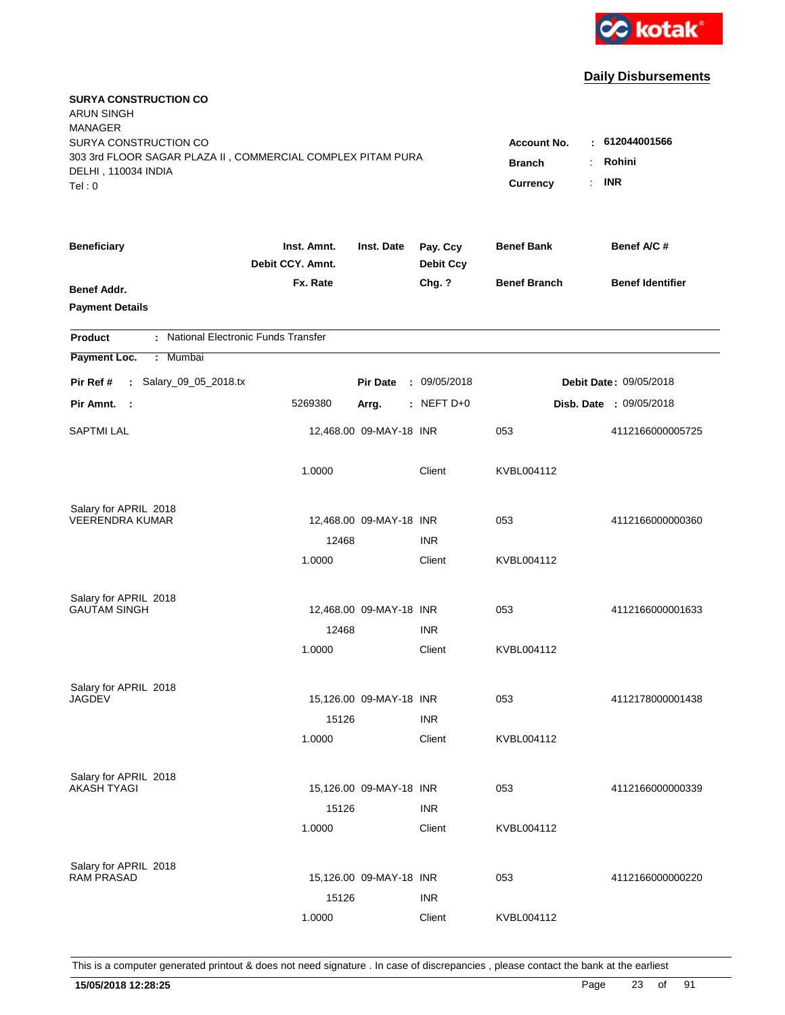

| <b>SURYA CONSTRUCTION CO</b><br><b>ARUN SINGH</b><br><b>MANAGER</b><br>SURYA CONSTRUCTION CO<br>303 3rd FLOOR SAGAR PLAZA II, COMMERCIAL COMPLEX PITAM PURA<br>DELHI, 110034 INDIA<br>Tel: 0 | Account No.<br><b>Branch</b><br>Currency | $-612044001566$<br>Rohini<br>÷.<br><b>INR</b><br>$\mathbf{r}$ |                              |                     |                                |
|----------------------------------------------------------------------------------------------------------------------------------------------------------------------------------------------|------------------------------------------|---------------------------------------------------------------|------------------------------|---------------------|--------------------------------|
| <b>Beneficiary</b>                                                                                                                                                                           | Inst. Amnt.<br>Debit CCY. Amnt.          | Inst. Date                                                    | Pay. Ccy<br><b>Debit Ccy</b> | <b>Benef Bank</b>   | Benef A/C #                    |
| Benef Addr.<br><b>Payment Details</b>                                                                                                                                                        | Fx. Rate                                 |                                                               | Chg. ?                       | <b>Benef Branch</b> | <b>Benef Identifier</b>        |
| : National Electronic Funds Transfer<br><b>Product</b>                                                                                                                                       |                                          |                                                               |                              |                     |                                |
| Payment Loc.<br>Mumbai<br>÷.                                                                                                                                                                 |                                          |                                                               |                              |                     |                                |
| : Salary_09_05_2018.tx<br>Pir Ref #                                                                                                                                                          |                                          | <b>Pir Date</b>                                               | : 09/05/2018                 |                     | <b>Debit Date: 09/05/2018</b>  |
| Pir Amnt. :                                                                                                                                                                                  | 5269380                                  | Arrg.                                                         | $:$ NEFT D+0                 |                     | <b>Disb. Date : 09/05/2018</b> |
| <b>SAPTMI LAL</b>                                                                                                                                                                            |                                          | 12,468.00 09-MAY-18 INR                                       |                              | 053                 | 4112166000005725               |
|                                                                                                                                                                                              | 1.0000                                   |                                                               | Client                       | KVBL004112          |                                |
| Salary for APRIL 2018                                                                                                                                                                        |                                          |                                                               |                              |                     |                                |
| <b>VEERENDRA KUMAR</b>                                                                                                                                                                       |                                          | 12,468.00 09-MAY-18 INR                                       |                              | 053                 | 4112166000000360               |
|                                                                                                                                                                                              | 12468<br>1.0000                          |                                                               | <b>INR</b><br>Client         | KVBL004112          |                                |
|                                                                                                                                                                                              |                                          |                                                               |                              |                     |                                |
| Salary for APRIL 2018                                                                                                                                                                        |                                          |                                                               |                              |                     |                                |
| <b>GAUTAM SINGH</b>                                                                                                                                                                          |                                          | 12,468.00 09-MAY-18 INR                                       |                              | 053                 | 4112166000001633               |
|                                                                                                                                                                                              | 12468                                    |                                                               | <b>INR</b>                   |                     |                                |
|                                                                                                                                                                                              | 1.0000                                   |                                                               | Client                       | KVBL004112          |                                |
| Salary for APRIL 2018                                                                                                                                                                        |                                          |                                                               |                              |                     |                                |
| <b>JAGDEV</b>                                                                                                                                                                                |                                          | 15,126.00 09-MAY-18 INR                                       |                              | 053                 | 4112178000001438               |
|                                                                                                                                                                                              | 15126                                    |                                                               | <b>INR</b>                   |                     |                                |
|                                                                                                                                                                                              | 1.0000                                   |                                                               | Client                       | KVBL004112          |                                |
| Salary for APRIL 2018                                                                                                                                                                        |                                          |                                                               |                              |                     |                                |
| AKASH TYAGI                                                                                                                                                                                  |                                          | 15,126.00 09-MAY-18 INR                                       |                              | 053                 | 4112166000000339               |
|                                                                                                                                                                                              | 15126                                    |                                                               | <b>INR</b>                   |                     |                                |
|                                                                                                                                                                                              | 1.0000                                   |                                                               | Client                       | KVBL004112          |                                |
|                                                                                                                                                                                              |                                          |                                                               |                              |                     |                                |
| Salary for APRIL 2018<br><b>RAM PRASAD</b>                                                                                                                                                   |                                          | 15,126.00 09-MAY-18 INR                                       |                              | 053                 | 4112166000000220               |
|                                                                                                                                                                                              | 15126                                    |                                                               | <b>INR</b>                   |                     |                                |
|                                                                                                                                                                                              | 1.0000                                   |                                                               | Client                       | KVBL004112          |                                |
|                                                                                                                                                                                              |                                          |                                                               |                              |                     |                                |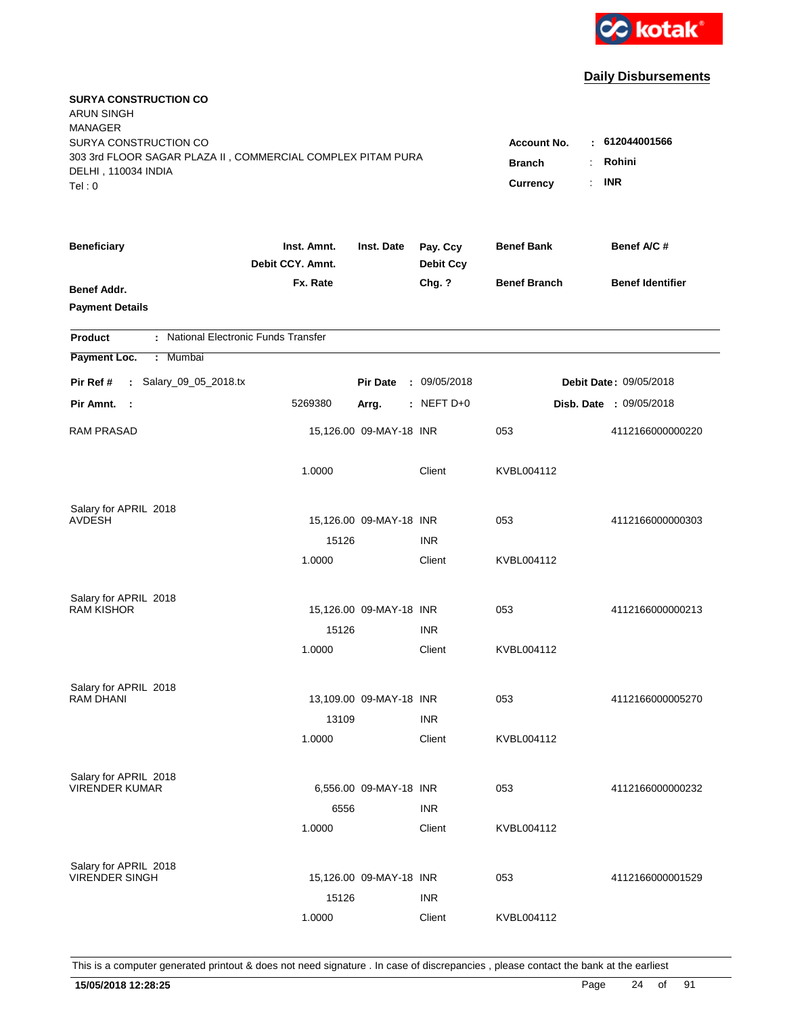

| <b>SURYA CONSTRUCTION CO</b><br><b>ARUN SINGH</b><br><b>MANAGER</b><br>SURYA CONSTRUCTION CO<br>303 3rd FLOOR SAGAR PLAZA II, COMMERCIAL COMPLEX PITAM PURA<br>DELHI, 110034 INDIA<br>Tel: 0 | <b>Account No.</b><br><b>Branch</b><br><b>Currency</b> | : 612044001566<br>Rohini<br>÷<br><b>INR</b><br>$\mathbb{R}^{\mathbb{Z}}$ |                              |                     |                                |
|----------------------------------------------------------------------------------------------------------------------------------------------------------------------------------------------|--------------------------------------------------------|--------------------------------------------------------------------------|------------------------------|---------------------|--------------------------------|
| <b>Beneficiary</b>                                                                                                                                                                           | Inst. Amnt.<br>Debit CCY. Amnt.                        | Inst. Date                                                               | Pay. Ccy<br><b>Debit Ccy</b> | <b>Benef Bank</b>   | Benef A/C #                    |
| Benef Addr.<br><b>Payment Details</b>                                                                                                                                                        | Fx. Rate                                               |                                                                          | Chg. ?                       | <b>Benef Branch</b> | <b>Benef Identifier</b>        |
| : National Electronic Funds Transfer<br><b>Product</b>                                                                                                                                       |                                                        |                                                                          |                              |                     |                                |
| Payment Loc.<br>Mumbai<br>÷.                                                                                                                                                                 |                                                        |                                                                          |                              |                     |                                |
| : Salary_09_05_2018.tx<br>Pir Ref #                                                                                                                                                          |                                                        | <b>Pir Date</b>                                                          | : 09/05/2018                 |                     | <b>Debit Date: 09/05/2018</b>  |
| Pir Amnt.<br>$\sim$ :                                                                                                                                                                        | 5269380                                                | Arrg.                                                                    | : NEFT D+0                   |                     | <b>Disb. Date : 09/05/2018</b> |
| <b>RAM PRASAD</b>                                                                                                                                                                            |                                                        | 15,126.00 09-MAY-18 INR                                                  |                              | 053                 | 4112166000000220               |
|                                                                                                                                                                                              | 1.0000                                                 |                                                                          | Client                       | KVBL004112          |                                |
| Salary for APRIL 2018                                                                                                                                                                        |                                                        |                                                                          |                              |                     |                                |
| <b>AVDESH</b>                                                                                                                                                                                |                                                        | 15,126.00 09-MAY-18 INR                                                  |                              | 053                 | 4112166000000303               |
|                                                                                                                                                                                              | 15126<br>1.0000                                        |                                                                          | <b>INR</b><br>Client         | KVBL004112          |                                |
| Salary for APRIL 2018<br><b>RAM KISHOR</b>                                                                                                                                                   | 15126<br>1.0000                                        | 15,126.00 09-MAY-18 INR                                                  | <b>INR</b><br>Client         | 053<br>KVBL004112   | 4112166000000213               |
|                                                                                                                                                                                              |                                                        |                                                                          |                              |                     |                                |
| Salary for APRIL 2018<br>RAM DHANI                                                                                                                                                           | 13109                                                  | 13,109.00 09-MAY-18 INR                                                  | <b>INR</b>                   | 053                 | 4112166000005270               |
|                                                                                                                                                                                              | 1.0000                                                 |                                                                          | Client                       | KVBL004112          |                                |
| Salary for APRIL 2018<br><b>VIRENDER KUMAR</b>                                                                                                                                               | 6556<br>1.0000                                         | 6,556.00 09-MAY-18 INR                                                   | <b>INR</b><br>Client         | 053<br>KVBL004112   | 4112166000000232               |
| Salary for APRIL 2018<br><b>VIRENDER SINGH</b>                                                                                                                                               | 15126<br>1.0000                                        | 15,126.00 09-MAY-18 INR                                                  | <b>INR</b><br>Client         | 053<br>KVBL004112   | 4112166000001529               |
|                                                                                                                                                                                              |                                                        |                                                                          |                              |                     |                                |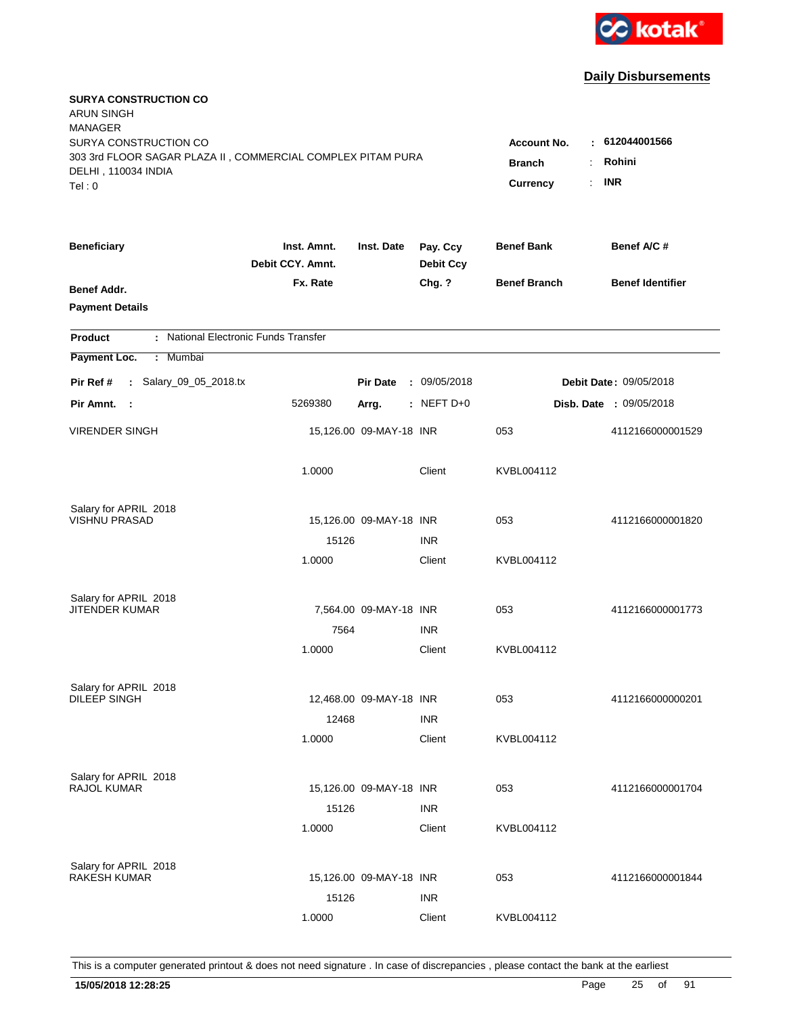

| <b>SURYA CONSTRUCTION CO</b><br><b>ARUN SINGH</b><br><b>MANAGER</b><br>SURYA CONSTRUCTION CO<br>303 3rd FLOOR SAGAR PLAZA II, COMMERCIAL COMPLEX PITAM PURA<br>DELHI, 110034 INDIA<br>Tel: 0 | <b>Account No.</b><br><b>Branch</b><br><b>Currency</b> | $-612044001566$<br>Rohini<br>$\ddot{\cdot}$<br><b>INR</b><br>÷. |                              |                     |                                |
|----------------------------------------------------------------------------------------------------------------------------------------------------------------------------------------------|--------------------------------------------------------|-----------------------------------------------------------------|------------------------------|---------------------|--------------------------------|
| <b>Beneficiary</b>                                                                                                                                                                           | Inst. Amnt.<br>Debit CCY. Amnt.                        | Inst. Date                                                      | Pay. Ccy<br><b>Debit Ccy</b> | <b>Benef Bank</b>   | Benef A/C #                    |
| Benef Addr.<br><b>Payment Details</b>                                                                                                                                                        | Fx. Rate                                               |                                                                 | Chg. ?                       | <b>Benef Branch</b> | <b>Benef Identifier</b>        |
| : National Electronic Funds Transfer<br><b>Product</b>                                                                                                                                       |                                                        |                                                                 |                              |                     |                                |
| Payment Loc.<br>Mumbai<br>÷.                                                                                                                                                                 |                                                        |                                                                 |                              |                     |                                |
| : Salary_09_05_2018.tx<br>Pir Ref #                                                                                                                                                          |                                                        | <b>Pir Date</b>                                                 | : 09/05/2018                 |                     | Debit Date: 09/05/2018         |
| Pir Amnt.<br>- 1                                                                                                                                                                             | 5269380                                                | Arrg.                                                           | : NEFT $D+0$                 |                     | <b>Disb. Date : 09/05/2018</b> |
| <b>VIRENDER SINGH</b>                                                                                                                                                                        |                                                        | 15,126.00 09-MAY-18 INR                                         |                              | 053                 | 4112166000001529               |
|                                                                                                                                                                                              | 1.0000                                                 |                                                                 | Client                       | KVBL004112          |                                |
| Salary for APRIL 2018                                                                                                                                                                        |                                                        |                                                                 |                              |                     |                                |
| <b>VISHNU PRASAD</b>                                                                                                                                                                         | 15126                                                  | 15,126.00 09-MAY-18 INR                                         | <b>INR</b>                   | 053                 | 4112166000001820               |
|                                                                                                                                                                                              | 1.0000                                                 |                                                                 | Client                       | KVBL004112          |                                |
| Salary for APRIL 2018                                                                                                                                                                        |                                                        |                                                                 |                              |                     |                                |
| <b>JITENDER KUMAR</b>                                                                                                                                                                        |                                                        | 7,564.00 09-MAY-18 INR                                          |                              | 053                 | 4112166000001773               |
|                                                                                                                                                                                              | 7564                                                   |                                                                 | <b>INR</b>                   |                     |                                |
|                                                                                                                                                                                              | 1.0000                                                 |                                                                 | Client                       | KVBL004112          |                                |
| Salary for APRIL 2018<br>DILEEP SINGH                                                                                                                                                        |                                                        |                                                                 |                              |                     |                                |
|                                                                                                                                                                                              |                                                        | 12,468.00 09-MAY-18 INR                                         |                              | 053                 | 4112166000000201               |
|                                                                                                                                                                                              | 12468<br>1.0000                                        |                                                                 | <b>INR</b><br>Client         | KVBL004112          |                                |
|                                                                                                                                                                                              |                                                        |                                                                 |                              |                     |                                |
| Salary for APRIL 2018                                                                                                                                                                        |                                                        |                                                                 |                              |                     |                                |
| RAJOL KUMAR                                                                                                                                                                                  |                                                        | 15,126.00 09-MAY-18 INR                                         |                              | 053                 | 4112166000001704               |
|                                                                                                                                                                                              | 15126                                                  |                                                                 | INR                          |                     |                                |
|                                                                                                                                                                                              | 1.0000                                                 |                                                                 | Client                       | KVBL004112          |                                |
| Salary for APRIL 2018                                                                                                                                                                        |                                                        |                                                                 |                              |                     |                                |
| <b>RAKESH KUMAR</b>                                                                                                                                                                          |                                                        | 15,126.00 09-MAY-18 INR                                         |                              | 053                 | 4112166000001844               |
|                                                                                                                                                                                              | 15126                                                  |                                                                 | <b>INR</b>                   |                     |                                |
|                                                                                                                                                                                              | 1.0000                                                 |                                                                 | Client                       | KVBL004112          |                                |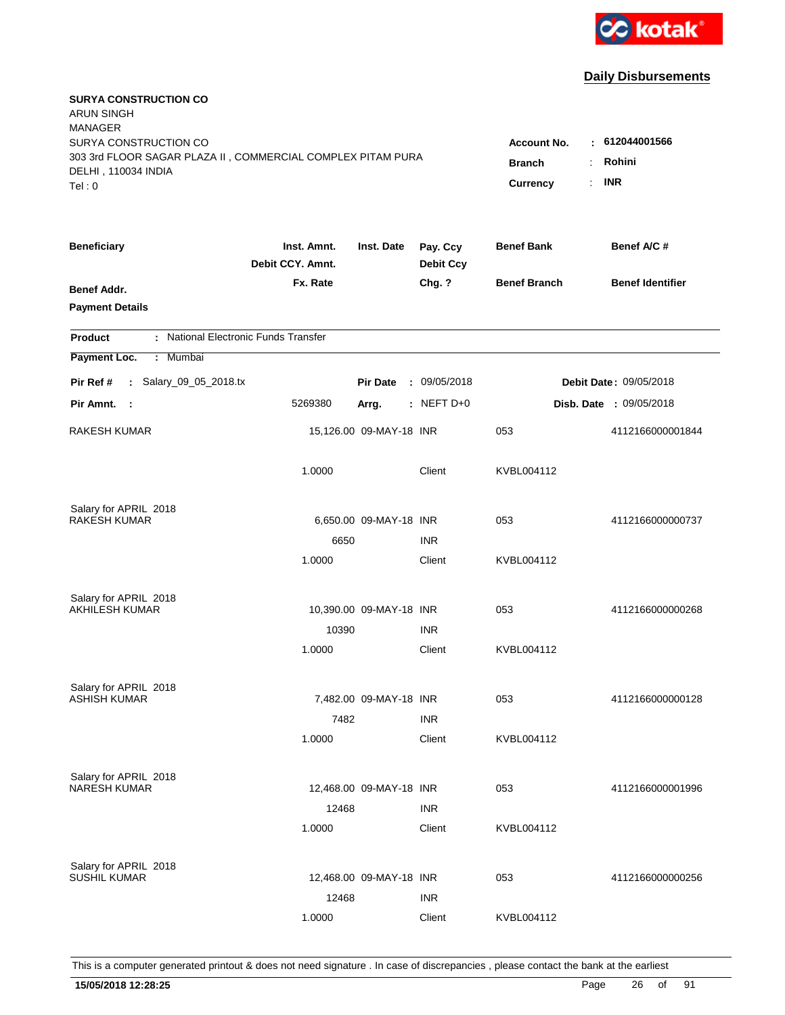

| <b>SURYA CONSTRUCTION CO</b><br><b>ARUN SINGH</b><br><b>MANAGER</b><br>SURYA CONSTRUCTION CO<br>303 3rd FLOOR SAGAR PLAZA II, COMMERCIAL COMPLEX PITAM PURA<br>DELHI, 110034 INDIA<br>Tel: 0 | <b>Account No.</b><br><b>Branch</b><br><b>Currency</b> | $-612044001566$<br>Rohini<br>$\ddot{\cdot}$<br><b>INR</b><br>÷. |                              |                     |                                |
|----------------------------------------------------------------------------------------------------------------------------------------------------------------------------------------------|--------------------------------------------------------|-----------------------------------------------------------------|------------------------------|---------------------|--------------------------------|
| <b>Beneficiary</b>                                                                                                                                                                           | Inst. Amnt.<br>Debit CCY. Amnt.                        | Inst. Date                                                      | Pay. Ccy<br><b>Debit Ccy</b> | <b>Benef Bank</b>   | Benef A/C #                    |
| Benef Addr.<br><b>Payment Details</b>                                                                                                                                                        | Fx. Rate                                               |                                                                 | Chg. ?                       | <b>Benef Branch</b> | <b>Benef Identifier</b>        |
| : National Electronic Funds Transfer<br><b>Product</b>                                                                                                                                       |                                                        |                                                                 |                              |                     |                                |
| Payment Loc.<br>Mumbai<br>÷.                                                                                                                                                                 |                                                        |                                                                 |                              |                     |                                |
| : Salary_09_05_2018.tx<br>Pir Ref #                                                                                                                                                          |                                                        | <b>Pir Date</b>                                                 | : 09/05/2018                 |                     | Debit Date: 09/05/2018         |
| Pir Amnt.<br>- 1                                                                                                                                                                             | 5269380                                                | Arrg.                                                           | : NEFT $D+0$                 |                     | <b>Disb. Date : 09/05/2018</b> |
| RAKESH KUMAR                                                                                                                                                                                 |                                                        | 15,126.00 09-MAY-18 INR                                         |                              | 053                 | 4112166000001844               |
|                                                                                                                                                                                              | 1.0000                                                 |                                                                 | Client                       | KVBL004112          |                                |
| Salary for APRIL 2018                                                                                                                                                                        |                                                        |                                                                 |                              |                     |                                |
| <b>RAKESH KUMAR</b>                                                                                                                                                                          |                                                        | 6,650.00 09-MAY-18 INR                                          |                              | 053                 | 4112166000000737               |
|                                                                                                                                                                                              | 6650<br>1.0000                                         |                                                                 | <b>INR</b><br>Client         | KVBL004112          |                                |
|                                                                                                                                                                                              |                                                        |                                                                 |                              |                     |                                |
| Salary for APRIL 2018                                                                                                                                                                        |                                                        |                                                                 |                              |                     |                                |
| <b>AKHILESH KUMAR</b>                                                                                                                                                                        |                                                        | 10,390.00 09-MAY-18 INR                                         |                              | 053                 | 4112166000000268               |
|                                                                                                                                                                                              | 10390                                                  |                                                                 | <b>INR</b>                   | KVBL004112          |                                |
|                                                                                                                                                                                              | 1.0000                                                 |                                                                 | Client                       |                     |                                |
| Salary for APRIL 2018                                                                                                                                                                        |                                                        |                                                                 |                              |                     |                                |
| <b>ASHISH KUMAR</b>                                                                                                                                                                          |                                                        | 7,482.00 09-MAY-18 INR                                          |                              | 053                 | 4112166000000128               |
|                                                                                                                                                                                              | 7482                                                   |                                                                 | <b>INR</b>                   |                     |                                |
|                                                                                                                                                                                              | 1.0000                                                 |                                                                 | Client                       | KVBL004112          |                                |
| Salary for APRIL 2018                                                                                                                                                                        |                                                        |                                                                 |                              |                     |                                |
| <b>NARESH KUMAR</b>                                                                                                                                                                          |                                                        | 12,468.00 09-MAY-18 INR                                         |                              | 053                 | 4112166000001996               |
|                                                                                                                                                                                              | 12468                                                  |                                                                 | <b>INR</b>                   |                     |                                |
|                                                                                                                                                                                              | 1.0000                                                 |                                                                 | Client                       | KVBL004112          |                                |
|                                                                                                                                                                                              |                                                        |                                                                 |                              |                     |                                |
| Salary for APRIL 2018<br><b>SUSHIL KUMAR</b>                                                                                                                                                 |                                                        | 12,468.00 09-MAY-18 INR                                         |                              | 053                 | 4112166000000256               |
|                                                                                                                                                                                              | 12468                                                  |                                                                 | <b>INR</b>                   |                     |                                |
|                                                                                                                                                                                              | 1.0000                                                 |                                                                 | Client                       | KVBL004112          |                                |
|                                                                                                                                                                                              |                                                        |                                                                 |                              |                     |                                |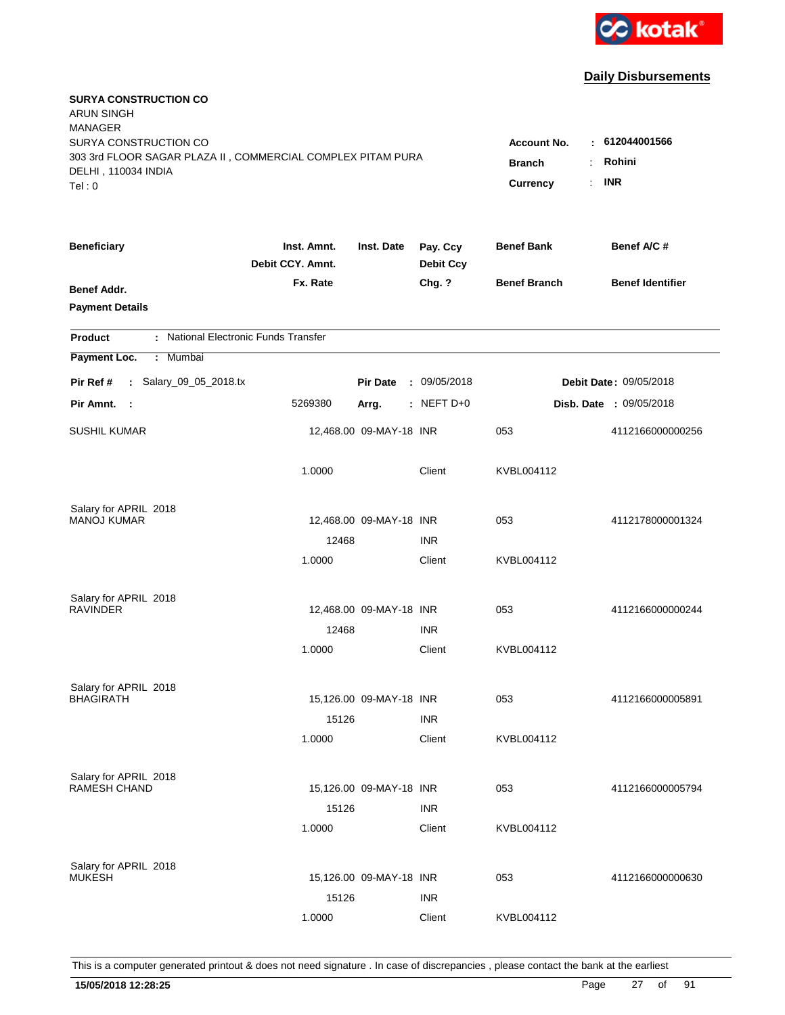

| <b>SURYA CONSTRUCTION CO</b><br><b>ARUN SINGH</b><br><b>MANAGER</b><br>SURYA CONSTRUCTION CO<br>303 3rd FLOOR SAGAR PLAZA II, COMMERCIAL COMPLEX PITAM PURA |                                 |                         |                              | <b>Account No.</b><br><b>Branch</b> | : 612044001566<br>Rohini<br>÷. |
|-------------------------------------------------------------------------------------------------------------------------------------------------------------|---------------------------------|-------------------------|------------------------------|-------------------------------------|--------------------------------|
| DELHI, 110034 INDIA<br>Tel: 0                                                                                                                               |                                 |                         |                              | Currency                            | <b>INR</b><br>÷.               |
| <b>Beneficiary</b>                                                                                                                                          | Inst. Amnt.<br>Debit CCY. Amnt. | Inst. Date              | Pay. Ccy<br><b>Debit Ccy</b> | <b>Benef Bank</b>                   | Benef A/C#                     |
| Benef Addr.<br><b>Payment Details</b>                                                                                                                       | Fx. Rate                        |                         | Chg. ?                       | <b>Benef Branch</b>                 | <b>Benef Identifier</b>        |
| : National Electronic Funds Transfer<br><b>Product</b>                                                                                                      |                                 |                         |                              |                                     |                                |
| Payment Loc.<br>: Mumbai                                                                                                                                    |                                 |                         |                              |                                     |                                |
| : Salary_09_05_2018.tx<br>Pir Ref #                                                                                                                         |                                 | <b>Pir Date</b>         | : 09/05/2018                 |                                     | Debit Date: 09/05/2018         |
| Pir Amnt. :                                                                                                                                                 | 5269380                         | Arrg.                   | $:$ NEFT D+0                 |                                     | Disb. Date : 09/05/2018        |
| <b>SUSHIL KUMAR</b>                                                                                                                                         |                                 | 12,468.00 09-MAY-18 INR |                              | 053                                 | 4112166000000256               |
|                                                                                                                                                             | 1.0000                          |                         | Client                       | KVBL004112                          |                                |
| Salary for APRIL 2018                                                                                                                                       |                                 |                         |                              |                                     |                                |
| <b>MANOJ KUMAR</b>                                                                                                                                          |                                 | 12,468.00 09-MAY-18 INR |                              | 053                                 | 4112178000001324               |
|                                                                                                                                                             | 12468<br>1.0000                 |                         | <b>INR</b><br>Client         | KVBL004112                          |                                |
|                                                                                                                                                             |                                 |                         |                              |                                     |                                |
| Salary for APRIL 2018<br><b>RAVINDER</b>                                                                                                                    |                                 | 12,468.00 09-MAY-18 INR |                              | 053                                 | 4112166000000244               |
|                                                                                                                                                             | 12468                           |                         | <b>INR</b>                   |                                     |                                |
|                                                                                                                                                             | 1.0000                          |                         | Client                       | KVBL004112                          |                                |
| Salary for APRIL 2018                                                                                                                                       |                                 |                         |                              |                                     |                                |
| <b>BHAGIRATH</b>                                                                                                                                            |                                 | 15,126.00 09-MAY-18 INR |                              | 053                                 | 4112166000005891               |
|                                                                                                                                                             | 15126                           |                         | <b>INR</b>                   |                                     |                                |
|                                                                                                                                                             | 1.0000                          |                         | Client                       | KVBL004112                          |                                |
| Salary for APRIL 2018                                                                                                                                       |                                 |                         |                              |                                     |                                |
| <b>RAMESH CHAND</b>                                                                                                                                         |                                 | 15,126.00 09-MAY-18 INR |                              | 053                                 | 4112166000005794               |
|                                                                                                                                                             | 15126<br>1.0000                 |                         | <b>INR</b><br>Client         | KVBL004112                          |                                |
|                                                                                                                                                             |                                 |                         |                              |                                     |                                |
| Salary for APRIL 2018<br><b>MUKESH</b>                                                                                                                      |                                 | 15,126.00 09-MAY-18 INR |                              | 053                                 | 4112166000000630               |
|                                                                                                                                                             | 15126                           |                         | <b>INR</b>                   |                                     |                                |
|                                                                                                                                                             | 1.0000                          |                         | Client                       | KVBL004112                          |                                |
|                                                                                                                                                             |                                 |                         |                              |                                     |                                |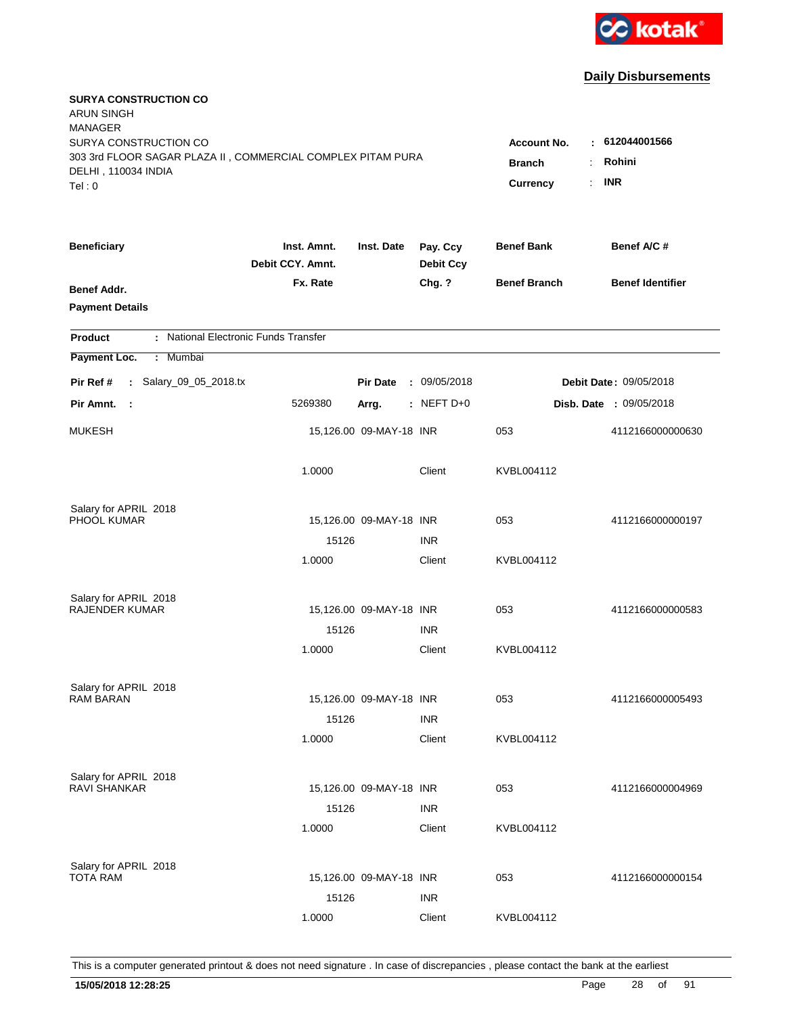

| <b>SURYA CONSTRUCTION CO</b><br><b>ARUN SINGH</b><br><b>MANAGER</b><br>SURYA CONSTRUCTION CO<br>303 3rd FLOOR SAGAR PLAZA II, COMMERCIAL COMPLEX PITAM PURA<br>DELHI, 110034 INDIA<br>Tel: 0 | Account No.<br><b>Branch</b><br>Currency | : 612044001566<br>Rohini<br>÷.<br><b>INR</b><br>$\mathbf{r}$ |                              |                     |                                |
|----------------------------------------------------------------------------------------------------------------------------------------------------------------------------------------------|------------------------------------------|--------------------------------------------------------------|------------------------------|---------------------|--------------------------------|
| <b>Beneficiary</b>                                                                                                                                                                           | Inst. Amnt.<br>Debit CCY. Amnt.          | Inst. Date                                                   | Pay. Ccy<br><b>Debit Ccy</b> | <b>Benef Bank</b>   | Benef A/C #                    |
| Benef Addr.<br><b>Payment Details</b>                                                                                                                                                        | Fx. Rate                                 |                                                              | Chg. ?                       | <b>Benef Branch</b> | <b>Benef Identifier</b>        |
| : National Electronic Funds Transfer<br><b>Product</b>                                                                                                                                       |                                          |                                                              |                              |                     |                                |
| Payment Loc.<br>Mumbai<br>÷.                                                                                                                                                                 |                                          |                                                              |                              |                     |                                |
| : Salary_09_05_2018.tx<br>Pir Ref #                                                                                                                                                          |                                          | <b>Pir Date</b>                                              | : 09/05/2018                 |                     | <b>Debit Date: 09/05/2018</b>  |
| Pir Amnt.<br>- 1                                                                                                                                                                             | 5269380                                  | Arrg.                                                        | $:$ NEFT D+0                 |                     | <b>Disb. Date : 09/05/2018</b> |
| <b>MUKESH</b>                                                                                                                                                                                |                                          | 15,126.00 09-MAY-18 INR                                      |                              | 053                 | 4112166000000630               |
|                                                                                                                                                                                              | 1.0000                                   |                                                              | Client                       | KVBL004112          |                                |
| Salary for APRIL 2018                                                                                                                                                                        |                                          |                                                              |                              |                     |                                |
| PHOOL KUMAR                                                                                                                                                                                  |                                          | 15,126.00 09-MAY-18 INR                                      |                              | 053                 | 4112166000000197               |
|                                                                                                                                                                                              | 15126<br>1.0000                          |                                                              | <b>INR</b><br>Client         | KVBL004112          |                                |
|                                                                                                                                                                                              |                                          |                                                              |                              |                     |                                |
| Salary for APRIL 2018<br><b>RAJENDER KUMAR</b>                                                                                                                                               |                                          | 15,126.00 09-MAY-18 INR                                      |                              | 053                 | 4112166000000583               |
|                                                                                                                                                                                              | 15126                                    |                                                              | <b>INR</b>                   |                     |                                |
|                                                                                                                                                                                              | 1.0000                                   |                                                              | Client                       | KVBL004112          |                                |
| Salary for APRIL 2018                                                                                                                                                                        |                                          |                                                              |                              |                     |                                |
| <b>RAM BARAN</b>                                                                                                                                                                             |                                          | 15,126.00 09-MAY-18 INR                                      |                              | 053                 | 4112166000005493               |
|                                                                                                                                                                                              | 15126                                    |                                                              | <b>INR</b>                   |                     |                                |
|                                                                                                                                                                                              | 1.0000                                   |                                                              | Client                       | KVBL004112          |                                |
| Salary for APRIL 2018                                                                                                                                                                        |                                          |                                                              |                              |                     |                                |
| <b>RAVI SHANKAR</b>                                                                                                                                                                          |                                          | 15,126.00 09-MAY-18 INR                                      |                              | 053                 | 4112166000004969               |
|                                                                                                                                                                                              | 15126                                    |                                                              | <b>INR</b>                   |                     |                                |
|                                                                                                                                                                                              | 1.0000                                   |                                                              | Client                       | KVBL004112          |                                |
| Salary for APRIL 2018                                                                                                                                                                        |                                          |                                                              |                              |                     |                                |
| <b>TOTA RAM</b>                                                                                                                                                                              |                                          | 15,126.00 09-MAY-18 INR                                      |                              | 053                 | 4112166000000154               |
|                                                                                                                                                                                              | 15126                                    |                                                              | <b>INR</b>                   |                     |                                |
|                                                                                                                                                                                              | 1.0000                                   |                                                              | Client                       | KVBL004112          |                                |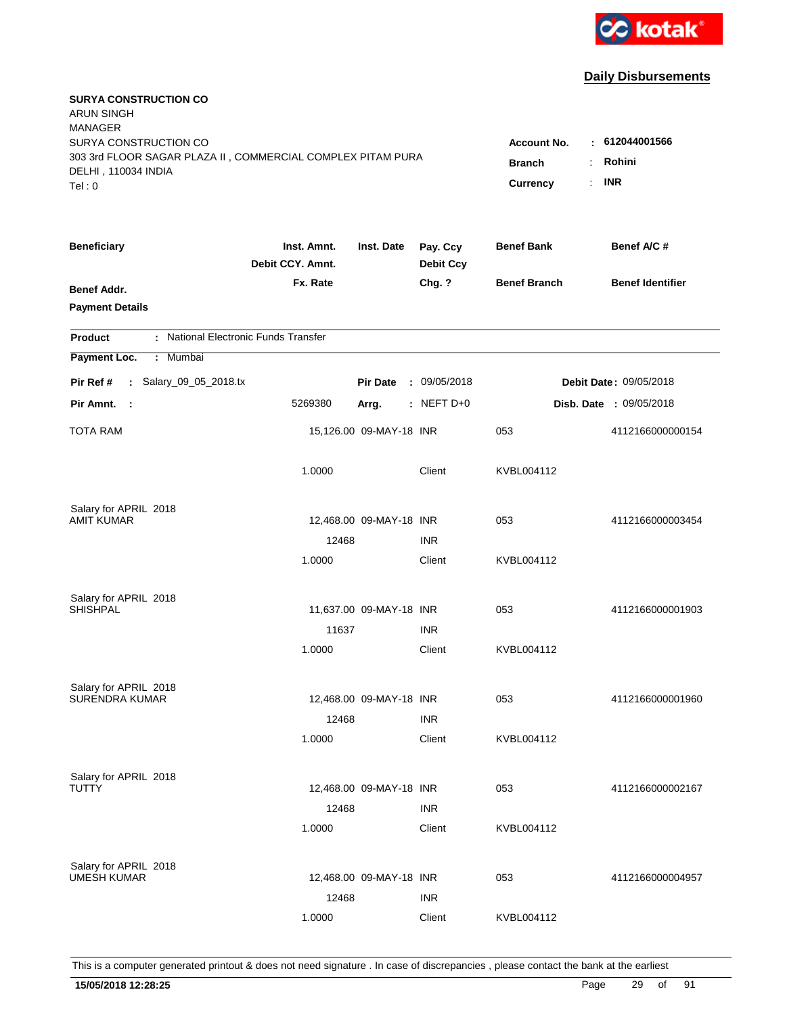

| <b>SURYA CONSTRUCTION CO</b><br><b>ARUN SINGH</b><br><b>MANAGER</b>                                                   |                                                                      |                                      |                              |                     |                         |
|-----------------------------------------------------------------------------------------------------------------------|----------------------------------------------------------------------|--------------------------------------|------------------------------|---------------------|-------------------------|
| SURYA CONSTRUCTION CO<br>303 3rd FLOOR SAGAR PLAZA II, COMMERCIAL COMPLEX PITAM PURA<br>DELHI, 110034 INDIA<br>Tel: 0 | <b>Account No.</b><br>$\sim$<br><b>Branch</b><br>÷<br>Currency<br>÷. | 612044001566<br>Rohini<br><b>INR</b> |                              |                     |                         |
| <b>Beneficiary</b>                                                                                                    | Inst. Amnt.<br>Debit CCY. Amnt.                                      | Inst. Date                           | Pay. Ccy<br><b>Debit Ccy</b> | <b>Benef Bank</b>   | Benef A/C #             |
| Benef Addr.<br><b>Payment Details</b>                                                                                 | Fx. Rate                                                             |                                      | Chg. ?                       | <b>Benef Branch</b> | <b>Benef Identifier</b> |
| : National Electronic Funds Transfer<br><b>Product</b>                                                                |                                                                      |                                      |                              |                     |                         |
| Payment Loc.<br>: Mumbai                                                                                              |                                                                      |                                      |                              |                     |                         |
| : Salary_09_05_2018.tx<br>Pir Ref #                                                                                   |                                                                      | <b>Pir Date</b>                      | : 09/05/2018                 |                     | Debit Date: 09/05/2018  |
| Pir Amnt.<br>- 1                                                                                                      | 5269380                                                              | Arrg.                                | $:$ NEFT D+0                 |                     | Disb. Date : 09/05/2018 |
| TOTA RAM                                                                                                              |                                                                      | 15,126.00 09-MAY-18 INR              |                              | 053                 | 4112166000000154        |
|                                                                                                                       | 1.0000                                                               |                                      | Client                       | KVBL004112          |                         |
| Salary for APRIL 2018                                                                                                 |                                                                      |                                      |                              |                     |                         |
| AMIT KUMAR                                                                                                            |                                                                      | 12,468.00 09-MAY-18 INR              |                              | 053                 | 4112166000003454        |
|                                                                                                                       | 12468                                                                |                                      | <b>INR</b>                   |                     |                         |
|                                                                                                                       | 1.0000                                                               |                                      | Client                       | KVBL004112          |                         |
| Salary for APRIL 2018                                                                                                 |                                                                      |                                      |                              |                     |                         |
| SHISHPAL                                                                                                              |                                                                      | 11,637.00 09-MAY-18 INR              |                              | 053                 | 4112166000001903        |
|                                                                                                                       | 11637                                                                |                                      | <b>INR</b>                   |                     |                         |
|                                                                                                                       | 1.0000                                                               |                                      | Client                       | KVBL004112          |                         |
| Salary for APRIL 2018                                                                                                 |                                                                      |                                      |                              |                     |                         |
| SURENDRA KUMAR                                                                                                        |                                                                      | 12,468.00 09-MAY-18 INR              |                              | 053                 | 4112166000001960        |
|                                                                                                                       | 12468                                                                |                                      | <b>INR</b>                   |                     |                         |
|                                                                                                                       | 1.0000                                                               |                                      | Client                       | KVBL004112          |                         |
| Salary for APRIL 2018                                                                                                 |                                                                      |                                      |                              |                     |                         |
| TUTTY                                                                                                                 |                                                                      | 12,468.00 09-MAY-18 INR              |                              | 053                 | 4112166000002167        |
|                                                                                                                       | 12468                                                                |                                      | <b>INR</b>                   |                     |                         |
|                                                                                                                       | 1.0000                                                               |                                      | Client                       | KVBL004112          |                         |
|                                                                                                                       |                                                                      |                                      |                              |                     |                         |
| Salary for APRIL 2018<br><b>UMESH KUMAR</b>                                                                           |                                                                      | 12,468.00 09-MAY-18 INR              |                              | 053                 | 4112166000004957        |
|                                                                                                                       | 12468                                                                |                                      | <b>INR</b>                   |                     |                         |
|                                                                                                                       | 1.0000                                                               |                                      | Client                       | KVBL004112          |                         |
|                                                                                                                       |                                                                      |                                      |                              |                     |                         |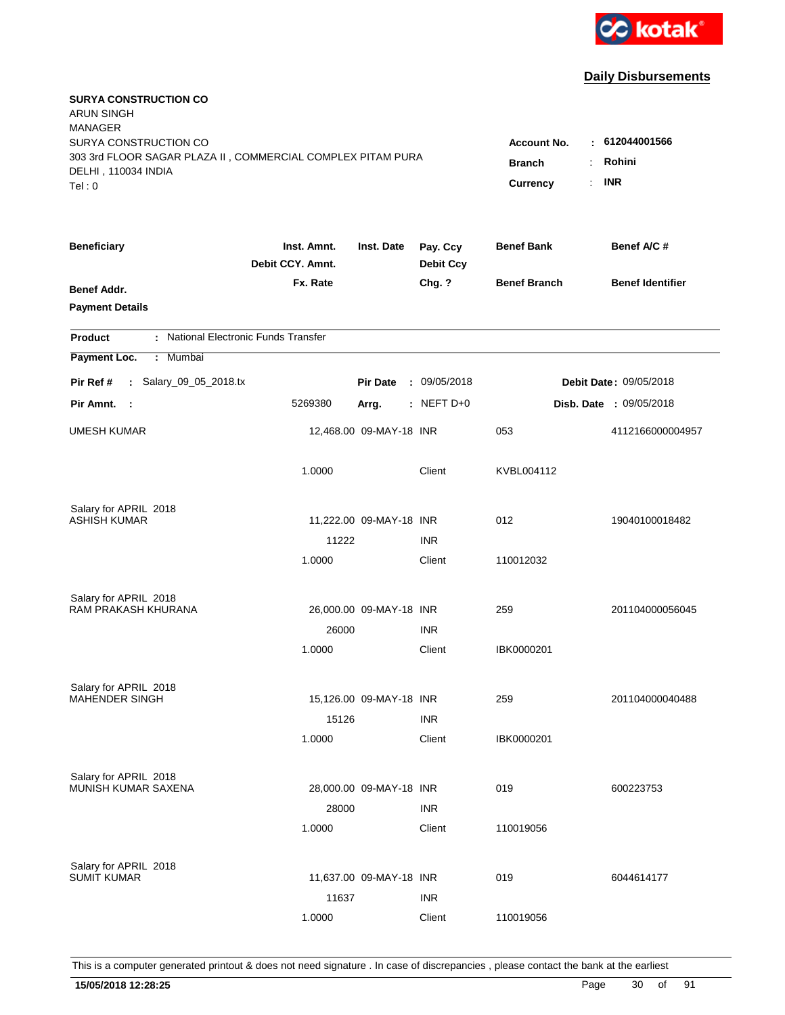

| <b>SURYA CONSTRUCTION CO</b><br><b>ARUN SINGH</b><br><b>MANAGER</b>                                                   |                                                                                      |                                         |                              |                     |                                |
|-----------------------------------------------------------------------------------------------------------------------|--------------------------------------------------------------------------------------|-----------------------------------------|------------------------------|---------------------|--------------------------------|
| SURYA CONSTRUCTION CO<br>303 3rd FLOOR SAGAR PLAZA II, COMMERCIAL COMPLEX PITAM PURA<br>DELHI, 110034 INDIA<br>Tel: 0 | <b>Account No.</b><br><b>Branch</b><br>$\ddot{\phantom{a}}$<br><b>Currency</b><br>÷. | $-612044001566$<br>Rohini<br><b>INR</b> |                              |                     |                                |
| <b>Beneficiary</b>                                                                                                    | Inst. Amnt.<br>Debit CCY. Amnt.                                                      | Inst. Date                              | Pay. Ccy<br><b>Debit Ccy</b> | <b>Benef Bank</b>   | Benef A/C#                     |
| Benef Addr.<br><b>Payment Details</b>                                                                                 | Fx. Rate                                                                             |                                         | Chg. ?                       | <b>Benef Branch</b> | <b>Benef Identifier</b>        |
| : National Electronic Funds Transfer<br><b>Product</b>                                                                |                                                                                      |                                         |                              |                     |                                |
| Payment Loc.<br>: Mumbai                                                                                              |                                                                                      |                                         |                              |                     |                                |
| : Salary_09_05_2018.tx<br>Pir Ref #                                                                                   |                                                                                      | <b>Pir Date</b>                         | : 09/05/2018                 |                     | <b>Debit Date: 09/05/2018</b>  |
| Pir Amnt. :                                                                                                           | 5269380                                                                              | Arrg.                                   | $:$ NEFT D+0                 |                     | <b>Disb. Date : 09/05/2018</b> |
| <b>UMESH KUMAR</b>                                                                                                    |                                                                                      | 12,468.00 09-MAY-18 INR                 |                              | 053                 | 4112166000004957               |
|                                                                                                                       | 1.0000                                                                               |                                         | Client                       | KVBL004112          |                                |
| Salary for APRIL 2018                                                                                                 |                                                                                      |                                         |                              |                     |                                |
| ASHISH KUMAR                                                                                                          |                                                                                      | 11,222.00 09-MAY-18 INR                 |                              | 012                 | 19040100018482                 |
|                                                                                                                       | 11222                                                                                |                                         | <b>INR</b>                   |                     |                                |
|                                                                                                                       | 1.0000                                                                               |                                         | Client                       | 110012032           |                                |
| Salary for APRIL 2018                                                                                                 |                                                                                      |                                         |                              |                     |                                |
| RAM PRAKASH KHURANA                                                                                                   |                                                                                      | 26,000.00 09-MAY-18 INR                 |                              | 259                 | 201104000056045                |
|                                                                                                                       | 26000                                                                                |                                         | <b>INR</b>                   |                     |                                |
|                                                                                                                       | 1.0000                                                                               |                                         | Client                       | IBK0000201          |                                |
| Salary for APRIL 2018                                                                                                 |                                                                                      |                                         |                              |                     |                                |
| <b>MAHENDER SINGH</b>                                                                                                 |                                                                                      | 15,126.00 09-MAY-18 INR                 |                              | 259                 | 201104000040488                |
|                                                                                                                       | 15126                                                                                |                                         | <b>INR</b>                   |                     |                                |
|                                                                                                                       | 1.0000                                                                               |                                         | Client                       | IBK0000201          |                                |
| Salary for APRIL 2018                                                                                                 |                                                                                      |                                         |                              |                     |                                |
| MUNISH KUMAR SAXENA                                                                                                   |                                                                                      | 28,000.00 09-MAY-18 INR                 |                              | 019                 | 600223753                      |
|                                                                                                                       | 28000                                                                                |                                         | <b>INR</b>                   |                     |                                |
|                                                                                                                       | 1.0000                                                                               |                                         | Client                       | 110019056           |                                |
| Salary for APRIL 2018                                                                                                 |                                                                                      |                                         |                              |                     |                                |
| <b>SUMIT KUMAR</b>                                                                                                    |                                                                                      | 11,637.00 09-MAY-18 INR                 |                              | 019                 | 6044614177                     |
|                                                                                                                       | 11637                                                                                |                                         | <b>INR</b>                   |                     |                                |
|                                                                                                                       | 1.0000                                                                               |                                         | Client                       | 110019056           |                                |
|                                                                                                                       |                                                                                      |                                         |                              |                     |                                |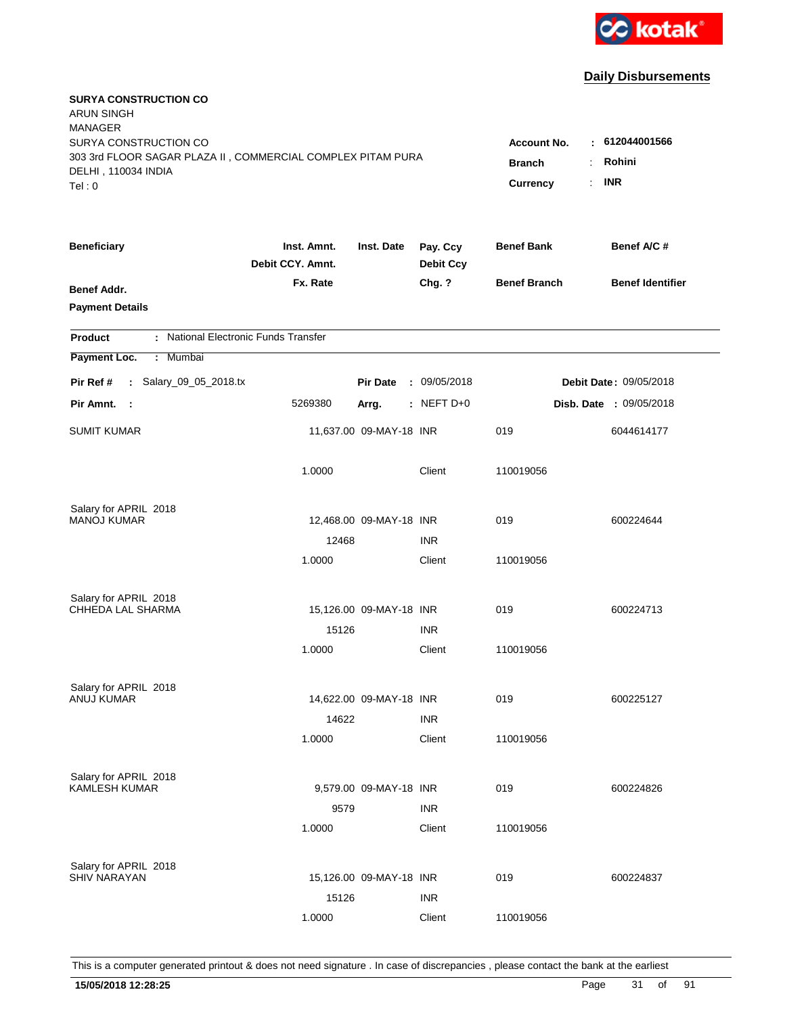

| <b>SURYA CONSTRUCTION CO</b><br><b>ARUN SINGH</b><br><b>MANAGER</b><br>SURYA CONSTRUCTION CO |                                 |                         |                              | <b>Account No.</b>               | 612044001566               |
|----------------------------------------------------------------------------------------------|---------------------------------|-------------------------|------------------------------|----------------------------------|----------------------------|
| 303 3rd FLOOR SAGAR PLAZA II, COMMERCIAL COMPLEX PITAM PURA<br>DELHI, 110034 INDIA<br>Tel: 0 |                                 |                         |                              | <b>Branch</b><br><b>Currency</b> | Rohini<br><b>INR</b><br>÷. |
| <b>Beneficiary</b>                                                                           | Inst. Amnt.<br>Debit CCY. Amnt. | Inst. Date              | Pay. Ccy<br><b>Debit Ccy</b> | <b>Benef Bank</b>                | Benef A/C #                |
| Benef Addr.<br><b>Payment Details</b>                                                        | Fx. Rate                        |                         | Chg. ?                       | <b>Benef Branch</b>              | <b>Benef Identifier</b>    |
| : National Electronic Funds Transfer<br><b>Product</b>                                       |                                 |                         |                              |                                  |                            |
| Payment Loc.<br>: Mumbai                                                                     |                                 |                         |                              |                                  |                            |
| : Salary_09_05_2018.tx<br>Pir Ref #                                                          |                                 | <b>Pir Date</b>         | : 09/05/2018                 |                                  | Debit Date: 09/05/2018     |
| Pir Amnt. :                                                                                  | 5269380                         | Arrg.                   | $:$ NEFT D+0                 |                                  | Disb. Date : 09/05/2018    |
| <b>SUMIT KUMAR</b>                                                                           |                                 | 11,637.00 09-MAY-18 INR |                              | 019                              | 6044614177                 |
|                                                                                              | 1.0000                          |                         | Client                       | 110019056                        |                            |
| Salary for APRIL 2018                                                                        |                                 |                         |                              |                                  |                            |
| <b>MANOJ KUMAR</b>                                                                           | 12468                           | 12,468.00 09-MAY-18 INR | <b>INR</b>                   | 019                              | 600224644                  |
|                                                                                              | 1.0000                          |                         | Client                       | 110019056                        |                            |
| Salary for APRIL 2018                                                                        |                                 |                         |                              |                                  |                            |
| CHHEDA LAL SHARMA                                                                            |                                 | 15,126.00 09-MAY-18 INR |                              | 019                              | 600224713                  |
|                                                                                              | 15126                           |                         | <b>INR</b>                   |                                  |                            |
|                                                                                              | 1.0000                          |                         | Client                       | 110019056                        |                            |
| Salary for APRIL 2018                                                                        |                                 |                         |                              |                                  |                            |
| ANUJ KUMAR                                                                                   |                                 | 14,622.00 09-MAY-18 INR |                              | 019                              | 600225127                  |
|                                                                                              | 14622                           |                         | <b>INR</b>                   |                                  |                            |
|                                                                                              | 1.0000                          |                         | Client                       | 110019056                        |                            |
| Salary for APRIL 2018                                                                        |                                 |                         |                              |                                  |                            |
| <b>KAMLESH KUMAR</b>                                                                         |                                 | 9,579.00 09-MAY-18 INR  |                              | 019                              | 600224826                  |
|                                                                                              | 9579                            |                         | <b>INR</b>                   |                                  |                            |
|                                                                                              | 1.0000                          |                         | Client                       | 110019056                        |                            |
| Salary for APRIL 2018                                                                        |                                 |                         |                              |                                  |                            |
| <b>SHIV NARAYAN</b>                                                                          |                                 | 15,126.00 09-MAY-18 INR |                              | 019                              | 600224837                  |
|                                                                                              | 15126                           |                         | <b>INR</b>                   |                                  |                            |
|                                                                                              | 1.0000                          |                         | Client                       | 110019056                        |                            |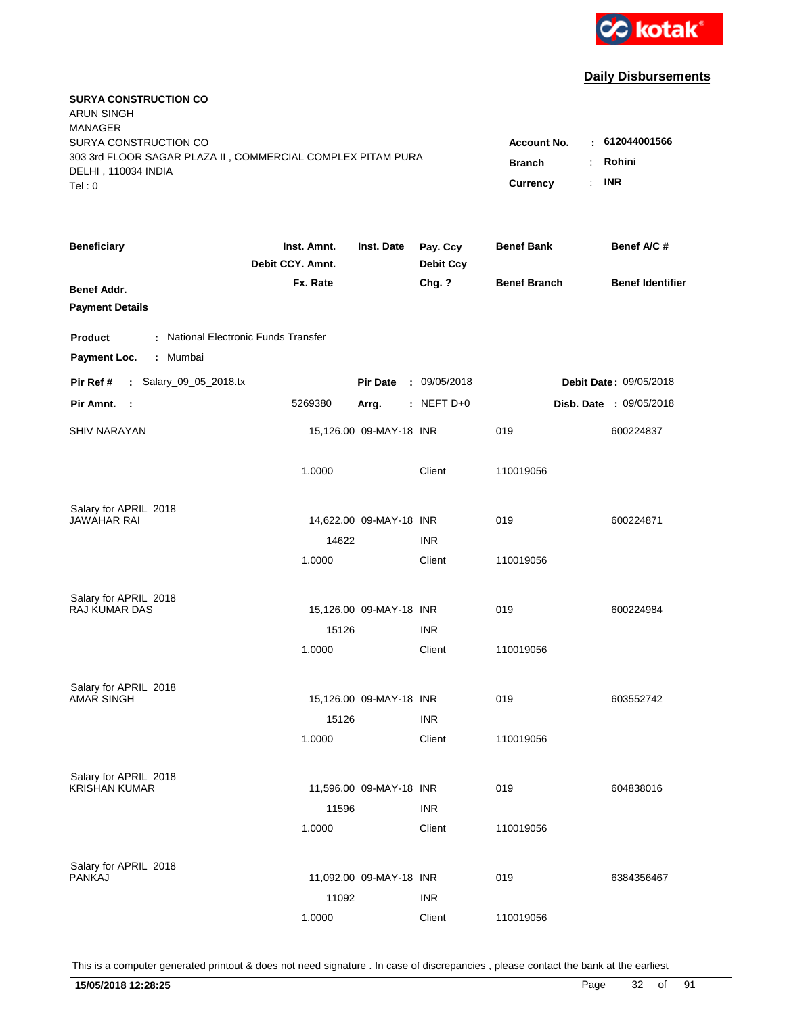

| <b>SURYA CONSTRUCTION CO</b><br><b>ARUN SINGH</b><br><b>MANAGER</b><br>SURYA CONSTRUCTION CO |                                  |                            |                              | <b>Account No.</b>  | 612044001566            |
|----------------------------------------------------------------------------------------------|----------------------------------|----------------------------|------------------------------|---------------------|-------------------------|
| 303 3rd FLOOR SAGAR PLAZA II, COMMERCIAL COMPLEX PITAM PURA<br>DELHI, 110034 INDIA<br>Tel: 0 | <b>Branch</b><br><b>Currency</b> | Rohini<br><b>INR</b><br>÷. |                              |                     |                         |
| <b>Beneficiary</b>                                                                           | Inst. Amnt.<br>Debit CCY. Amnt.  | Inst. Date                 | Pay. Ccy<br><b>Debit Ccy</b> | <b>Benef Bank</b>   | Benef A/C #             |
| Benef Addr.<br><b>Payment Details</b>                                                        | Fx. Rate                         |                            | Chg. ?                       | <b>Benef Branch</b> | <b>Benef Identifier</b> |
| : National Electronic Funds Transfer<br><b>Product</b>                                       |                                  |                            |                              |                     |                         |
| Payment Loc.<br>: Mumbai                                                                     |                                  |                            |                              |                     |                         |
| : Salary_09_05_2018.tx<br>Pir Ref #                                                          |                                  | <b>Pir Date</b>            | : 09/05/2018                 |                     | Debit Date: 09/05/2018  |
| Pir Amnt. :                                                                                  | 5269380                          | Arrg.                      | $:$ NEFT D+0                 |                     | Disb. Date : 09/05/2018 |
| <b>SHIV NARAYAN</b>                                                                          |                                  | 15,126.00 09-MAY-18 INR    |                              | 019                 | 600224837               |
|                                                                                              | 1.0000                           |                            | Client                       | 110019056           |                         |
| Salary for APRIL 2018                                                                        |                                  |                            |                              |                     |                         |
| JAWAHAR RAI                                                                                  | 14622                            | 14,622.00 09-MAY-18 INR    | <b>INR</b>                   | 019                 | 600224871               |
|                                                                                              | 1.0000                           |                            | Client                       | 110019056           |                         |
| Salary for APRIL 2018                                                                        |                                  |                            |                              |                     |                         |
| RAJ KUMAR DAS                                                                                |                                  | 15,126.00 09-MAY-18 INR    |                              | 019                 | 600224984               |
|                                                                                              | 15126                            |                            | <b>INR</b>                   |                     |                         |
|                                                                                              | 1.0000                           |                            | Client                       | 110019056           |                         |
| Salary for APRIL 2018                                                                        |                                  |                            |                              |                     |                         |
| <b>AMAR SINGH</b>                                                                            |                                  | 15,126.00 09-MAY-18 INR    |                              | 019                 | 603552742               |
|                                                                                              | 15126                            |                            | <b>INR</b>                   |                     |                         |
|                                                                                              | 1.0000                           |                            | Client                       | 110019056           |                         |
| Salary for APRIL 2018                                                                        |                                  |                            |                              |                     |                         |
| <b>KRISHAN KUMAR</b>                                                                         |                                  | 11,596.00 09-MAY-18 INR    |                              | 019                 | 604838016               |
|                                                                                              | 11596                            |                            | <b>INR</b>                   |                     |                         |
|                                                                                              | 1.0000                           |                            | Client                       | 110019056           |                         |
| Salary for APRIL 2018                                                                        |                                  |                            |                              |                     |                         |
| <b>PANKAJ</b>                                                                                |                                  | 11,092.00 09-MAY-18 INR    |                              | 019                 | 6384356467              |
|                                                                                              | 11092                            |                            | <b>INR</b>                   |                     |                         |
|                                                                                              | 1.0000                           |                            | Client                       | 110019056           |                         |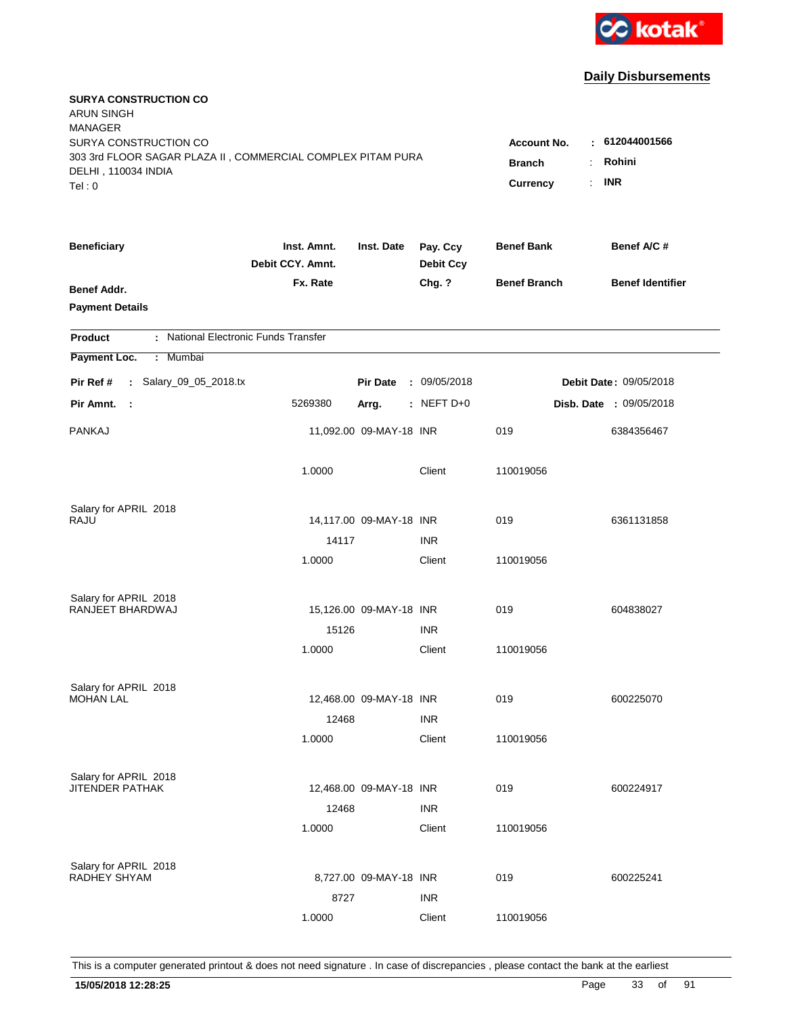

| <b>SURYA CONSTRUCTION CO</b><br><b>ARUN SINGH</b><br><b>MANAGER</b>                                                   |                                                              |                                         |                              |                     |                         |
|-----------------------------------------------------------------------------------------------------------------------|--------------------------------------------------------------|-----------------------------------------|------------------------------|---------------------|-------------------------|
| SURYA CONSTRUCTION CO<br>303 3rd FLOOR SAGAR PLAZA II, COMMERCIAL COMPLEX PITAM PURA<br>DELHI, 110034 INDIA<br>Tel: 0 | <b>Account No.</b><br><b>Branch</b><br><b>Currency</b><br>÷. | $-612044001566$<br>Rohini<br><b>INR</b> |                              |                     |                         |
| <b>Beneficiary</b>                                                                                                    | Inst. Amnt.<br>Debit CCY. Amnt.                              | Inst. Date                              | Pay. Ccy<br><b>Debit Ccy</b> | <b>Benef Bank</b>   | Benef A/C #             |
| Benef Addr.<br><b>Payment Details</b>                                                                                 | Fx. Rate                                                     |                                         | Chg. ?                       | <b>Benef Branch</b> | <b>Benef Identifier</b> |
| : National Electronic Funds Transfer<br><b>Product</b>                                                                |                                                              |                                         |                              |                     |                         |
| Payment Loc.<br>Mumbai<br>÷.                                                                                          |                                                              |                                         |                              |                     |                         |
| : Salary_09_05_2018.tx<br>Pir Ref #                                                                                   |                                                              | <b>Pir Date</b>                         | : 09/05/2018                 |                     | Debit Date: 09/05/2018  |
| Pir Amnt.<br>- 1                                                                                                      | 5269380                                                      | Arrg.                                   | $:$ NEFT D+0                 |                     | Disb. Date : 09/05/2018 |
| <b>PANKAJ</b>                                                                                                         |                                                              | 11,092.00 09-MAY-18 INR                 |                              | 019                 | 6384356467              |
|                                                                                                                       | 1.0000                                                       |                                         | Client                       | 110019056           |                         |
| Salary for APRIL 2018                                                                                                 |                                                              |                                         |                              |                     |                         |
| <b>RAJU</b>                                                                                                           |                                                              | 14,117.00 09-MAY-18 INR                 |                              | 019                 | 6361131858              |
|                                                                                                                       | 14117                                                        |                                         | <b>INR</b>                   |                     |                         |
|                                                                                                                       | 1.0000                                                       |                                         | Client                       | 110019056           |                         |
| Salary for APRIL 2018                                                                                                 |                                                              |                                         |                              |                     |                         |
| RANJEET BHARDWAJ                                                                                                      |                                                              | 15,126.00 09-MAY-18 INR                 |                              | 019                 | 604838027               |
|                                                                                                                       | 15126                                                        |                                         | <b>INR</b>                   |                     |                         |
|                                                                                                                       | 1.0000                                                       |                                         | Client                       | 110019056           |                         |
| Salary for APRIL 2018                                                                                                 |                                                              |                                         |                              |                     |                         |
| <b>MOHAN LAL</b>                                                                                                      |                                                              | 12,468.00 09-MAY-18 INR                 |                              | 019                 | 600225070               |
|                                                                                                                       | 12468                                                        |                                         | <b>INR</b>                   |                     |                         |
|                                                                                                                       | 1.0000                                                       |                                         | Client                       | 110019056           |                         |
| Salary for APRIL 2018                                                                                                 |                                                              |                                         |                              |                     |                         |
| <b>JITENDER PATHAK</b>                                                                                                |                                                              | 12,468.00 09-MAY-18 INR                 |                              | 019                 | 600224917               |
|                                                                                                                       | 12468                                                        |                                         | <b>INR</b>                   |                     |                         |
|                                                                                                                       | 1.0000                                                       |                                         | Client                       | 110019056           |                         |
| Salary for APRIL 2018                                                                                                 |                                                              |                                         |                              |                     |                         |
| RADHEY SHYAM                                                                                                          |                                                              | 8,727.00 09-MAY-18 INR                  |                              | 019                 | 600225241               |
|                                                                                                                       | 8727                                                         |                                         | <b>INR</b>                   |                     |                         |
|                                                                                                                       | 1.0000                                                       |                                         | Client                       | 110019056           |                         |
|                                                                                                                       |                                                              |                                         |                              |                     |                         |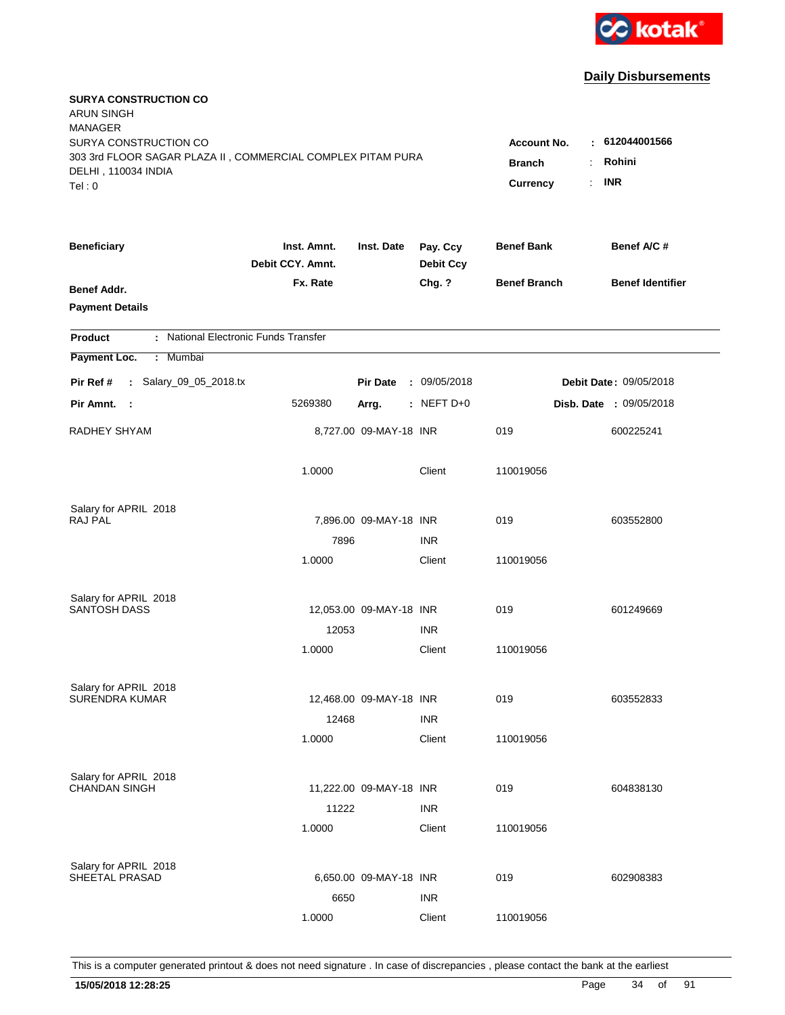

| <b>SURYA CONSTRUCTION CO</b><br><b>ARUN SINGH</b><br><b>MANAGER</b><br>SURYA CONSTRUCTION CO<br>303 3rd FLOOR SAGAR PLAZA II, COMMERCIAL COMPLEX PITAM PURA<br>DELHI, 110034 INDIA<br>Tel: 0 | Account No.<br><b>Branch</b><br>Currency | $-612044001566$<br>Rohini<br><b>INR</b><br>÷. |                              |                     |                         |
|----------------------------------------------------------------------------------------------------------------------------------------------------------------------------------------------|------------------------------------------|-----------------------------------------------|------------------------------|---------------------|-------------------------|
| <b>Beneficiary</b>                                                                                                                                                                           | Inst. Amnt.<br>Debit CCY. Amnt.          | Inst. Date                                    | Pay. Ccy<br><b>Debit Ccy</b> | <b>Benef Bank</b>   | Benef A/C #             |
| Benef Addr.<br><b>Payment Details</b>                                                                                                                                                        | Fx. Rate                                 |                                               | Chg. ?                       | <b>Benef Branch</b> | <b>Benef Identifier</b> |
| : National Electronic Funds Transfer<br><b>Product</b>                                                                                                                                       |                                          |                                               |                              |                     |                         |
| Payment Loc.<br>: Mumbai                                                                                                                                                                     |                                          |                                               |                              |                     |                         |
| : Salary_09_05_2018.tx<br>Pir Ref #                                                                                                                                                          |                                          | <b>Pir Date</b>                               | : 09/05/2018                 |                     | Debit Date: 09/05/2018  |
| Pir Amnt. :                                                                                                                                                                                  | 5269380                                  | Arrg.                                         | : NEFT $D+0$                 |                     | Disb. Date : 09/05/2018 |
| RADHEY SHYAM                                                                                                                                                                                 |                                          | 8,727.00 09-MAY-18 INR                        |                              | 019                 | 600225241               |
|                                                                                                                                                                                              | 1.0000                                   |                                               | Client                       | 110019056           |                         |
| Salary for APRIL 2018                                                                                                                                                                        |                                          |                                               |                              |                     |                         |
| <b>RAJ PAL</b>                                                                                                                                                                               | 7896                                     | 7,896.00 09-MAY-18 INR                        | <b>INR</b>                   | 019                 | 603552800               |
|                                                                                                                                                                                              | 1.0000                                   |                                               | Client                       | 110019056           |                         |
| Salary for APRIL 2018                                                                                                                                                                        |                                          |                                               |                              |                     |                         |
| <b>SANTOSH DASS</b>                                                                                                                                                                          |                                          | 12,053.00 09-MAY-18 INR                       |                              | 019                 | 601249669               |
|                                                                                                                                                                                              | 12053                                    |                                               | <b>INR</b>                   |                     |                         |
|                                                                                                                                                                                              | 1.0000                                   |                                               | Client                       | 110019056           |                         |
| Salary for APRIL 2018                                                                                                                                                                        |                                          |                                               |                              |                     |                         |
| <b>SURENDRA KUMAR</b>                                                                                                                                                                        |                                          | 12,468.00 09-MAY-18 INR                       |                              | 019                 | 603552833               |
|                                                                                                                                                                                              | 12468                                    |                                               | <b>INR</b>                   |                     |                         |
|                                                                                                                                                                                              | 1.0000                                   |                                               | Client                       | 110019056           |                         |
| Salary for APRIL 2018                                                                                                                                                                        |                                          |                                               |                              |                     |                         |
| <b>CHANDAN SINGH</b>                                                                                                                                                                         |                                          | 11,222.00 09-MAY-18 INR                       |                              | 019                 | 604838130               |
|                                                                                                                                                                                              | 11222<br>1.0000                          |                                               | <b>INR</b><br>Client         | 110019056           |                         |
|                                                                                                                                                                                              |                                          |                                               |                              |                     |                         |
| Salary for APRIL 2018                                                                                                                                                                        |                                          |                                               |                              |                     |                         |
| SHEETAL PRASAD                                                                                                                                                                               |                                          | 6,650.00 09-MAY-18 INR                        |                              | 019                 | 602908383               |
|                                                                                                                                                                                              | 6650                                     |                                               | <b>INR</b>                   |                     |                         |
|                                                                                                                                                                                              | 1.0000                                   |                                               | Client                       | 110019056           |                         |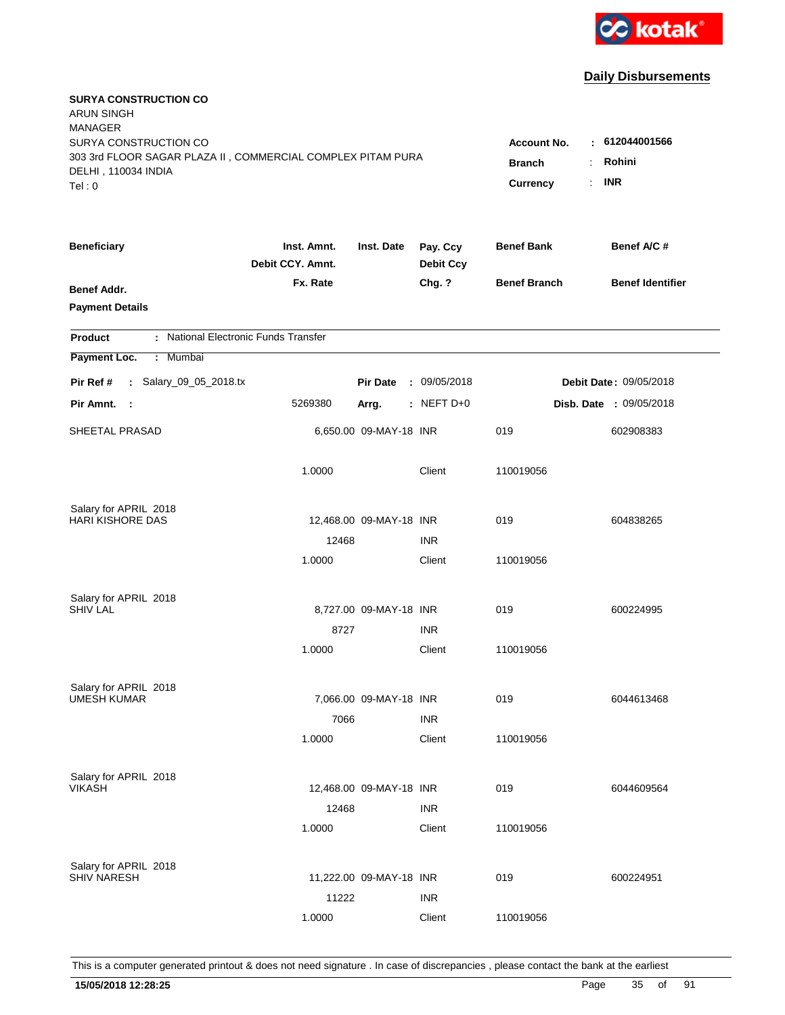

| <b>SURYA CONSTRUCTION CO</b><br><b>ARUN SINGH</b><br><b>MANAGER</b>                                         |                                     |                                                    |                              |                     |                                |
|-------------------------------------------------------------------------------------------------------------|-------------------------------------|----------------------------------------------------|------------------------------|---------------------|--------------------------------|
| SURYA CONSTRUCTION CO<br>303 3rd FLOOR SAGAR PLAZA II, COMMERCIAL COMPLEX PITAM PURA<br>DELHI, 110034 INDIA | <b>Account No.</b><br><b>Branch</b> | : 612044001566<br>Rohini<br>÷.<br><b>INR</b><br>÷. |                              |                     |                                |
| Tel: 0                                                                                                      |                                     |                                                    |                              | Currency            |                                |
| <b>Beneficiary</b>                                                                                          | Inst. Amnt.<br>Debit CCY. Amnt.     | Inst. Date                                         | Pay. Ccy<br><b>Debit Ccy</b> | <b>Benef Bank</b>   | Benef A/C #                    |
| Benef Addr.<br><b>Payment Details</b>                                                                       | Fx. Rate                            |                                                    | Chg. ?                       | <b>Benef Branch</b> | <b>Benef Identifier</b>        |
| : National Electronic Funds Transfer<br><b>Product</b>                                                      |                                     |                                                    |                              |                     |                                |
| Payment Loc.<br>: Mumbai                                                                                    |                                     |                                                    |                              |                     |                                |
| : Salary_09_05_2018.tx<br>Pir Ref #                                                                         |                                     | <b>Pir Date</b>                                    | : 09/05/2018                 |                     | Debit Date: 09/05/2018         |
| Pir Amnt. :                                                                                                 | 5269380                             | Arrg.                                              | $:$ NEFT D+0                 |                     | <b>Disb. Date : 09/05/2018</b> |
| SHEETAL PRASAD                                                                                              |                                     | 6,650.00 09-MAY-18 INR                             |                              | 019                 | 602908383                      |
|                                                                                                             | 1.0000                              |                                                    | Client                       | 110019056           |                                |
| Salary for APRIL 2018                                                                                       |                                     |                                                    |                              |                     |                                |
| <b>HARI KISHORE DAS</b>                                                                                     |                                     | 12,468.00 09-MAY-18 INR                            |                              | 019                 | 604838265                      |
|                                                                                                             | 12468<br>1.0000                     |                                                    | <b>INR</b><br>Client         | 110019056           |                                |
|                                                                                                             |                                     |                                                    |                              |                     |                                |
| Salary for APRIL 2018                                                                                       |                                     |                                                    |                              |                     |                                |
| <b>SHIV LAL</b>                                                                                             |                                     | 8,727.00 09-MAY-18 INR                             |                              | 019                 | 600224995                      |
|                                                                                                             | 8727                                |                                                    | <b>INR</b>                   |                     |                                |
|                                                                                                             | 1.0000                              |                                                    | Client                       | 110019056           |                                |
| Salary for APRIL 2018                                                                                       |                                     |                                                    |                              |                     |                                |
| <b>UMESH KUMAR</b>                                                                                          |                                     | 7,066.00 09-MAY-18 INR                             |                              | 019                 | 6044613468                     |
|                                                                                                             | 7066                                |                                                    | <b>INR</b>                   |                     |                                |
|                                                                                                             | 1.0000                              |                                                    | Client                       | 110019056           |                                |
|                                                                                                             |                                     |                                                    |                              |                     |                                |
| Salary for APRIL 2018<br><b>VIKASH</b>                                                                      |                                     | 12,468.00 09-MAY-18 INR                            |                              | 019                 | 6044609564                     |
|                                                                                                             | 12468                               |                                                    | <b>INR</b>                   |                     |                                |
|                                                                                                             | 1.0000                              |                                                    | Client                       | 110019056           |                                |
|                                                                                                             |                                     |                                                    |                              |                     |                                |
| Salary for APRIL 2018<br><b>SHIV NARESH</b>                                                                 |                                     | 11,222.00 09-MAY-18 INR                            |                              | 019                 | 600224951                      |
|                                                                                                             | 11222                               |                                                    | <b>INR</b>                   |                     |                                |
|                                                                                                             | 1.0000                              |                                                    | Client                       | 110019056           |                                |
|                                                                                                             |                                     |                                                    |                              |                     |                                |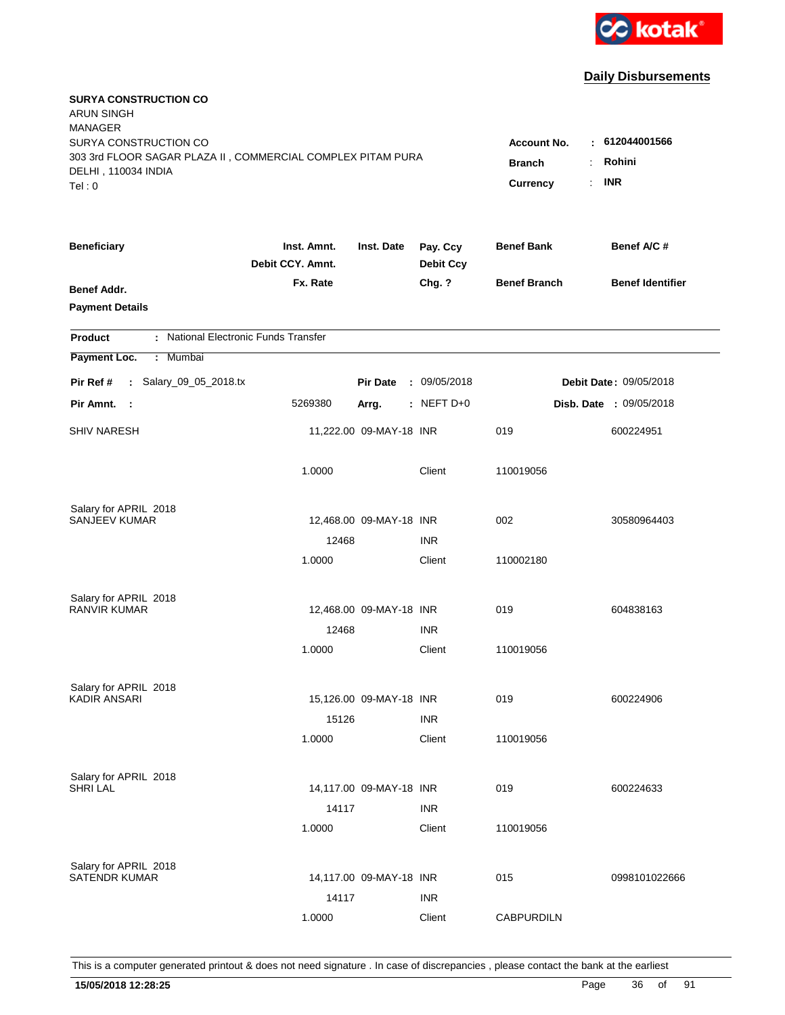

| <b>SURYA CONSTRUCTION CO</b><br><b>ARUN SINGH</b><br><b>MANAGER</b><br>SURYA CONSTRUCTION CO |                                 |                         |                              | Account No.<br>÷    | 612044001566            |
|----------------------------------------------------------------------------------------------|---------------------------------|-------------------------|------------------------------|---------------------|-------------------------|
| 303 3rd FLOOR SAGAR PLAZA II, COMMERCIAL COMPLEX PITAM PURA<br>DELHI, 110034 INDIA<br>Tel: 0 | <b>Branch</b><br>Currency       | Rohini<br><b>INR</b>    |                              |                     |                         |
| <b>Beneficiary</b>                                                                           | Inst. Amnt.<br>Debit CCY. Amnt. | Inst. Date              | Pay. Ccy<br><b>Debit Ccy</b> | <b>Benef Bank</b>   | Benef A/C #             |
| Benef Addr.<br><b>Payment Details</b>                                                        | Fx. Rate                        |                         | Chg. ?                       | <b>Benef Branch</b> | <b>Benef Identifier</b> |
| : National Electronic Funds Transfer<br><b>Product</b>                                       |                                 |                         |                              |                     |                         |
| Payment Loc.<br>: Mumbai                                                                     |                                 |                         |                              |                     |                         |
| : Salary_09_05_2018.tx<br>Pir Ref #                                                          |                                 | <b>Pir Date</b>         | : 09/05/2018                 |                     | Debit Date: 09/05/2018  |
| Pir Amnt. :                                                                                  | 5269380                         | Arrg.                   | $:$ NEFT D+0                 |                     | Disb. Date : 09/05/2018 |
| <b>SHIV NARESH</b>                                                                           |                                 | 11,222.00 09-MAY-18 INR |                              | 019                 | 600224951               |
|                                                                                              | 1.0000                          |                         | Client                       | 110019056           |                         |
| Salary for APRIL 2018                                                                        |                                 |                         |                              |                     |                         |
| SANJEEV KUMAR                                                                                |                                 | 12,468.00 09-MAY-18 INR |                              | 002                 | 30580964403             |
|                                                                                              | 12468<br>1.0000                 |                         | <b>INR</b><br>Client         | 110002180           |                         |
| Salary for APRIL 2018                                                                        |                                 |                         |                              |                     |                         |
| <b>RANVIR KUMAR</b>                                                                          | 12468                           | 12,468.00 09-MAY-18 INR |                              | 019                 | 604838163               |
|                                                                                              | 1.0000                          |                         | <b>INR</b><br>Client         | 110019056           |                         |
|                                                                                              |                                 |                         |                              |                     |                         |
| Salary for APRIL 2018                                                                        |                                 |                         |                              |                     |                         |
| <b>KADIR ANSARI</b>                                                                          |                                 | 15,126.00 09-MAY-18 INR |                              | 019                 | 600224906               |
|                                                                                              | 15126<br>1.0000                 |                         | <b>INR</b><br>Client         | 110019056           |                         |
|                                                                                              |                                 |                         |                              |                     |                         |
| Salary for APRIL 2018                                                                        |                                 |                         |                              |                     |                         |
| <b>SHRI LAL</b>                                                                              | 14117                           | 14,117.00 09-MAY-18 INR | <b>INR</b>                   | 019                 | 600224633               |
|                                                                                              | 1.0000                          |                         | Client                       | 110019056           |                         |
|                                                                                              |                                 |                         |                              |                     |                         |
| Salary for APRIL 2018<br><b>SATENDR KUMAR</b>                                                |                                 | 14,117.00 09-MAY-18 INR |                              | 015                 | 0998101022666           |
|                                                                                              | 14117                           |                         | <b>INR</b>                   |                     |                         |
|                                                                                              | 1.0000                          |                         | Client                       | <b>CABPURDILN</b>   |                         |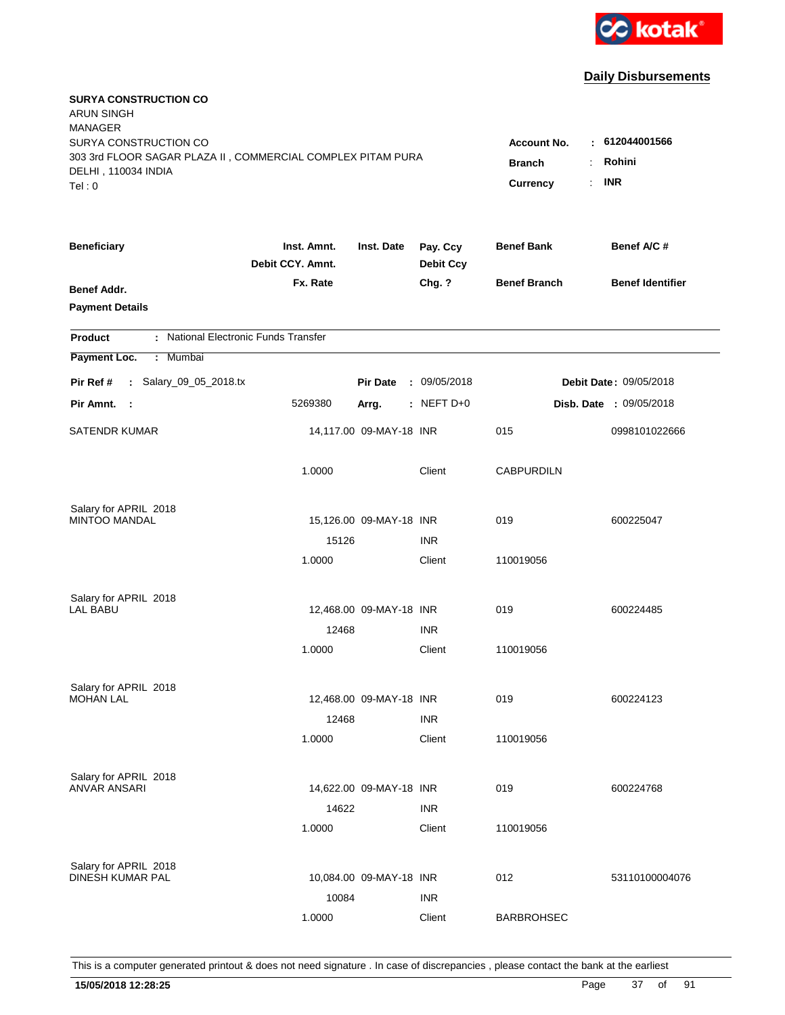

| <b>SURYA CONSTRUCTION CO</b><br><b>ARUN SINGH</b><br><b>MANAGER</b>                                                   |                                               |                                      |                              |                     |                                |
|-----------------------------------------------------------------------------------------------------------------------|-----------------------------------------------|--------------------------------------|------------------------------|---------------------|--------------------------------|
| SURYA CONSTRUCTION CO<br>303 3rd FLOOR SAGAR PLAZA II, COMMERCIAL COMPLEX PITAM PURA<br>DELHI, 110034 INDIA<br>Tel: 0 | Account No.<br>÷<br><b>Branch</b><br>Currency | 612044001566<br>Rohini<br><b>INR</b> |                              |                     |                                |
| <b>Beneficiary</b>                                                                                                    | Inst. Amnt.<br>Debit CCY. Amnt.               | Inst. Date                           | Pay. Ccy<br><b>Debit Ccy</b> | <b>Benef Bank</b>   | Benef A/C#                     |
| Benef Addr.<br><b>Payment Details</b>                                                                                 | Fx. Rate                                      |                                      | Chg. ?                       | <b>Benef Branch</b> | <b>Benef Identifier</b>        |
| : National Electronic Funds Transfer<br><b>Product</b>                                                                |                                               |                                      |                              |                     |                                |
| Payment Loc.<br>: Mumbai                                                                                              |                                               |                                      |                              |                     |                                |
| : Salary_09_05_2018.tx<br>Pir Ref #                                                                                   |                                               | <b>Pir Date</b>                      | : 09/05/2018                 |                     | Debit Date: 09/05/2018         |
| Pir Amnt. :                                                                                                           | 5269380                                       | Arrg.                                | $:$ NEFT D+0                 |                     | <b>Disb. Date : 09/05/2018</b> |
| <b>SATENDR KUMAR</b>                                                                                                  |                                               | 14,117.00 09-MAY-18 INR              |                              | 015                 | 0998101022666                  |
|                                                                                                                       | 1.0000                                        |                                      | Client                       | <b>CABPURDILN</b>   |                                |
| Salary for APRIL 2018                                                                                                 |                                               |                                      |                              |                     |                                |
| <b>MINTOO MANDAL</b>                                                                                                  |                                               | 15,126.00 09-MAY-18 INR              |                              | 019                 | 600225047                      |
|                                                                                                                       | 15126<br>1.0000                               |                                      | <b>INR</b><br>Client         | 110019056           |                                |
|                                                                                                                       |                                               |                                      |                              |                     |                                |
| Salary for APRIL 2018<br><b>LAL BABU</b>                                                                              |                                               | 12,468.00 09-MAY-18 INR              |                              | 019                 | 600224485                      |
|                                                                                                                       | 12468                                         |                                      | <b>INR</b>                   |                     |                                |
|                                                                                                                       | 1.0000                                        |                                      | Client                       | 110019056           |                                |
|                                                                                                                       |                                               |                                      |                              |                     |                                |
| Salary for APRIL 2018<br><b>MOHAN LAL</b>                                                                             |                                               | 12,468.00 09-MAY-18 INR              |                              | 019                 | 600224123                      |
|                                                                                                                       | 12468                                         |                                      | <b>INR</b>                   |                     |                                |
|                                                                                                                       | 1.0000                                        |                                      | Client                       | 110019056           |                                |
| Salary for APRIL 2018                                                                                                 |                                               |                                      |                              |                     |                                |
| <b>ANVAR ANSARI</b>                                                                                                   |                                               | 14,622.00 09-MAY-18 INR              |                              | 019                 | 600224768                      |
|                                                                                                                       | 14622                                         |                                      | <b>INR</b>                   |                     |                                |
|                                                                                                                       | 1.0000                                        |                                      | Client                       | 110019056           |                                |
| Salary for APRIL 2018                                                                                                 |                                               |                                      |                              |                     |                                |
| DINESH KUMAR PAL                                                                                                      |                                               | 10,084.00 09-MAY-18 INR              |                              | 012                 | 53110100004076                 |
|                                                                                                                       | 10084                                         |                                      | <b>INR</b>                   |                     |                                |
|                                                                                                                       | 1.0000                                        |                                      | Client                       | <b>BARBROHSEC</b>   |                                |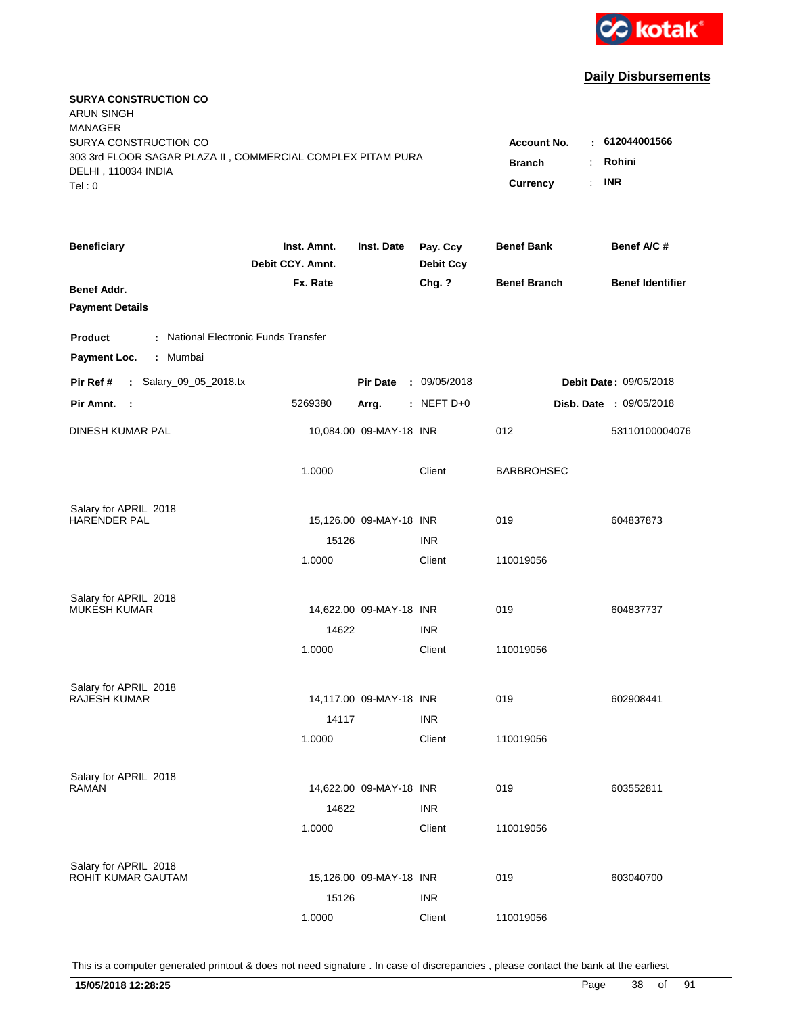

| <b>SURYA CONSTRUCTION CO</b><br><b>ARUN SINGH</b><br><b>MANAGER</b>                                                  |                                                 |                                              |                              |                     |                         |
|----------------------------------------------------------------------------------------------------------------------|-------------------------------------------------|----------------------------------------------|------------------------------|---------------------|-------------------------|
| SURYA CONSTRUCTION CO<br>303 3rd FLOOR SAGAR PLAZA II, COMMERCIAL COMPLEX PITAM PURA<br>DELHI, 110034 INDIA<br>Tel:0 | <b>Account No.</b><br><b>Branch</b><br>Currency | : 612044001566<br>Rohini<br><b>INR</b><br>÷. |                              |                     |                         |
| <b>Beneficiary</b>                                                                                                   | Inst. Amnt.<br>Debit CCY. Amnt.                 | Inst. Date                                   | Pay. Ccy<br><b>Debit Ccy</b> | <b>Benef Bank</b>   | Benef A/C #             |
| Benef Addr.<br><b>Payment Details</b>                                                                                | Fx. Rate                                        |                                              | Chg. ?                       | <b>Benef Branch</b> | <b>Benef Identifier</b> |
| : National Electronic Funds Transfer<br><b>Product</b>                                                               |                                                 |                                              |                              |                     |                         |
| Payment Loc.<br>: Mumbai                                                                                             |                                                 |                                              |                              |                     |                         |
| : Salary_09_05_2018.tx<br>Pir Ref #                                                                                  |                                                 | <b>Pir Date</b>                              | : 09/05/2018                 |                     | Debit Date: 09/05/2018  |
| Pir Amnt.<br>- 1                                                                                                     | 5269380                                         | Arrg.                                        | $:$ NEFT D+0                 |                     | Disb. Date : 09/05/2018 |
| DINESH KUMAR PAL                                                                                                     |                                                 | 10,084.00 09-MAY-18 INR                      |                              | 012                 | 53110100004076          |
|                                                                                                                      | 1.0000                                          |                                              | Client                       | <b>BARBROHSEC</b>   |                         |
| Salary for APRIL 2018                                                                                                |                                                 |                                              |                              |                     |                         |
| <b>HARENDER PAL</b>                                                                                                  |                                                 | 15,126.00 09-MAY-18 INR                      |                              | 019                 | 604837873               |
|                                                                                                                      | 15126                                           |                                              | <b>INR</b>                   |                     |                         |
|                                                                                                                      | 1.0000                                          |                                              | Client                       | 110019056           |                         |
| Salary for APRIL 2018                                                                                                |                                                 |                                              |                              |                     |                         |
| <b>MUKESH KUMAR</b>                                                                                                  |                                                 | 14,622.00 09-MAY-18 INR                      |                              | 019                 | 604837737               |
|                                                                                                                      | 14622                                           |                                              | <b>INR</b>                   |                     |                         |
|                                                                                                                      | 1.0000                                          |                                              | Client                       | 110019056           |                         |
| Salary for APRIL 2018                                                                                                |                                                 |                                              |                              |                     |                         |
| <b>RAJESH KUMAR</b>                                                                                                  |                                                 | 14,117.00 09-MAY-18 INR                      |                              | 019                 | 602908441               |
|                                                                                                                      | 14117                                           |                                              | <b>INR</b>                   |                     |                         |
|                                                                                                                      | 1.0000                                          |                                              | Client                       | 110019056           |                         |
| Salary for APRIL 2018                                                                                                |                                                 |                                              |                              |                     |                         |
| <b>RAMAN</b>                                                                                                         |                                                 | 14,622.00 09-MAY-18 INR                      |                              | 019                 | 603552811               |
|                                                                                                                      | 14622                                           |                                              | <b>INR</b>                   |                     |                         |
|                                                                                                                      | 1.0000                                          |                                              | Client                       | 110019056           |                         |
|                                                                                                                      |                                                 |                                              |                              |                     |                         |
| Salary for APRIL 2018<br>ROHIT KUMAR GAUTAM                                                                          |                                                 | 15,126.00 09-MAY-18 INR                      |                              | 019                 | 603040700               |
|                                                                                                                      | 15126                                           |                                              | <b>INR</b>                   |                     |                         |
|                                                                                                                      | 1.0000                                          |                                              | Client                       | 110019056           |                         |
|                                                                                                                      |                                                 |                                              |                              |                     |                         |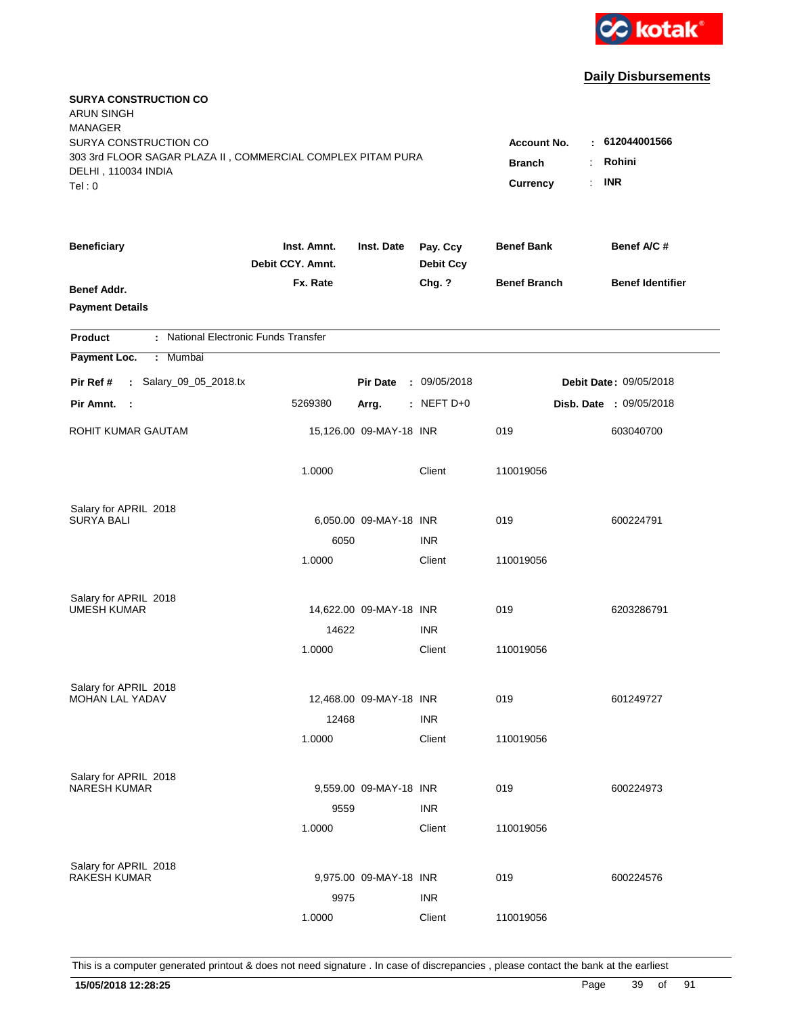

| <b>SURYA CONSTRUCTION CO</b><br><b>ARUN SINGH</b><br><b>MANAGER</b>                                                   |                                                 |                                                    |                              |                     |                                |
|-----------------------------------------------------------------------------------------------------------------------|-------------------------------------------------|----------------------------------------------------|------------------------------|---------------------|--------------------------------|
| SURYA CONSTRUCTION CO<br>303 3rd FLOOR SAGAR PLAZA II, COMMERCIAL COMPLEX PITAM PURA<br>DELHI, 110034 INDIA<br>Tel: 0 | <b>Account No.</b><br><b>Branch</b><br>Currency | : 612044001566<br>Rohini<br>÷.<br><b>INR</b><br>÷. |                              |                     |                                |
| <b>Beneficiary</b>                                                                                                    | Inst. Amnt.<br>Debit CCY. Amnt.                 | Inst. Date                                         | Pay. Ccy<br><b>Debit Ccy</b> | <b>Benef Bank</b>   | Benef A/C #                    |
| Benef Addr.<br><b>Payment Details</b>                                                                                 | Fx. Rate                                        |                                                    | Chg. ?                       | <b>Benef Branch</b> | <b>Benef Identifier</b>        |
| : National Electronic Funds Transfer<br><b>Product</b>                                                                |                                                 |                                                    |                              |                     |                                |
| Payment Loc.<br>: Mumbai                                                                                              |                                                 |                                                    |                              |                     |                                |
| : Salary_09_05_2018.tx<br>Pir Ref #                                                                                   |                                                 | <b>Pir Date</b>                                    | : 09/05/2018                 |                     | Debit Date: 09/05/2018         |
| Pir Amnt. :                                                                                                           | 5269380                                         | Arrg.                                              | $:$ NEFT D+0                 |                     | <b>Disb. Date : 09/05/2018</b> |
| ROHIT KUMAR GAUTAM                                                                                                    |                                                 | 15,126.00 09-MAY-18 INR                            |                              | 019                 | 603040700                      |
|                                                                                                                       | 1.0000                                          |                                                    | Client                       | 110019056           |                                |
| Salary for APRIL 2018                                                                                                 |                                                 |                                                    |                              |                     |                                |
| <b>SURYA BALI</b>                                                                                                     |                                                 | 6,050.00 09-MAY-18 INR                             |                              | 019                 | 600224791                      |
|                                                                                                                       | 6050<br>1.0000                                  |                                                    | <b>INR</b><br>Client         | 110019056           |                                |
|                                                                                                                       |                                                 |                                                    |                              |                     |                                |
| Salary for APRIL 2018                                                                                                 |                                                 |                                                    |                              |                     |                                |
| <b>UMESH KUMAR</b>                                                                                                    |                                                 | 14,622.00 09-MAY-18 INR                            |                              | 019                 | 6203286791                     |
|                                                                                                                       | 14622                                           |                                                    | <b>INR</b>                   |                     |                                |
|                                                                                                                       | 1.0000                                          |                                                    | Client                       | 110019056           |                                |
| Salary for APRIL 2018                                                                                                 |                                                 |                                                    |                              |                     |                                |
| MOHAN LAL YADAV                                                                                                       |                                                 | 12,468.00 09-MAY-18 INR                            |                              | 019                 | 601249727                      |
|                                                                                                                       | 12468                                           |                                                    | <b>INR</b>                   |                     |                                |
|                                                                                                                       | 1.0000                                          |                                                    | Client                       | 110019056           |                                |
| Salary for APRIL 2018                                                                                                 |                                                 |                                                    |                              |                     |                                |
| <b>NARESH KUMAR</b>                                                                                                   |                                                 | 9,559.00 09-MAY-18 INR                             |                              | 019                 | 600224973                      |
|                                                                                                                       | 9559                                            |                                                    | <b>INR</b>                   |                     |                                |
|                                                                                                                       | 1.0000                                          |                                                    | Client                       | 110019056           |                                |
|                                                                                                                       |                                                 |                                                    |                              |                     |                                |
| Salary for APRIL 2018<br><b>RAKESH KUMAR</b>                                                                          |                                                 | 9,975.00 09-MAY-18 INR                             |                              | 019                 | 600224576                      |
|                                                                                                                       | 9975                                            |                                                    | <b>INR</b>                   |                     |                                |
|                                                                                                                       | 1.0000                                          |                                                    | Client                       | 110019056           |                                |
|                                                                                                                       |                                                 |                                                    |                              |                     |                                |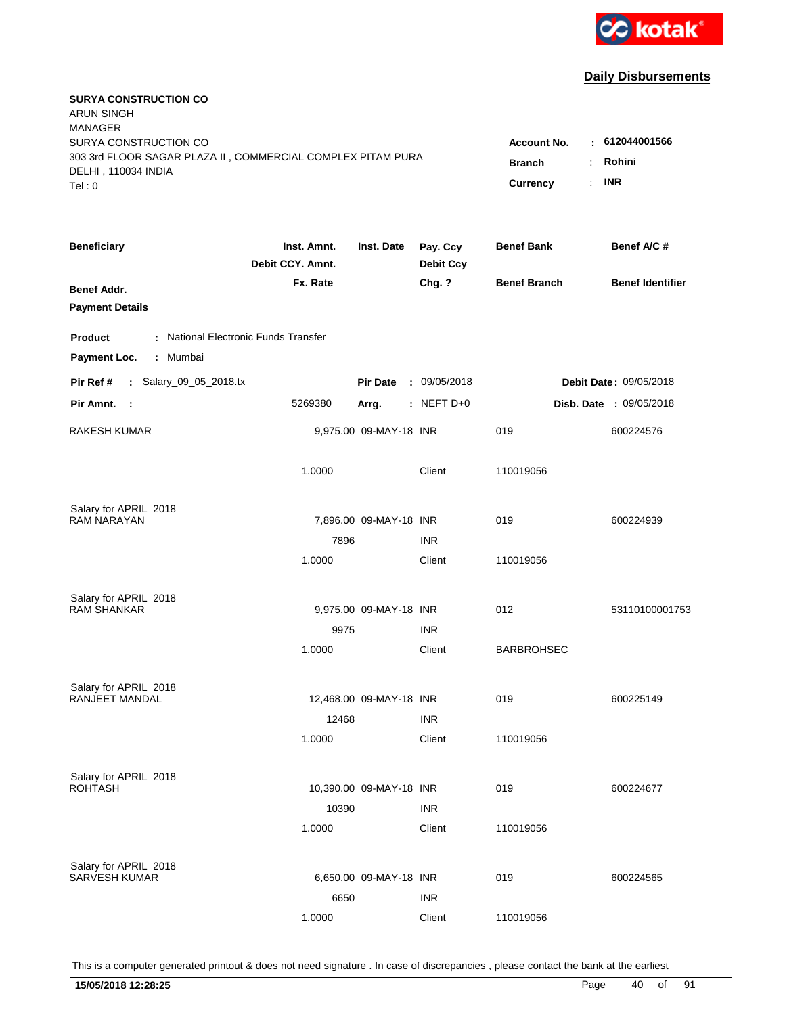

| <b>SURYA CONSTRUCTION CO</b><br><b>ARUN SINGH</b><br><b>MANAGER</b>                                                   |                                                                         |                                      |                              |                     |                         |
|-----------------------------------------------------------------------------------------------------------------------|-------------------------------------------------------------------------|--------------------------------------|------------------------------|---------------------|-------------------------|
| SURYA CONSTRUCTION CO<br>303 3rd FLOOR SAGAR PLAZA II, COMMERCIAL COMPLEX PITAM PURA<br>DELHI, 110034 INDIA<br>Tel: 0 | <b>Account No.</b><br><b>Branch</b><br>Currency<br>$\ddot{\phantom{a}}$ | 612044001566<br>Rohini<br><b>INR</b> |                              |                     |                         |
| <b>Beneficiary</b>                                                                                                    | Inst. Amnt.<br>Debit CCY. Amnt.                                         | Inst. Date                           | Pay. Ccy<br><b>Debit Ccy</b> | <b>Benef Bank</b>   | Benef A/C #             |
| Benef Addr.<br><b>Payment Details</b>                                                                                 | Fx. Rate                                                                |                                      | Chg. ?                       | <b>Benef Branch</b> | <b>Benef Identifier</b> |
| : National Electronic Funds Transfer<br><b>Product</b>                                                                |                                                                         |                                      |                              |                     |                         |
| Payment Loc.<br>: Mumbai                                                                                              |                                                                         |                                      |                              |                     |                         |
| : Salary_09_05_2018.tx<br>Pir Ref #                                                                                   |                                                                         | <b>Pir Date</b>                      | : 09/05/2018                 |                     | Debit Date: 09/05/2018  |
| Pir Amnt. :                                                                                                           | 5269380                                                                 | Arrg.                                | $:$ NEFT D+0                 |                     | Disb. Date : 09/05/2018 |
| <b>RAKESH KUMAR</b>                                                                                                   |                                                                         | 9,975.00 09-MAY-18 INR               |                              | 019                 | 600224576               |
|                                                                                                                       | 1.0000                                                                  |                                      | Client                       | 110019056           |                         |
| Salary for APRIL 2018                                                                                                 |                                                                         |                                      |                              |                     |                         |
| <b>RAM NARAYAN</b>                                                                                                    |                                                                         | 7,896.00 09-MAY-18 INR               |                              | 019                 | 600224939               |
|                                                                                                                       | 7896                                                                    |                                      | <b>INR</b>                   |                     |                         |
|                                                                                                                       | 1.0000                                                                  |                                      | Client                       | 110019056           |                         |
| Salary for APRIL 2018                                                                                                 |                                                                         |                                      |                              |                     |                         |
| <b>RAM SHANKAR</b>                                                                                                    |                                                                         | 9,975.00 09-MAY-18 INR               |                              | 012                 | 53110100001753          |
|                                                                                                                       | 9975                                                                    |                                      | <b>INR</b>                   |                     |                         |
|                                                                                                                       | 1.0000                                                                  |                                      | Client                       | <b>BARBROHSEC</b>   |                         |
| Salary for APRIL 2018                                                                                                 |                                                                         |                                      |                              |                     |                         |
| <b>RANJEET MANDAL</b>                                                                                                 |                                                                         | 12,468.00 09-MAY-18 INR              |                              | 019                 | 600225149               |
|                                                                                                                       | 12468                                                                   |                                      | <b>INR</b>                   |                     |                         |
|                                                                                                                       | 1.0000                                                                  |                                      | Client                       | 110019056           |                         |
|                                                                                                                       |                                                                         |                                      |                              |                     |                         |
| Salary for APRIL 2018<br><b>ROHTASH</b>                                                                               |                                                                         | 10,390.00 09-MAY-18 INR              |                              | 019                 | 600224677               |
|                                                                                                                       | 10390                                                                   |                                      | <b>INR</b>                   |                     |                         |
|                                                                                                                       | 1.0000                                                                  |                                      | Client                       | 110019056           |                         |
|                                                                                                                       |                                                                         |                                      |                              |                     |                         |
| Salary for APRIL 2018<br><b>SARVESH KUMAR</b>                                                                         |                                                                         | 6,650.00 09-MAY-18 INR               |                              | 019                 | 600224565               |
|                                                                                                                       | 6650                                                                    |                                      | <b>INR</b>                   |                     |                         |
|                                                                                                                       | 1.0000                                                                  |                                      | Client                       | 110019056           |                         |
|                                                                                                                       |                                                                         |                                      |                              |                     |                         |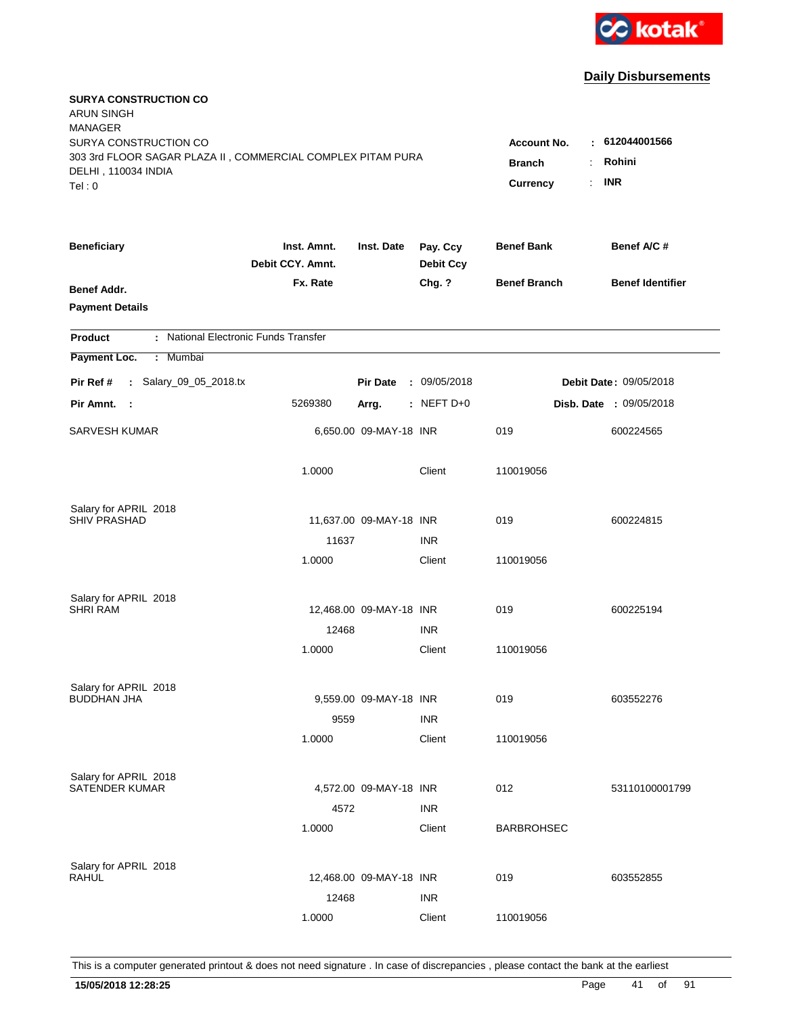

| <b>SURYA CONSTRUCTION CO</b><br><b>ARUN SINGH</b><br><b>MANAGER</b> |                                 |                         |                              |                         |                                |
|---------------------------------------------------------------------|---------------------------------|-------------------------|------------------------------|-------------------------|--------------------------------|
| SURYA CONSTRUCTION CO                                               |                                 |                         |                              | <b>Account No.</b><br>٠ | 612044001566                   |
| 303 3rd FLOOR SAGAR PLAZA II, COMMERCIAL COMPLEX PITAM PURA         |                                 |                         |                              | <b>Branch</b>           | Rohini                         |
| DELHI, 110034 INDIA                                                 |                                 |                         |                              | Currency<br>÷.          | <b>INR</b>                     |
| Tel: 0                                                              |                                 |                         |                              |                         |                                |
| <b>Beneficiary</b>                                                  | Inst. Amnt.<br>Debit CCY. Amnt. | Inst. Date              | Pay. Ccy<br><b>Debit Ccy</b> | <b>Benef Bank</b>       | Benef A/C #                    |
| Benef Addr.                                                         | Fx. Rate                        |                         | Chg. ?                       | <b>Benef Branch</b>     | <b>Benef Identifier</b>        |
| <b>Payment Details</b>                                              |                                 |                         |                              |                         |                                |
| : National Electronic Funds Transfer<br><b>Product</b>              |                                 |                         |                              |                         |                                |
| Payment Loc.<br>: Mumbai                                            |                                 |                         |                              |                         |                                |
| : Salary_09_05_2018.tx<br>Pir Ref #                                 |                                 | <b>Pir Date</b>         | : 09/05/2018                 |                         | Debit Date: 09/05/2018         |
| Pir Amnt. :                                                         | 5269380                         | Arrg.                   | $:$ NEFT D+0                 |                         | <b>Disb. Date : 09/05/2018</b> |
| <b>SARVESH KUMAR</b>                                                |                                 | 6,650.00 09-MAY-18 INR  |                              | 019                     | 600224565                      |
|                                                                     | 1.0000                          |                         | Client                       | 110019056               |                                |
| Salary for APRIL 2018                                               |                                 |                         |                              |                         |                                |
| <b>SHIV PRASHAD</b>                                                 |                                 | 11,637.00 09-MAY-18 INR |                              | 019                     | 600224815                      |
|                                                                     | 11637                           |                         | <b>INR</b>                   |                         |                                |
|                                                                     | 1.0000                          |                         | Client                       | 110019056               |                                |
| Salary for APRIL 2018                                               |                                 |                         |                              |                         |                                |
| <b>SHRI RAM</b>                                                     |                                 | 12,468.00 09-MAY-18 INR |                              | 019                     | 600225194                      |
|                                                                     | 12468                           |                         | <b>INR</b>                   |                         |                                |
|                                                                     | 1.0000                          |                         | Client                       | 110019056               |                                |
| Salary for APRIL 2018                                               |                                 |                         |                              |                         |                                |
| <b>BUDDHAN JHA</b>                                                  |                                 | 9,559.00 09-MAY-18 INR  |                              | 019                     | 603552276                      |
|                                                                     | 9559                            |                         | <b>INR</b>                   |                         |                                |
|                                                                     | 1.0000                          |                         | Client                       | 110019056               |                                |
| Salary for APRIL 2018                                               |                                 |                         |                              |                         |                                |
| SATENDER KUMAR                                                      |                                 | 4,572.00 09-MAY-18 INR  |                              | 012                     | 53110100001799                 |
|                                                                     | 4572                            |                         | <b>INR</b>                   |                         |                                |
|                                                                     | 1.0000                          |                         | Client                       | <b>BARBROHSEC</b>       |                                |
| Salary for APRIL 2018                                               |                                 |                         |                              |                         |                                |
| RAHUL                                                               |                                 | 12,468.00 09-MAY-18 INR |                              | 019                     | 603552855                      |
|                                                                     | 12468                           |                         | <b>INR</b>                   |                         |                                |
|                                                                     | 1.0000                          |                         | Client                       | 110019056               |                                |
|                                                                     |                                 |                         |                              |                         |                                |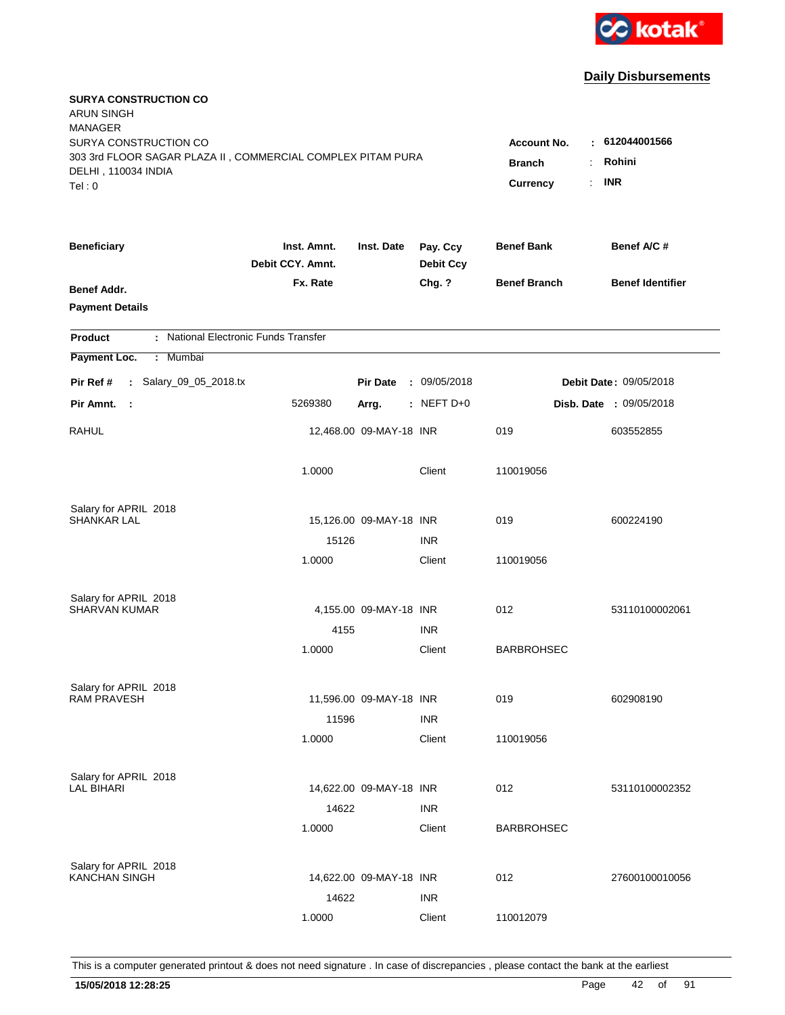

| <b>SURYA CONSTRUCTION CO</b><br><b>ARUN SINGH</b><br><b>MANAGER</b><br>SURYA CONSTRUCTION CO |                                  |                         |                              | <b>Account No.</b><br>÷ | 612044001566            |
|----------------------------------------------------------------------------------------------|----------------------------------|-------------------------|------------------------------|-------------------------|-------------------------|
| 303 3rd FLOOR SAGAR PLAZA II, COMMERCIAL COMPLEX PITAM PURA<br>DELHI, 110034 INDIA<br>Tel: 0 | <b>Branch</b><br><b>Currency</b> | Rohini<br><b>INR</b>    |                              |                         |                         |
| <b>Beneficiary</b>                                                                           | Inst. Amnt.<br>Debit CCY. Amnt.  | Inst. Date              | Pay. Ccy<br><b>Debit Ccy</b> | <b>Benef Bank</b>       | Benef A/C #             |
| Benef Addr.<br><b>Payment Details</b>                                                        | Fx. Rate                         |                         | Chg. ?                       | <b>Benef Branch</b>     | <b>Benef Identifier</b> |
| : National Electronic Funds Transfer<br><b>Product</b>                                       |                                  |                         |                              |                         |                         |
| Payment Loc.<br>: Mumbai                                                                     |                                  |                         |                              |                         |                         |
| : Salary_09_05_2018.tx<br>Pir Ref #                                                          |                                  | <b>Pir Date</b>         | : 09/05/2018                 |                         | Debit Date: 09/05/2018  |
| Pir Amnt.<br>$\sim$ 1                                                                        | 5269380                          | Arrg.                   | $:$ NEFT D+0                 |                         | Disb. Date : 09/05/2018 |
| RAHUL                                                                                        |                                  | 12,468.00 09-MAY-18 INR |                              | 019                     | 603552855               |
|                                                                                              | 1.0000                           |                         | Client                       | 110019056               |                         |
| Salary for APRIL 2018                                                                        |                                  |                         |                              |                         |                         |
| <b>SHANKAR LAL</b>                                                                           |                                  | 15,126.00 09-MAY-18 INR |                              | 019                     | 600224190               |
|                                                                                              | 15126<br>1.0000                  |                         | <b>INR</b><br>Client         | 110019056               |                         |
| Salary for APRIL 2018                                                                        |                                  |                         |                              |                         |                         |
| <b>SHARVAN KUMAR</b>                                                                         |                                  | 4,155.00 09-MAY-18 INR  |                              | 012                     | 53110100002061          |
|                                                                                              | 4155                             |                         | <b>INR</b>                   |                         |                         |
|                                                                                              | 1.0000                           |                         | Client                       | <b>BARBROHSEC</b>       |                         |
| Salary for APRIL 2018                                                                        |                                  |                         |                              |                         |                         |
| <b>RAM PRAVESH</b>                                                                           |                                  | 11,596.00 09-MAY-18 INR |                              | 019                     | 602908190               |
|                                                                                              | 11596                            |                         | <b>INR</b>                   |                         |                         |
|                                                                                              | 1.0000                           |                         | Client                       | 110019056               |                         |
| Salary for APRIL 2018                                                                        |                                  |                         |                              |                         |                         |
| LAL BIHARI                                                                                   |                                  | 14,622.00 09-MAY-18 INR |                              | 012                     | 53110100002352          |
|                                                                                              | 14622                            |                         | <b>INR</b>                   |                         |                         |
|                                                                                              | 1.0000                           |                         | Client                       | <b>BARBROHSEC</b>       |                         |
| Salary for APRIL 2018                                                                        |                                  |                         |                              |                         |                         |
| <b>KANCHAN SINGH</b>                                                                         |                                  | 14,622.00 09-MAY-18 INR |                              | 012                     | 27600100010056          |
|                                                                                              | 14622                            |                         | <b>INR</b>                   |                         |                         |
|                                                                                              | 1.0000                           |                         | Client                       | 110012079               |                         |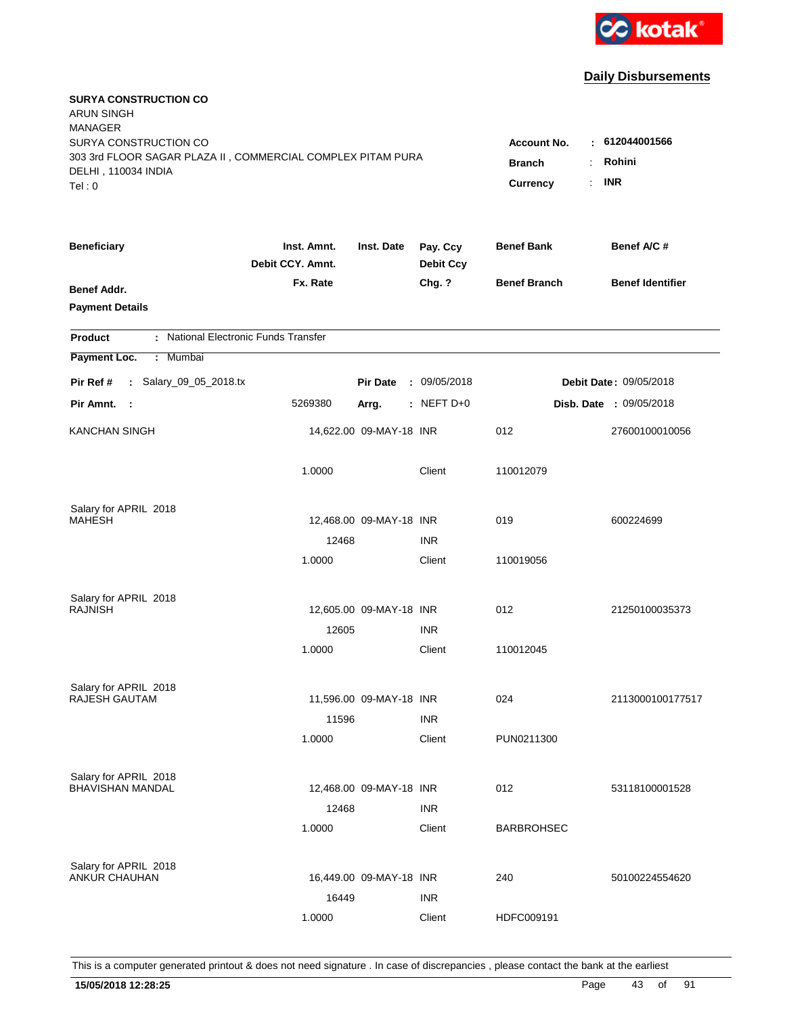

| <b>SURYA CONSTRUCTION CO</b><br><b>ARUN SINGH</b><br><b>MANAGER</b>                                                   |                                               |                                      |                              |                     |                                |
|-----------------------------------------------------------------------------------------------------------------------|-----------------------------------------------|--------------------------------------|------------------------------|---------------------|--------------------------------|
| SURYA CONSTRUCTION CO<br>303 3rd FLOOR SAGAR PLAZA II, COMMERCIAL COMPLEX PITAM PURA<br>DELHI, 110034 INDIA<br>Tel: 0 | Account No.<br>÷<br><b>Branch</b><br>Currency | 612044001566<br>Rohini<br><b>INR</b> |                              |                     |                                |
| <b>Beneficiary</b>                                                                                                    | Inst. Amnt.<br>Debit CCY. Amnt.               | Inst. Date                           | Pay. Ccy<br><b>Debit Ccy</b> | <b>Benef Bank</b>   | Benef A/C #                    |
| Benef Addr.<br><b>Payment Details</b>                                                                                 | Fx. Rate                                      |                                      | Chg. ?                       | <b>Benef Branch</b> | <b>Benef Identifier</b>        |
| : National Electronic Funds Transfer<br><b>Product</b>                                                                |                                               |                                      |                              |                     |                                |
| Payment Loc.<br>: Mumbai                                                                                              |                                               |                                      |                              |                     |                                |
| : Salary_09_05_2018.tx<br>Pir Ref #                                                                                   |                                               | <b>Pir Date</b>                      | : 09/05/2018                 |                     | Debit Date: 09/05/2018         |
| Pir Amnt. :                                                                                                           | 5269380                                       | Arrg.                                | $:$ NEFT D+0                 |                     | <b>Disb. Date : 09/05/2018</b> |
| <b>KANCHAN SINGH</b>                                                                                                  |                                               | 14,622.00 09-MAY-18 INR              |                              | 012                 | 27600100010056                 |
|                                                                                                                       | 1.0000                                        |                                      | Client                       | 110012079           |                                |
| Salary for APRIL 2018                                                                                                 |                                               |                                      |                              |                     |                                |
| <b>MAHESH</b>                                                                                                         |                                               | 12,468.00 09-MAY-18 INR              |                              | 019                 | 600224699                      |
|                                                                                                                       | 12468<br>1.0000                               |                                      | <b>INR</b><br>Client         | 110019056           |                                |
| Salary for APRIL 2018<br><b>RAJNISH</b>                                                                               |                                               | 12,605.00 09-MAY-18 INR              |                              | 012                 | 21250100035373                 |
|                                                                                                                       | 12605                                         |                                      | <b>INR</b>                   |                     |                                |
|                                                                                                                       | 1.0000                                        |                                      | Client                       | 110012045           |                                |
| Salary for APRIL 2018                                                                                                 |                                               |                                      |                              |                     |                                |
| RAJESH GAUTAM                                                                                                         |                                               | 11,596.00 09-MAY-18 INR              |                              | 024                 | 2113000100177517               |
|                                                                                                                       | 11596                                         |                                      | <b>INR</b>                   |                     |                                |
|                                                                                                                       | 1.0000                                        |                                      | Client                       | PUN0211300          |                                |
| Salary for APRIL 2018                                                                                                 |                                               |                                      |                              |                     |                                |
| <b>BHAVISHAN MANDAL</b>                                                                                               |                                               | 12,468.00 09-MAY-18 INR              |                              | 012                 | 53118100001528                 |
|                                                                                                                       | 12468                                         |                                      | <b>INR</b>                   |                     |                                |
|                                                                                                                       | 1.0000                                        |                                      | Client                       | <b>BARBROHSEC</b>   |                                |
| Salary for APRIL 2018                                                                                                 |                                               |                                      |                              |                     |                                |
| <b>ANKUR CHAUHAN</b>                                                                                                  |                                               | 16,449.00 09-MAY-18 INR              |                              | 240                 | 50100224554620                 |
|                                                                                                                       | 16449                                         |                                      | <b>INR</b>                   |                     |                                |
|                                                                                                                       | 1.0000                                        |                                      | Client                       | HDFC009191          |                                |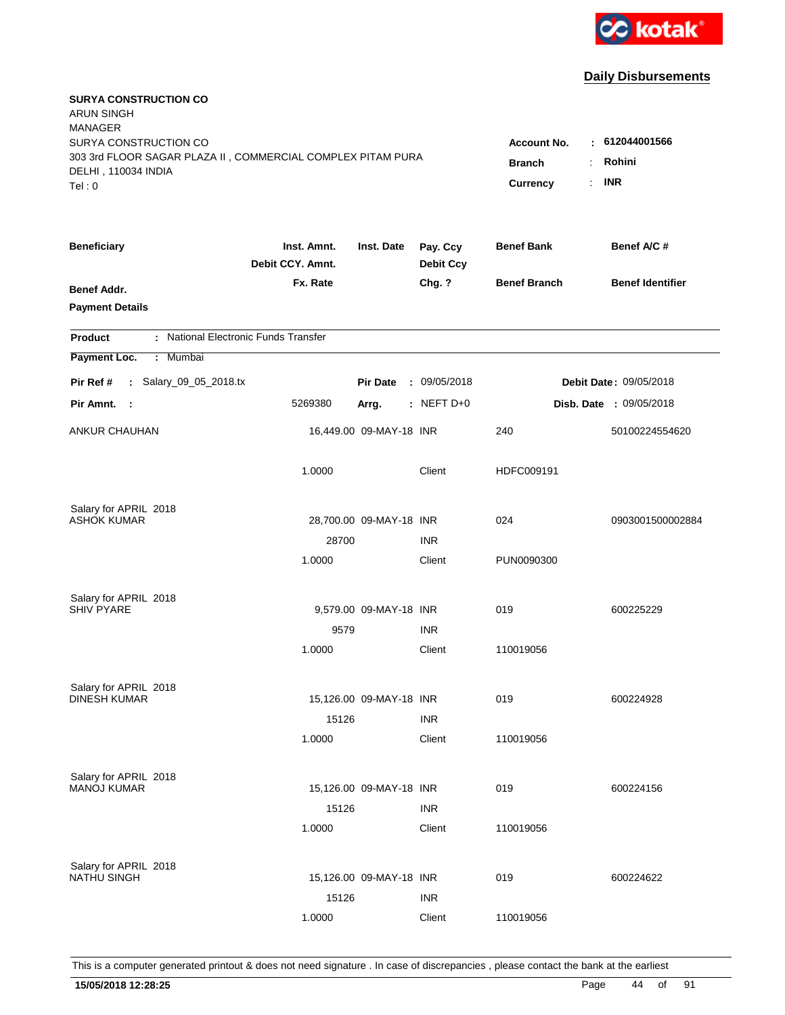

| <b>SURYA CONSTRUCTION CO</b><br><b>ARUN SINGH</b><br><b>MANAGER</b> |                                 |                         |                              |                     |                                |
|---------------------------------------------------------------------|---------------------------------|-------------------------|------------------------------|---------------------|--------------------------------|
| SURYA CONSTRUCTION CO                                               |                                 |                         |                              | <b>Account No.</b>  | $-612044001566$                |
| 303 3rd FLOOR SAGAR PLAZA II, COMMERCIAL COMPLEX PITAM PURA         |                                 |                         |                              | <b>Branch</b><br>÷  | Rohini                         |
| DELHI, 110034 INDIA<br>Tel: 0                                       |                                 |                         |                              | ÷.<br>Currency      | <b>INR</b>                     |
|                                                                     |                                 |                         |                              |                     |                                |
| <b>Beneficiary</b>                                                  | Inst. Amnt.<br>Debit CCY. Amnt. | Inst. Date              | Pay. Ccy<br><b>Debit Ccy</b> | <b>Benef Bank</b>   | Benef A/C #                    |
| Benef Addr.                                                         | Fx. Rate                        |                         | Chg. ?                       | <b>Benef Branch</b> | <b>Benef Identifier</b>        |
| <b>Payment Details</b>                                              |                                 |                         |                              |                     |                                |
| : National Electronic Funds Transfer<br><b>Product</b>              |                                 |                         |                              |                     |                                |
| Payment Loc.<br>: Mumbai                                            |                                 |                         |                              |                     |                                |
| : Salary_09_05_2018.tx<br>Pir Ref #                                 |                                 | <b>Pir Date</b>         | : 09/05/2018                 |                     | Debit Date: 09/05/2018         |
| Pir Amnt.<br>$\sim$ :                                               | 5269380                         | Arrg.                   | $:$ NEFT D+0                 |                     | <b>Disb. Date : 09/05/2018</b> |
| <b>ANKUR CHAUHAN</b>                                                |                                 | 16,449.00 09-MAY-18 INR |                              | 240                 | 50100224554620                 |
|                                                                     | 1.0000                          |                         | Client                       | HDFC009191          |                                |
| Salary for APRIL 2018                                               |                                 |                         |                              |                     |                                |
| ASHOK KUMAR                                                         |                                 | 28,700.00 09-MAY-18 INR |                              | 024                 | 0903001500002884               |
|                                                                     | 28700                           |                         | <b>INR</b>                   |                     |                                |
|                                                                     | 1.0000                          |                         | Client                       | PUN0090300          |                                |
| Salary for APRIL 2018                                               |                                 |                         |                              |                     |                                |
| <b>SHIV PYARE</b>                                                   |                                 | 9,579.00 09-MAY-18 INR  |                              | 019                 | 600225229                      |
|                                                                     | 9579                            |                         | <b>INR</b>                   |                     |                                |
|                                                                     | 1.0000                          |                         | Client                       | 110019056           |                                |
| Salary for APRIL 2018                                               |                                 |                         |                              |                     |                                |
| <b>DINESH KUMAR</b>                                                 |                                 | 15,126.00 09-MAY-18 INR |                              | 019                 | 600224928                      |
|                                                                     | 15126                           |                         | <b>INR</b>                   |                     |                                |
|                                                                     | 1.0000                          |                         | Client                       | 110019056           |                                |
| Salary for APRIL 2018                                               |                                 |                         |                              |                     |                                |
| <b>MANOJ KUMAR</b>                                                  |                                 | 15,126.00 09-MAY-18 INR |                              | 019                 | 600224156                      |
|                                                                     | 15126                           |                         | <b>INR</b>                   |                     |                                |
|                                                                     | 1.0000                          |                         | Client                       | 110019056           |                                |
| Salary for APRIL 2018                                               |                                 |                         |                              |                     |                                |
| <b>NATHU SINGH</b>                                                  |                                 | 15,126.00 09-MAY-18 INR |                              | 019                 | 600224622                      |
|                                                                     | 15126                           |                         | <b>INR</b>                   |                     |                                |
|                                                                     | 1.0000                          |                         | Client                       | 110019056           |                                |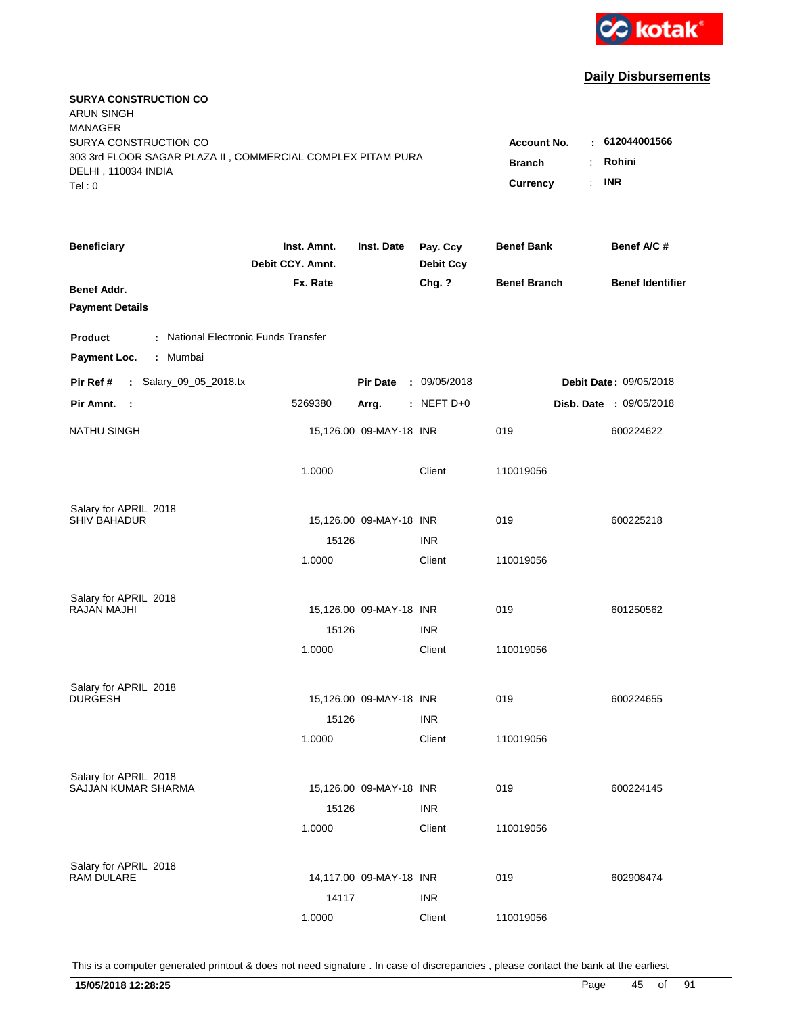

| <b>SURYA CONSTRUCTION CO</b><br><b>ARUN SINGH</b><br><b>MANAGER</b><br>SURYA CONSTRUCTION CO<br>303 3rd FLOOR SAGAR PLAZA II, COMMERCIAL COMPLEX PITAM PURA<br>DELHI, 110034 INDIA<br>Tel: 0 | <b>Account No.</b><br><b>Branch</b><br>Currency | : 612044001566<br>Rohini<br>÷<br><b>INR</b><br>÷. |                              |                     |                                |
|----------------------------------------------------------------------------------------------------------------------------------------------------------------------------------------------|-------------------------------------------------|---------------------------------------------------|------------------------------|---------------------|--------------------------------|
|                                                                                                                                                                                              |                                                 |                                                   |                              |                     |                                |
| <b>Beneficiary</b>                                                                                                                                                                           | Inst. Amnt.<br>Debit CCY. Amnt.                 | Inst. Date                                        | Pay. Ccy<br><b>Debit Ccy</b> | <b>Benef Bank</b>   | Benef A/C #                    |
| Benef Addr.<br><b>Payment Details</b>                                                                                                                                                        | Fx. Rate                                        |                                                   | Chg. ?                       | <b>Benef Branch</b> | <b>Benef Identifier</b>        |
| : National Electronic Funds Transfer<br><b>Product</b>                                                                                                                                       |                                                 |                                                   |                              |                     |                                |
| Payment Loc.<br><b>Mumbai</b><br>÷.                                                                                                                                                          |                                                 |                                                   |                              |                     |                                |
| : Salary_09_05_2018.tx<br>Pir Ref #                                                                                                                                                          |                                                 | <b>Pir Date</b>                                   | : 09/05/2018                 |                     | Debit Date: 09/05/2018         |
| Pir Amnt. :                                                                                                                                                                                  | 5269380                                         | Arrg.                                             | : NEFT $D+0$                 |                     | <b>Disb. Date : 09/05/2018</b> |
| <b>NATHU SINGH</b>                                                                                                                                                                           |                                                 | 15,126.00 09-MAY-18 INR                           |                              | 019                 | 600224622                      |
|                                                                                                                                                                                              | 1.0000                                          |                                                   | Client                       | 110019056           |                                |
| Salary for APRIL 2018                                                                                                                                                                        |                                                 |                                                   |                              |                     |                                |
| <b>SHIV BAHADUR</b>                                                                                                                                                                          |                                                 | 15,126.00 09-MAY-18 INR                           |                              | 019                 | 600225218                      |
|                                                                                                                                                                                              | 15126                                           |                                                   | <b>INR</b>                   |                     |                                |
|                                                                                                                                                                                              | 1.0000                                          |                                                   | Client                       | 110019056           |                                |
| Salary for APRIL 2018                                                                                                                                                                        |                                                 |                                                   |                              |                     |                                |
| <b>RAJAN MAJHI</b>                                                                                                                                                                           |                                                 | 15,126.00 09-MAY-18 INR                           |                              | 019                 | 601250562                      |
|                                                                                                                                                                                              | 15126                                           |                                                   | <b>INR</b>                   |                     |                                |
|                                                                                                                                                                                              | 1.0000                                          |                                                   | Client                       | 110019056           |                                |
| Salary for APRIL 2018                                                                                                                                                                        |                                                 |                                                   |                              |                     |                                |
| <b>DURGESH</b>                                                                                                                                                                               |                                                 | 15,126.00 09-MAY-18 INR                           |                              | 019                 | 600224655                      |
|                                                                                                                                                                                              | 15126                                           |                                                   | <b>INR</b>                   |                     |                                |
|                                                                                                                                                                                              | 1.0000                                          |                                                   | Client                       | 110019056           |                                |
| Salary for APRIL 2018                                                                                                                                                                        |                                                 |                                                   |                              |                     |                                |
| SAJJAN KUMAR SHARMA                                                                                                                                                                          |                                                 | 15,126.00 09-MAY-18 INR                           |                              | 019                 | 600224145                      |
|                                                                                                                                                                                              | 15126                                           |                                                   | <b>INR</b>                   |                     |                                |
|                                                                                                                                                                                              | 1.0000                                          |                                                   | Client                       | 110019056           |                                |
| Salary for APRIL 2018                                                                                                                                                                        |                                                 |                                                   |                              |                     |                                |
| <b>RAM DULARE</b>                                                                                                                                                                            |                                                 | 14,117.00 09-MAY-18 INR                           |                              | 019                 | 602908474                      |
|                                                                                                                                                                                              | 14117                                           |                                                   | <b>INR</b>                   |                     |                                |
|                                                                                                                                                                                              | 1.0000                                          |                                                   | Client                       | 110019056           |                                |
|                                                                                                                                                                                              |                                                 |                                                   |                              |                     |                                |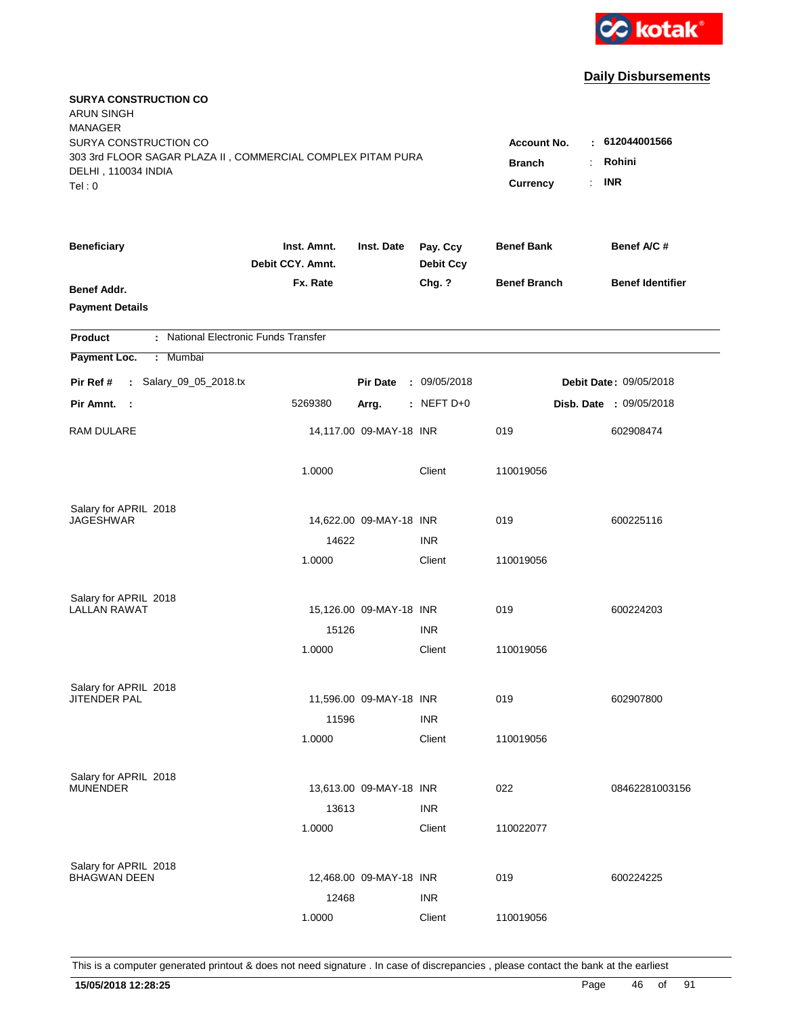

| <b>SURYA CONSTRUCTION CO</b><br><b>ARUN SINGH</b><br><b>MANAGER</b><br>SURYA CONSTRUCTION CO<br>303 3rd FLOOR SAGAR PLAZA II, COMMERCIAL COMPLEX PITAM PURA<br>DELHI, 110034 INDIA<br>Tel: 0 | <b>Account No.</b><br>к.<br><b>Branch</b><br>Currency<br>÷. | 612044001566<br>Rohini<br><b>INR</b> |                              |                     |                                |
|----------------------------------------------------------------------------------------------------------------------------------------------------------------------------------------------|-------------------------------------------------------------|--------------------------------------|------------------------------|---------------------|--------------------------------|
| <b>Beneficiary</b>                                                                                                                                                                           | Inst. Amnt.<br>Debit CCY. Amnt.                             | Inst. Date                           | Pay. Ccy<br><b>Debit Ccy</b> | <b>Benef Bank</b>   | Benef A/C #                    |
| Benef Addr.<br><b>Payment Details</b>                                                                                                                                                        | Fx. Rate                                                    |                                      | Chg. ?                       | <b>Benef Branch</b> | <b>Benef Identifier</b>        |
| : National Electronic Funds Transfer<br><b>Product</b>                                                                                                                                       |                                                             |                                      |                              |                     |                                |
| Payment Loc.<br>: Mumbai                                                                                                                                                                     |                                                             |                                      |                              |                     |                                |
| : Salary_09_05_2018.tx<br>Pir Ref #                                                                                                                                                          |                                                             | <b>Pir Date</b>                      | : 09/05/2018                 |                     | Debit Date: 09/05/2018         |
| Pir Amnt.<br>$\sim$ 1                                                                                                                                                                        | 5269380                                                     | Arrg.                                | : NEFT $D+0$                 |                     | <b>Disb. Date : 09/05/2018</b> |
| RAM DULARE                                                                                                                                                                                   |                                                             | 14,117.00 09-MAY-18 INR              |                              | 019                 | 602908474                      |
|                                                                                                                                                                                              | 1.0000                                                      |                                      | Client                       | 110019056           |                                |
| Salary for APRIL 2018                                                                                                                                                                        |                                                             |                                      |                              |                     |                                |
| <b>JAGESHWAR</b>                                                                                                                                                                             |                                                             | 14,622.00 09-MAY-18 INR              |                              | 019                 | 600225116                      |
|                                                                                                                                                                                              | 14622<br>1.0000                                             |                                      | <b>INR</b><br>Client         | 110019056           |                                |
|                                                                                                                                                                                              |                                                             |                                      |                              |                     |                                |
| Salary for APRIL 2018                                                                                                                                                                        |                                                             |                                      |                              |                     |                                |
| <b>LALLAN RAWAT</b>                                                                                                                                                                          |                                                             | 15,126.00 09-MAY-18 INR              |                              | 019                 | 600224203                      |
|                                                                                                                                                                                              | 15126                                                       |                                      | <b>INR</b>                   |                     |                                |
|                                                                                                                                                                                              | 1.0000                                                      |                                      | Client                       | 110019056           |                                |
| Salary for APRIL 2018                                                                                                                                                                        |                                                             |                                      |                              |                     |                                |
| <b>JITENDER PAL</b>                                                                                                                                                                          |                                                             | 11,596.00 09-MAY-18 INR              |                              | 019                 | 602907800                      |
|                                                                                                                                                                                              | 11596                                                       |                                      | <b>INR</b>                   |                     |                                |
|                                                                                                                                                                                              | 1.0000                                                      |                                      | Client                       | 110019056           |                                |
| Salary for APRIL 2018                                                                                                                                                                        |                                                             |                                      |                              |                     |                                |
| <b>MUNENDER</b>                                                                                                                                                                              |                                                             | 13,613.00 09-MAY-18 INR              |                              | 022                 | 08462281003156                 |
|                                                                                                                                                                                              | 13613                                                       |                                      | <b>INR</b>                   |                     |                                |
|                                                                                                                                                                                              | 1.0000                                                      |                                      | Client                       | 110022077           |                                |
|                                                                                                                                                                                              |                                                             |                                      |                              |                     |                                |
| Salary for APRIL 2018<br><b>BHAGWAN DEEN</b>                                                                                                                                                 |                                                             | 12,468.00 09-MAY-18 INR              |                              | 019                 | 600224225                      |
|                                                                                                                                                                                              | 12468                                                       |                                      | <b>INR</b>                   |                     |                                |
|                                                                                                                                                                                              | 1.0000                                                      |                                      | Client                       | 110019056           |                                |
|                                                                                                                                                                                              |                                                             |                                      |                              |                     |                                |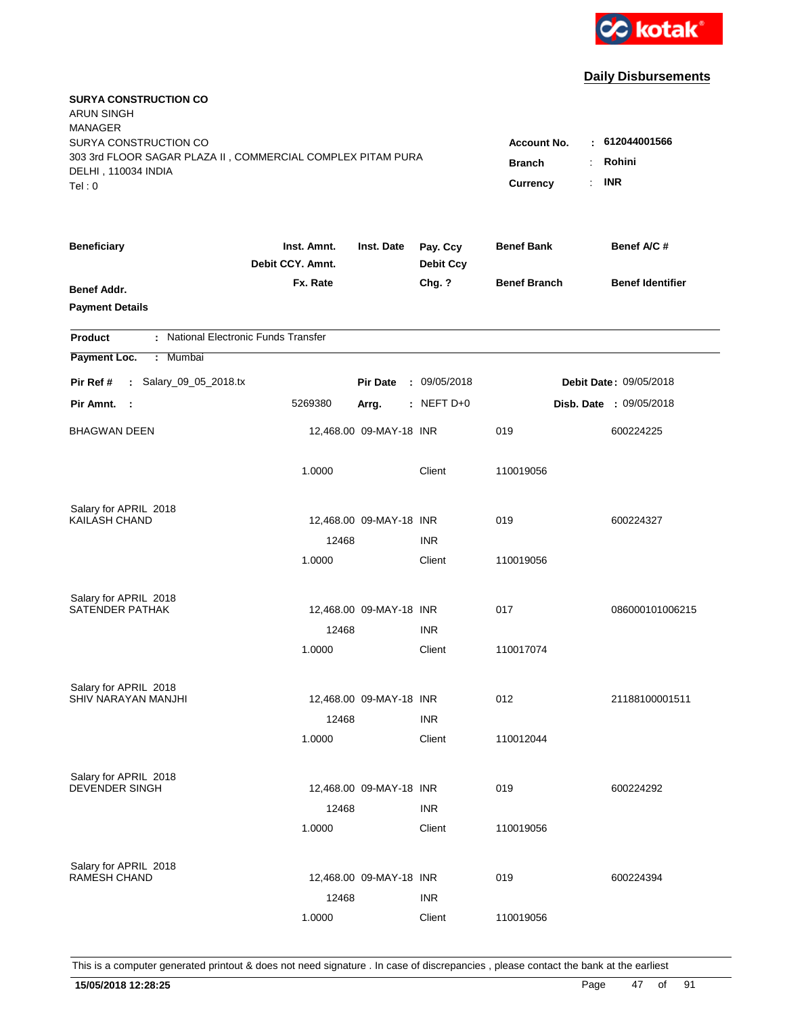

| <b>SURYA CONSTRUCTION CO</b><br><b>ARUN SINGH</b><br><b>MANAGER</b>                                         |                                 |                         |                              |                                          |                                |
|-------------------------------------------------------------------------------------------------------------|---------------------------------|-------------------------|------------------------------|------------------------------------------|--------------------------------|
| SURYA CONSTRUCTION CO<br>303 3rd FLOOR SAGAR PLAZA II, COMMERCIAL COMPLEX PITAM PURA<br>DELHI, 110034 INDIA |                                 |                         |                              | <b>Account No.</b><br>÷<br><b>Branch</b> | 612044001566<br>Rohini         |
| Tel: 0                                                                                                      |                                 |                         |                              | Currency                                 | <b>INR</b>                     |
| <b>Beneficiary</b>                                                                                          | Inst. Amnt.<br>Debit CCY. Amnt. | Inst. Date              | Pay. Ccy<br><b>Debit Ccy</b> | <b>Benef Bank</b>                        | Benef A/C #                    |
| Benef Addr.<br><b>Payment Details</b>                                                                       | Fx. Rate                        |                         | Chg. ?                       | <b>Benef Branch</b>                      | <b>Benef Identifier</b>        |
| : National Electronic Funds Transfer<br><b>Product</b>                                                      |                                 |                         |                              |                                          |                                |
| Payment Loc.<br>: Mumbai                                                                                    |                                 |                         |                              |                                          |                                |
| : Salary_09_05_2018.tx<br>Pir Ref #                                                                         |                                 | <b>Pir Date</b>         | : 09/05/2018                 |                                          | Debit Date: 09/05/2018         |
| Pir Amnt. :                                                                                                 | 5269380                         | Arrg.                   | $:$ NEFT D+0                 |                                          | <b>Disb. Date : 09/05/2018</b> |
| <b>BHAGWAN DEEN</b>                                                                                         |                                 | 12,468.00 09-MAY-18 INR |                              | 019                                      | 600224225                      |
|                                                                                                             | 1.0000                          |                         | Client                       | 110019056                                |                                |
| Salary for APRIL 2018                                                                                       |                                 |                         |                              |                                          |                                |
| <b>KAILASH CHAND</b>                                                                                        |                                 | 12,468.00 09-MAY-18 INR |                              | 019                                      | 600224327                      |
|                                                                                                             | 12468                           |                         | <b>INR</b>                   |                                          |                                |
|                                                                                                             | 1.0000                          |                         | Client                       | 110019056                                |                                |
| Salary for APRIL 2018                                                                                       |                                 |                         |                              |                                          |                                |
| SATENDER PATHAK                                                                                             |                                 | 12,468.00 09-MAY-18 INR |                              | 017                                      | 086000101006215                |
|                                                                                                             | 12468                           |                         | <b>INR</b>                   |                                          |                                |
|                                                                                                             | 1.0000                          |                         | Client                       | 110017074                                |                                |
| Salary for APRIL 2018                                                                                       |                                 |                         |                              |                                          |                                |
| SHIV NARAYAN MANJHI                                                                                         |                                 | 12,468.00 09-MAY-18 INR |                              | 012                                      | 21188100001511                 |
|                                                                                                             | 12468                           |                         | <b>INR</b>                   |                                          |                                |
|                                                                                                             | 1.0000                          |                         | Client                       | 110012044                                |                                |
| Salary for APRIL 2018                                                                                       |                                 |                         |                              |                                          |                                |
| DEVENDER SINGH                                                                                              |                                 | 12,468.00 09-MAY-18 INR |                              | 019                                      | 600224292                      |
|                                                                                                             | 12468                           |                         | <b>INR</b>                   |                                          |                                |
|                                                                                                             | 1.0000                          |                         | Client                       | 110019056                                |                                |
| Salary for APRIL 2018                                                                                       |                                 |                         |                              |                                          |                                |
| RAMESH CHAND                                                                                                |                                 | 12,468.00 09-MAY-18 INR |                              | 019                                      | 600224394                      |
|                                                                                                             | 12468                           |                         | <b>INR</b>                   |                                          |                                |
|                                                                                                             | 1.0000                          |                         | Client                       | 110019056                                |                                |
|                                                                                                             |                                 |                         |                              |                                          |                                |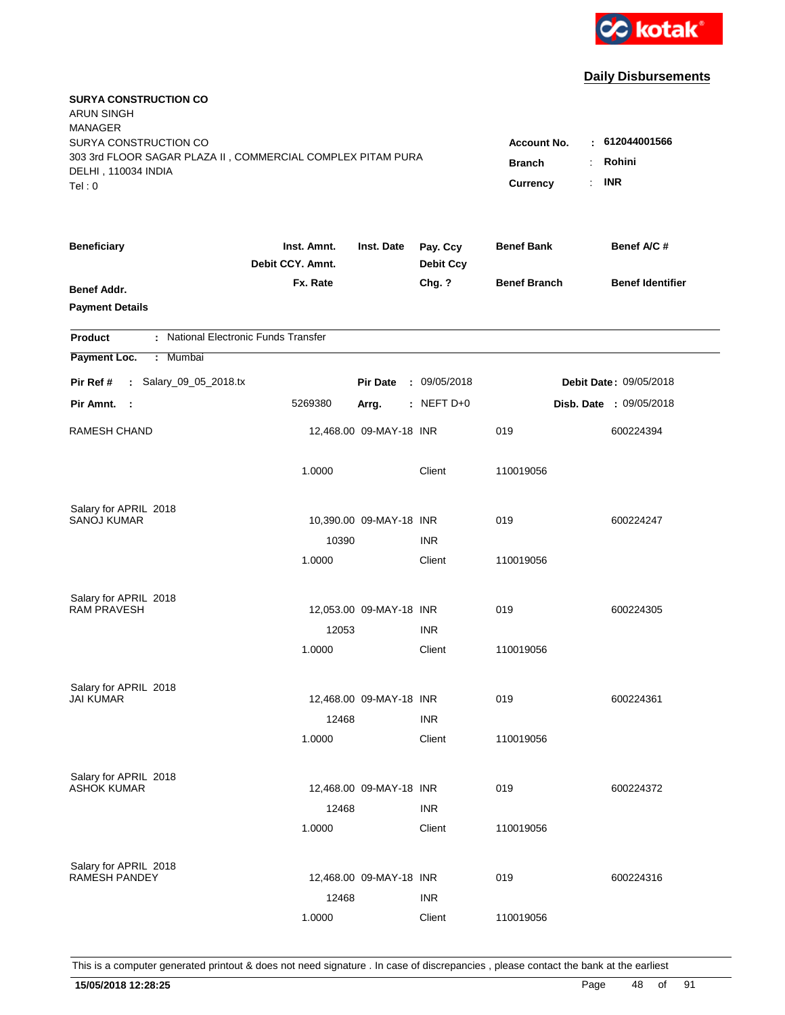

| <b>SURYA CONSTRUCTION CO</b><br><b>ARUN SINGH</b><br><b>MANAGER</b><br>SURYA CONSTRUCTION CO<br>303 3rd FLOOR SAGAR PLAZA II, COMMERCIAL COMPLEX PITAM PURA<br>DELHI, 110034 INDIA<br>Tel: 0 | Account No.<br><b>Branch</b><br><b>Currency</b> | $-612044001566$<br>Rohini<br><b>INR</b><br>÷. |                              |                     |                         |
|----------------------------------------------------------------------------------------------------------------------------------------------------------------------------------------------|-------------------------------------------------|-----------------------------------------------|------------------------------|---------------------|-------------------------|
| <b>Beneficiary</b>                                                                                                                                                                           | Inst. Amnt.<br>Debit CCY. Amnt.                 | Inst. Date                                    | Pay. Ccy<br><b>Debit Ccy</b> | <b>Benef Bank</b>   | Benef A/C #             |
| Benef Addr.<br><b>Payment Details</b>                                                                                                                                                        | Fx. Rate                                        |                                               | Chg. ?                       | <b>Benef Branch</b> | <b>Benef Identifier</b> |
| : National Electronic Funds Transfer<br><b>Product</b>                                                                                                                                       |                                                 |                                               |                              |                     |                         |
| Payment Loc.<br>Mumbai<br>÷.                                                                                                                                                                 |                                                 |                                               |                              |                     |                         |
| : Salary_09_05_2018.tx<br>Pir Ref #                                                                                                                                                          |                                                 | <b>Pir Date</b>                               | : 09/05/2018                 |                     | Debit Date: 09/05/2018  |
| Pir Amnt.<br>$\sim$ 1                                                                                                                                                                        | 5269380                                         | Arrg.                                         | : NEFT D+0                   |                     | Disb. Date : 09/05/2018 |
| <b>RAMESH CHAND</b>                                                                                                                                                                          |                                                 | 12,468.00 09-MAY-18 INR                       |                              | 019                 | 600224394               |
|                                                                                                                                                                                              | 1.0000                                          |                                               | Client                       | 110019056           |                         |
| Salary for APRIL 2018                                                                                                                                                                        |                                                 |                                               |                              |                     |                         |
| <b>SANOJ KUMAR</b>                                                                                                                                                                           | 10390                                           | 10,390.00 09-MAY-18 INR                       | <b>INR</b>                   | 019                 | 600224247               |
|                                                                                                                                                                                              | 1.0000                                          |                                               | Client                       | 110019056           |                         |
| Salary for APRIL 2018                                                                                                                                                                        |                                                 |                                               |                              |                     |                         |
| <b>RAM PRAVESH</b>                                                                                                                                                                           |                                                 | 12,053.00 09-MAY-18 INR                       |                              | 019                 | 600224305               |
|                                                                                                                                                                                              | 12053                                           |                                               | <b>INR</b>                   |                     |                         |
|                                                                                                                                                                                              | 1.0000                                          |                                               | Client                       | 110019056           |                         |
| Salary for APRIL 2018                                                                                                                                                                        |                                                 |                                               |                              |                     |                         |
| <b>JAI KUMAR</b>                                                                                                                                                                             |                                                 | 12,468.00 09-MAY-18 INR                       |                              | 019                 | 600224361               |
|                                                                                                                                                                                              | 12468                                           |                                               | <b>INR</b>                   |                     |                         |
|                                                                                                                                                                                              | 1.0000                                          |                                               | Client                       | 110019056           |                         |
| Salary for APRIL 2018                                                                                                                                                                        |                                                 |                                               |                              |                     |                         |
| <b>ASHOK KUMAR</b>                                                                                                                                                                           |                                                 | 12,468.00 09-MAY-18 INR                       |                              | 019                 | 600224372               |
|                                                                                                                                                                                              | 12468                                           |                                               | <b>INR</b>                   |                     |                         |
|                                                                                                                                                                                              | 1.0000                                          |                                               | Client                       | 110019056           |                         |
| Salary for APRIL 2018                                                                                                                                                                        |                                                 |                                               |                              |                     |                         |
| <b>RAMESH PANDEY</b>                                                                                                                                                                         |                                                 | 12,468.00 09-MAY-18 INR                       |                              | 019                 | 600224316               |
|                                                                                                                                                                                              | 12468                                           |                                               | <b>INR</b>                   |                     |                         |
|                                                                                                                                                                                              | 1.0000                                          |                                               | Client                       | 110019056           |                         |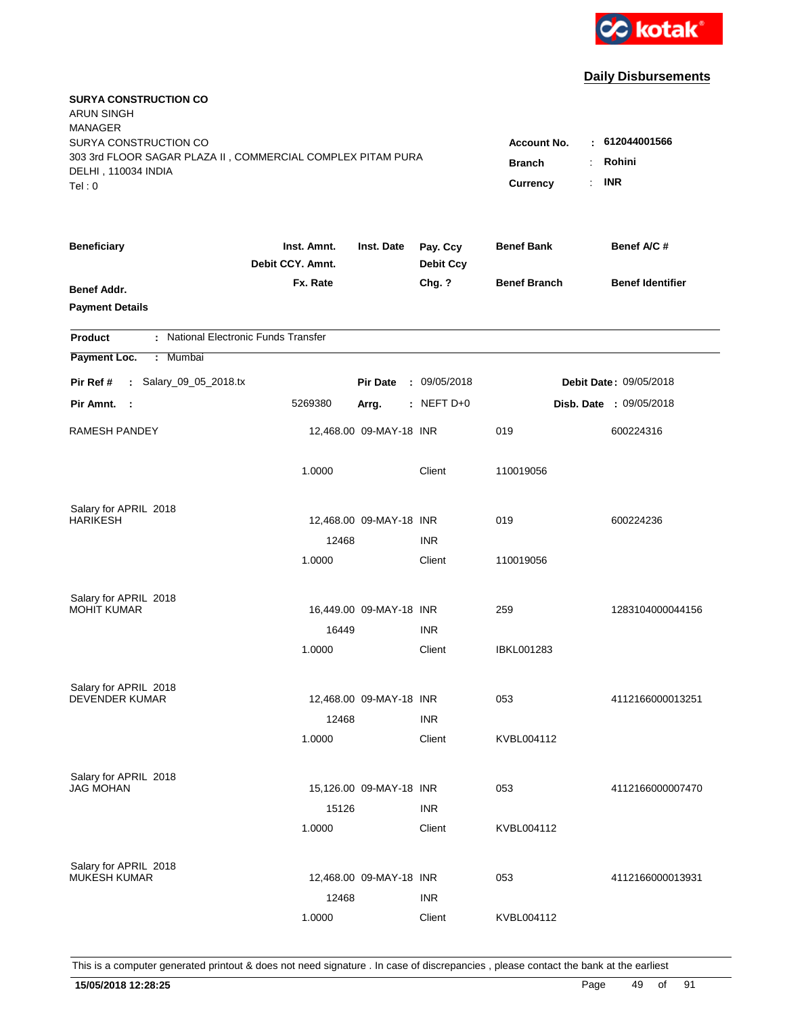

| <b>SURYA CONSTRUCTION CO</b><br><b>ARUN SINGH</b><br><b>MANAGER</b> |                                 |                         |                              |                         |                         |
|---------------------------------------------------------------------|---------------------------------|-------------------------|------------------------------|-------------------------|-------------------------|
| SURYA CONSTRUCTION CO                                               |                                 |                         |                              | <b>Account No.</b><br>٠ | 612044001566            |
| 303 3rd FLOOR SAGAR PLAZA II, COMMERCIAL COMPLEX PITAM PURA         | <b>Branch</b>                   | Rohini                  |                              |                         |                         |
| DELHI, 110034 INDIA                                                 |                                 |                         |                              | Currency<br>÷.          | <b>INR</b>              |
| Tel: 0                                                              |                                 |                         |                              |                         |                         |
| <b>Beneficiary</b>                                                  | Inst. Amnt.<br>Debit CCY. Amnt. | Inst. Date              | Pay. Ccy<br><b>Debit Ccy</b> | <b>Benef Bank</b>       | Benef A/C #             |
| Benef Addr.                                                         | Fx. Rate                        |                         | Chg. ?                       | <b>Benef Branch</b>     | <b>Benef Identifier</b> |
| <b>Payment Details</b>                                              |                                 |                         |                              |                         |                         |
| : National Electronic Funds Transfer<br><b>Product</b>              |                                 |                         |                              |                         |                         |
| Payment Loc.<br>: Mumbai                                            |                                 |                         |                              |                         |                         |
| : Salary_09_05_2018.tx<br>Pir Ref #                                 |                                 | <b>Pir Date</b>         | : 09/05/2018                 |                         | Debit Date: 09/05/2018  |
| Pir Amnt. :                                                         | 5269380                         | Arrg.                   | : NEFT D+0                   |                         | Disb. Date : 09/05/2018 |
| RAMESH PANDEY                                                       |                                 | 12,468.00 09-MAY-18 INR |                              | 019                     | 600224316               |
|                                                                     | 1.0000                          |                         | Client                       | 110019056               |                         |
| Salary for APRIL 2018                                               |                                 |                         |                              |                         |                         |
| <b>HARIKESH</b>                                                     |                                 | 12,468.00 09-MAY-18 INR |                              | 019                     | 600224236               |
|                                                                     | 12468                           |                         | <b>INR</b>                   |                         |                         |
|                                                                     | 1.0000                          |                         | Client                       | 110019056               |                         |
| Salary for APRIL 2018                                               |                                 |                         |                              |                         |                         |
| <b>MOHIT KUMAR</b>                                                  |                                 | 16,449.00 09-MAY-18 INR |                              | 259                     | 1283104000044156        |
|                                                                     | 16449                           |                         | <b>INR</b>                   |                         |                         |
|                                                                     | 1.0000                          |                         | Client                       | IBKL001283              |                         |
|                                                                     |                                 |                         |                              |                         |                         |
| Salary for APRIL 2018<br><b>DEVENDER KUMAR</b>                      |                                 | 12,468.00 09-MAY-18 INR |                              | 053                     | 4112166000013251        |
|                                                                     | 12468                           |                         | <b>INR</b>                   |                         |                         |
|                                                                     | 1.0000                          |                         | Client                       | KVBL004112              |                         |
|                                                                     |                                 |                         |                              |                         |                         |
| Salary for APRIL 2018                                               |                                 |                         |                              |                         |                         |
| <b>JAG MOHAN</b>                                                    |                                 | 15,126.00 09-MAY-18 INR |                              | 053                     | 4112166000007470        |
|                                                                     | 15126                           |                         | <b>INR</b>                   |                         |                         |
|                                                                     | 1.0000                          |                         | Client                       | KVBL004112              |                         |
| Salary for APRIL 2018                                               |                                 |                         |                              |                         |                         |
| <b>MUKESH KUMAR</b>                                                 |                                 | 12,468.00 09-MAY-18 INR |                              | 053                     | 4112166000013931        |
|                                                                     | 12468                           |                         | <b>INR</b>                   |                         |                         |
|                                                                     | 1.0000                          |                         | Client                       | KVBL004112              |                         |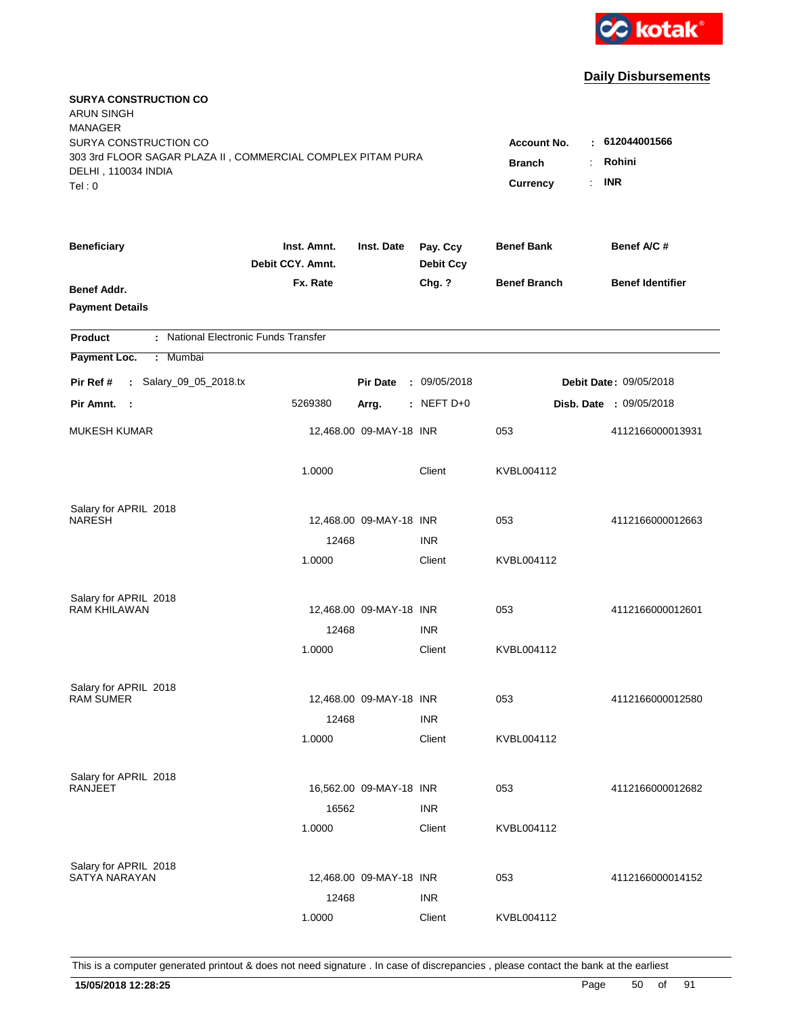

| <b>SURYA CONSTRUCTION CO</b><br><b>ARUN SINGH</b><br><b>MANAGER</b><br>SURYA CONSTRUCTION CO<br>303 3rd FLOOR SAGAR PLAZA II, COMMERCIAL COMPLEX PITAM PURA<br>DELHI, 110034 INDIA<br>Tel: 0 | <b>Account No.</b><br><b>Branch</b><br>Currency | : 612044001566<br>Rohini<br>÷.<br><b>INR</b><br>$\mathbf{r}$ |                              |                     |                                |
|----------------------------------------------------------------------------------------------------------------------------------------------------------------------------------------------|-------------------------------------------------|--------------------------------------------------------------|------------------------------|---------------------|--------------------------------|
| <b>Beneficiary</b>                                                                                                                                                                           | Inst. Amnt.<br>Debit CCY. Amnt.                 | Inst. Date                                                   | Pay. Ccy<br><b>Debit Ccy</b> | <b>Benef Bank</b>   | Benef A/C #                    |
| Benef Addr.<br><b>Payment Details</b>                                                                                                                                                        | Fx. Rate                                        |                                                              | Chg. ?                       | <b>Benef Branch</b> | <b>Benef Identifier</b>        |
| : National Electronic Funds Transfer<br><b>Product</b>                                                                                                                                       |                                                 |                                                              |                              |                     |                                |
| Payment Loc.<br>Mumbai<br>÷.                                                                                                                                                                 |                                                 |                                                              |                              |                     |                                |
| : Salary_09_05_2018.tx<br>Pir Ref #                                                                                                                                                          |                                                 | <b>Pir Date</b>                                              | : 09/05/2018                 |                     | <b>Debit Date: 09/05/2018</b>  |
| Pir Amnt. :                                                                                                                                                                                  | 5269380                                         | Arrg.                                                        | $:$ NEFT D+0                 |                     | <b>Disb. Date : 09/05/2018</b> |
| <b>MUKESH KUMAR</b>                                                                                                                                                                          |                                                 | 12,468.00 09-MAY-18 INR                                      |                              | 053                 | 4112166000013931               |
|                                                                                                                                                                                              | 1.0000                                          |                                                              | Client                       | KVBL004112          |                                |
| Salary for APRIL 2018                                                                                                                                                                        |                                                 |                                                              |                              |                     |                                |
| <b>NARESH</b>                                                                                                                                                                                |                                                 | 12,468.00 09-MAY-18 INR                                      |                              | 053                 | 4112166000012663               |
|                                                                                                                                                                                              | 12468<br>1.0000                                 |                                                              | <b>INR</b><br>Client         | KVBL004112          |                                |
| Salary for APRIL 2018                                                                                                                                                                        |                                                 |                                                              |                              |                     |                                |
| <b>RAM KHILAWAN</b>                                                                                                                                                                          |                                                 | 12,468.00 09-MAY-18 INR                                      |                              | 053                 | 4112166000012601               |
|                                                                                                                                                                                              | 12468                                           |                                                              | <b>INR</b>                   |                     |                                |
|                                                                                                                                                                                              | 1.0000                                          |                                                              | Client                       | KVBL004112          |                                |
| Salary for APRIL 2018                                                                                                                                                                        |                                                 |                                                              |                              |                     |                                |
| <b>RAM SUMER</b>                                                                                                                                                                             |                                                 | 12,468.00 09-MAY-18 INR                                      |                              | 053                 | 4112166000012580               |
|                                                                                                                                                                                              | 12468<br>1.0000                                 |                                                              | <b>INR</b><br>Client         | KVBL004112          |                                |
|                                                                                                                                                                                              |                                                 |                                                              |                              |                     |                                |
| Salary for APRIL 2018                                                                                                                                                                        |                                                 |                                                              |                              |                     |                                |
| <b>RANJEET</b>                                                                                                                                                                               |                                                 | 16,562.00 09-MAY-18 INR                                      |                              | 053                 | 4112166000012682               |
|                                                                                                                                                                                              | 16562<br>1.0000                                 |                                                              | <b>INR</b><br>Client         | KVBL004112          |                                |
|                                                                                                                                                                                              |                                                 |                                                              |                              |                     |                                |
| Salary for APRIL 2018<br>SATYA NARAYAN                                                                                                                                                       |                                                 | 12,468.00 09-MAY-18 INR                                      |                              | 053                 | 4112166000014152               |
|                                                                                                                                                                                              | 12468                                           |                                                              | <b>INR</b>                   |                     |                                |
|                                                                                                                                                                                              | 1.0000                                          |                                                              | Client                       | KVBL004112          |                                |
|                                                                                                                                                                                              |                                                 |                                                              |                              |                     |                                |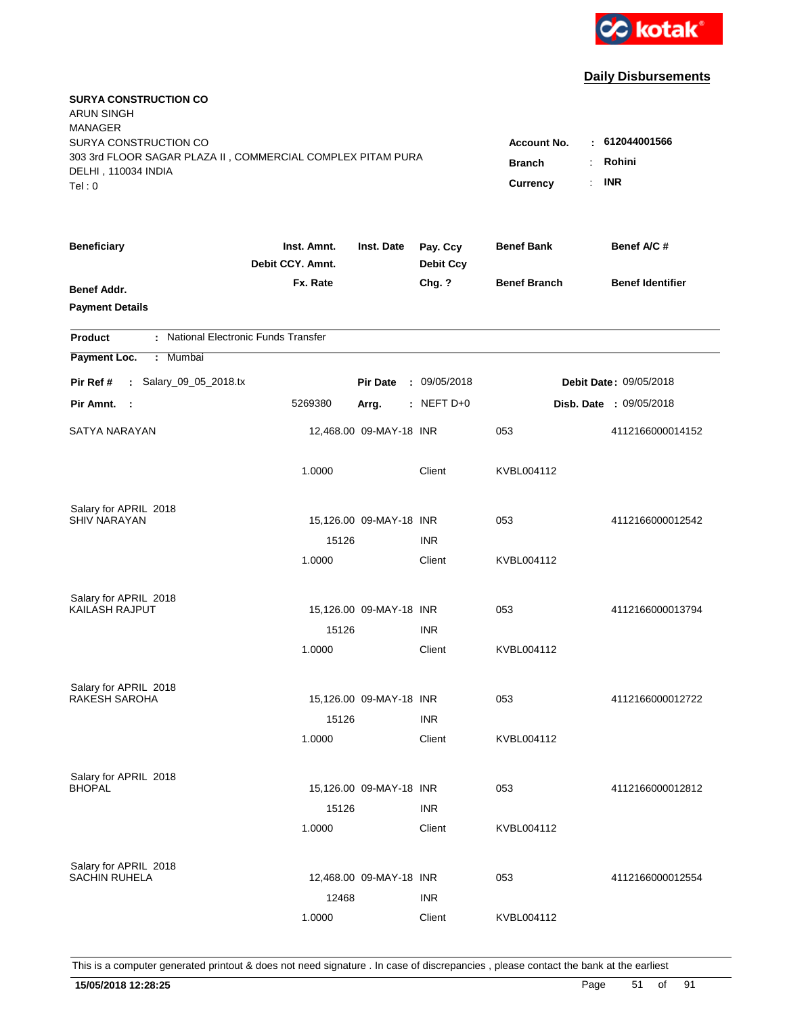

| <b>SURYA CONSTRUCTION CO</b><br><b>ARUN SINGH</b><br><b>MANAGER</b><br>SURYA CONSTRUCTION CO<br>303 3rd FLOOR SAGAR PLAZA II, COMMERCIAL COMPLEX PITAM PURA<br>DELHI, 110034 INDIA<br>Tel: 0 | <b>Account No.</b><br><b>Branch</b><br><b>Currency</b> | : 612044001566<br>Rohini<br>÷<br><b>INR</b><br>$\mathbb{R}^{\mathbb{Z}}$ |                              |                     |                                |
|----------------------------------------------------------------------------------------------------------------------------------------------------------------------------------------------|--------------------------------------------------------|--------------------------------------------------------------------------|------------------------------|---------------------|--------------------------------|
| <b>Beneficiary</b>                                                                                                                                                                           | Inst. Amnt.<br>Debit CCY. Amnt.                        | Inst. Date                                                               | Pay. Ccy<br><b>Debit Ccy</b> | <b>Benef Bank</b>   | Benef A/C #                    |
| Benef Addr.<br><b>Payment Details</b>                                                                                                                                                        | Fx. Rate                                               |                                                                          | Chg. ?                       | <b>Benef Branch</b> | <b>Benef Identifier</b>        |
| : National Electronic Funds Transfer<br><b>Product</b>                                                                                                                                       |                                                        |                                                                          |                              |                     |                                |
| Payment Loc.<br>Mumbai<br>÷                                                                                                                                                                  |                                                        |                                                                          |                              |                     |                                |
| : Salary_09_05_2018.tx<br>Pir Ref #                                                                                                                                                          |                                                        | <b>Pir Date</b>                                                          | : 09/05/2018                 |                     | <b>Debit Date: 09/05/2018</b>  |
| Pir Amnt.<br>$\sim$ 1                                                                                                                                                                        | 5269380                                                | Arrg.                                                                    | : NEFT D+0                   |                     | <b>Disb. Date : 09/05/2018</b> |
| SATYA NARAYAN                                                                                                                                                                                |                                                        | 12,468.00 09-MAY-18 INR                                                  |                              | 053                 | 4112166000014152               |
|                                                                                                                                                                                              | 1.0000                                                 |                                                                          | Client                       | KVBL004112          |                                |
| Salary for APRIL 2018                                                                                                                                                                        |                                                        |                                                                          |                              |                     |                                |
| <b>SHIV NARAYAN</b>                                                                                                                                                                          | 15126                                                  | 15,126.00 09-MAY-18 INR                                                  | <b>INR</b>                   | 053                 | 4112166000012542               |
|                                                                                                                                                                                              | 1.0000                                                 |                                                                          | Client                       | KVBL004112          |                                |
| Salary for APRIL 2018                                                                                                                                                                        |                                                        |                                                                          |                              |                     |                                |
| KAILASH RAJPUT                                                                                                                                                                               |                                                        | 15,126.00 09-MAY-18 INR                                                  |                              | 053                 | 4112166000013794               |
|                                                                                                                                                                                              | 15126                                                  |                                                                          | <b>INR</b>                   |                     |                                |
|                                                                                                                                                                                              | 1.0000                                                 |                                                                          | Client                       | KVBL004112          |                                |
| Salary for APRIL 2018                                                                                                                                                                        |                                                        |                                                                          |                              |                     |                                |
| <b>RAKESH SAROHA</b>                                                                                                                                                                         |                                                        | 15,126.00 09-MAY-18 INR                                                  |                              | 053                 | 4112166000012722               |
|                                                                                                                                                                                              | 15126                                                  |                                                                          | <b>INR</b>                   |                     |                                |
|                                                                                                                                                                                              | 1.0000                                                 |                                                                          | Client                       | KVBL004112          |                                |
| Salary for APRIL 2018                                                                                                                                                                        |                                                        |                                                                          |                              |                     |                                |
| <b>BHOPAL</b>                                                                                                                                                                                |                                                        | 15,126.00 09-MAY-18 INR                                                  |                              | 053                 | 4112166000012812               |
|                                                                                                                                                                                              | 15126<br>1.0000                                        |                                                                          | <b>INR</b><br>Client         | KVBL004112          |                                |
|                                                                                                                                                                                              |                                                        |                                                                          |                              |                     |                                |
| Salary for APRIL 2018<br><b>SACHIN RUHELA</b>                                                                                                                                                |                                                        | 12,468.00 09-MAY-18 INR                                                  |                              | 053                 | 4112166000012554               |
|                                                                                                                                                                                              | 12468                                                  |                                                                          | <b>INR</b>                   |                     |                                |
|                                                                                                                                                                                              | 1.0000                                                 |                                                                          | Client                       | KVBL004112          |                                |
|                                                                                                                                                                                              |                                                        |                                                                          |                              |                     |                                |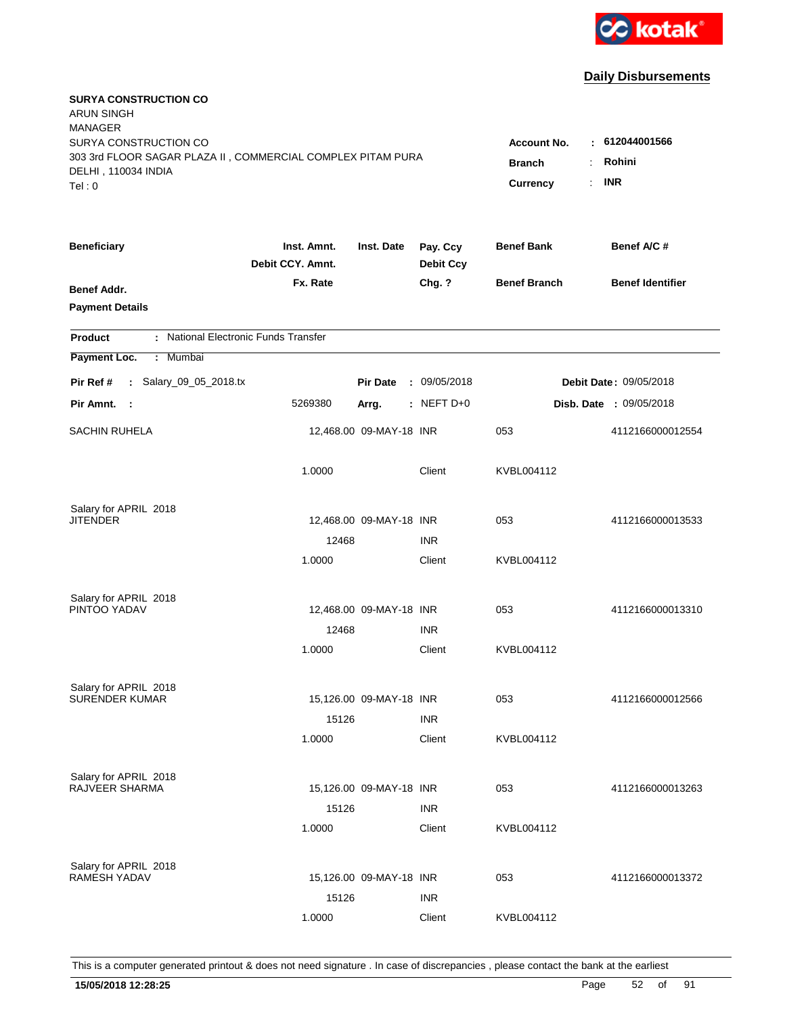

| <b>SURYA CONSTRUCTION CO</b><br><b>ARUN SINGH</b><br><b>MANAGER</b><br>SURYA CONSTRUCTION CO<br>303 3rd FLOOR SAGAR PLAZA II, COMMERCIAL COMPLEX PITAM PURA<br>DELHI, 110034 INDIA<br>Tel: 0 | Account No.<br><b>Branch</b><br>Currency | : 612044001566<br>Rohini<br>÷.<br><b>INR</b><br>$\mathbf{r}$ |                              |                     |                                |
|----------------------------------------------------------------------------------------------------------------------------------------------------------------------------------------------|------------------------------------------|--------------------------------------------------------------|------------------------------|---------------------|--------------------------------|
|                                                                                                                                                                                              |                                          |                                                              |                              |                     |                                |
| <b>Beneficiary</b>                                                                                                                                                                           | Inst. Amnt.<br>Debit CCY. Amnt.          | Inst. Date                                                   | Pay. Ccy<br><b>Debit Ccy</b> | <b>Benef Bank</b>   | Benef A/C #                    |
| Benef Addr.<br><b>Payment Details</b>                                                                                                                                                        | Fx. Rate                                 |                                                              | Chg. ?                       | <b>Benef Branch</b> | <b>Benef Identifier</b>        |
| : National Electronic Funds Transfer<br><b>Product</b>                                                                                                                                       |                                          |                                                              |                              |                     |                                |
| Payment Loc.<br>Mumbai<br>÷.                                                                                                                                                                 |                                          |                                                              |                              |                     |                                |
| : Salary_09_05_2018.tx<br>Pir Ref #                                                                                                                                                          |                                          | <b>Pir Date</b>                                              | : 09/05/2018                 |                     | <b>Debit Date: 09/05/2018</b>  |
| Pir Amnt. :                                                                                                                                                                                  | 5269380                                  | Arrg.                                                        | $:$ NEFT D+0                 |                     | <b>Disb. Date : 09/05/2018</b> |
| <b>SACHIN RUHELA</b>                                                                                                                                                                         |                                          | 12,468.00 09-MAY-18 INR                                      |                              | 053                 | 4112166000012554               |
|                                                                                                                                                                                              | 1.0000                                   |                                                              | Client                       | KVBL004112          |                                |
| Salary for APRIL 2018<br><b>JITENDER</b>                                                                                                                                                     |                                          | 12,468.00 09-MAY-18 INR                                      |                              | 053                 | 4112166000013533               |
|                                                                                                                                                                                              | 12468                                    |                                                              | <b>INR</b>                   |                     |                                |
|                                                                                                                                                                                              | 1.0000                                   |                                                              | Client                       | KVBL004112          |                                |
| Salary for APRIL 2018<br>PINTOO YADAV                                                                                                                                                        |                                          | 12,468.00 09-MAY-18 INR                                      |                              | 053                 | 4112166000013310               |
|                                                                                                                                                                                              | 12468                                    |                                                              | <b>INR</b>                   |                     |                                |
|                                                                                                                                                                                              | 1.0000                                   |                                                              | Client                       | KVBL004112          |                                |
| Salary for APRIL 2018                                                                                                                                                                        |                                          |                                                              |                              |                     |                                |
| <b>SURENDER KUMAR</b>                                                                                                                                                                        |                                          | 15,126.00 09-MAY-18 INR                                      |                              | 053                 | 4112166000012566               |
|                                                                                                                                                                                              | 15126                                    |                                                              | <b>INR</b>                   |                     |                                |
|                                                                                                                                                                                              | 1.0000                                   |                                                              | Client                       | KVBL004112          |                                |
| Salary for APRIL 2018                                                                                                                                                                        |                                          |                                                              |                              |                     |                                |
| RAJVEER SHARMA                                                                                                                                                                               |                                          | 15,126.00 09-MAY-18 INR                                      |                              | 053                 | 4112166000013263               |
|                                                                                                                                                                                              | 15126                                    |                                                              | <b>INR</b>                   |                     |                                |
|                                                                                                                                                                                              | 1.0000                                   |                                                              | Client                       | KVBL004112          |                                |
| Salary for APRIL 2018                                                                                                                                                                        |                                          |                                                              |                              |                     |                                |
| <b>RAMESH YADAV</b>                                                                                                                                                                          |                                          | 15,126.00 09-MAY-18 INR                                      |                              | 053                 | 4112166000013372               |
|                                                                                                                                                                                              | 15126                                    |                                                              | <b>INR</b>                   |                     |                                |
|                                                                                                                                                                                              | 1.0000                                   |                                                              | Client                       | KVBL004112          |                                |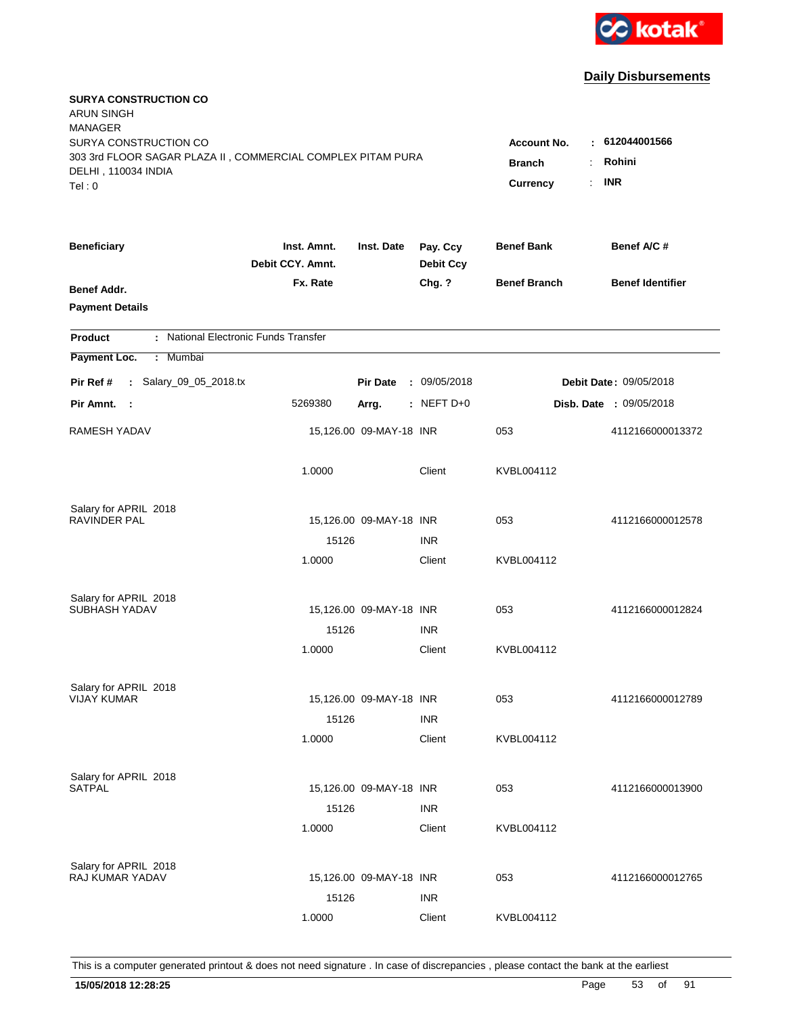

| <b>SURYA CONSTRUCTION CO</b><br><b>ARUN SINGH</b><br><b>MANAGER</b><br>SURYA CONSTRUCTION CO |                                 |                                                                     |                              | <b>Account No.</b>  | : 612044001566                 |
|----------------------------------------------------------------------------------------------|---------------------------------|---------------------------------------------------------------------|------------------------------|---------------------|--------------------------------|
| 303 3rd FLOOR SAGAR PLAZA II, COMMERCIAL COMPLEX PITAM PURA<br>DELHI, 110034 INDIA<br>Tel: 0 |                                 | <b>Branch</b><br>÷.<br>$\mathbb{R}^{\mathbb{Z}}$<br><b>Currency</b> | Rohini<br><b>INR</b>         |                     |                                |
| <b>Beneficiary</b>                                                                           | Inst. Amnt.<br>Debit CCY, Amnt. | Inst. Date                                                          | Pay. Ccy<br><b>Debit Ccy</b> | <b>Benef Bank</b>   | Benef A/C #                    |
| Benef Addr.<br><b>Payment Details</b>                                                        | Fx. Rate                        |                                                                     | Chg. ?                       | <b>Benef Branch</b> | <b>Benef Identifier</b>        |
| : National Electronic Funds Transfer<br><b>Product</b>                                       |                                 |                                                                     |                              |                     |                                |
| Payment Loc.<br>Mumbai<br>÷.                                                                 |                                 |                                                                     |                              |                     |                                |
| : Salary_09_05_2018.tx<br>Pir Ref #                                                          |                                 | <b>Pir Date</b>                                                     | : 09/05/2018                 |                     | Debit Date: 09/05/2018         |
| Pir Amnt. :                                                                                  | 5269380                         | Arrg.                                                               | $:$ NEFT D+0                 |                     | <b>Disb. Date : 09/05/2018</b> |
| RAMESH YADAV                                                                                 |                                 | 15,126.00 09-MAY-18 INR                                             |                              | 053                 | 4112166000013372               |
|                                                                                              | 1.0000                          |                                                                     | Client                       | KVBL004112          |                                |
| Salary for APRIL 2018<br><b>RAVINDER PAL</b>                                                 |                                 |                                                                     |                              |                     |                                |
|                                                                                              | 15126                           | 15,126.00 09-MAY-18 INR                                             | <b>INR</b>                   | 053                 | 4112166000012578               |
|                                                                                              | 1.0000                          |                                                                     | Client                       | KVBL004112          |                                |
| Salary for APRIL 2018                                                                        |                                 |                                                                     |                              |                     |                                |
| SUBHASH YADAV                                                                                |                                 | 15,126.00 09-MAY-18 INR                                             |                              | 053                 | 4112166000012824               |
|                                                                                              | 15126                           |                                                                     | <b>INR</b>                   |                     |                                |
|                                                                                              | 1.0000                          |                                                                     | Client                       | KVBL004112          |                                |
| Salary for APRIL 2018                                                                        |                                 |                                                                     |                              |                     |                                |
| <b>VIJAY KUMAR</b>                                                                           |                                 | 15,126.00 09-MAY-18 INR                                             |                              | 053                 | 4112166000012789               |
|                                                                                              | 15126                           |                                                                     | <b>INR</b>                   |                     |                                |
|                                                                                              | 1.0000                          |                                                                     | Client                       | KVBL004112          |                                |
| Salary for APRIL 2018                                                                        |                                 |                                                                     |                              |                     |                                |
| <b>SATPAL</b>                                                                                |                                 | 15,126.00 09-MAY-18 INR                                             |                              | 053                 | 4112166000013900               |
|                                                                                              | 15126                           |                                                                     | <b>INR</b>                   |                     |                                |
|                                                                                              | 1.0000                          |                                                                     | Client                       | KVBL004112          |                                |
| Salary for APRIL 2018                                                                        |                                 |                                                                     |                              |                     |                                |
| <b>RAJ KUMAR YADAV</b>                                                                       |                                 | 15,126.00 09-MAY-18 INR                                             |                              | 053                 | 4112166000012765               |
|                                                                                              | 15126                           |                                                                     | <b>INR</b>                   |                     |                                |
|                                                                                              | 1.0000                          |                                                                     | Client                       | KVBL004112          |                                |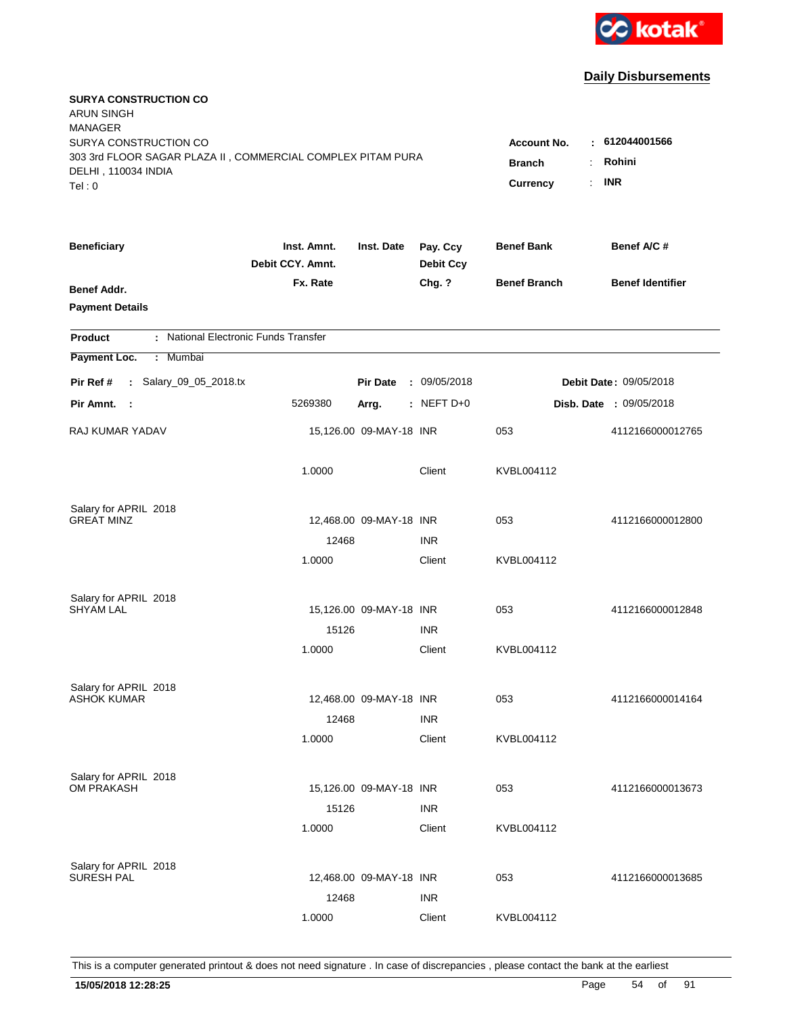

| <b>SURYA CONSTRUCTION CO</b><br><b>ARUN SINGH</b><br><b>MANAGER</b><br>SURYA CONSTRUCTION CO<br>303 3rd FLOOR SAGAR PLAZA II, COMMERCIAL COMPLEX PITAM PURA<br>DELHI, 110034 INDIA<br>Tel: 0 | <b>Account No.</b><br><b>Branch</b><br>Currency | $-612044001566$<br>Rohini<br>÷.<br><b>INR</b><br>÷. |                              |                     |                         |
|----------------------------------------------------------------------------------------------------------------------------------------------------------------------------------------------|-------------------------------------------------|-----------------------------------------------------|------------------------------|---------------------|-------------------------|
| <b>Beneficiary</b>                                                                                                                                                                           | Inst. Amnt.<br>Debit CCY. Amnt.                 | Inst. Date                                          | Pay. Ccy<br><b>Debit Ccy</b> | <b>Benef Bank</b>   | Benef A/C#              |
| Benef Addr.<br><b>Payment Details</b>                                                                                                                                                        | Fx. Rate                                        |                                                     | Chg. ?                       | <b>Benef Branch</b> | <b>Benef Identifier</b> |
| : National Electronic Funds Transfer<br><b>Product</b>                                                                                                                                       |                                                 |                                                     |                              |                     |                         |
| Payment Loc.<br>: Mumbai                                                                                                                                                                     |                                                 |                                                     |                              |                     |                         |
| : Salary_09_05_2018.tx<br>Pir Ref #                                                                                                                                                          |                                                 | <b>Pir Date</b>                                     | : 09/05/2018                 |                     | Debit Date: 09/05/2018  |
| Pir Amnt. :                                                                                                                                                                                  | 5269380                                         | Arrg.                                               | $:$ NEFT D+0                 |                     | Disb. Date : 09/05/2018 |
| <b>RAJ KUMAR YADAV</b>                                                                                                                                                                       |                                                 | 15,126.00 09-MAY-18 INR                             |                              | 053                 | 4112166000012765        |
|                                                                                                                                                                                              | 1.0000                                          |                                                     | Client                       | KVBL004112          |                         |
| Salary for APRIL 2018                                                                                                                                                                        |                                                 |                                                     |                              |                     |                         |
| <b>GREAT MINZ</b>                                                                                                                                                                            |                                                 | 12,468.00 09-MAY-18 INR                             |                              | 053                 | 4112166000012800        |
|                                                                                                                                                                                              | 12468                                           |                                                     | <b>INR</b><br>Client         |                     |                         |
|                                                                                                                                                                                              | 1.0000                                          |                                                     |                              | KVBL004112          |                         |
| Salary for APRIL 2018                                                                                                                                                                        |                                                 |                                                     |                              |                     |                         |
| <b>SHYAM LAL</b>                                                                                                                                                                             |                                                 | 15,126.00 09-MAY-18 INR                             |                              | 053                 | 4112166000012848        |
|                                                                                                                                                                                              | 15126                                           |                                                     | <b>INR</b>                   |                     |                         |
|                                                                                                                                                                                              | 1.0000                                          |                                                     | Client                       | KVBL004112          |                         |
| Salary for APRIL 2018                                                                                                                                                                        |                                                 |                                                     |                              |                     |                         |
| <b>ASHOK KUMAR</b>                                                                                                                                                                           |                                                 | 12,468.00 09-MAY-18 INR                             |                              | 053                 | 4112166000014164        |
|                                                                                                                                                                                              | 12468                                           |                                                     | <b>INR</b>                   |                     |                         |
|                                                                                                                                                                                              | 1.0000                                          |                                                     | Client                       | KVBL004112          |                         |
|                                                                                                                                                                                              |                                                 |                                                     |                              |                     |                         |
| Salary for APRIL 2018<br>OM PRAKASH                                                                                                                                                          |                                                 | 15,126.00 09-MAY-18 INR                             |                              | 053                 | 4112166000013673        |
|                                                                                                                                                                                              | 15126                                           |                                                     | <b>INR</b>                   |                     |                         |
|                                                                                                                                                                                              | 1.0000                                          |                                                     | Client                       | KVBL004112          |                         |
|                                                                                                                                                                                              |                                                 |                                                     |                              |                     |                         |
| Salary for APRIL 2018<br><b>SURESH PAL</b>                                                                                                                                                   |                                                 | 12,468.00 09-MAY-18 INR                             |                              | 053                 | 4112166000013685        |
|                                                                                                                                                                                              | 12468                                           |                                                     | <b>INR</b>                   |                     |                         |
|                                                                                                                                                                                              | 1.0000                                          |                                                     | Client                       | KVBL004112          |                         |
|                                                                                                                                                                                              |                                                 |                                                     |                              |                     |                         |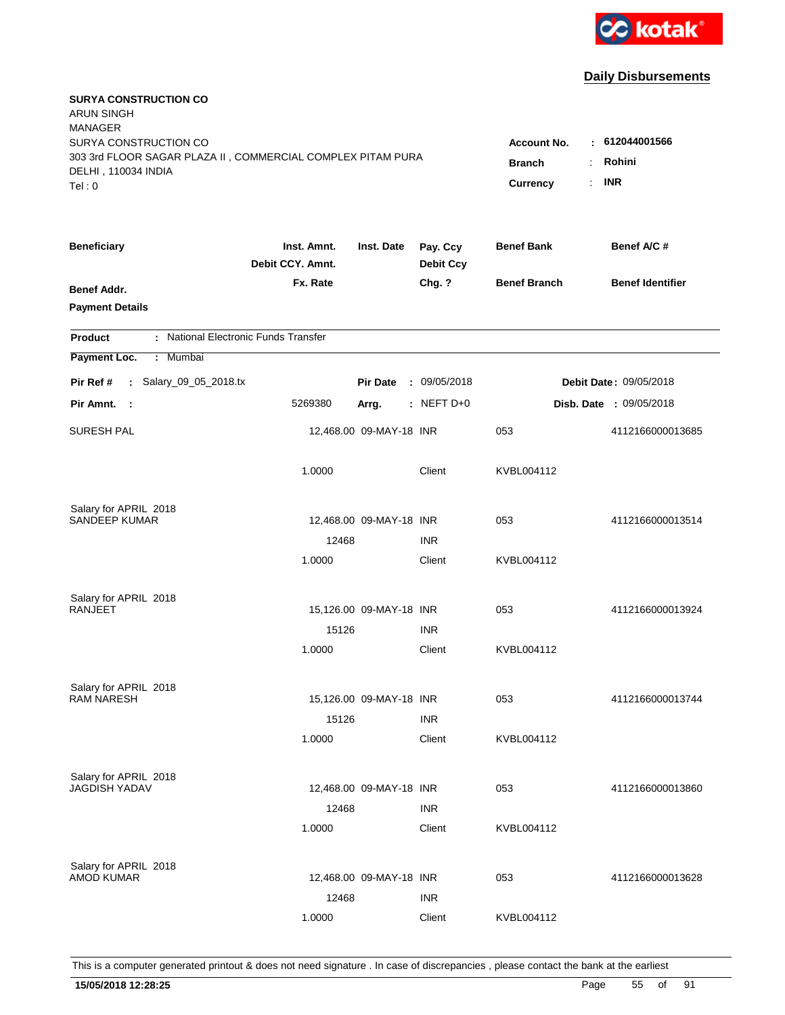

| <b>SURYA CONSTRUCTION CO</b><br><b>ARUN SINGH</b><br><b>MANAGER</b><br>SURYA CONSTRUCTION CO |                                 |                                  |                              | <b>Account No.</b>  | : 612044001566          |
|----------------------------------------------------------------------------------------------|---------------------------------|----------------------------------|------------------------------|---------------------|-------------------------|
| 303 3rd FLOOR SAGAR PLAZA II, COMMERCIAL COMPLEX PITAM PURA<br>DELHI, 110034 INDIA<br>Tel: 0 | <b>Branch</b><br>Currency       | Rohini<br>÷.<br><b>INR</b><br>÷. |                              |                     |                         |
| <b>Beneficiary</b>                                                                           | Inst. Amnt.<br>Debit CCY. Amnt. | Inst. Date                       | Pay. Ccy<br><b>Debit Ccy</b> | <b>Benef Bank</b>   | Benef A/C#              |
| Benef Addr.<br><b>Payment Details</b>                                                        | Fx. Rate                        |                                  | Chg. ?                       | <b>Benef Branch</b> | <b>Benef Identifier</b> |
| : National Electronic Funds Transfer<br><b>Product</b>                                       |                                 |                                  |                              |                     |                         |
| Payment Loc.<br>: Mumbai                                                                     |                                 |                                  |                              |                     |                         |
| : Salary_09_05_2018.tx<br>Pir Ref #                                                          |                                 | <b>Pir Date</b>                  | : 09/05/2018                 |                     | Debit Date: 09/05/2018  |
| Pir Amnt. :                                                                                  | 5269380                         | Arrg.                            | $:$ NEFT D+0                 |                     | Disb. Date : 09/05/2018 |
| <b>SURESH PAL</b>                                                                            |                                 | 12,468.00 09-MAY-18 INR          |                              | 053                 | 4112166000013685        |
|                                                                                              | 1.0000                          |                                  | Client                       | KVBL004112          |                         |
| Salary for APRIL 2018                                                                        |                                 |                                  |                              |                     |                         |
| <b>SANDEEP KUMAR</b>                                                                         | 12468                           | 12,468.00 09-MAY-18 INR          | <b>INR</b>                   | 053                 | 4112166000013514        |
|                                                                                              | 1.0000                          |                                  | Client                       | KVBL004112          |                         |
| Salary for APRIL 2018                                                                        |                                 |                                  |                              |                     |                         |
| RANJEET                                                                                      |                                 | 15,126.00 09-MAY-18 INR          |                              | 053                 | 4112166000013924        |
|                                                                                              | 15126<br>1.0000                 |                                  | <b>INR</b><br>Client         | KVBL004112          |                         |
| Salary for APRIL 2018                                                                        |                                 |                                  |                              |                     |                         |
| <b>RAM NARESH</b>                                                                            |                                 | 15,126.00 09-MAY-18 INR          |                              | 053                 | 4112166000013744        |
|                                                                                              | 15126                           |                                  | <b>INR</b>                   |                     |                         |
|                                                                                              | 1.0000                          |                                  | Client                       | KVBL004112          |                         |
| Salary for APRIL 2018<br><b>JAGDISH YADAV</b>                                                |                                 | 12,468.00 09-MAY-18 INR          |                              | 053                 | 4112166000013860        |
|                                                                                              | 12468                           |                                  | <b>INR</b>                   |                     |                         |
|                                                                                              | 1.0000                          |                                  | Client                       | KVBL004112          |                         |
| Salary for APRIL 2018<br><b>AMOD KUMAR</b>                                                   |                                 | 12,468.00 09-MAY-18 INR          |                              | 053                 | 4112166000013628        |
|                                                                                              | 12468                           |                                  | <b>INR</b>                   |                     |                         |
|                                                                                              | 1.0000                          |                                  | Client                       | KVBL004112          |                         |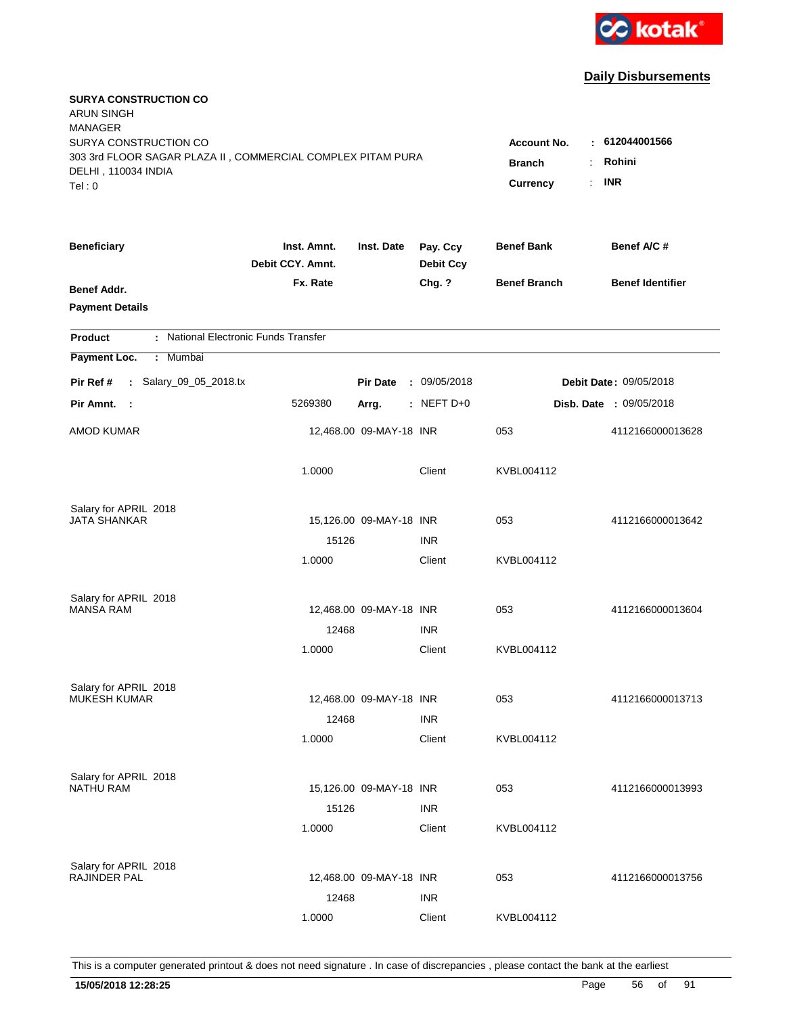

| <b>SURYA CONSTRUCTION CO</b><br><b>ARUN SINGH</b><br><b>MANAGER</b><br>SURYA CONSTRUCTION CO<br>303 3rd FLOOR SAGAR PLAZA II, COMMERCIAL COMPLEX PITAM PURA<br>DELHI, 110034 INDIA<br>Tel: 0 | <b>Account No.</b><br><b>Branch</b><br>÷<br>$\mathbb{R}^{\mathbb{Z}}$<br><b>Currency</b> | : 612044001566<br>Rohini<br><b>INR</b> |                              |                     |                                |
|----------------------------------------------------------------------------------------------------------------------------------------------------------------------------------------------|------------------------------------------------------------------------------------------|----------------------------------------|------------------------------|---------------------|--------------------------------|
| <b>Beneficiary</b>                                                                                                                                                                           | Inst. Amnt.<br>Debit CCY, Amnt.                                                          | Inst. Date                             | Pay. Ccy<br><b>Debit Ccy</b> | <b>Benef Bank</b>   | Benef A/C #                    |
| Benef Addr.<br><b>Payment Details</b>                                                                                                                                                        | Fx. Rate                                                                                 |                                        | Chg. ?                       | <b>Benef Branch</b> | <b>Benef Identifier</b>        |
| : National Electronic Funds Transfer<br><b>Product</b>                                                                                                                                       |                                                                                          |                                        |                              |                     |                                |
| Payment Loc.<br>Mumbai<br>÷.                                                                                                                                                                 |                                                                                          |                                        |                              |                     |                                |
| : Salary_09_05_2018.tx<br>Pir Ref #                                                                                                                                                          |                                                                                          | <b>Pir Date</b>                        | : 09/05/2018                 |                     | <b>Debit Date: 09/05/2018</b>  |
| Pir Amnt. :                                                                                                                                                                                  | 5269380                                                                                  | Arrg.                                  | : NEFT D+0                   |                     | <b>Disb. Date : 09/05/2018</b> |
| <b>AMOD KUMAR</b>                                                                                                                                                                            |                                                                                          | 12,468.00 09-MAY-18 INR                |                              | 053                 | 4112166000013628               |
|                                                                                                                                                                                              | 1.0000                                                                                   |                                        | Client                       | KVBL004112          |                                |
| Salary for APRIL 2018<br><b>JATA SHANKAR</b>                                                                                                                                                 |                                                                                          | 15,126.00 09-MAY-18 INR                |                              | 053                 | 4112166000013642               |
|                                                                                                                                                                                              | 15126                                                                                    |                                        | <b>INR</b>                   |                     |                                |
|                                                                                                                                                                                              | 1.0000                                                                                   |                                        | Client                       | KVBL004112          |                                |
| Salary for APRIL 2018<br><b>MANSA RAM</b>                                                                                                                                                    |                                                                                          | 12,468.00 09-MAY-18 INR                |                              | 053                 | 4112166000013604               |
|                                                                                                                                                                                              | 12468                                                                                    |                                        | <b>INR</b>                   |                     |                                |
|                                                                                                                                                                                              | 1.0000                                                                                   |                                        | Client                       | KVBL004112          |                                |
| Salary for APRIL 2018<br><b>MUKESH KUMAR</b>                                                                                                                                                 |                                                                                          |                                        |                              | 053                 |                                |
|                                                                                                                                                                                              | 12468                                                                                    | 12,468.00 09-MAY-18 INR                | <b>INR</b>                   |                     | 4112166000013713               |
|                                                                                                                                                                                              | 1.0000                                                                                   |                                        | Client                       | KVBL004112          |                                |
| Salary for APRIL 2018<br><b>NATHU RAM</b>                                                                                                                                                    |                                                                                          | 15,126.00 09-MAY-18 INR                |                              | 053                 | 4112166000013993               |
|                                                                                                                                                                                              | 15126<br>1.0000                                                                          |                                        | <b>INR</b><br>Client         | KVBL004112          |                                |
| Salary for APRIL 2018<br>RAJINDER PAL                                                                                                                                                        | 12468                                                                                    | 12,468.00 09-MAY-18 INR                | <b>INR</b>                   | 053                 | 4112166000013756               |
|                                                                                                                                                                                              | 1.0000                                                                                   |                                        | Client                       | KVBL004112          |                                |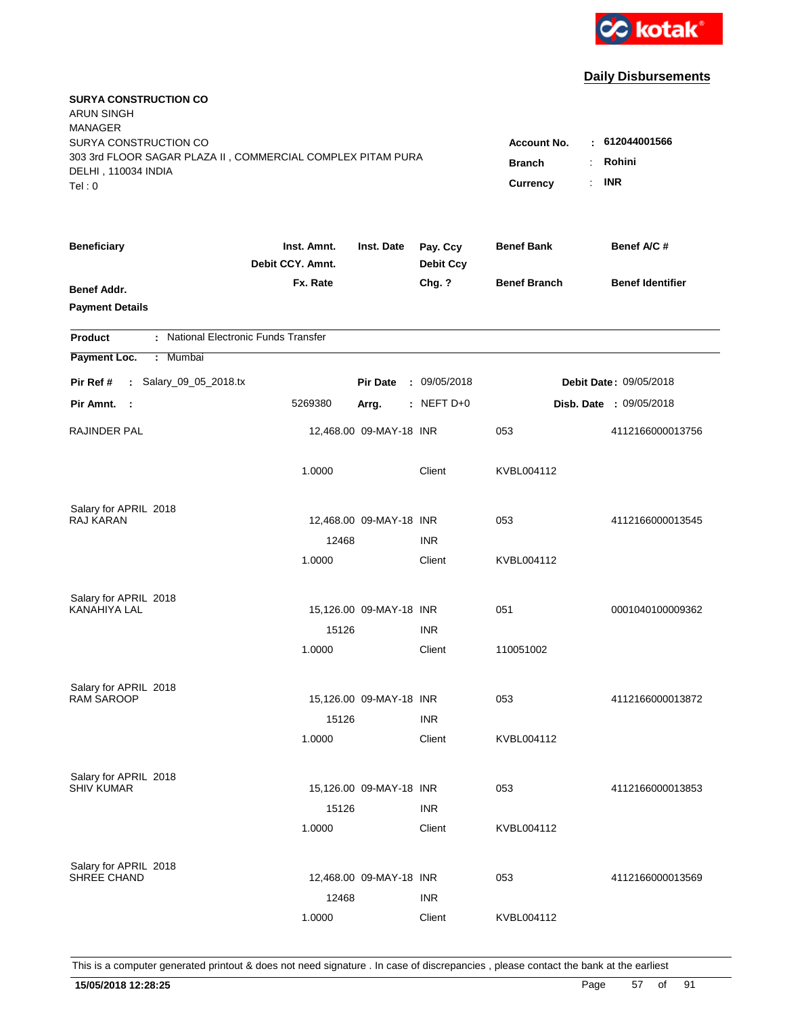

| <b>SURYA CONSTRUCTION CO</b><br><b>ARUN SINGH</b><br><b>MANAGER</b><br>SURYA CONSTRUCTION CO<br>303 3rd FLOOR SAGAR PLAZA II, COMMERCIAL COMPLEX PITAM PURA<br>DELHI, 110034 INDIA<br>Tel: 0 | <b>Account No.</b><br><b>Branch</b><br>÷<br>Currency | 612044001566<br>$\sim$<br>Rohini<br><b>INR</b><br>÷. |                              |                     |                         |
|----------------------------------------------------------------------------------------------------------------------------------------------------------------------------------------------|------------------------------------------------------|------------------------------------------------------|------------------------------|---------------------|-------------------------|
| <b>Beneficiary</b>                                                                                                                                                                           | Inst. Amnt.<br>Debit CCY. Amnt.                      | Inst. Date                                           | Pay. Ccy<br><b>Debit Ccy</b> | <b>Benef Bank</b>   | Benef A/C#              |
| Benef Addr.<br><b>Payment Details</b>                                                                                                                                                        | Fx. Rate                                             |                                                      | Chg. ?                       | <b>Benef Branch</b> | <b>Benef Identifier</b> |
| : National Electronic Funds Transfer<br><b>Product</b>                                                                                                                                       |                                                      |                                                      |                              |                     |                         |
| Payment Loc.<br>: Mumbai                                                                                                                                                                     |                                                      |                                                      |                              |                     |                         |
| : Salary_09_05_2018.tx<br>Pir Ref #                                                                                                                                                          |                                                      | <b>Pir Date</b>                                      | : 09/05/2018                 |                     | Debit Date: 09/05/2018  |
| Pir Amnt. :                                                                                                                                                                                  | 5269380                                              | Arrg.                                                | $:$ NEFT D+0                 |                     | Disb. Date : 09/05/2018 |
| RAJINDER PAL                                                                                                                                                                                 |                                                      | 12,468.00 09-MAY-18 INR                              |                              | 053                 | 4112166000013756        |
|                                                                                                                                                                                              | 1.0000                                               |                                                      | Client                       | KVBL004112          |                         |
| Salary for APRIL 2018                                                                                                                                                                        |                                                      |                                                      |                              |                     |                         |
| RAJ KARAN                                                                                                                                                                                    | 12468                                                | 12,468.00 09-MAY-18 INR                              | <b>INR</b>                   | 053                 | 4112166000013545        |
|                                                                                                                                                                                              | 1.0000                                               |                                                      | Client                       | KVBL004112          |                         |
| Salary for APRIL 2018                                                                                                                                                                        |                                                      |                                                      |                              |                     |                         |
| <b>KANAHIYA LAL</b>                                                                                                                                                                          |                                                      | 15,126.00 09-MAY-18 INR                              |                              | 051                 | 0001040100009362        |
|                                                                                                                                                                                              | 15126                                                |                                                      | <b>INR</b>                   |                     |                         |
|                                                                                                                                                                                              | 1.0000                                               |                                                      | Client                       | 110051002           |                         |
| Salary for APRIL 2018                                                                                                                                                                        |                                                      |                                                      |                              |                     |                         |
| <b>RAM SAROOP</b>                                                                                                                                                                            |                                                      | 15,126.00 09-MAY-18 INR                              |                              | 053                 | 4112166000013872        |
|                                                                                                                                                                                              | 15126                                                |                                                      | <b>INR</b>                   |                     |                         |
|                                                                                                                                                                                              | 1.0000                                               |                                                      | Client                       | KVBL004112          |                         |
| Salary for APRIL 2018<br><b>SHIV KUMAR</b>                                                                                                                                                   |                                                      |                                                      |                              |                     |                         |
|                                                                                                                                                                                              | 15126                                                | 15,126.00 09-MAY-18 INR                              | <b>INR</b>                   | 053                 | 4112166000013853        |
|                                                                                                                                                                                              | 1.0000                                               |                                                      | Client                       | KVBL004112          |                         |
|                                                                                                                                                                                              |                                                      |                                                      |                              |                     |                         |
| Salary for APRIL 2018<br>SHREE CHAND                                                                                                                                                         |                                                      | 12,468.00 09-MAY-18 INR                              |                              | 053                 | 4112166000013569        |
|                                                                                                                                                                                              | 12468                                                |                                                      | <b>INR</b>                   |                     |                         |
|                                                                                                                                                                                              | 1.0000                                               |                                                      | Client                       | KVBL004112          |                         |
|                                                                                                                                                                                              |                                                      |                                                      |                              |                     |                         |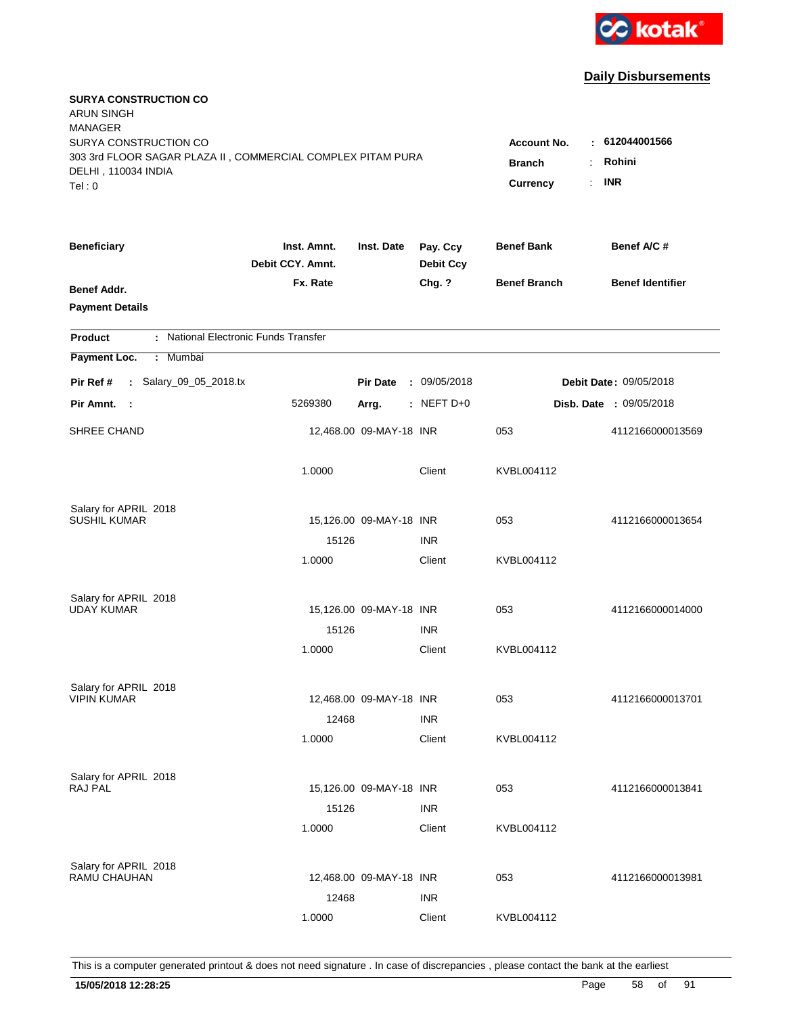

| <b>SURYA CONSTRUCTION CO</b><br><b>ARUN SINGH</b><br><b>MANAGER</b><br>SURYA CONSTRUCTION CO<br>303 3rd FLOOR SAGAR PLAZA II, COMMERCIAL COMPLEX PITAM PURA |                                 |                         |                              | <b>Account No.</b><br><b>Branch</b><br>$\ddot{\cdot}$ | $-612044001566$<br>Rohini      |
|-------------------------------------------------------------------------------------------------------------------------------------------------------------|---------------------------------|-------------------------|------------------------------|-------------------------------------------------------|--------------------------------|
| DELHI, 110034 INDIA<br>Tel: 0                                                                                                                               |                                 |                         |                              | <b>Currency</b><br>÷.                                 | <b>INR</b>                     |
| <b>Beneficiary</b>                                                                                                                                          | Inst. Amnt.<br>Debit CCY. Amnt. | Inst. Date              | Pay. Ccy<br><b>Debit Ccy</b> | <b>Benef Bank</b>                                     | Benef A/C#                     |
| Benef Addr.<br><b>Payment Details</b>                                                                                                                       | Fx. Rate                        |                         | Chg. ?                       | <b>Benef Branch</b>                                   | <b>Benef Identifier</b>        |
| : National Electronic Funds Transfer<br><b>Product</b>                                                                                                      |                                 |                         |                              |                                                       |                                |
| Payment Loc.<br>: Mumbai                                                                                                                                    |                                 |                         |                              |                                                       |                                |
| : Salary_09_05_2018.tx<br>Pir Ref #                                                                                                                         |                                 | <b>Pir Date</b>         | : 09/05/2018                 |                                                       | Debit Date: 09/05/2018         |
| Pir Amnt. :                                                                                                                                                 | 5269380                         | Arrg.                   | $:$ NEFT D+0                 |                                                       | <b>Disb. Date : 09/05/2018</b> |
| SHREE CHAND                                                                                                                                                 |                                 | 12,468.00 09-MAY-18 INR |                              | 053                                                   | 4112166000013569               |
|                                                                                                                                                             | 1.0000                          |                         | Client                       | KVBL004112                                            |                                |
| Salary for APRIL 2018                                                                                                                                       |                                 |                         |                              |                                                       |                                |
| <b>SUSHIL KUMAR</b>                                                                                                                                         | 15126                           | 15,126.00 09-MAY-18 INR | <b>INR</b>                   | 053                                                   | 4112166000013654               |
|                                                                                                                                                             | 1.0000                          |                         | Client                       | KVBL004112                                            |                                |
| Salary for APRIL 2018                                                                                                                                       |                                 |                         |                              |                                                       |                                |
| <b>UDAY KUMAR</b>                                                                                                                                           |                                 | 15,126.00 09-MAY-18 INR |                              | 053                                                   | 4112166000014000               |
|                                                                                                                                                             | 15126                           |                         | <b>INR</b>                   |                                                       |                                |
|                                                                                                                                                             | 1.0000                          |                         | Client                       | KVBL004112                                            |                                |
| Salary for APRIL 2018                                                                                                                                       |                                 |                         |                              |                                                       |                                |
| <b>VIPIN KUMAR</b>                                                                                                                                          |                                 | 12,468.00 09-MAY-18 INR |                              | 053                                                   | 4112166000013701               |
|                                                                                                                                                             | 12468                           |                         | <b>INR</b>                   |                                                       |                                |
|                                                                                                                                                             | 1.0000                          |                         | Client                       | KVBL004112                                            |                                |
| Salary for APRIL 2018                                                                                                                                       |                                 |                         |                              |                                                       |                                |
| RAJ PAL                                                                                                                                                     |                                 | 15,126.00 09-MAY-18 INR |                              | 053                                                   | 4112166000013841               |
|                                                                                                                                                             | 15126<br>1.0000                 |                         | <b>INR</b><br>Client         | KVBL004112                                            |                                |
|                                                                                                                                                             |                                 |                         |                              |                                                       |                                |
| Salary for APRIL 2018<br>RAMU CHAUHAN                                                                                                                       |                                 | 12,468.00 09-MAY-18 INR |                              | 053                                                   | 4112166000013981               |
|                                                                                                                                                             |                                 |                         |                              |                                                       |                                |
|                                                                                                                                                             | 12468                           |                         | <b>INR</b>                   |                                                       |                                |
|                                                                                                                                                             | 1.0000                          |                         | Client                       | KVBL004112                                            |                                |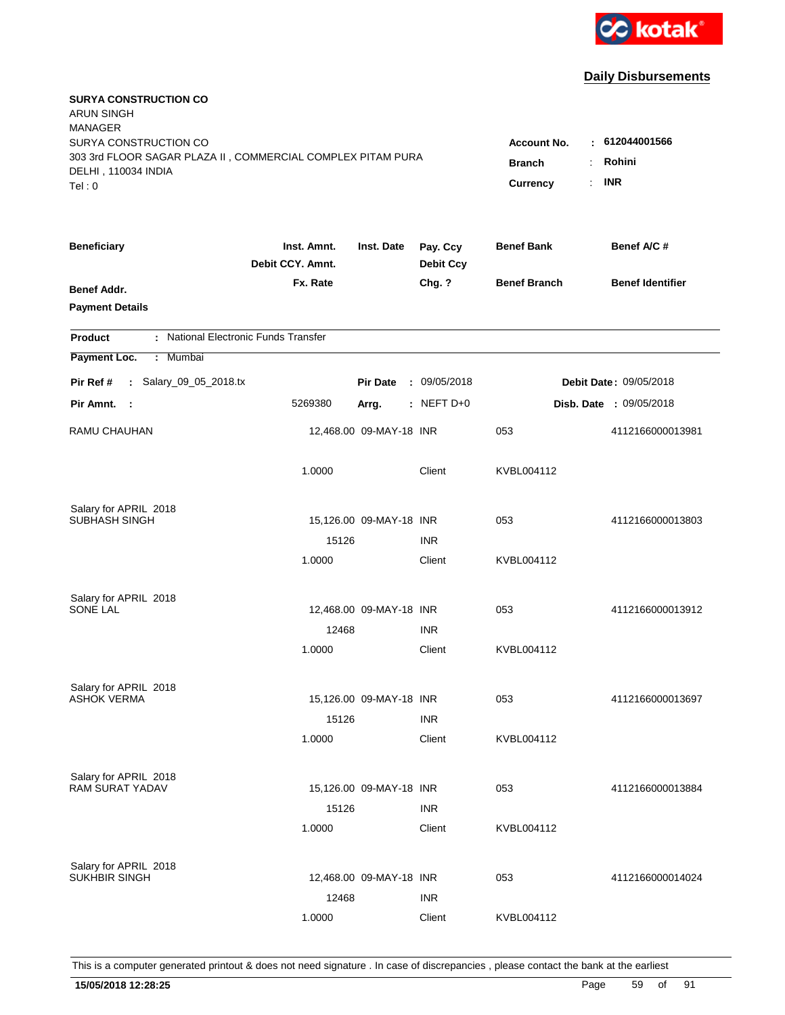

| <b>SURYA CONSTRUCTION CO</b><br><b>ARUN SINGH</b><br><b>MANAGER</b><br>SURYA CONSTRUCTION CO<br>303 3rd FLOOR SAGAR PLAZA II, COMMERCIAL COMPLEX PITAM PURA<br>DELHI, 110034 INDIA<br>Tel: 0 | <b>Account No.</b><br><b>Branch</b><br>Currency | : 612044001566<br>Rohini<br>÷.<br><b>INR</b><br>t. |                              |                     |                         |
|----------------------------------------------------------------------------------------------------------------------------------------------------------------------------------------------|-------------------------------------------------|----------------------------------------------------|------------------------------|---------------------|-------------------------|
| <b>Beneficiary</b>                                                                                                                                                                           | Inst. Amnt.<br>Debit CCY. Amnt.                 | Inst. Date                                         | Pay. Ccy<br><b>Debit Ccy</b> | <b>Benef Bank</b>   | Benef A/C#              |
| Benef Addr.<br><b>Payment Details</b>                                                                                                                                                        | Fx. Rate                                        |                                                    | Chg. ?                       | <b>Benef Branch</b> | <b>Benef Identifier</b> |
| : National Electronic Funds Transfer<br><b>Product</b>                                                                                                                                       |                                                 |                                                    |                              |                     |                         |
| Payment Loc.<br>: Mumbai                                                                                                                                                                     |                                                 |                                                    |                              |                     |                         |
| : Salary_09_05_2018.tx<br>Pir Ref #                                                                                                                                                          |                                                 | <b>Pir Date</b>                                    | : 09/05/2018                 |                     | Debit Date: 09/05/2018  |
| Pir Amnt. :                                                                                                                                                                                  | 5269380                                         | Arrg.                                              | $:$ NEFT D+0                 |                     | Disb. Date : 09/05/2018 |
| RAMU CHAUHAN                                                                                                                                                                                 |                                                 | 12,468.00 09-MAY-18 INR                            |                              | 053                 | 4112166000013981        |
|                                                                                                                                                                                              | 1.0000                                          |                                                    | Client                       | KVBL004112          |                         |
| Salary for APRIL 2018                                                                                                                                                                        |                                                 |                                                    |                              |                     |                         |
| <b>SUBHASH SINGH</b>                                                                                                                                                                         |                                                 | 15,126.00 09-MAY-18 INR                            |                              | 053                 | 4112166000013803        |
|                                                                                                                                                                                              | 15126<br>1.0000                                 |                                                    | <b>INR</b><br>Client         | KVBL004112          |                         |
|                                                                                                                                                                                              |                                                 |                                                    |                              |                     |                         |
| Salary for APRIL 2018                                                                                                                                                                        |                                                 |                                                    |                              |                     |                         |
| <b>SONE LAL</b>                                                                                                                                                                              |                                                 | 12,468.00 09-MAY-18 INR                            |                              | 053                 | 4112166000013912        |
|                                                                                                                                                                                              | 12468                                           |                                                    | <b>INR</b>                   |                     |                         |
|                                                                                                                                                                                              | 1.0000                                          |                                                    | Client                       | KVBL004112          |                         |
| Salary for APRIL 2018                                                                                                                                                                        |                                                 |                                                    |                              |                     |                         |
| ASHOK VERMA                                                                                                                                                                                  |                                                 | 15,126.00 09-MAY-18 INR                            |                              | 053                 | 4112166000013697        |
|                                                                                                                                                                                              | 15126                                           |                                                    | <b>INR</b>                   |                     |                         |
|                                                                                                                                                                                              | 1.0000                                          |                                                    | Client                       | KVBL004112          |                         |
| Salary for APRIL 2018                                                                                                                                                                        |                                                 |                                                    |                              |                     |                         |
| RAM SURAT YADAV                                                                                                                                                                              |                                                 | 15,126.00 09-MAY-18 INR                            |                              | 053                 | 4112166000013884        |
|                                                                                                                                                                                              | 15126                                           |                                                    | <b>INR</b>                   |                     |                         |
|                                                                                                                                                                                              | 1.0000                                          |                                                    | Client                       | KVBL004112          |                         |
|                                                                                                                                                                                              |                                                 |                                                    |                              |                     |                         |
| Salary for APRIL 2018<br>SUKHBIR SINGH                                                                                                                                                       |                                                 | 12,468.00 09-MAY-18 INR                            |                              | 053                 | 4112166000014024        |
|                                                                                                                                                                                              | 12468                                           |                                                    | <b>INR</b>                   |                     |                         |
|                                                                                                                                                                                              | 1.0000                                          |                                                    | Client                       | KVBL004112          |                         |
|                                                                                                                                                                                              |                                                 |                                                    |                              |                     |                         |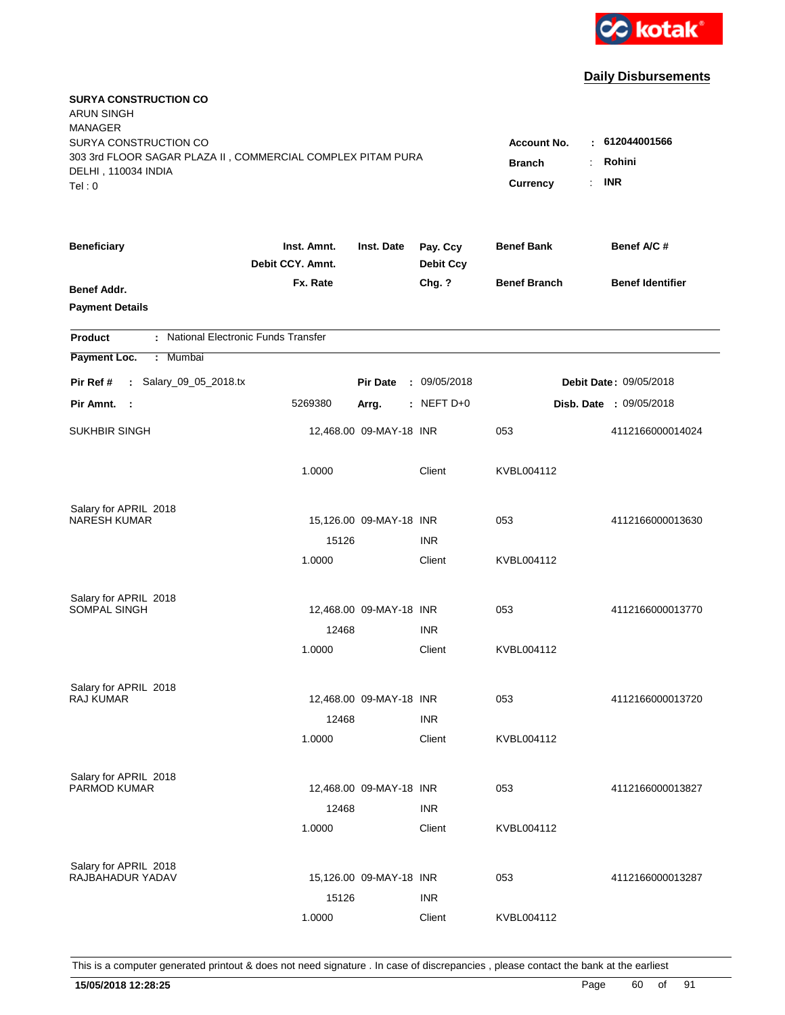

| <b>SURYA CONSTRUCTION CO</b><br><b>ARUN SINGH</b><br><b>MANAGER</b><br>SURYA CONSTRUCTION CO<br>303 3rd FLOOR SAGAR PLAZA II, COMMERCIAL COMPLEX PITAM PURA<br>DELHI, 110034 INDIA<br>Tel: 0 | <b>Account No.</b><br><b>Branch</b><br>÷<br>Currency | 612044001566<br>$\sim$<br>Rohini<br><b>INR</b><br>÷. |                              |                     |                         |
|----------------------------------------------------------------------------------------------------------------------------------------------------------------------------------------------|------------------------------------------------------|------------------------------------------------------|------------------------------|---------------------|-------------------------|
| <b>Beneficiary</b>                                                                                                                                                                           | Inst. Amnt.<br>Debit CCY. Amnt.                      | Inst. Date                                           | Pay. Ccy<br><b>Debit Ccy</b> | <b>Benef Bank</b>   | Benef A/C#              |
| Benef Addr.<br><b>Payment Details</b>                                                                                                                                                        | Fx. Rate                                             |                                                      | Chg. ?                       | <b>Benef Branch</b> | <b>Benef Identifier</b> |
| : National Electronic Funds Transfer<br><b>Product</b>                                                                                                                                       |                                                      |                                                      |                              |                     |                         |
| Payment Loc.<br>: Mumbai                                                                                                                                                                     |                                                      |                                                      |                              |                     |                         |
| : Salary_09_05_2018.tx<br>Pir Ref #                                                                                                                                                          |                                                      | <b>Pir Date</b>                                      | : 09/05/2018                 |                     | Debit Date: 09/05/2018  |
| Pir Amnt.<br>- 1                                                                                                                                                                             | 5269380                                              | Arrg.                                                | $:$ NEFT D+0                 |                     | Disb. Date : 09/05/2018 |
| <b>SUKHBIR SINGH</b>                                                                                                                                                                         |                                                      | 12,468.00 09-MAY-18 INR                              |                              | 053                 | 4112166000014024        |
|                                                                                                                                                                                              | 1.0000                                               |                                                      | Client                       | KVBL004112          |                         |
| Salary for APRIL 2018                                                                                                                                                                        |                                                      |                                                      |                              |                     |                         |
| <b>NARESH KUMAR</b>                                                                                                                                                                          |                                                      | 15,126.00 09-MAY-18 INR                              |                              | 053                 | 4112166000013630        |
|                                                                                                                                                                                              | 15126                                                |                                                      | <b>INR</b>                   |                     |                         |
|                                                                                                                                                                                              | 1.0000                                               |                                                      | Client                       | KVBL004112          |                         |
| Salary for APRIL 2018                                                                                                                                                                        |                                                      |                                                      |                              |                     |                         |
| SOMPAL SINGH                                                                                                                                                                                 |                                                      | 12,468.00 09-MAY-18 INR                              |                              | 053                 | 4112166000013770        |
|                                                                                                                                                                                              | 12468                                                |                                                      | <b>INR</b>                   |                     |                         |
|                                                                                                                                                                                              | 1.0000                                               |                                                      | Client                       | KVBL004112          |                         |
| Salary for APRIL 2018                                                                                                                                                                        |                                                      |                                                      |                              |                     |                         |
| <b>RAJ KUMAR</b>                                                                                                                                                                             |                                                      | 12,468.00 09-MAY-18 INR                              |                              | 053                 | 4112166000013720        |
|                                                                                                                                                                                              | 12468                                                |                                                      | <b>INR</b>                   |                     |                         |
|                                                                                                                                                                                              | 1.0000                                               |                                                      | Client                       | KVBL004112          |                         |
| Salary for APRIL 2018                                                                                                                                                                        |                                                      |                                                      |                              |                     |                         |
| PARMOD KUMAR                                                                                                                                                                                 |                                                      | 12,468.00 09-MAY-18 INR                              |                              | 053                 | 4112166000013827        |
|                                                                                                                                                                                              | 12468                                                |                                                      | <b>INR</b>                   |                     |                         |
|                                                                                                                                                                                              | 1.0000                                               |                                                      | Client                       | KVBL004112          |                         |
| Salary for APRIL 2018                                                                                                                                                                        |                                                      |                                                      |                              |                     |                         |
| RAJBAHADUR YADAV                                                                                                                                                                             |                                                      | 15,126.00 09-MAY-18 INR                              |                              | 053                 | 4112166000013287        |
|                                                                                                                                                                                              | 15126                                                |                                                      | <b>INR</b>                   |                     |                         |
|                                                                                                                                                                                              | 1.0000                                               |                                                      | Client                       | KVBL004112          |                         |
|                                                                                                                                                                                              |                                                      |                                                      |                              |                     |                         |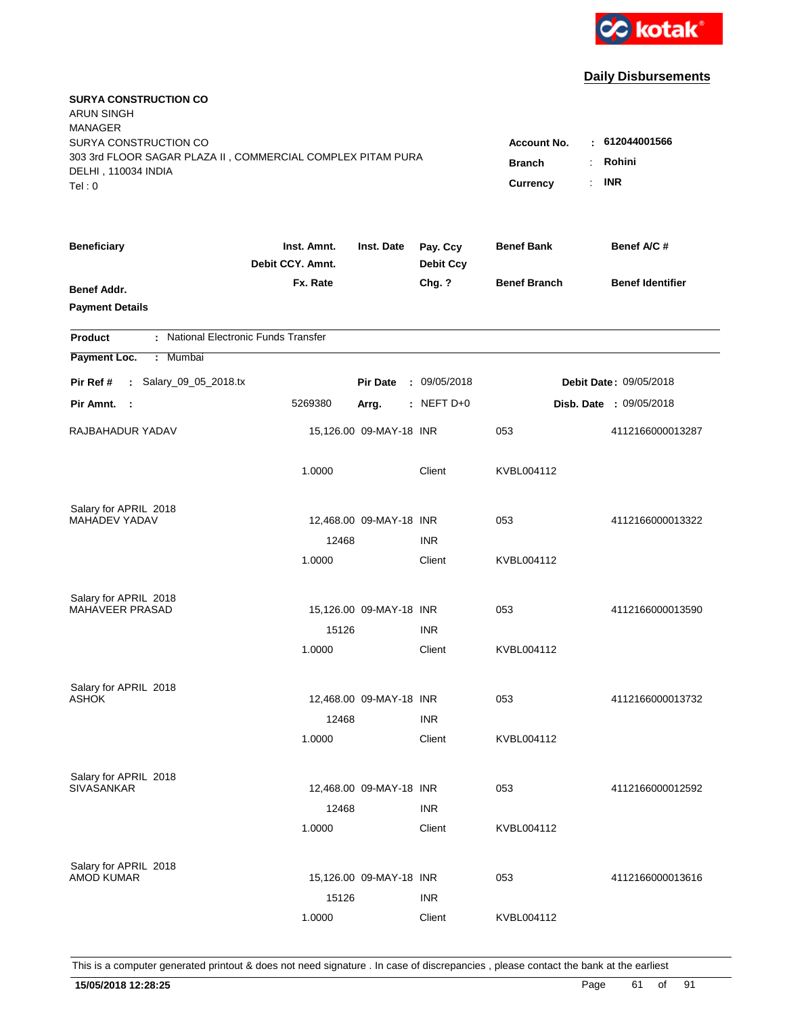

| <b>SURYA CONSTRUCTION CO</b><br><b>ARUN SINGH</b><br><b>MANAGER</b><br>SURYA CONSTRUCTION CO<br>303 3rd FLOOR SAGAR PLAZA II, COMMERCIAL COMPLEX PITAM PURA<br>DELHI, 110034 INDIA<br>Tel: 0 | <b>Account No.</b><br><b>Branch</b><br><b>Currency</b> | : 612044001566<br>Rohini<br>÷<br><b>INR</b><br>$\mathbb{R}^{\mathbb{Z}}$ |                              |                     |                                |
|----------------------------------------------------------------------------------------------------------------------------------------------------------------------------------------------|--------------------------------------------------------|--------------------------------------------------------------------------|------------------------------|---------------------|--------------------------------|
| <b>Beneficiary</b>                                                                                                                                                                           | Inst. Amnt.<br>Debit CCY. Amnt.                        | Inst. Date                                                               | Pay. Ccy<br><b>Debit Ccy</b> | <b>Benef Bank</b>   | Benef A/C #                    |
| Benef Addr.<br><b>Payment Details</b>                                                                                                                                                        | Fx. Rate                                               |                                                                          | Chg. ?                       | <b>Benef Branch</b> | <b>Benef Identifier</b>        |
| : National Electronic Funds Transfer<br><b>Product</b>                                                                                                                                       |                                                        |                                                                          |                              |                     |                                |
| Payment Loc.<br>Mumbai<br>÷.                                                                                                                                                                 |                                                        |                                                                          |                              |                     |                                |
| : Salary_09_05_2018.tx<br>Pir Ref #                                                                                                                                                          |                                                        | <b>Pir Date</b>                                                          | : 09/05/2018                 |                     | Debit Date: 09/05/2018         |
| Pir Amnt.<br>$\sim$ 1                                                                                                                                                                        | 5269380                                                | Arrg.                                                                    | : NEFT D+0                   |                     | <b>Disb. Date : 09/05/2018</b> |
| RAJBAHADUR YADAV                                                                                                                                                                             |                                                        | 15,126.00 09-MAY-18 INR                                                  |                              | 053                 | 4112166000013287               |
|                                                                                                                                                                                              | 1.0000                                                 |                                                                          | Client                       | KVBL004112          |                                |
| Salary for APRIL 2018                                                                                                                                                                        |                                                        |                                                                          |                              |                     |                                |
| MAHADEV YADAV                                                                                                                                                                                |                                                        | 12,468.00 09-MAY-18 INR                                                  |                              | 053                 | 4112166000013322               |
|                                                                                                                                                                                              | 12468<br>1.0000                                        |                                                                          | <b>INR</b><br>Client         | KVBL004112          |                                |
|                                                                                                                                                                                              |                                                        |                                                                          |                              |                     |                                |
| Salary for APRIL 2018                                                                                                                                                                        |                                                        |                                                                          |                              |                     |                                |
| MAHAVEER PRASAD                                                                                                                                                                              |                                                        | 15,126.00 09-MAY-18 INR                                                  |                              | 053                 | 4112166000013590               |
|                                                                                                                                                                                              | 15126                                                  |                                                                          | <b>INR</b>                   |                     |                                |
|                                                                                                                                                                                              | 1.0000                                                 |                                                                          | Client                       | KVBL004112          |                                |
| Salary for APRIL 2018                                                                                                                                                                        |                                                        |                                                                          |                              |                     |                                |
| <b>ASHOK</b>                                                                                                                                                                                 |                                                        | 12,468.00 09-MAY-18 INR                                                  |                              | 053                 | 4112166000013732               |
|                                                                                                                                                                                              | 12468                                                  |                                                                          | <b>INR</b>                   |                     |                                |
|                                                                                                                                                                                              | 1.0000                                                 |                                                                          | Client                       | KVBL004112          |                                |
|                                                                                                                                                                                              |                                                        |                                                                          |                              |                     |                                |
| Salary for APRIL 2018<br><b>SIVASANKAR</b>                                                                                                                                                   |                                                        | 12,468.00 09-MAY-18 INR                                                  |                              | 053                 | 4112166000012592               |
|                                                                                                                                                                                              | 12468                                                  |                                                                          | <b>INR</b>                   |                     |                                |
|                                                                                                                                                                                              | 1.0000                                                 |                                                                          | Client                       | KVBL004112          |                                |
|                                                                                                                                                                                              |                                                        |                                                                          |                              |                     |                                |
| Salary for APRIL 2018<br><b>AMOD KUMAR</b>                                                                                                                                                   |                                                        | 15,126.00 09-MAY-18 INR                                                  |                              | 053                 | 4112166000013616               |
|                                                                                                                                                                                              | 15126                                                  |                                                                          | <b>INR</b>                   |                     |                                |
|                                                                                                                                                                                              | 1.0000                                                 |                                                                          | Client                       | KVBL004112          |                                |
|                                                                                                                                                                                              |                                                        |                                                                          |                              |                     |                                |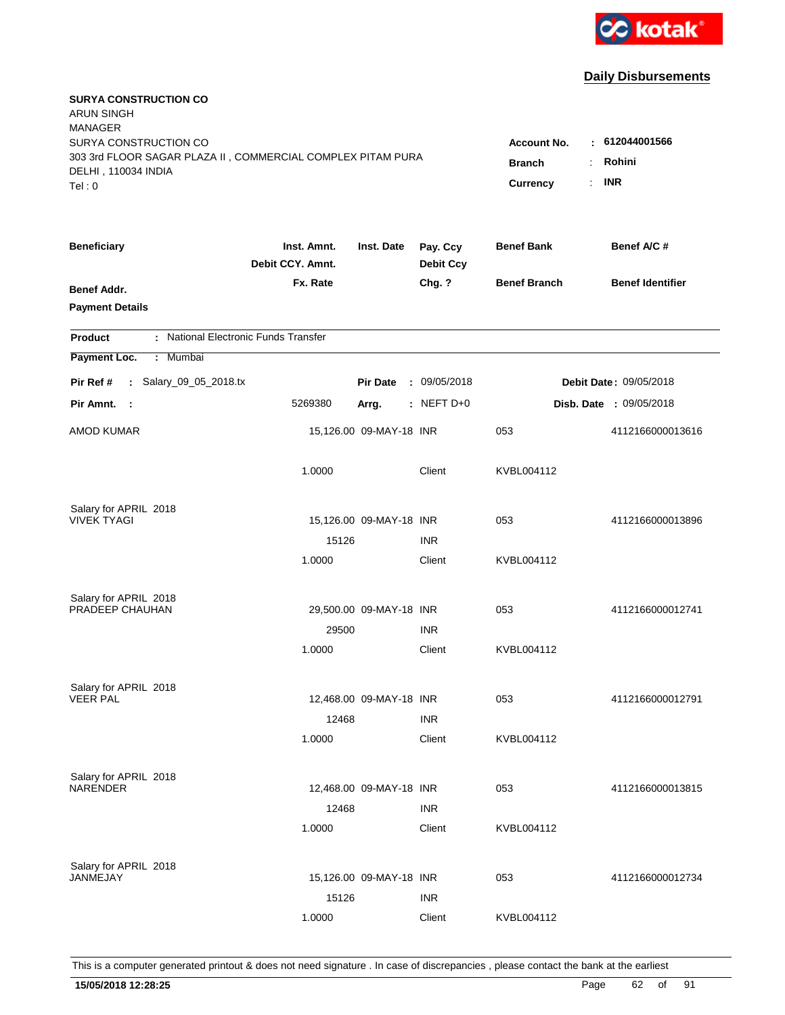

| <b>SURYA CONSTRUCTION CO</b><br><b>ARUN SINGH</b><br><b>MANAGER</b><br>SURYA CONSTRUCTION CO<br>303 3rd FLOOR SAGAR PLAZA II, COMMERCIAL COMPLEX PITAM PURA |                                 |                         |                              | <b>Account No.</b><br><b>Branch</b><br>÷     | : 612044001566<br>Rohini       |
|-------------------------------------------------------------------------------------------------------------------------------------------------------------|---------------------------------|-------------------------|------------------------------|----------------------------------------------|--------------------------------|
| DELHI, 110034 INDIA<br>Tel: 0                                                                                                                               |                                 |                         |                              | $\mathbb{R}^{\mathbb{Z}}$<br><b>Currency</b> | <b>INR</b>                     |
| <b>Beneficiary</b>                                                                                                                                          | Inst. Amnt.<br>Debit CCY. Amnt. | Inst. Date              | Pay. Ccy<br><b>Debit Ccy</b> | <b>Benef Bank</b>                            | Benef A/C #                    |
| Benef Addr.<br><b>Payment Details</b>                                                                                                                       | Fx. Rate                        |                         | Chg. ?                       | <b>Benef Branch</b>                          | <b>Benef Identifier</b>        |
| : National Electronic Funds Transfer<br><b>Product</b>                                                                                                      |                                 |                         |                              |                                              |                                |
| Payment Loc.<br>Mumbai<br>÷.                                                                                                                                |                                 |                         |                              |                                              |                                |
| : Salary_09_05_2018.tx<br>Pir Ref #                                                                                                                         |                                 | <b>Pir Date</b>         | : 09/05/2018                 |                                              | <b>Debit Date: 09/05/2018</b>  |
| Pir Amnt.<br>$\sim$ 1                                                                                                                                       | 5269380                         | Arrg.                   | : NEFT D+0                   |                                              | <b>Disb. Date : 09/05/2018</b> |
| <b>AMOD KUMAR</b>                                                                                                                                           |                                 | 15,126.00 09-MAY-18 INR |                              | 053                                          | 4112166000013616               |
|                                                                                                                                                             | 1.0000                          |                         | Client                       | KVBL004112                                   |                                |
| Salary for APRIL 2018                                                                                                                                       |                                 |                         |                              |                                              |                                |
| <b>VIVEK TYAGI</b>                                                                                                                                          | 15126                           | 15,126.00 09-MAY-18 INR | <b>INR</b>                   | 053                                          | 4112166000013896               |
|                                                                                                                                                             | 1.0000                          |                         | Client                       | KVBL004112                                   |                                |
|                                                                                                                                                             |                                 |                         |                              |                                              |                                |
| Salary for APRIL 2018                                                                                                                                       |                                 |                         |                              |                                              |                                |
| PRADEEP CHAUHAN                                                                                                                                             |                                 | 29,500.00 09-MAY-18 INR |                              | 053                                          | 4112166000012741               |
|                                                                                                                                                             | 29500<br>1.0000                 |                         | <b>INR</b><br>Client         | KVBL004112                                   |                                |
|                                                                                                                                                             |                                 |                         |                              |                                              |                                |
| Salary for APRIL 2018                                                                                                                                       |                                 |                         |                              |                                              |                                |
| <b>VEER PAL</b>                                                                                                                                             |                                 | 12,468.00 09-MAY-18 INR |                              | 053                                          | 4112166000012791               |
|                                                                                                                                                             | 12468                           |                         | <b>INR</b>                   |                                              |                                |
|                                                                                                                                                             | 1.0000                          |                         | Client                       | KVBL004112                                   |                                |
| Salary for APRIL 2018                                                                                                                                       |                                 |                         |                              |                                              |                                |
| <b>NARENDER</b>                                                                                                                                             |                                 | 12,468.00 09-MAY-18 INR |                              | 053                                          | 4112166000013815               |
|                                                                                                                                                             | 12468                           |                         | <b>INR</b>                   |                                              |                                |
|                                                                                                                                                             | 1.0000                          |                         | Client                       | KVBL004112                                   |                                |
|                                                                                                                                                             |                                 |                         |                              |                                              |                                |
| Salary for APRIL 2018<br>JANMEJAY                                                                                                                           |                                 | 15,126.00 09-MAY-18 INR |                              | 053                                          | 4112166000012734               |
|                                                                                                                                                             | 15126                           |                         | <b>INR</b>                   |                                              |                                |
|                                                                                                                                                             | 1.0000                          |                         | Client                       | KVBL004112                                   |                                |
|                                                                                                                                                             |                                 |                         |                              |                                              |                                |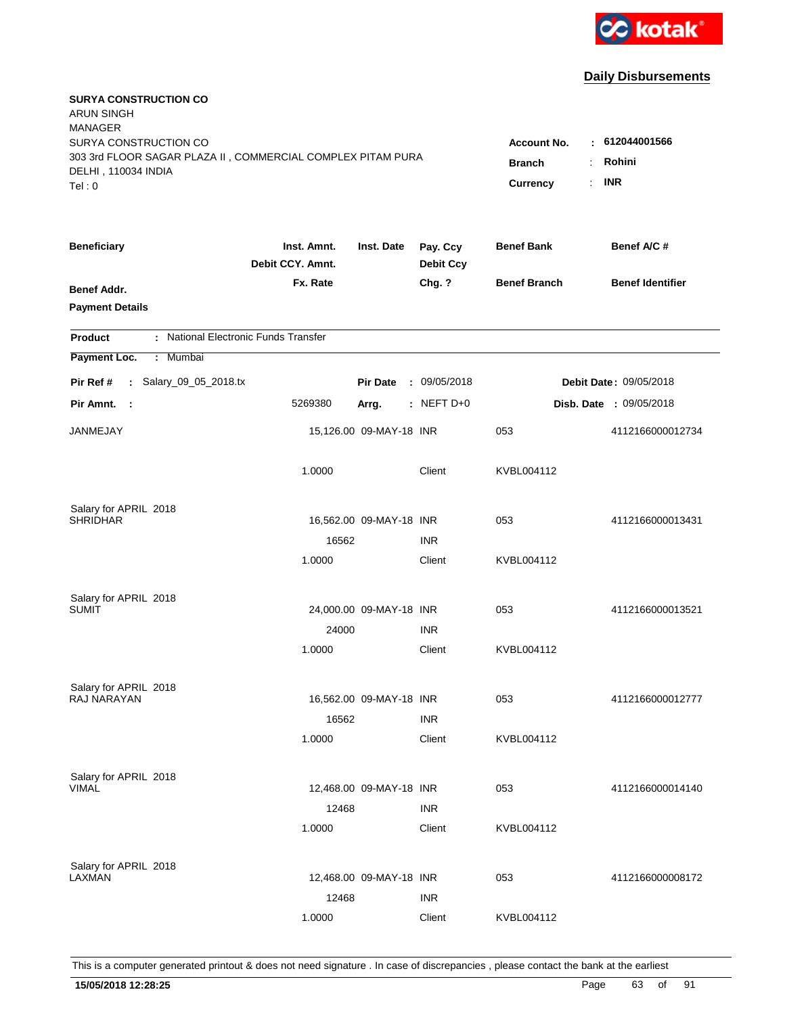

| <b>SURYA CONSTRUCTION CO</b><br><b>ARUN SINGH</b><br><b>MANAGER</b><br>SURYA CONSTRUCTION CO<br>303 3rd FLOOR SAGAR PLAZA II, COMMERCIAL COMPLEX PITAM PURA<br>DELHI, 110034 INDIA<br>Tel: 0 | <b>Account No.</b><br><b>Branch</b><br>÷<br>Currency<br>÷. | : 612044001566<br>Rohini<br><b>INR</b> |                              |                     |                         |
|----------------------------------------------------------------------------------------------------------------------------------------------------------------------------------------------|------------------------------------------------------------|----------------------------------------|------------------------------|---------------------|-------------------------|
| <b>Beneficiary</b>                                                                                                                                                                           | Inst. Amnt.<br>Debit CCY. Amnt.                            | Inst. Date                             | Pay. Ccy<br><b>Debit Ccy</b> | <b>Benef Bank</b>   | Benef A/C #             |
| Benef Addr.<br><b>Payment Details</b>                                                                                                                                                        | Fx. Rate                                                   |                                        | Chg. ?                       | <b>Benef Branch</b> | <b>Benef Identifier</b> |
| : National Electronic Funds Transfer<br><b>Product</b>                                                                                                                                       |                                                            |                                        |                              |                     |                         |
| Payment Loc.<br>Mumbai<br>÷.                                                                                                                                                                 |                                                            |                                        |                              |                     |                         |
| : Salary_09_05_2018.tx<br>Pir Ref #                                                                                                                                                          |                                                            | <b>Pir Date</b>                        | : 09/05/2018                 |                     | Debit Date: 09/05/2018  |
| Pir Amnt.<br>$\sim$ 1                                                                                                                                                                        | 5269380                                                    | Arrg.                                  | : NEFT $D+0$                 |                     | Disb. Date: 09/05/2018  |
| JANMEJAY                                                                                                                                                                                     |                                                            | 15,126.00 09-MAY-18 INR                |                              | 053                 | 4112166000012734        |
|                                                                                                                                                                                              | 1.0000                                                     |                                        | Client                       | KVBL004112          |                         |
| Salary for APRIL 2018<br><b>SHRIDHAR</b>                                                                                                                                                     |                                                            |                                        |                              | 053                 |                         |
|                                                                                                                                                                                              | 16562                                                      | 16,562.00 09-MAY-18 INR                | <b>INR</b>                   |                     | 4112166000013431        |
|                                                                                                                                                                                              | 1.0000                                                     |                                        | Client                       | KVBL004112          |                         |
| Salary for APRIL 2018                                                                                                                                                                        |                                                            |                                        |                              |                     |                         |
| SUMIT                                                                                                                                                                                        |                                                            | 24,000.00 09-MAY-18 INR                |                              | 053                 | 4112166000013521        |
|                                                                                                                                                                                              | 24000                                                      |                                        | <b>INR</b>                   |                     |                         |
|                                                                                                                                                                                              | 1.0000                                                     |                                        | Client                       | KVBL004112          |                         |
| Salary for APRIL 2018                                                                                                                                                                        |                                                            |                                        |                              |                     |                         |
| RAJ NARAYAN                                                                                                                                                                                  |                                                            | 16,562.00 09-MAY-18 INR                |                              | 053                 | 4112166000012777        |
|                                                                                                                                                                                              | 16562                                                      |                                        | <b>INR</b>                   |                     |                         |
|                                                                                                                                                                                              | 1.0000                                                     |                                        | Client                       | KVBL004112          |                         |
| Salary for APRIL 2018                                                                                                                                                                        |                                                            |                                        |                              |                     |                         |
| <b>VIMAL</b>                                                                                                                                                                                 |                                                            | 12,468.00 09-MAY-18 INR                |                              | 053                 | 4112166000014140        |
|                                                                                                                                                                                              | 12468<br>1.0000                                            |                                        | <b>INR</b><br>Client         | KVBL004112          |                         |
|                                                                                                                                                                                              |                                                            |                                        |                              |                     |                         |
| Salary for APRIL 2018<br>LAXMAN                                                                                                                                                              |                                                            | 12,468.00 09-MAY-18 INR                |                              | 053                 | 4112166000008172        |
|                                                                                                                                                                                              | 12468                                                      |                                        | <b>INR</b>                   |                     |                         |
|                                                                                                                                                                                              | 1.0000                                                     |                                        | Client                       | KVBL004112          |                         |
|                                                                                                                                                                                              |                                                            |                                        |                              |                     |                         |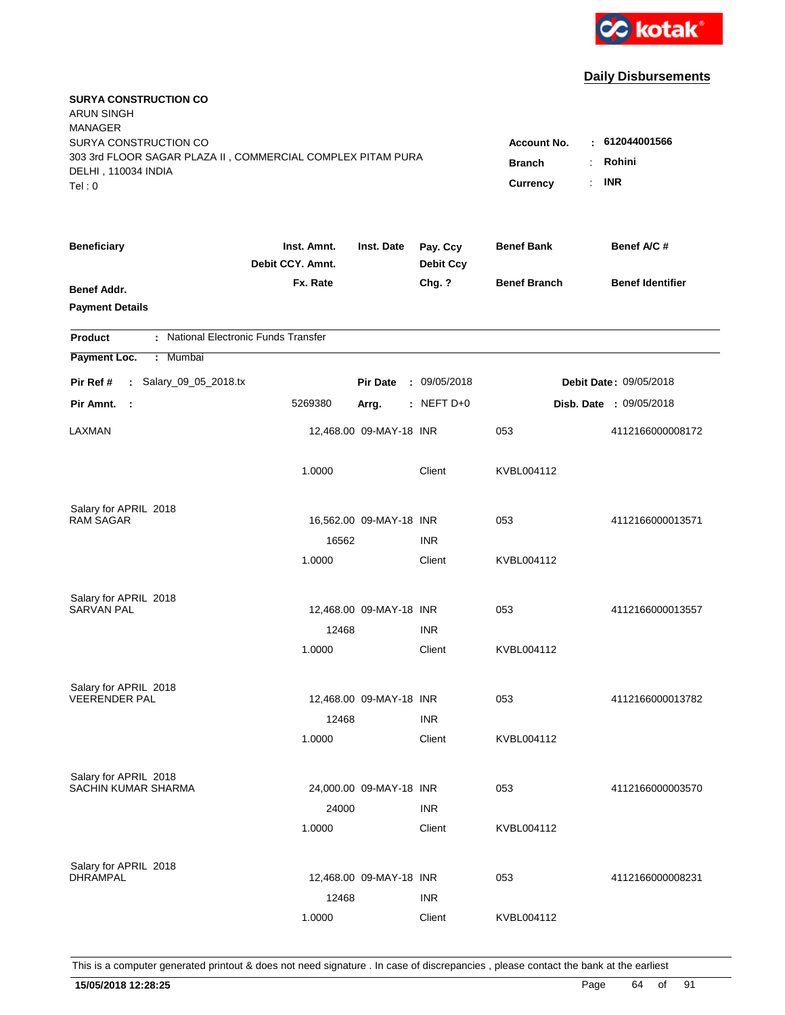

| <b>SURYA CONSTRUCTION CO</b><br><b>ARUN SINGH</b><br><b>MANAGER</b><br>SURYA CONSTRUCTION CO<br>303 3rd FLOOR SAGAR PLAZA II, COMMERCIAL COMPLEX PITAM PURA<br>DELHI, 110034 INDIA |                                 |                         |                              | <b>Account No.</b><br><b>Branch</b> | : 612044001566<br>Rohini<br>÷.<br><b>INR</b> |
|------------------------------------------------------------------------------------------------------------------------------------------------------------------------------------|---------------------------------|-------------------------|------------------------------|-------------------------------------|----------------------------------------------|
| Tel: 0                                                                                                                                                                             |                                 |                         |                              | Currency                            | ÷.                                           |
| <b>Beneficiary</b>                                                                                                                                                                 | Inst. Amnt.<br>Debit CCY. Amnt. | Inst. Date              | Pay. Ccy<br><b>Debit Ccy</b> | <b>Benef Bank</b>                   | Benef A/C #                                  |
| Benef Addr.<br><b>Payment Details</b>                                                                                                                                              | Fx. Rate                        |                         | Chg. ?                       | <b>Benef Branch</b>                 | <b>Benef Identifier</b>                      |
| : National Electronic Funds Transfer<br><b>Product</b>                                                                                                                             |                                 |                         |                              |                                     |                                              |
| Payment Loc.<br>: Mumbai                                                                                                                                                           |                                 |                         |                              |                                     |                                              |
| : Salary_09_05_2018.tx<br>Pir Ref #                                                                                                                                                |                                 | <b>Pir Date</b>         | : 09/05/2018                 |                                     | Debit Date: 09/05/2018                       |
| Pir Amnt.<br>- 1                                                                                                                                                                   | 5269380                         | Arrg.                   | $:$ NEFT D+0                 |                                     | Disb. Date : 09/05/2018                      |
| LAXMAN                                                                                                                                                                             |                                 | 12,468.00 09-MAY-18 INR |                              | 053                                 | 4112166000008172                             |
|                                                                                                                                                                                    | 1.0000                          |                         | Client                       | KVBL004112                          |                                              |
| Salary for APRIL 2018                                                                                                                                                              |                                 |                         |                              |                                     |                                              |
| <b>RAM SAGAR</b>                                                                                                                                                                   |                                 | 16,562.00 09-MAY-18 INR |                              | 053                                 | 4112166000013571                             |
|                                                                                                                                                                                    | 16562<br>1.0000                 |                         | <b>INR</b><br>Client         | KVBL004112                          |                                              |
|                                                                                                                                                                                    |                                 |                         |                              |                                     |                                              |
| Salary for APRIL 2018                                                                                                                                                              |                                 |                         |                              |                                     |                                              |
| <b>SARVAN PAL</b>                                                                                                                                                                  |                                 | 12,468.00 09-MAY-18 INR |                              | 053                                 | 4112166000013557                             |
|                                                                                                                                                                                    | 12468                           |                         | <b>INR</b>                   |                                     |                                              |
|                                                                                                                                                                                    | 1.0000                          |                         | Client                       | KVBL004112                          |                                              |
| Salary for APRIL 2018                                                                                                                                                              |                                 |                         |                              |                                     |                                              |
| <b>VEERENDER PAL</b>                                                                                                                                                               |                                 | 12,468.00 09-MAY-18 INR |                              | 053                                 | 4112166000013782                             |
|                                                                                                                                                                                    | 12468                           |                         | <b>INR</b>                   |                                     |                                              |
|                                                                                                                                                                                    | 1.0000                          |                         | Client                       | KVBL004112                          |                                              |
| Salary for APRIL 2018                                                                                                                                                              |                                 |                         |                              |                                     |                                              |
| <b>SACHIN KUMAR SHARMA</b>                                                                                                                                                         |                                 | 24,000.00 09-MAY-18 INR |                              | 053                                 | 4112166000003570                             |
|                                                                                                                                                                                    | 24000                           |                         | <b>INR</b>                   |                                     |                                              |
|                                                                                                                                                                                    | 1.0000                          |                         | Client                       | KVBL004112                          |                                              |
|                                                                                                                                                                                    |                                 |                         |                              |                                     |                                              |
| Salary for APRIL 2018<br><b>DHRAMPAL</b>                                                                                                                                           |                                 | 12,468.00 09-MAY-18 INR |                              | 053                                 | 4112166000008231                             |
|                                                                                                                                                                                    | 12468                           |                         | <b>INR</b>                   |                                     |                                              |
|                                                                                                                                                                                    | 1.0000                          |                         | Client                       | KVBL004112                          |                                              |
|                                                                                                                                                                                    |                                 |                         |                              |                                     |                                              |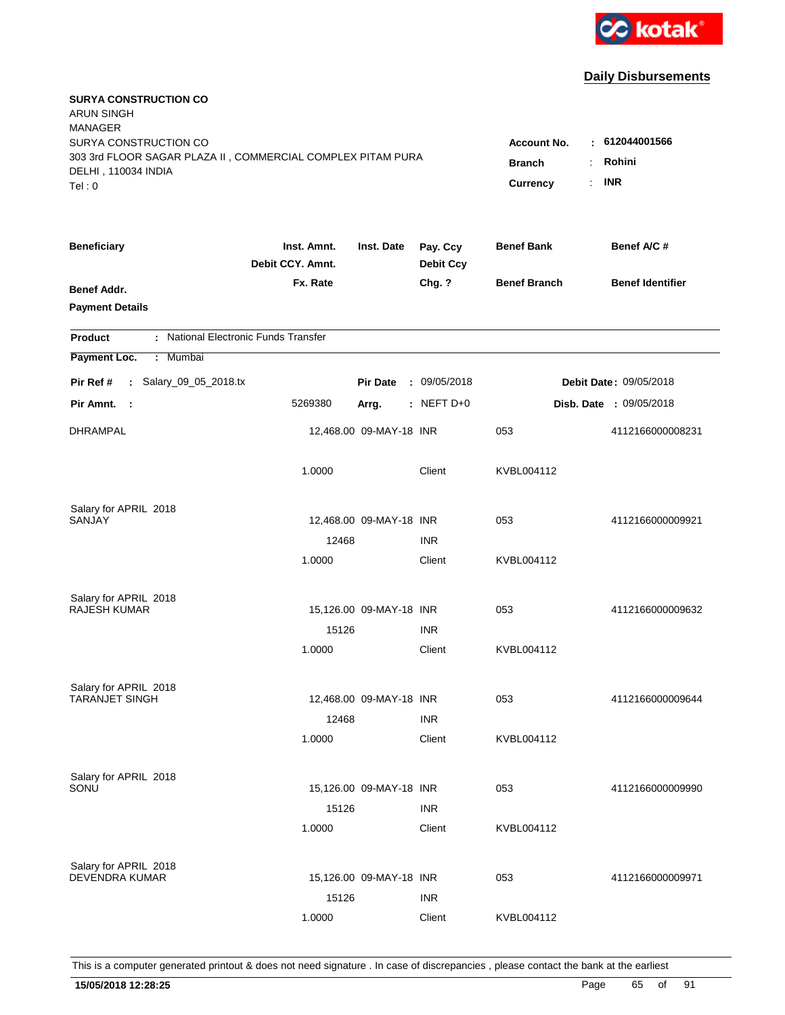

| <b>SURYA CONSTRUCTION CO</b><br><b>ARUN SINGH</b><br><b>MANAGER</b><br>SURYA CONSTRUCTION CO<br>303 3rd FLOOR SAGAR PLAZA II, COMMERCIAL COMPLEX PITAM PURA<br>DELHI, 110034 INDIA<br>Tel: 0 | <b>Account No.</b><br><b>Branch</b><br>Currency | : 612044001566<br>Rohini<br>÷.<br><b>INR</b><br>$\mathbf{r}$ |                              |                     |                                |
|----------------------------------------------------------------------------------------------------------------------------------------------------------------------------------------------|-------------------------------------------------|--------------------------------------------------------------|------------------------------|---------------------|--------------------------------|
| <b>Beneficiary</b>                                                                                                                                                                           | Inst. Amnt.<br>Debit CCY. Amnt.                 | Inst. Date                                                   | Pay. Ccy<br><b>Debit Ccy</b> | <b>Benef Bank</b>   | Benef A/C #                    |
| Benef Addr.<br><b>Payment Details</b>                                                                                                                                                        | Fx. Rate                                        |                                                              | Chg. ?                       | <b>Benef Branch</b> | <b>Benef Identifier</b>        |
| : National Electronic Funds Transfer<br><b>Product</b>                                                                                                                                       |                                                 |                                                              |                              |                     |                                |
| Payment Loc.<br>Mumbai<br>÷.                                                                                                                                                                 |                                                 |                                                              |                              |                     |                                |
| : Salary_09_05_2018.tx<br>Pir Ref #                                                                                                                                                          |                                                 | <b>Pir Date</b>                                              | : 09/05/2018                 |                     | <b>Debit Date: 09/05/2018</b>  |
| Pir Amnt. :                                                                                                                                                                                  | 5269380                                         | Arrg.                                                        | $:$ NEFT D+0                 |                     | <b>Disb. Date : 09/05/2018</b> |
| <b>DHRAMPAL</b>                                                                                                                                                                              |                                                 | 12,468.00 09-MAY-18 INR                                      |                              | 053                 | 4112166000008231               |
|                                                                                                                                                                                              | 1.0000                                          |                                                              | Client                       | KVBL004112          |                                |
| Salary for APRIL 2018                                                                                                                                                                        |                                                 |                                                              |                              |                     |                                |
| SANJAY                                                                                                                                                                                       |                                                 | 12,468.00 09-MAY-18 INR                                      |                              | 053                 | 4112166000009921               |
|                                                                                                                                                                                              | 12468<br>1.0000                                 |                                                              | <b>INR</b><br>Client         | KVBL004112          |                                |
| Salary for APRIL 2018                                                                                                                                                                        |                                                 |                                                              |                              |                     |                                |
| RAJESH KUMAR                                                                                                                                                                                 |                                                 | 15,126.00 09-MAY-18 INR                                      |                              | 053                 | 4112166000009632               |
|                                                                                                                                                                                              | 15126                                           |                                                              | <b>INR</b>                   |                     |                                |
|                                                                                                                                                                                              | 1.0000                                          |                                                              | Client                       | KVBL004112          |                                |
| Salary for APRIL 2018                                                                                                                                                                        |                                                 |                                                              |                              |                     |                                |
| <b>TARANJET SINGH</b>                                                                                                                                                                        |                                                 | 12,468.00 09-MAY-18 INR                                      |                              | 053                 | 4112166000009644               |
|                                                                                                                                                                                              | 12468                                           |                                                              | <b>INR</b>                   |                     |                                |
|                                                                                                                                                                                              | 1.0000                                          |                                                              | Client                       | KVBL004112          |                                |
| Salary for APRIL 2018                                                                                                                                                                        |                                                 |                                                              |                              |                     |                                |
| SONU                                                                                                                                                                                         |                                                 | 15,126.00 09-MAY-18 INR                                      |                              | 053                 | 4112166000009990               |
|                                                                                                                                                                                              | 15126                                           |                                                              | <b>INR</b>                   |                     |                                |
|                                                                                                                                                                                              | 1.0000                                          |                                                              | Client                       | KVBL004112          |                                |
| Salary for APRIL 2018                                                                                                                                                                        |                                                 |                                                              |                              |                     |                                |
| <b>DEVENDRA KUMAR</b>                                                                                                                                                                        |                                                 | 15,126.00 09-MAY-18 INR                                      |                              | 053                 | 4112166000009971               |
|                                                                                                                                                                                              | 15126                                           |                                                              | <b>INR</b>                   |                     |                                |
|                                                                                                                                                                                              | 1.0000                                          |                                                              | Client                       | KVBL004112          |                                |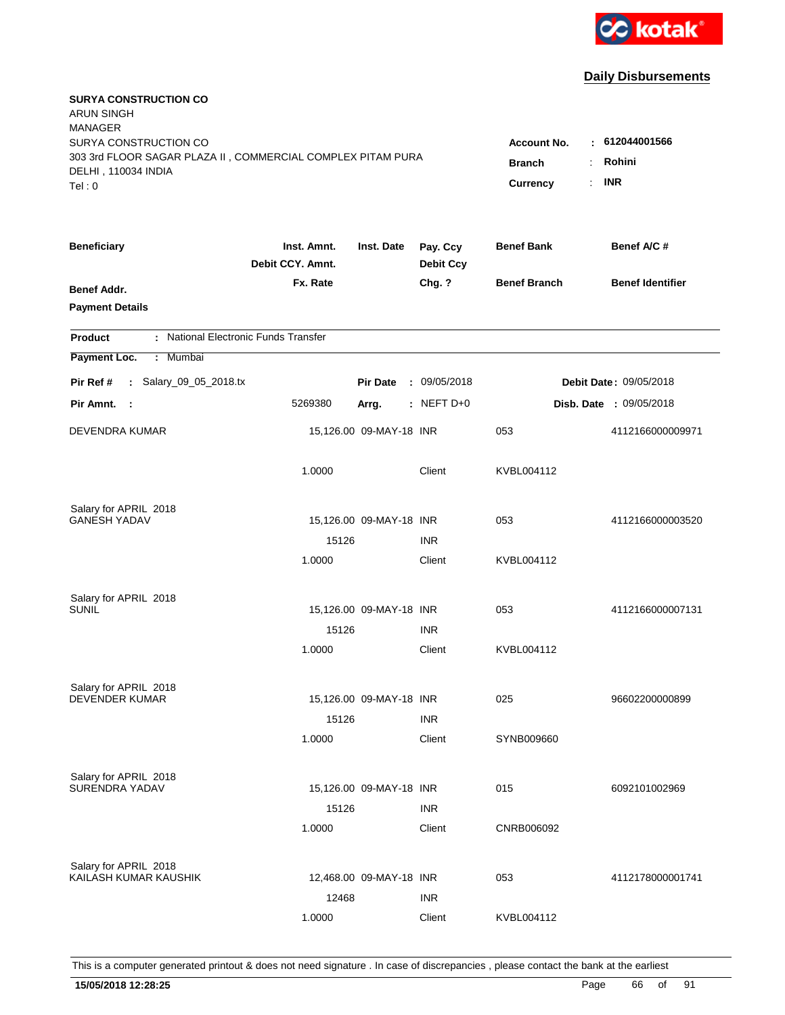

| <b>SURYA CONSTRUCTION CO</b><br><b>ARUN SINGH</b><br><b>MANAGER</b>                                                   |                                                     |                                        |                              |                     |                         |
|-----------------------------------------------------------------------------------------------------------------------|-----------------------------------------------------|----------------------------------------|------------------------------|---------------------|-------------------------|
| SURYA CONSTRUCTION CO<br>303 3rd FLOOR SAGAR PLAZA II, COMMERCIAL COMPLEX PITAM PURA<br>DELHI, 110034 INDIA<br>Tel: 0 | Account No.<br><b>Branch</b><br>$\cdot$<br>Currency | : 612044001566<br>Rohini<br><b>INR</b> |                              |                     |                         |
| <b>Beneficiary</b>                                                                                                    | Inst. Amnt.<br>Debit CCY. Amnt.                     | Inst. Date                             | Pay. Ccy<br><b>Debit Ccy</b> | <b>Benef Bank</b>   | Benef A/C #             |
| <b>Benef Addr.</b><br><b>Payment Details</b>                                                                          | Fx. Rate                                            |                                        | Chg. ?                       | <b>Benef Branch</b> | <b>Benef Identifier</b> |
| : National Electronic Funds Transfer<br><b>Product</b>                                                                |                                                     |                                        |                              |                     |                         |
| Payment Loc.<br>: Mumbai                                                                                              |                                                     |                                        |                              |                     |                         |
| : Salary_09_05_2018.tx<br>Pir Ref #                                                                                   |                                                     | <b>Pir Date</b>                        | : 09/05/2018                 |                     | Debit Date: 09/05/2018  |
| Pir Amnt.<br>- 1                                                                                                      | 5269380                                             | Arrg.                                  | $:$ NEFT D+0                 |                     | Disb. Date : 09/05/2018 |
| <b>DEVENDRA KUMAR</b>                                                                                                 |                                                     | 15,126.00 09-MAY-18 INR                |                              | 053                 | 4112166000009971        |
|                                                                                                                       | 1.0000                                              |                                        | Client                       | KVBL004112          |                         |
| Salary for APRIL 2018                                                                                                 |                                                     |                                        |                              |                     |                         |
| <b>GANESH YADAV</b>                                                                                                   |                                                     | 15,126.00 09-MAY-18 INR                |                              | 053                 | 4112166000003520        |
|                                                                                                                       | 15126                                               |                                        | <b>INR</b>                   |                     |                         |
|                                                                                                                       | 1.0000                                              |                                        | Client                       | KVBL004112          |                         |
| Salary for APRIL 2018                                                                                                 |                                                     |                                        |                              |                     |                         |
| <b>SUNIL</b>                                                                                                          |                                                     | 15,126.00 09-MAY-18 INR                |                              | 053                 | 4112166000007131        |
|                                                                                                                       | 15126                                               |                                        | <b>INR</b>                   |                     |                         |
|                                                                                                                       | 1.0000                                              |                                        | Client                       | KVBL004112          |                         |
| Salary for APRIL 2018                                                                                                 |                                                     |                                        |                              |                     |                         |
| <b>DEVENDER KUMAR</b>                                                                                                 |                                                     | 15,126.00 09-MAY-18 INR                |                              | 025                 | 96602200000899          |
|                                                                                                                       | 15126                                               |                                        | <b>INR</b>                   |                     |                         |
|                                                                                                                       | 1.0000                                              |                                        | Client                       | SYNB009660          |                         |
| Salary for APRIL 2018                                                                                                 |                                                     |                                        |                              |                     |                         |
| SURENDRA YADAV                                                                                                        |                                                     | 15,126.00 09-MAY-18 INR                |                              | 015                 | 6092101002969           |
|                                                                                                                       | 15126                                               |                                        | <b>INR</b>                   |                     |                         |
|                                                                                                                       | 1.0000                                              |                                        | Client                       | CNRB006092          |                         |
| Salary for APRIL 2018                                                                                                 |                                                     |                                        |                              |                     |                         |
| KAILASH KUMAR KAUSHIK                                                                                                 |                                                     | 12,468.00 09-MAY-18 INR                |                              | 053                 | 4112178000001741        |
|                                                                                                                       | 12468                                               |                                        | <b>INR</b>                   |                     |                         |
|                                                                                                                       | 1.0000                                              |                                        | Client                       | KVBL004112          |                         |
|                                                                                                                       |                                                     |                                        |                              |                     |                         |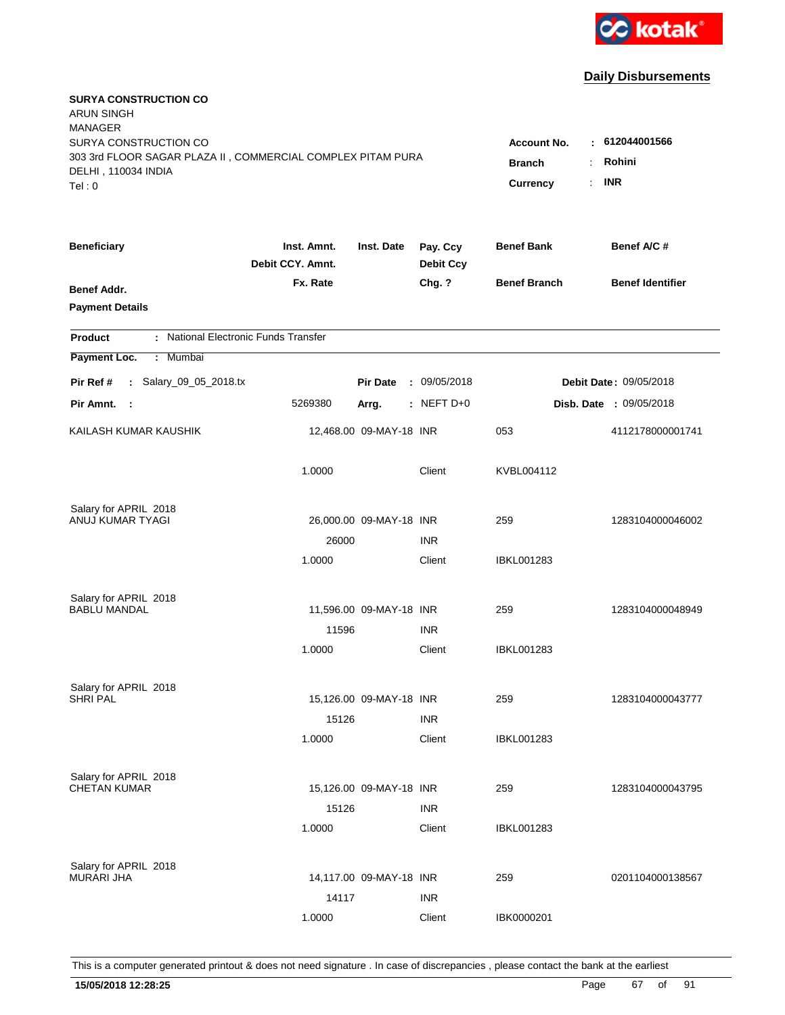

| <b>SURYA CONSTRUCTION CO</b><br><b>ARUN SINGH</b><br><b>MANAGER</b><br>SURYA CONSTRUCTION CO |                                 |                         |                              | <b>Account No.</b>               | : 612044001566          |
|----------------------------------------------------------------------------------------------|---------------------------------|-------------------------|------------------------------|----------------------------------|-------------------------|
| 303 3rd FLOOR SAGAR PLAZA II, COMMERCIAL COMPLEX PITAM PURA<br>DELHI, 110034 INDIA<br>Tel: 0 |                                 |                         | <b>Branch</b><br>Currency    | Rohini<br>÷.<br><b>INR</b><br>t. |                         |
| <b>Beneficiary</b>                                                                           | Inst. Amnt.<br>Debit CCY. Amnt. | Inst. Date              | Pay. Ccy<br><b>Debit Ccy</b> | <b>Benef Bank</b>                | Benef A/C#              |
| Benef Addr.<br><b>Payment Details</b>                                                        | Fx. Rate                        |                         | Chg. ?                       | <b>Benef Branch</b>              | <b>Benef Identifier</b> |
| : National Electronic Funds Transfer<br><b>Product</b>                                       |                                 |                         |                              |                                  |                         |
| Payment Loc.<br>: Mumbai                                                                     |                                 |                         |                              |                                  |                         |
| : Salary_09_05_2018.tx<br>Pir Ref #                                                          |                                 | <b>Pir Date</b>         | : 09/05/2018                 |                                  | Debit Date: 09/05/2018  |
| Pir Amnt. :                                                                                  | 5269380                         | Arrg.                   | $:$ NEFT D+0                 |                                  | Disb. Date : 09/05/2018 |
| KAILASH KUMAR KAUSHIK                                                                        |                                 | 12,468.00 09-MAY-18 INR |                              | 053                              | 4112178000001741        |
|                                                                                              | 1.0000                          |                         | Client                       | KVBL004112                       |                         |
| Salary for APRIL 2018                                                                        |                                 |                         |                              |                                  |                         |
| ANUJ KUMAR TYAGI                                                                             |                                 | 26,000.00 09-MAY-18 INR |                              | 259                              | 1283104000046002        |
|                                                                                              | 26000<br>1.0000                 |                         | <b>INR</b><br>Client         | IBKL001283                       |                         |
| Salary for APRIL 2018                                                                        |                                 |                         |                              |                                  |                         |
| <b>BABLU MANDAL</b>                                                                          |                                 | 11,596.00 09-MAY-18 INR |                              | 259                              | 1283104000048949        |
|                                                                                              | 11596                           |                         | <b>INR</b>                   |                                  |                         |
|                                                                                              | 1.0000                          |                         | Client                       | IBKL001283                       |                         |
| Salary for APRIL 2018                                                                        |                                 |                         |                              |                                  |                         |
| <b>SHRI PAL</b>                                                                              |                                 | 15,126.00 09-MAY-18 INR |                              | 259                              | 1283104000043777        |
|                                                                                              | 15126                           |                         | <b>INR</b>                   |                                  |                         |
|                                                                                              | 1.0000                          |                         | Client                       | <b>IBKL001283</b>                |                         |
| Salary for APRIL 2018                                                                        |                                 |                         |                              |                                  |                         |
| <b>CHETAN KUMAR</b>                                                                          |                                 | 15,126.00 09-MAY-18 INR |                              | 259                              | 1283104000043795        |
|                                                                                              | 15126<br>1.0000                 |                         | <b>INR</b><br>Client         | <b>IBKL001283</b>                |                         |
|                                                                                              |                                 |                         |                              |                                  |                         |
| Salary for APRIL 2018<br><b>MURARI JHA</b>                                                   |                                 |                         |                              |                                  |                         |
|                                                                                              |                                 | 14,117.00 09-MAY-18 INR |                              | 259                              | 0201104000138567        |
|                                                                                              | 14117                           |                         | <b>INR</b>                   |                                  |                         |
|                                                                                              | 1.0000                          |                         | Client                       | IBK0000201                       |                         |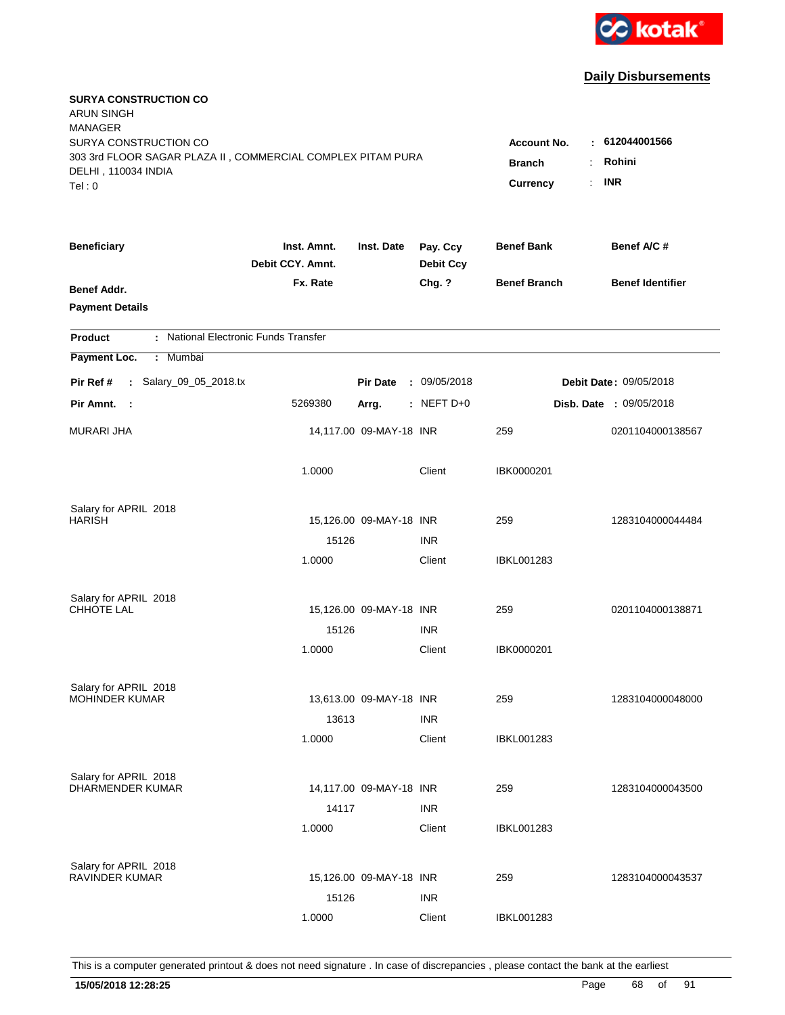

| <b>SURYA CONSTRUCTION CO</b><br><b>ARUN SINGH</b><br><b>MANAGER</b><br>SURYA CONSTRUCTION CO<br>303 3rd FLOOR SAGAR PLAZA II, COMMERCIAL COMPLEX PITAM PURA<br>DELHI, 110034 INDIA<br>Tel: 0 | <b>Account No.</b><br><b>Branch</b><br><b>Currency</b> | : 612044001566<br>Rohini<br>÷<br><b>INR</b><br>÷. |                              |                     |                                |
|----------------------------------------------------------------------------------------------------------------------------------------------------------------------------------------------|--------------------------------------------------------|---------------------------------------------------|------------------------------|---------------------|--------------------------------|
| <b>Beneficiary</b>                                                                                                                                                                           | Inst. Amnt.<br>Debit CCY. Amnt.                        | Inst. Date                                        | Pay. Ccy<br><b>Debit Ccy</b> | <b>Benef Bank</b>   | Benef A/C #                    |
| Benef Addr.<br><b>Payment Details</b>                                                                                                                                                        | Fx. Rate                                               |                                                   | Chg. ?                       | <b>Benef Branch</b> | <b>Benef Identifier</b>        |
| : National Electronic Funds Transfer<br><b>Product</b>                                                                                                                                       |                                                        |                                                   |                              |                     |                                |
| Payment Loc.<br>Mumbai<br>÷                                                                                                                                                                  |                                                        |                                                   |                              |                     |                                |
| : Salary_09_05_2018.tx<br>Pir Ref #                                                                                                                                                          |                                                        | <b>Pir Date</b>                                   | : 09/05/2018                 |                     | <b>Debit Date: 09/05/2018</b>  |
| Pir Amnt. :                                                                                                                                                                                  | 5269380                                                | Arrg.                                             | : NEFT D+0                   |                     | <b>Disb. Date : 09/05/2018</b> |
| <b>MURARI JHA</b>                                                                                                                                                                            |                                                        | 14,117.00 09-MAY-18 INR                           |                              | 259                 | 0201104000138567               |
|                                                                                                                                                                                              | 1.0000                                                 |                                                   | Client                       | IBK0000201          |                                |
| Salary for APRIL 2018                                                                                                                                                                        |                                                        |                                                   |                              |                     |                                |
| <b>HARISH</b>                                                                                                                                                                                | 15126                                                  | 15,126.00 09-MAY-18 INR                           | <b>INR</b>                   | 259                 | 1283104000044484               |
|                                                                                                                                                                                              | 1.0000                                                 |                                                   | Client                       | <b>IBKL001283</b>   |                                |
| Salary for APRIL 2018<br>CHHOTE LAL                                                                                                                                                          |                                                        | 15,126.00 09-MAY-18 INR                           |                              | 259                 | 0201104000138871               |
|                                                                                                                                                                                              | 15126                                                  |                                                   | <b>INR</b>                   |                     |                                |
|                                                                                                                                                                                              | 1.0000                                                 |                                                   | Client                       | IBK0000201          |                                |
| Salary for APRIL 2018                                                                                                                                                                        |                                                        |                                                   |                              |                     |                                |
| <b>MOHINDER KUMAR</b>                                                                                                                                                                        |                                                        | 13,613.00 09-MAY-18 INR                           |                              | 259                 | 1283104000048000               |
|                                                                                                                                                                                              | 13613                                                  |                                                   | <b>INR</b>                   |                     |                                |
|                                                                                                                                                                                              | 1.0000                                                 |                                                   | Client                       | IBKL001283          |                                |
| Salary for APRIL 2018<br>DHARMENDER KUMAR                                                                                                                                                    | 14117                                                  | 14,117.00 09-MAY-18 INR                           | <b>INR</b>                   | 259                 | 1283104000043500               |
|                                                                                                                                                                                              | 1.0000                                                 |                                                   | Client                       | <b>IBKL001283</b>   |                                |
| Salary for APRIL 2018<br><b>RAVINDER KUMAR</b>                                                                                                                                               | 15126                                                  | 15,126.00 09-MAY-18 INR                           | <b>INR</b>                   | 259                 | 1283104000043537               |
|                                                                                                                                                                                              | 1.0000                                                 |                                                   | Client                       | <b>IBKL001283</b>   |                                |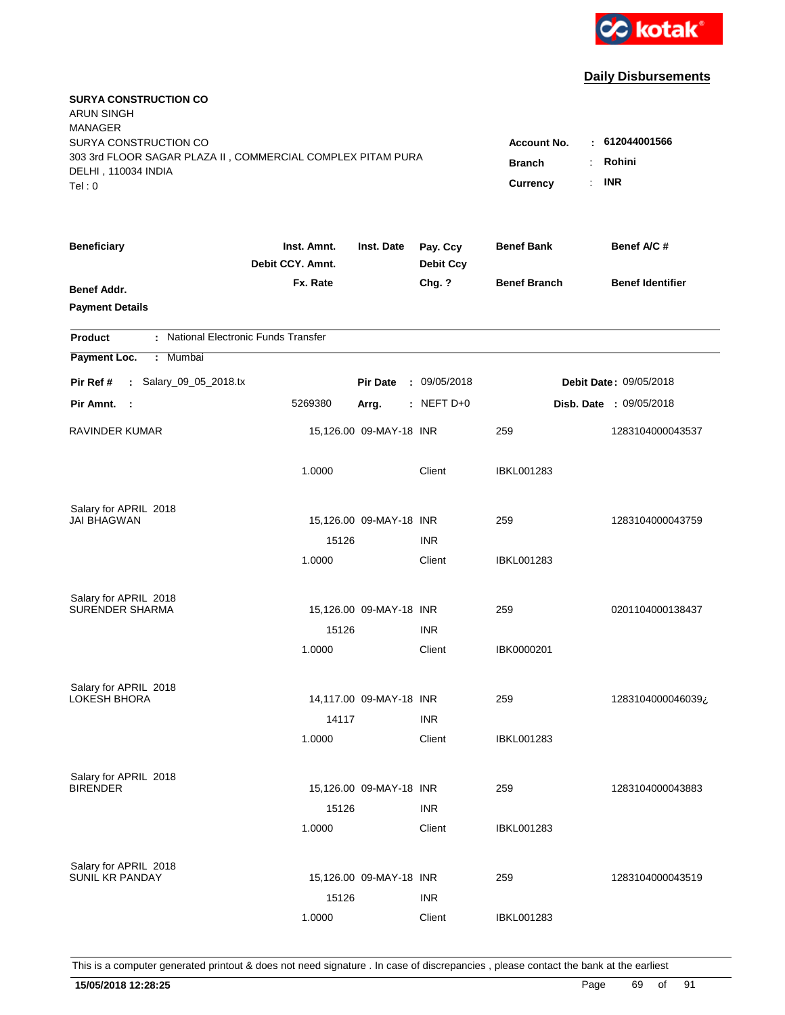

| <b>SURYA CONSTRUCTION CO</b><br><b>ARUN SINGH</b><br><b>MANAGER</b><br>SURYA CONSTRUCTION CO<br>303 3rd FLOOR SAGAR PLAZA II, COMMERCIAL COMPLEX PITAM PURA<br>DELHI, 110034 INDIA<br>Tel: 0 | <b>Account No.</b><br><b>Branch</b><br><b>Currency</b> | : 612044001566<br>Rohini<br>÷<br><b>INR</b><br>÷. |                              |                     |                                |
|----------------------------------------------------------------------------------------------------------------------------------------------------------------------------------------------|--------------------------------------------------------|---------------------------------------------------|------------------------------|---------------------|--------------------------------|
| <b>Beneficiary</b>                                                                                                                                                                           | Inst. Amnt.<br>Debit CCY. Amnt.                        | Inst. Date                                        | Pay. Ccy<br><b>Debit Ccy</b> | <b>Benef Bank</b>   | Benef A/C #                    |
| Benef Addr.<br><b>Payment Details</b>                                                                                                                                                        | Fx. Rate                                               |                                                   | Chg. ?                       | <b>Benef Branch</b> | <b>Benef Identifier</b>        |
| : National Electronic Funds Transfer<br><b>Product</b>                                                                                                                                       |                                                        |                                                   |                              |                     |                                |
| Payment Loc.<br>Mumbai<br>÷.                                                                                                                                                                 |                                                        |                                                   |                              |                     |                                |
| : Salary_09_05_2018.tx<br>Pir Ref #                                                                                                                                                          |                                                        | <b>Pir Date</b>                                   | : 09/05/2018                 |                     | Debit Date: 09/05/2018         |
| Pir Amnt.<br>$\sim$ 1                                                                                                                                                                        | 5269380                                                | Arrg.                                             | : NEFT D+0                   |                     | <b>Disb. Date : 09/05/2018</b> |
| RAVINDER KUMAR                                                                                                                                                                               |                                                        | 15,126.00 09-MAY-18 INR                           |                              | 259                 | 1283104000043537               |
|                                                                                                                                                                                              | 1.0000                                                 |                                                   | Client                       | <b>IBKL001283</b>   |                                |
| Salary for APRIL 2018                                                                                                                                                                        |                                                        |                                                   |                              |                     |                                |
| <b>JAI BHAGWAN</b>                                                                                                                                                                           | 15126                                                  | 15,126.00 09-MAY-18 INR                           | <b>INR</b>                   | 259                 | 1283104000043759               |
|                                                                                                                                                                                              | 1.0000                                                 |                                                   | Client                       | <b>IBKL001283</b>   |                                |
| Salary for APRIL 2018                                                                                                                                                                        |                                                        |                                                   |                              |                     |                                |
| <b>SURENDER SHARMA</b>                                                                                                                                                                       |                                                        | 15,126.00 09-MAY-18 INR                           |                              | 259                 | 0201104000138437               |
|                                                                                                                                                                                              | 15126                                                  |                                                   | <b>INR</b>                   |                     |                                |
|                                                                                                                                                                                              | 1.0000                                                 |                                                   | Client                       | IBK0000201          |                                |
| Salary for APRIL 2018                                                                                                                                                                        |                                                        |                                                   |                              |                     |                                |
| <b>LOKESH BHORA</b>                                                                                                                                                                          |                                                        | 14,117.00 09-MAY-18 INR                           |                              | 259                 | 1283104000046039¿              |
|                                                                                                                                                                                              | 14117                                                  |                                                   | <b>INR</b>                   |                     |                                |
|                                                                                                                                                                                              | 1.0000                                                 |                                                   | Client                       | IBKL001283          |                                |
| Salary for APRIL 2018                                                                                                                                                                        |                                                        |                                                   |                              |                     |                                |
| <b>BIRENDER</b>                                                                                                                                                                              |                                                        | 15,126.00 09-MAY-18 INR                           |                              | 259                 | 1283104000043883               |
|                                                                                                                                                                                              | 15126<br>1.0000                                        |                                                   | <b>INR</b><br>Client         | <b>IBKL001283</b>   |                                |
|                                                                                                                                                                                              |                                                        |                                                   |                              |                     |                                |
| Salary for APRIL 2018<br>SUNIL KR PANDAY                                                                                                                                                     |                                                        | 15,126.00 09-MAY-18 INR                           |                              | 259                 | 1283104000043519               |
|                                                                                                                                                                                              | 15126                                                  |                                                   | <b>INR</b>                   |                     |                                |
|                                                                                                                                                                                              | 1.0000                                                 |                                                   | Client                       | <b>IBKL001283</b>   |                                |
|                                                                                                                                                                                              |                                                        |                                                   |                              |                     |                                |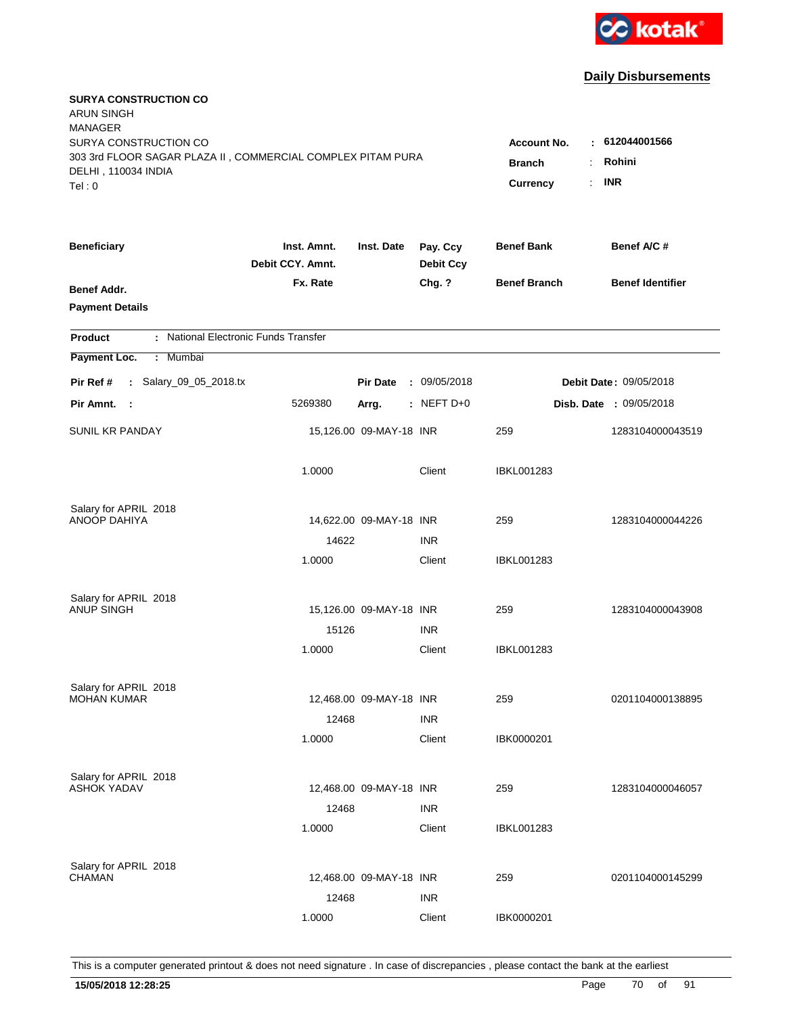

| <b>SURYA CONSTRUCTION CO</b><br><b>ARUN SINGH</b><br><b>MANAGER</b><br>SURYA CONSTRUCTION CO<br>303 3rd FLOOR SAGAR PLAZA II, COMMERCIAL COMPLEX PITAM PURA<br>DELHI, 110034 INDIA<br>Tel: 0 | <b>Account No.</b><br><b>Branch</b><br>Currency | : 612044001566<br>Rohini<br>÷.<br><b>INR</b><br>÷. |                              |                     |                                |
|----------------------------------------------------------------------------------------------------------------------------------------------------------------------------------------------|-------------------------------------------------|----------------------------------------------------|------------------------------|---------------------|--------------------------------|
| <b>Beneficiary</b>                                                                                                                                                                           | Inst. Amnt.<br>Debit CCY. Amnt.                 | Inst. Date                                         | Pay. Ccy<br><b>Debit Ccy</b> | <b>Benef Bank</b>   | Benef A/C#                     |
| Benef Addr.<br><b>Payment Details</b>                                                                                                                                                        | Fx. Rate                                        |                                                    | Chg. ?                       | <b>Benef Branch</b> | <b>Benef Identifier</b>        |
| : National Electronic Funds Transfer<br><b>Product</b>                                                                                                                                       |                                                 |                                                    |                              |                     |                                |
| Payment Loc.<br>: Mumbai                                                                                                                                                                     |                                                 |                                                    |                              |                     |                                |
| : Salary_09_05_2018.tx<br>Pir Ref #                                                                                                                                                          |                                                 | <b>Pir Date</b>                                    | : 09/05/2018                 |                     | Debit Date: 09/05/2018         |
| Pir Amnt. :                                                                                                                                                                                  | 5269380                                         | Arrg.                                              | $:$ NEFT D+0                 |                     | <b>Disb. Date : 09/05/2018</b> |
| <b>SUNIL KR PANDAY</b>                                                                                                                                                                       |                                                 | 15,126.00 09-MAY-18 INR                            |                              | 259                 | 1283104000043519               |
|                                                                                                                                                                                              | 1.0000                                          |                                                    | Client                       | IBKL001283          |                                |
| Salary for APRIL 2018                                                                                                                                                                        |                                                 |                                                    |                              |                     |                                |
| <b>ANOOP DAHIYA</b>                                                                                                                                                                          |                                                 | 14,622.00 09-MAY-18 INR                            | <b>INR</b>                   | 259                 | 1283104000044226               |
|                                                                                                                                                                                              | 14622<br>1.0000                                 |                                                    | Client                       | IBKL001283          |                                |
| Salary for APRIL 2018<br>ANUP SINGH                                                                                                                                                          |                                                 | 15,126.00 09-MAY-18 INR                            |                              | 259                 | 1283104000043908               |
|                                                                                                                                                                                              | 15126                                           |                                                    | <b>INR</b>                   |                     |                                |
|                                                                                                                                                                                              | 1.0000                                          |                                                    | Client                       | IBKL001283          |                                |
|                                                                                                                                                                                              |                                                 |                                                    |                              |                     |                                |
| Salary for APRIL 2018<br><b>MOHAN KUMAR</b>                                                                                                                                                  |                                                 | 12,468.00 09-MAY-18 INR                            |                              | 259                 | 0201104000138895               |
|                                                                                                                                                                                              | 12468                                           |                                                    | <b>INR</b>                   |                     |                                |
|                                                                                                                                                                                              | 1.0000                                          |                                                    | Client                       | IBK0000201          |                                |
| Salary for APRIL 2018                                                                                                                                                                        |                                                 |                                                    |                              |                     |                                |
| <b>ASHOK YADAV</b>                                                                                                                                                                           |                                                 | 12,468.00 09-MAY-18 INR                            |                              | 259                 | 1283104000046057               |
|                                                                                                                                                                                              | 12468                                           |                                                    | <b>INR</b>                   |                     |                                |
|                                                                                                                                                                                              | 1.0000                                          |                                                    | Client                       | <b>IBKL001283</b>   |                                |
| Salary for APRIL 2018                                                                                                                                                                        |                                                 |                                                    |                              |                     |                                |
| <b>CHAMAN</b>                                                                                                                                                                                |                                                 | 12,468.00 09-MAY-18 INR                            |                              | 259                 | 0201104000145299               |
|                                                                                                                                                                                              | 12468                                           |                                                    | <b>INR</b>                   |                     |                                |
|                                                                                                                                                                                              | 1.0000                                          |                                                    | Client                       | IBK0000201          |                                |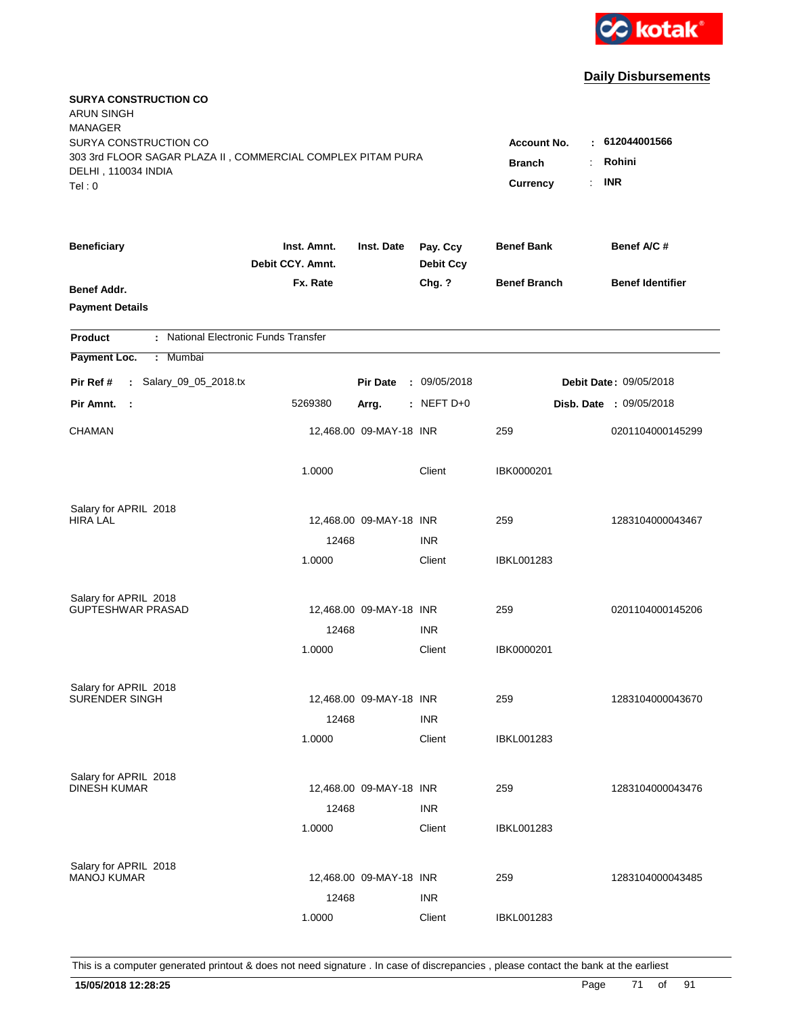

| <b>SURYA CONSTRUCTION CO</b><br><b>ARUN SINGH</b><br><b>MANAGER</b><br>SURYA CONSTRUCTION CO<br>303 3rd FLOOR SAGAR PLAZA II, COMMERCIAL COMPLEX PITAM PURA<br>DELHI, 110034 INDIA<br>Tel: 0 | Account No.<br><b>Branch</b><br>Currency | : 612044001566<br>Rohini<br>÷.<br><b>INR</b><br>$\mathbf{r}$ |                              |                     |                                |
|----------------------------------------------------------------------------------------------------------------------------------------------------------------------------------------------|------------------------------------------|--------------------------------------------------------------|------------------------------|---------------------|--------------------------------|
| <b>Beneficiary</b>                                                                                                                                                                           | Inst. Amnt.<br>Debit CCY. Amnt.          | Inst. Date                                                   | Pay. Ccy<br><b>Debit Ccy</b> | <b>Benef Bank</b>   | Benef A/C #                    |
| Benef Addr.<br><b>Payment Details</b>                                                                                                                                                        | Fx. Rate                                 |                                                              | Chg. ?                       | <b>Benef Branch</b> | <b>Benef Identifier</b>        |
| : National Electronic Funds Transfer<br><b>Product</b>                                                                                                                                       |                                          |                                                              |                              |                     |                                |
| Payment Loc.<br>Mumbai<br>÷.                                                                                                                                                                 |                                          |                                                              |                              |                     |                                |
| : Salary_09_05_2018.tx<br>Pir Ref #                                                                                                                                                          |                                          | <b>Pir Date</b>                                              | : 09/05/2018                 |                     | <b>Debit Date: 09/05/2018</b>  |
| Pir Amnt.<br>- 1                                                                                                                                                                             | 5269380                                  | Arrg.                                                        | $:$ NEFT D+0                 |                     | <b>Disb. Date : 09/05/2018</b> |
| <b>CHAMAN</b>                                                                                                                                                                                |                                          | 12,468.00 09-MAY-18 INR                                      |                              | 259                 | 0201104000145299               |
|                                                                                                                                                                                              | 1.0000                                   |                                                              | Client                       | IBK0000201          |                                |
| Salary for APRIL 2018                                                                                                                                                                        |                                          |                                                              |                              |                     |                                |
| <b>HIRA LAL</b>                                                                                                                                                                              |                                          | 12,468.00 09-MAY-18 INR                                      |                              | 259                 | 1283104000043467               |
|                                                                                                                                                                                              | 12468<br>1.0000                          |                                                              | <b>INR</b><br>Client         | IBKL001283          |                                |
| Salary for APRIL 2018                                                                                                                                                                        |                                          |                                                              |                              |                     |                                |
| <b>GUPTESHWAR PRASAD</b>                                                                                                                                                                     |                                          | 12,468.00 09-MAY-18 INR                                      |                              | 259                 | 0201104000145206               |
|                                                                                                                                                                                              | 12468                                    |                                                              | <b>INR</b>                   |                     |                                |
|                                                                                                                                                                                              | 1.0000                                   |                                                              | Client                       | IBK0000201          |                                |
| Salary for APRIL 2018                                                                                                                                                                        |                                          |                                                              |                              |                     |                                |
| <b>SURENDER SINGH</b>                                                                                                                                                                        |                                          | 12,468.00 09-MAY-18 INR                                      |                              | 259                 | 1283104000043670               |
|                                                                                                                                                                                              | 12468                                    |                                                              | <b>INR</b>                   |                     |                                |
|                                                                                                                                                                                              | 1.0000                                   |                                                              | Client                       | <b>IBKL001283</b>   |                                |
| Salary for APRIL 2018                                                                                                                                                                        |                                          |                                                              |                              |                     |                                |
| <b>DINESH KUMAR</b>                                                                                                                                                                          |                                          | 12,468.00 09-MAY-18 INR                                      |                              | 259                 | 1283104000043476               |
|                                                                                                                                                                                              | 12468<br>1.0000                          |                                                              | <b>INR</b><br>Client         | <b>IBKL001283</b>   |                                |
|                                                                                                                                                                                              |                                          |                                                              |                              |                     |                                |
| Salary for APRIL 2018                                                                                                                                                                        |                                          |                                                              |                              |                     |                                |
| <b>MANOJ KUMAR</b>                                                                                                                                                                           |                                          | 12,468.00 09-MAY-18 INR                                      |                              | 259                 | 1283104000043485               |
|                                                                                                                                                                                              | 12468                                    |                                                              | <b>INR</b>                   |                     |                                |
|                                                                                                                                                                                              | 1.0000                                   |                                                              | Client                       | <b>IBKL001283</b>   |                                |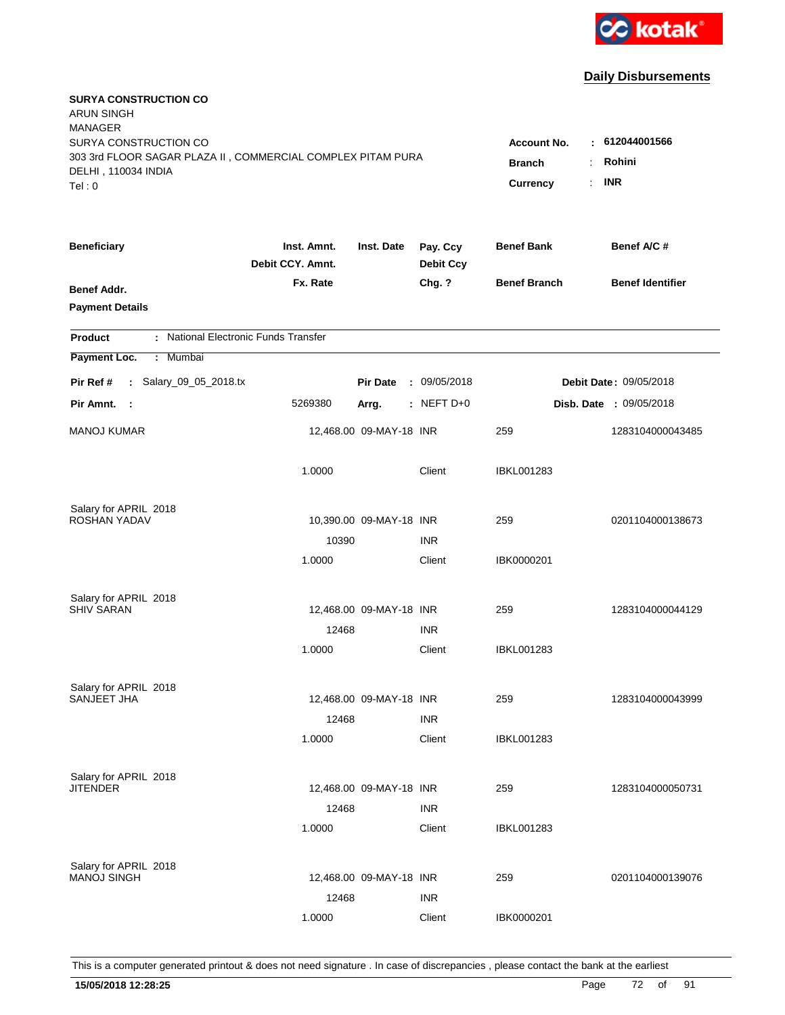

| <b>SURYA CONSTRUCTION CO</b><br><b>ARUN SINGH</b><br><b>MANAGER</b><br>SURYA CONSTRUCTION CO<br>303 3rd FLOOR SAGAR PLAZA II, COMMERCIAL COMPLEX PITAM PURA<br>DELHI, 110034 INDIA<br>Tel: 0 | <b>Account No.</b><br><b>Branch</b><br>Currency | : 612044001566<br>Rohini<br>÷.<br><b>INR</b><br>÷. |                              |                     |                                |
|----------------------------------------------------------------------------------------------------------------------------------------------------------------------------------------------|-------------------------------------------------|----------------------------------------------------|------------------------------|---------------------|--------------------------------|
| <b>Beneficiary</b>                                                                                                                                                                           | Inst. Amnt.<br>Debit CCY. Amnt.                 | Inst. Date                                         | Pay. Ccy<br><b>Debit Ccy</b> | <b>Benef Bank</b>   | Benef A/C#                     |
| Benef Addr.<br><b>Payment Details</b>                                                                                                                                                        | Fx. Rate                                        |                                                    | Chg. ?                       | <b>Benef Branch</b> | <b>Benef Identifier</b>        |
| : National Electronic Funds Transfer<br><b>Product</b>                                                                                                                                       |                                                 |                                                    |                              |                     |                                |
| Payment Loc.<br>: Mumbai                                                                                                                                                                     |                                                 |                                                    |                              |                     |                                |
| : Salary_09_05_2018.tx<br>Pir Ref #                                                                                                                                                          |                                                 | <b>Pir Date</b>                                    | : 09/05/2018                 |                     | Debit Date: 09/05/2018         |
| Pir Amnt. :                                                                                                                                                                                  | 5269380                                         | Arrg.                                              | $:$ NEFT D+0                 |                     | <b>Disb. Date : 09/05/2018</b> |
| <b>MANOJ KUMAR</b>                                                                                                                                                                           |                                                 | 12,468.00 09-MAY-18 INR                            |                              | 259                 | 1283104000043485               |
|                                                                                                                                                                                              | 1.0000                                          |                                                    | Client                       | IBKL001283          |                                |
| Salary for APRIL 2018<br>ROSHAN YADAV                                                                                                                                                        |                                                 | 10,390.00 09-MAY-18 INR                            |                              | 259                 | 0201104000138673               |
|                                                                                                                                                                                              | 10390                                           |                                                    | <b>INR</b>                   |                     |                                |
|                                                                                                                                                                                              | 1.0000                                          |                                                    | Client                       | IBK0000201          |                                |
| Salary for APRIL 2018                                                                                                                                                                        |                                                 |                                                    |                              |                     |                                |
| <b>SHIV SARAN</b>                                                                                                                                                                            |                                                 | 12,468.00 09-MAY-18 INR                            |                              | 259                 | 1283104000044129               |
|                                                                                                                                                                                              | 12468                                           |                                                    | <b>INR</b>                   |                     |                                |
|                                                                                                                                                                                              | 1.0000                                          |                                                    | Client                       | IBKL001283          |                                |
| Salary for APRIL 2018                                                                                                                                                                        |                                                 |                                                    |                              |                     |                                |
| SANJEET JHA                                                                                                                                                                                  |                                                 | 12,468.00 09-MAY-18 INR                            |                              | 259                 | 1283104000043999               |
|                                                                                                                                                                                              | 12468                                           |                                                    | <b>INR</b>                   |                     |                                |
|                                                                                                                                                                                              | 1.0000                                          |                                                    | Client                       | <b>IBKL001283</b>   |                                |
| Salary for APRIL 2018                                                                                                                                                                        |                                                 |                                                    |                              |                     |                                |
| <b>JITENDER</b>                                                                                                                                                                              |                                                 | 12,468.00 09-MAY-18 INR                            |                              | 259                 | 1283104000050731               |
|                                                                                                                                                                                              | 12468                                           |                                                    | <b>INR</b>                   |                     |                                |
|                                                                                                                                                                                              | 1.0000                                          |                                                    | Client                       | <b>IBKL001283</b>   |                                |
| Salary for APRIL 2018                                                                                                                                                                        |                                                 |                                                    |                              |                     |                                |
| <b>MANOJ SINGH</b>                                                                                                                                                                           |                                                 | 12,468.00 09-MAY-18 INR                            |                              | 259                 | 0201104000139076               |
|                                                                                                                                                                                              | 12468                                           |                                                    | <b>INR</b>                   |                     |                                |
|                                                                                                                                                                                              | 1.0000                                          |                                                    | Client                       | IBK0000201          |                                |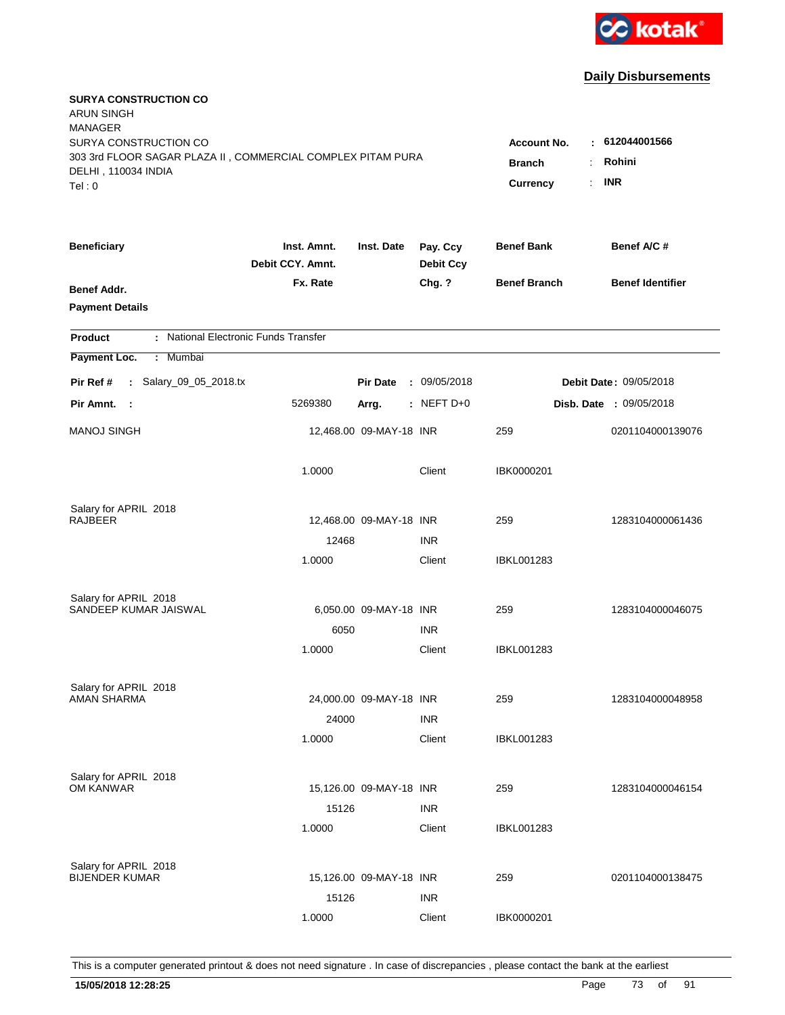

| <b>SURYA CONSTRUCTION CO</b><br><b>ARUN SINGH</b><br><b>MANAGER</b><br>SURYA CONSTRUCTION CO<br>303 3rd FLOOR SAGAR PLAZA II, COMMERCIAL COMPLEX PITAM PURA<br>DELHI, 110034 INDIA<br>Tel: 0 | Account No.<br><b>Branch</b><br>Currency | : 612044001566<br>Rohini<br>÷.<br><b>INR</b><br>$\mathbf{r}$ |                              |                     |                                |
|----------------------------------------------------------------------------------------------------------------------------------------------------------------------------------------------|------------------------------------------|--------------------------------------------------------------|------------------------------|---------------------|--------------------------------|
| <b>Beneficiary</b>                                                                                                                                                                           | Inst. Amnt.<br>Debit CCY. Amnt.          | Inst. Date                                                   | Pay. Ccy<br><b>Debit Ccy</b> | <b>Benef Bank</b>   | Benef A/C #                    |
| Benef Addr.<br><b>Payment Details</b>                                                                                                                                                        | Fx. Rate                                 |                                                              | Chg. ?                       | <b>Benef Branch</b> | <b>Benef Identifier</b>        |
| : National Electronic Funds Transfer<br><b>Product</b>                                                                                                                                       |                                          |                                                              |                              |                     |                                |
| Payment Loc.<br>Mumbai<br>÷.                                                                                                                                                                 |                                          |                                                              |                              |                     |                                |
| : Salary_09_05_2018.tx<br>Pir Ref #                                                                                                                                                          |                                          | <b>Pir Date</b>                                              | : 09/05/2018                 |                     | <b>Debit Date: 09/05/2018</b>  |
| Pir Amnt. :                                                                                                                                                                                  | 5269380                                  | Arrg.                                                        | $:$ NEFT D+0                 |                     | <b>Disb. Date : 09/05/2018</b> |
| <b>MANOJ SINGH</b>                                                                                                                                                                           |                                          | 12,468.00 09-MAY-18 INR                                      |                              | 259                 | 0201104000139076               |
|                                                                                                                                                                                              | 1.0000                                   |                                                              | Client                       | IBK0000201          |                                |
| Salary for APRIL 2018                                                                                                                                                                        |                                          |                                                              |                              |                     |                                |
| <b>RAJBEER</b>                                                                                                                                                                               | 12468                                    | 12,468.00 09-MAY-18 INR                                      | <b>INR</b>                   | 259                 | 1283104000061436               |
|                                                                                                                                                                                              | 1.0000                                   |                                                              | Client                       | IBKL001283          |                                |
| Salary for APRIL 2018                                                                                                                                                                        |                                          |                                                              |                              |                     |                                |
| SANDEEP KUMAR JAISWAL                                                                                                                                                                        |                                          | 6,050.00 09-MAY-18 INR                                       |                              | 259                 | 1283104000046075               |
|                                                                                                                                                                                              | 6050                                     |                                                              | <b>INR</b>                   |                     |                                |
|                                                                                                                                                                                              | 1.0000                                   |                                                              | Client                       | IBKL001283          |                                |
| Salary for APRIL 2018                                                                                                                                                                        |                                          |                                                              |                              |                     |                                |
| <b>AMAN SHARMA</b>                                                                                                                                                                           |                                          | 24,000.00 09-MAY-18 INR                                      |                              | 259                 | 1283104000048958               |
|                                                                                                                                                                                              | 24000                                    |                                                              | <b>INR</b>                   |                     |                                |
|                                                                                                                                                                                              | 1.0000                                   |                                                              | Client                       | IBKL001283          |                                |
| Salary for APRIL 2018                                                                                                                                                                        |                                          |                                                              |                              |                     |                                |
| OM KANWAR                                                                                                                                                                                    |                                          | 15,126.00 09-MAY-18 INR                                      |                              | 259                 | 1283104000046154               |
|                                                                                                                                                                                              | 15126                                    |                                                              | <b>INR</b>                   |                     |                                |
|                                                                                                                                                                                              | 1.0000                                   |                                                              | Client                       | <b>IBKL001283</b>   |                                |
| Salary for APRIL 2018                                                                                                                                                                        |                                          |                                                              |                              |                     |                                |
| <b>BIJENDER KUMAR</b>                                                                                                                                                                        |                                          | 15,126.00 09-MAY-18 INR                                      |                              | 259                 | 0201104000138475               |
|                                                                                                                                                                                              | 15126                                    |                                                              | <b>INR</b>                   |                     |                                |
|                                                                                                                                                                                              | 1.0000                                   |                                                              | Client                       | IBK0000201          |                                |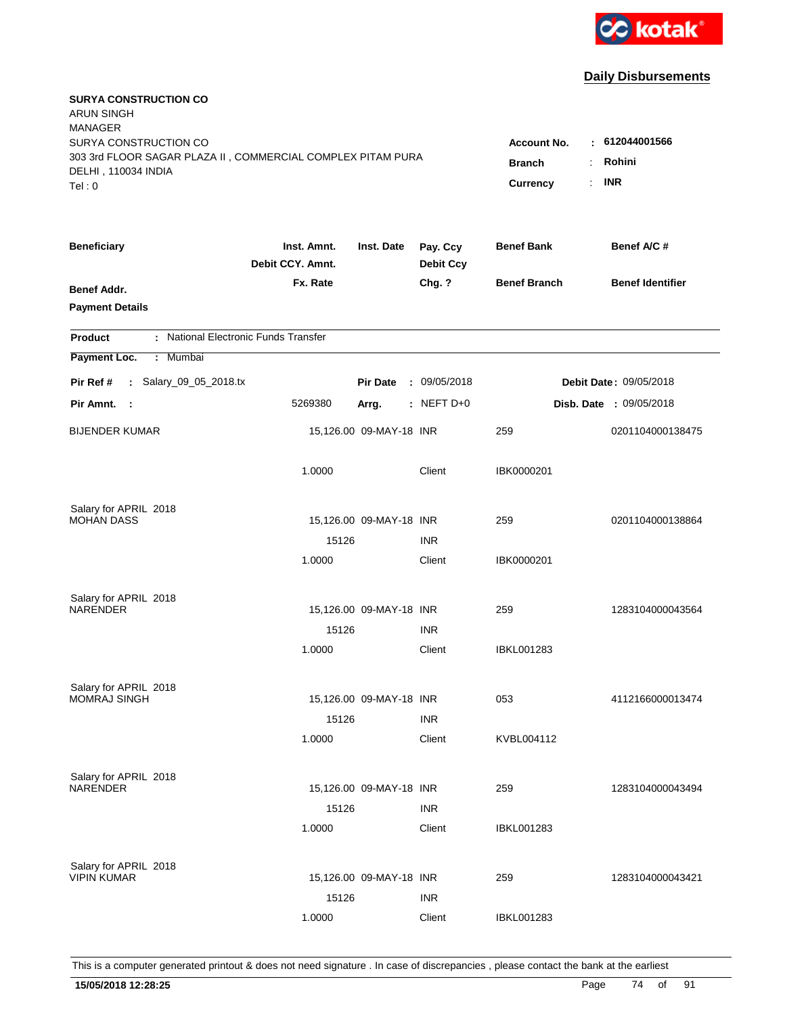

| <b>SURYA CONSTRUCTION CO</b><br><b>ARUN SINGH</b><br><b>MANAGER</b><br>SURYA CONSTRUCTION CO<br>303 3rd FLOOR SAGAR PLAZA II, COMMERCIAL COMPLEX PITAM PURA<br>DELHI, 110034 INDIA<br>Tel: 0 | <b>Account No.</b><br><b>Branch</b><br>Currency | : 612044001566<br>Rohini<br>÷.<br><b>INR</b><br>÷. |                              |                     |                                |
|----------------------------------------------------------------------------------------------------------------------------------------------------------------------------------------------|-------------------------------------------------|----------------------------------------------------|------------------------------|---------------------|--------------------------------|
| <b>Beneficiary</b>                                                                                                                                                                           | Inst. Amnt.<br>Debit CCY. Amnt.                 | Inst. Date                                         | Pay. Ccy<br><b>Debit Ccy</b> | <b>Benef Bank</b>   | Benef A/C#                     |
| Benef Addr.<br><b>Payment Details</b>                                                                                                                                                        | Fx. Rate                                        |                                                    | Chg. ?                       | <b>Benef Branch</b> | <b>Benef Identifier</b>        |
| : National Electronic Funds Transfer<br><b>Product</b>                                                                                                                                       |                                                 |                                                    |                              |                     |                                |
| Payment Loc.<br>: Mumbai                                                                                                                                                                     |                                                 |                                                    |                              |                     |                                |
| : Salary_09_05_2018.tx<br>Pir Ref #                                                                                                                                                          |                                                 | <b>Pir Date</b>                                    | : 09/05/2018                 |                     | Debit Date: 09/05/2018         |
| Pir Amnt. :                                                                                                                                                                                  | 5269380                                         | Arrg.                                              | $:$ NEFT D+0                 |                     | <b>Disb. Date : 09/05/2018</b> |
| <b>BIJENDER KUMAR</b>                                                                                                                                                                        |                                                 | 15,126.00 09-MAY-18 INR                            |                              | 259                 | 0201104000138475               |
|                                                                                                                                                                                              | 1.0000                                          |                                                    | Client                       | IBK0000201          |                                |
| Salary for APRIL 2018                                                                                                                                                                        |                                                 |                                                    |                              |                     |                                |
| <b>MOHAN DASS</b>                                                                                                                                                                            |                                                 | 15,126.00 09-MAY-18 INR                            | <b>INR</b>                   | 259                 | 0201104000138864               |
|                                                                                                                                                                                              | 15126<br>1.0000                                 |                                                    | Client                       | IBK0000201          |                                |
| Salary for APRIL 2018                                                                                                                                                                        |                                                 |                                                    |                              |                     |                                |
| NARENDER                                                                                                                                                                                     | 15126                                           | 15,126.00 09-MAY-18 INR                            | <b>INR</b>                   | 259                 | 1283104000043564               |
|                                                                                                                                                                                              | 1.0000                                          |                                                    | Client                       | <b>IBKL001283</b>   |                                |
|                                                                                                                                                                                              |                                                 |                                                    |                              |                     |                                |
| Salary for APRIL 2018                                                                                                                                                                        |                                                 |                                                    |                              |                     |                                |
| <b>MOMRAJ SINGH</b>                                                                                                                                                                          |                                                 | 15,126.00 09-MAY-18 INR                            |                              | 053                 | 4112166000013474               |
|                                                                                                                                                                                              | 15126                                           |                                                    | <b>INR</b>                   |                     |                                |
|                                                                                                                                                                                              | 1.0000                                          |                                                    | Client                       | KVBL004112          |                                |
| Salary for APRIL 2018                                                                                                                                                                        |                                                 |                                                    |                              |                     |                                |
| NARENDER                                                                                                                                                                                     |                                                 | 15,126.00 09-MAY-18 INR                            |                              | 259                 | 1283104000043494               |
|                                                                                                                                                                                              | 15126                                           |                                                    | <b>INR</b>                   |                     |                                |
|                                                                                                                                                                                              | 1.0000                                          |                                                    | Client                       | <b>IBKL001283</b>   |                                |
| Salary for APRIL 2018                                                                                                                                                                        |                                                 |                                                    |                              |                     |                                |
| <b>VIPIN KUMAR</b>                                                                                                                                                                           |                                                 | 15,126.00 09-MAY-18 INR                            |                              | 259                 | 1283104000043421               |
|                                                                                                                                                                                              | 15126                                           |                                                    | <b>INR</b>                   |                     |                                |
|                                                                                                                                                                                              | 1.0000                                          |                                                    | Client                       | <b>IBKL001283</b>   |                                |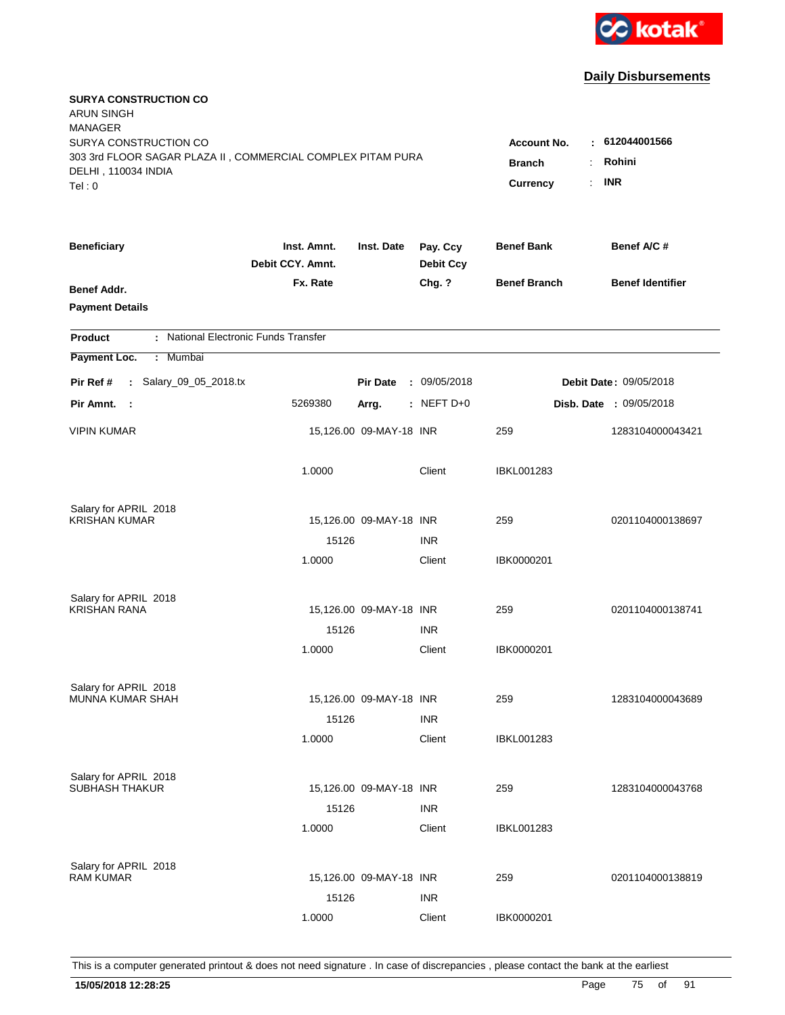

| <b>SURYA CONSTRUCTION CO</b><br><b>ARUN SINGH</b><br><b>MANAGER</b><br>SURYA CONSTRUCTION CO<br>303 3rd FLOOR SAGAR PLAZA II, COMMERCIAL COMPLEX PITAM PURA<br>DELHI, 110034 INDIA<br>Tel: 0 | Account No.<br><b>Branch</b><br>Currency | : 612044001566<br>Rohini<br>÷.<br><b>INR</b><br>$\mathbf{r}$ |                              |                     |                                |
|----------------------------------------------------------------------------------------------------------------------------------------------------------------------------------------------|------------------------------------------|--------------------------------------------------------------|------------------------------|---------------------|--------------------------------|
| <b>Beneficiary</b>                                                                                                                                                                           | Inst. Amnt.<br>Debit CCY. Amnt.          | Inst. Date                                                   | Pay. Ccy<br><b>Debit Ccy</b> | <b>Benef Bank</b>   | Benef A/C #                    |
| Benef Addr.<br><b>Payment Details</b>                                                                                                                                                        | Fx. Rate                                 |                                                              | Chg. ?                       | <b>Benef Branch</b> | <b>Benef Identifier</b>        |
| : National Electronic Funds Transfer<br><b>Product</b>                                                                                                                                       |                                          |                                                              |                              |                     |                                |
| Payment Loc.<br>Mumbai<br>÷.                                                                                                                                                                 |                                          |                                                              |                              |                     |                                |
| : Salary_09_05_2018.tx<br>Pir Ref #                                                                                                                                                          |                                          | <b>Pir Date</b>                                              | : 09/05/2018                 |                     | <b>Debit Date: 09/05/2018</b>  |
| Pir Amnt. :                                                                                                                                                                                  | 5269380                                  | Arrg.                                                        | $:$ NEFT D+0                 |                     | <b>Disb. Date : 09/05/2018</b> |
| <b>VIPIN KUMAR</b>                                                                                                                                                                           |                                          | 15,126.00 09-MAY-18 INR                                      |                              | 259                 | 1283104000043421               |
|                                                                                                                                                                                              | 1.0000                                   |                                                              | Client                       | <b>IBKL001283</b>   |                                |
| Salary for APRIL 2018                                                                                                                                                                        |                                          |                                                              |                              |                     |                                |
| <b>KRISHAN KUMAR</b>                                                                                                                                                                         | 15126                                    | 15,126.00 09-MAY-18 INR                                      | <b>INR</b>                   | 259                 | 0201104000138697               |
|                                                                                                                                                                                              | 1.0000                                   |                                                              | Client                       | IBK0000201          |                                |
| Salary for APRIL 2018                                                                                                                                                                        |                                          |                                                              |                              |                     |                                |
| <b>KRISHAN RANA</b>                                                                                                                                                                          |                                          | 15,126.00 09-MAY-18 INR                                      |                              | 259                 | 0201104000138741               |
|                                                                                                                                                                                              | 15126                                    |                                                              | <b>INR</b>                   |                     |                                |
|                                                                                                                                                                                              | 1.0000                                   |                                                              | Client                       | IBK0000201          |                                |
| Salary for APRIL 2018                                                                                                                                                                        |                                          |                                                              |                              |                     |                                |
| MUNNA KUMAR SHAH                                                                                                                                                                             |                                          | 15,126.00 09-MAY-18 INR                                      |                              | 259                 | 1283104000043689               |
|                                                                                                                                                                                              | 15126                                    |                                                              | <b>INR</b>                   |                     |                                |
|                                                                                                                                                                                              | 1.0000                                   |                                                              | Client                       | <b>IBKL001283</b>   |                                |
| Salary for APRIL 2018                                                                                                                                                                        |                                          |                                                              |                              |                     |                                |
| <b>SUBHASH THAKUR</b>                                                                                                                                                                        |                                          | 15,126.00 09-MAY-18 INR                                      |                              | 259                 | 1283104000043768               |
|                                                                                                                                                                                              | 15126<br>1.0000                          |                                                              | <b>INR</b><br>Client         | <b>IBKL001283</b>   |                                |
|                                                                                                                                                                                              |                                          |                                                              |                              |                     |                                |
| Salary for APRIL 2018                                                                                                                                                                        |                                          |                                                              |                              |                     |                                |
| <b>RAM KUMAR</b>                                                                                                                                                                             |                                          | 15,126.00 09-MAY-18 INR                                      |                              | 259                 | 0201104000138819               |
|                                                                                                                                                                                              | 15126                                    |                                                              | <b>INR</b>                   |                     |                                |
|                                                                                                                                                                                              | 1.0000                                   |                                                              | Client                       | IBK0000201          |                                |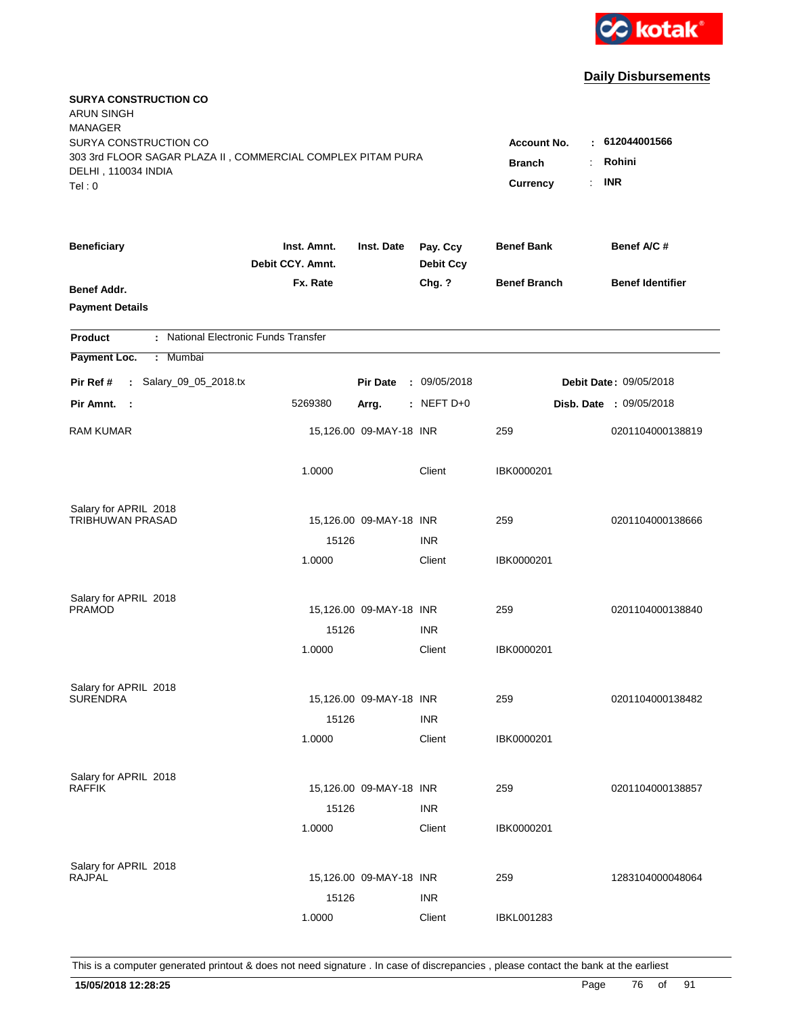

| <b>SURYA CONSTRUCTION CO</b><br><b>ARUN SINGH</b><br><b>MANAGER</b><br>SURYA CONSTRUCTION CO |                                                              |                         |                              | <b>Account No.</b>  | $-612044001566$         |
|----------------------------------------------------------------------------------------------|--------------------------------------------------------------|-------------------------|------------------------------|---------------------|-------------------------|
| 303 3rd FLOOR SAGAR PLAZA II, COMMERCIAL COMPLEX PITAM PURA<br>DELHI, 110034 INDIA<br>Tel: 0 | Rohini<br><b>Branch</b><br>÷<br><b>INR</b><br>Currency<br>÷. |                         |                              |                     |                         |
| <b>Beneficiary</b>                                                                           | Inst. Amnt.<br>Debit CCY. Amnt.                              | Inst. Date              | Pay. Ccy<br><b>Debit Ccy</b> | <b>Benef Bank</b>   | Benef A/C #             |
| Benef Addr.<br><b>Payment Details</b>                                                        | Fx. Rate                                                     |                         | Chg. ?                       | <b>Benef Branch</b> | <b>Benef Identifier</b> |
| : National Electronic Funds Transfer<br><b>Product</b>                                       |                                                              |                         |                              |                     |                         |
| Payment Loc.<br>Mumbai<br>÷.                                                                 |                                                              |                         |                              |                     |                         |
| : Salary_09_05_2018.tx<br>Pir Ref #                                                          |                                                              | <b>Pir Date</b>         | : 09/05/2018                 |                     | Debit Date: 09/05/2018  |
| Pir Amnt.<br>$\sim$ 1                                                                        | 5269380                                                      | Arrg.                   | : NEFT D+0                   |                     | Disb. Date: 09/05/2018  |
| <b>RAM KUMAR</b>                                                                             |                                                              | 15,126.00 09-MAY-18 INR |                              | 259                 | 0201104000138819        |
|                                                                                              | 1.0000                                                       |                         | Client                       | IBK0000201          |                         |
| Salary for APRIL 2018<br>TRIBHUWAN PRASAD                                                    |                                                              | 15,126.00 09-MAY-18 INR |                              | 259                 | 0201104000138666        |
|                                                                                              | 15126                                                        |                         | <b>INR</b>                   |                     |                         |
|                                                                                              | 1.0000                                                       |                         | Client                       | IBK0000201          |                         |
| Salary for APRIL 2018<br><b>PRAMOD</b>                                                       |                                                              | 15,126.00 09-MAY-18 INR |                              | 259                 | 0201104000138840        |
|                                                                                              | 15126                                                        |                         | <b>INR</b>                   |                     |                         |
|                                                                                              | 1.0000                                                       |                         | Client                       | IBK0000201          |                         |
| Salary for APRIL 2018                                                                        |                                                              |                         |                              |                     |                         |
| <b>SURENDRA</b>                                                                              |                                                              | 15,126.00 09-MAY-18 INR |                              | 259                 | 0201104000138482        |
|                                                                                              | 15126<br>1.0000                                              |                         | <b>INR</b><br>Client         | IBK0000201          |                         |
| Salary for APRIL 2018                                                                        |                                                              |                         |                              |                     |                         |
| <b>RAFFIK</b>                                                                                |                                                              | 15,126.00 09-MAY-18 INR |                              | 259                 | 0201104000138857        |
|                                                                                              | 15126<br>1.0000                                              |                         | <b>INR</b><br>Client         | IBK0000201          |                         |
| Salary for APRIL 2018<br><b>RAJPAL</b>                                                       |                                                              | 15,126.00 09-MAY-18 INR |                              | 259                 | 1283104000048064        |
|                                                                                              | 15126<br>1.0000                                              |                         | <b>INR</b><br>Client         | <b>IBKL001283</b>   |                         |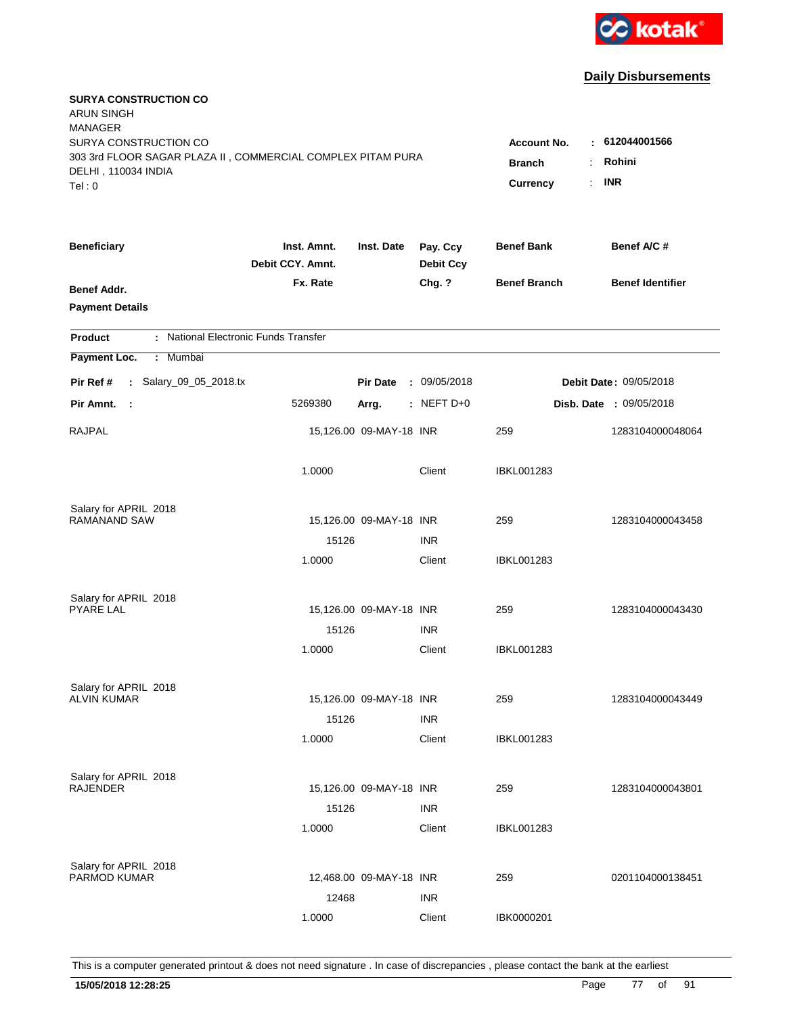

| <b>SURYA CONSTRUCTION CO</b><br><b>ARUN SINGH</b><br><b>MANAGER</b><br>SURYA CONSTRUCTION CO<br>303 3rd FLOOR SAGAR PLAZA II, COMMERCIAL COMPLEX PITAM PURA<br>DELHI, 110034 INDIA<br>Tel: 0 | <b>Account No.</b><br><b>Branch</b><br>÷<br>Currency | : 612044001566<br>Rohini<br><b>INR</b><br>÷. |                              |                     |                         |
|----------------------------------------------------------------------------------------------------------------------------------------------------------------------------------------------|------------------------------------------------------|----------------------------------------------|------------------------------|---------------------|-------------------------|
| <b>Beneficiary</b>                                                                                                                                                                           | Inst. Amnt.<br>Debit CCY. Amnt.                      | Inst. Date                                   | Pay. Ccy<br><b>Debit Ccy</b> | <b>Benef Bank</b>   | Benef A/C #             |
| Benef Addr.<br><b>Payment Details</b>                                                                                                                                                        | Fx. Rate                                             |                                              | Chg. ?                       | <b>Benef Branch</b> | <b>Benef Identifier</b> |
| : National Electronic Funds Transfer<br><b>Product</b>                                                                                                                                       |                                                      |                                              |                              |                     |                         |
| Payment Loc.<br>Mumbai<br>÷.                                                                                                                                                                 |                                                      |                                              |                              |                     |                         |
| : Salary_09_05_2018.tx<br>Pir Ref #                                                                                                                                                          |                                                      | <b>Pir Date</b>                              | : 09/05/2018                 |                     | Debit Date: 09/05/2018  |
| Pir Amnt.<br>- 1                                                                                                                                                                             | 5269380                                              | Arrg.                                        | : NEFT D+0                   |                     | Disb. Date : 09/05/2018 |
| <b>RAJPAL</b>                                                                                                                                                                                |                                                      | 15,126.00 09-MAY-18 INR                      |                              | 259                 | 1283104000048064        |
|                                                                                                                                                                                              | 1.0000                                               |                                              | Client                       | <b>IBKL001283</b>   |                         |
| Salary for APRIL 2018                                                                                                                                                                        |                                                      |                                              |                              |                     |                         |
| <b>RAMANAND SAW</b>                                                                                                                                                                          |                                                      | 15,126.00 09-MAY-18 INR                      |                              | 259                 | 1283104000043458        |
|                                                                                                                                                                                              | 15126<br>1.0000                                      |                                              | <b>INR</b><br>Client         | IBKL001283          |                         |
| Salary for APRIL 2018                                                                                                                                                                        |                                                      |                                              |                              |                     |                         |
| <b>PYARE LAL</b>                                                                                                                                                                             |                                                      | 15,126.00 09-MAY-18 INR                      |                              | 259                 | 1283104000043430        |
|                                                                                                                                                                                              | 15126                                                |                                              | <b>INR</b>                   |                     |                         |
|                                                                                                                                                                                              | 1.0000                                               |                                              | Client                       | IBKL001283          |                         |
| Salary for APRIL 2018                                                                                                                                                                        |                                                      |                                              |                              |                     |                         |
| <b>ALVIN KUMAR</b>                                                                                                                                                                           |                                                      | 15,126.00 09-MAY-18 INR                      |                              | 259                 | 1283104000043449        |
|                                                                                                                                                                                              | 15126<br>1.0000                                      |                                              | <b>INR</b><br>Client         | <b>IBKL001283</b>   |                         |
|                                                                                                                                                                                              |                                                      |                                              |                              |                     |                         |
| Salary for APRIL 2018                                                                                                                                                                        |                                                      |                                              |                              |                     |                         |
| <b>RAJENDER</b>                                                                                                                                                                              |                                                      | 15,126.00 09-MAY-18 INR                      |                              | 259                 | 1283104000043801        |
|                                                                                                                                                                                              | 15126                                                |                                              | <b>INR</b>                   |                     |                         |
|                                                                                                                                                                                              | 1.0000                                               |                                              | Client                       | <b>IBKL001283</b>   |                         |
| Salary for APRIL 2018                                                                                                                                                                        |                                                      |                                              |                              |                     |                         |
| PARMOD KUMAR                                                                                                                                                                                 |                                                      | 12,468.00 09-MAY-18 INR                      |                              | 259                 | 0201104000138451        |
|                                                                                                                                                                                              | 12468                                                |                                              | <b>INR</b>                   |                     |                         |
|                                                                                                                                                                                              | 1.0000                                               |                                              | Client                       | IBK0000201          |                         |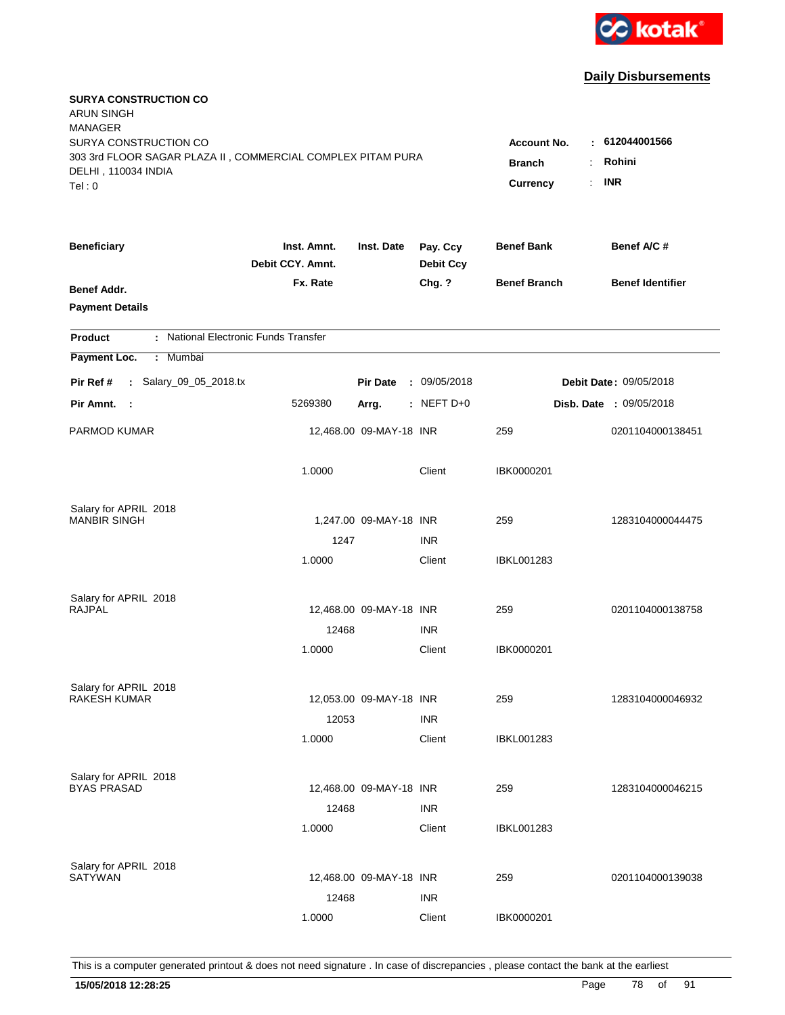

| <b>SURYA CONSTRUCTION CO</b><br><b>ARUN SINGH</b><br><b>MANAGER</b><br>SURYA CONSTRUCTION CO<br>303 3rd FLOOR SAGAR PLAZA II, COMMERCIAL COMPLEX PITAM PURA<br>DELHI, 110034 INDIA<br>Tel: 0 | Account No.<br><b>Branch</b><br>÷.<br>Currency | : 612044001566<br>Rohini<br><b>INR</b><br>÷. |                              |                     |                                |
|----------------------------------------------------------------------------------------------------------------------------------------------------------------------------------------------|------------------------------------------------|----------------------------------------------|------------------------------|---------------------|--------------------------------|
| <b>Beneficiary</b>                                                                                                                                                                           | Inst. Amnt.<br>Debit CCY. Amnt.                | Inst. Date                                   | Pay. Ccy<br><b>Debit Ccy</b> | <b>Benef Bank</b>   | Benef A/C #                    |
| Benef Addr.<br><b>Payment Details</b>                                                                                                                                                        | Fx. Rate                                       |                                              | Chg. ?                       | <b>Benef Branch</b> | <b>Benef Identifier</b>        |
| : National Electronic Funds Transfer<br><b>Product</b>                                                                                                                                       |                                                |                                              |                              |                     |                                |
| Payment Loc.<br>Mumbai<br>÷.                                                                                                                                                                 |                                                |                                              |                              |                     |                                |
| : Salary_09_05_2018.tx<br>Pir Ref #                                                                                                                                                          |                                                | <b>Pir Date</b>                              | : 09/05/2018                 |                     | <b>Debit Date: 09/05/2018</b>  |
| Pir Amnt. :                                                                                                                                                                                  | 5269380                                        | Arrg.                                        | $:$ NEFT D+0                 |                     | <b>Disb. Date : 09/05/2018</b> |
| PARMOD KUMAR                                                                                                                                                                                 |                                                | 12,468.00 09-MAY-18 INR                      |                              | 259                 | 0201104000138451               |
|                                                                                                                                                                                              | 1.0000                                         |                                              | Client                       | IBK0000201          |                                |
| Salary for APRIL 2018<br><b>MANBIR SINGH</b>                                                                                                                                                 |                                                |                                              |                              |                     |                                |
|                                                                                                                                                                                              | 1247                                           | 1,247.00 09-MAY-18 INR                       | <b>INR</b>                   | 259                 | 1283104000044475               |
|                                                                                                                                                                                              | 1.0000                                         |                                              | Client                       | IBKL001283          |                                |
| Salary for APRIL 2018                                                                                                                                                                        |                                                |                                              |                              |                     |                                |
| <b>RAJPAL</b>                                                                                                                                                                                |                                                | 12,468.00 09-MAY-18 INR                      |                              | 259                 | 0201104000138758               |
|                                                                                                                                                                                              | 12468                                          |                                              | <b>INR</b>                   |                     |                                |
|                                                                                                                                                                                              | 1.0000                                         |                                              | Client                       | IBK0000201          |                                |
| Salary for APRIL 2018                                                                                                                                                                        |                                                |                                              |                              |                     |                                |
| <b>RAKESH KUMAR</b>                                                                                                                                                                          |                                                | 12,053.00 09-MAY-18 INR                      |                              | 259                 | 1283104000046932               |
|                                                                                                                                                                                              | 12053                                          |                                              | <b>INR</b>                   |                     |                                |
|                                                                                                                                                                                              | 1.0000                                         |                                              | Client                       | <b>IBKL001283</b>   |                                |
| Salary for APRIL 2018                                                                                                                                                                        |                                                |                                              |                              |                     |                                |
| <b>BYAS PRASAD</b>                                                                                                                                                                           | 12468                                          | 12,468.00 09-MAY-18 INR                      | <b>INR</b>                   | 259                 | 1283104000046215               |
|                                                                                                                                                                                              | 1.0000                                         |                                              | Client                       | <b>IBKL001283</b>   |                                |
| Salary for APRIL 2018                                                                                                                                                                        |                                                |                                              |                              |                     |                                |
| <b>SATYWAN</b>                                                                                                                                                                               |                                                | 12,468.00 09-MAY-18 INR                      |                              | 259                 | 0201104000139038               |
|                                                                                                                                                                                              | 12468                                          |                                              | <b>INR</b>                   |                     |                                |
|                                                                                                                                                                                              | 1.0000                                         |                                              | Client                       | IBK0000201          |                                |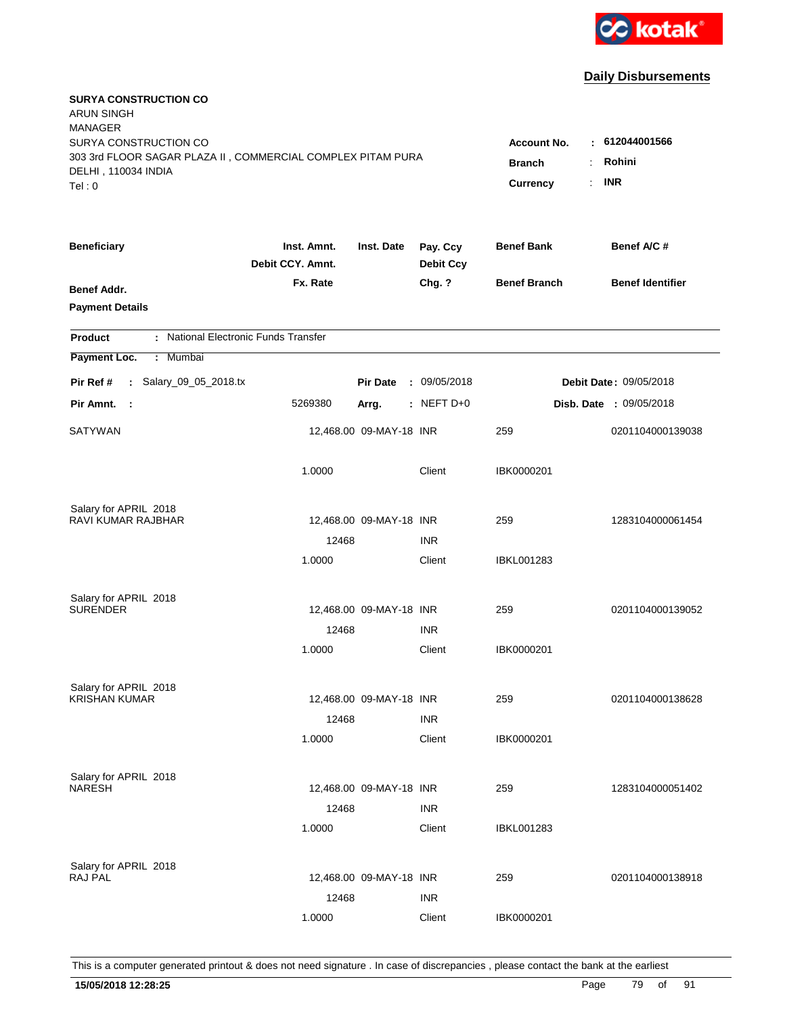

| <b>SURYA CONSTRUCTION CO</b><br><b>ARUN SINGH</b><br><b>MANAGER</b><br>SURYA CONSTRUCTION CO |                                       |                         |                              | <b>Account No.</b>  | : 612044001566                |
|----------------------------------------------------------------------------------------------|---------------------------------------|-------------------------|------------------------------|---------------------|-------------------------------|
| 303 3rd FLOOR SAGAR PLAZA II, COMMERCIAL COMPLEX PITAM PURA<br>DELHI, 110034 INDIA<br>Tel:0  | <b>Branch</b><br>÷.<br>÷.<br>Currency | Rohini<br><b>INR</b>    |                              |                     |                               |
| <b>Beneficiary</b>                                                                           | Inst. Amnt.<br>Debit CCY. Amnt.       | Inst. Date              | Pay. Ccy<br><b>Debit Ccy</b> | <b>Benef Bank</b>   | Benef A/C #                   |
| <b>Benef Addr.</b><br><b>Payment Details</b>                                                 | Fx. Rate                              |                         | Chg. ?                       | <b>Benef Branch</b> | <b>Benef Identifier</b>       |
| : National Electronic Funds Transfer<br><b>Product</b>                                       |                                       |                         |                              |                     |                               |
| : Mumbai<br>Payment Loc.                                                                     |                                       |                         |                              |                     |                               |
| : Salary_09_05_2018.tx<br>Pir Ref #                                                          |                                       | <b>Pir Date</b>         | : 09/05/2018                 |                     | <b>Debit Date: 09/05/2018</b> |
| Pir Amnt. :                                                                                  | 5269380                               | Arrg.                   | $:$ NEFT D+0                 |                     | Disb. Date : 09/05/2018       |
| <b>SATYWAN</b>                                                                               |                                       | 12,468.00 09-MAY-18 INR |                              | 259                 | 0201104000139038              |
|                                                                                              | 1.0000                                |                         | Client                       | IBK0000201          |                               |
| Salary for APRIL 2018<br>RAVI KUMAR RAJBHAR                                                  |                                       |                         |                              | 259                 | 1283104000061454              |
|                                                                                              | 12468                                 | 12,468.00 09-MAY-18 INR | <b>INR</b>                   |                     |                               |
|                                                                                              | 1.0000                                |                         | Client                       | IBKL001283          |                               |
| Salary for APRIL 2018                                                                        |                                       |                         |                              |                     |                               |
| <b>SURENDER</b>                                                                              |                                       | 12,468.00 09-MAY-18 INR |                              | 259                 | 0201104000139052              |
|                                                                                              | 12468<br>1.0000                       |                         | <b>INR</b><br>Client         | IBK0000201          |                               |
|                                                                                              |                                       |                         |                              |                     |                               |
| Salary for APRIL 2018                                                                        |                                       |                         |                              |                     |                               |
| <b>KRISHAN KUMAR</b>                                                                         |                                       | 12,468.00 09-MAY-18 INR |                              | 259                 | 0201104000138628              |
|                                                                                              | 12468<br>1.0000                       |                         | <b>INR</b><br>Client         | IBK0000201          |                               |
|                                                                                              |                                       |                         |                              |                     |                               |
| Salary for APRIL 2018                                                                        |                                       |                         |                              |                     |                               |
| <b>NARESH</b>                                                                                |                                       | 12,468.00 09-MAY-18 INR |                              | 259                 | 1283104000051402              |
|                                                                                              | 12468<br>1.0000                       |                         | <b>INR</b><br>Client         | IBKL001283          |                               |
|                                                                                              |                                       |                         |                              |                     |                               |
| Salary for APRIL 2018                                                                        |                                       |                         |                              |                     |                               |
| <b>RAJ PAL</b>                                                                               |                                       | 12,468.00 09-MAY-18 INR |                              | 259                 | 0201104000138918              |
|                                                                                              | 12468<br>1.0000                       |                         | <b>INR</b><br>Client         | IBK0000201          |                               |
|                                                                                              |                                       |                         |                              |                     |                               |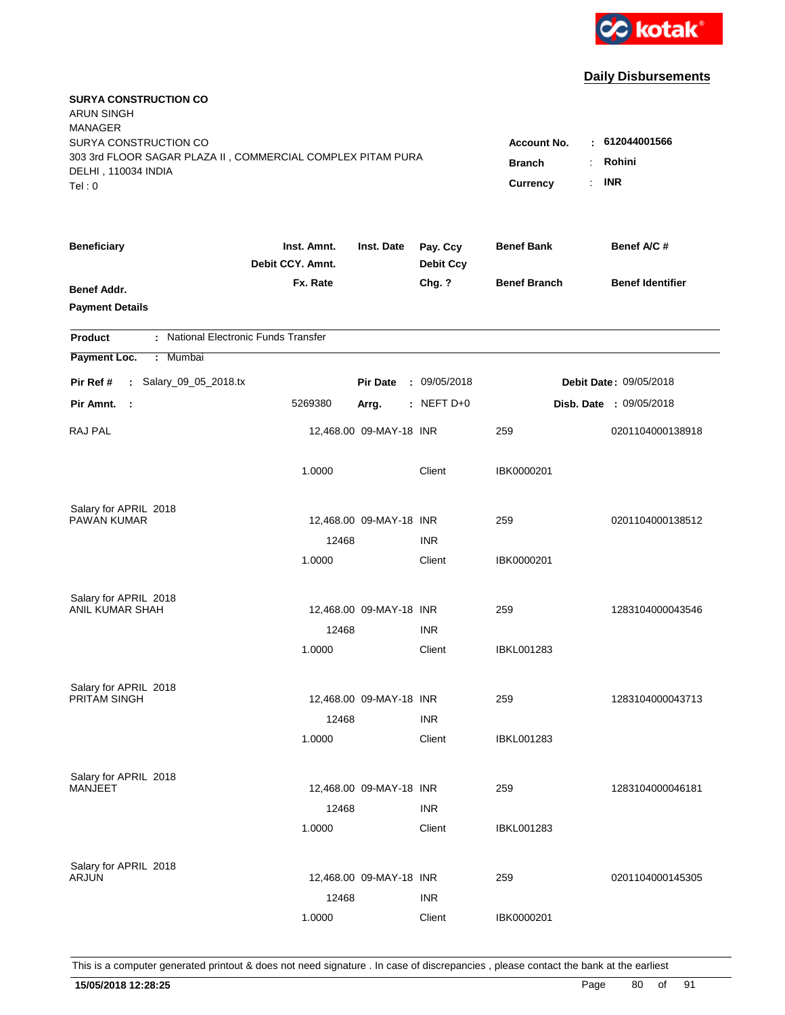

| <b>SURYA CONSTRUCTION CO</b><br><b>ARUN SINGH</b><br><b>MANAGER</b><br>SURYA CONSTRUCTION CO<br>303 3rd FLOOR SAGAR PLAZA II, COMMERCIAL COMPLEX PITAM PURA<br>DELHI, 110034 INDIA<br>Tel: 0 | Account No.<br><b>Branch</b><br>Currency | : 612044001566<br>Rohini<br>÷.<br><b>INR</b><br>÷. |                              |                     |                                |
|----------------------------------------------------------------------------------------------------------------------------------------------------------------------------------------------|------------------------------------------|----------------------------------------------------|------------------------------|---------------------|--------------------------------|
| <b>Beneficiary</b>                                                                                                                                                                           | Inst. Amnt.<br>Debit CCY. Amnt.          | Inst. Date                                         | Pay. Ccy<br><b>Debit Ccy</b> | <b>Benef Bank</b>   | Benef A/C #                    |
| Benef Addr.<br><b>Payment Details</b>                                                                                                                                                        | Fx. Rate                                 |                                                    | Chg. ?                       | <b>Benef Branch</b> | <b>Benef Identifier</b>        |
| : National Electronic Funds Transfer<br><b>Product</b>                                                                                                                                       |                                          |                                                    |                              |                     |                                |
| Payment Loc.<br>Mumbai<br>÷.                                                                                                                                                                 |                                          |                                                    |                              |                     |                                |
| : Salary_09_05_2018.tx<br>Pir Ref #                                                                                                                                                          |                                          | <b>Pir Date</b>                                    | : 09/05/2018                 |                     | <b>Debit Date: 09/05/2018</b>  |
| Pir Amnt.<br>- 1                                                                                                                                                                             | 5269380                                  | Arrg.                                              | $:$ NEFT D+0                 |                     | <b>Disb. Date : 09/05/2018</b> |
| <b>RAJ PAL</b>                                                                                                                                                                               |                                          | 12,468.00 09-MAY-18 INR                            |                              | 259                 | 0201104000138918               |
|                                                                                                                                                                                              | 1.0000                                   |                                                    | Client                       | IBK0000201          |                                |
| Salary for APRIL 2018<br><b>PAWAN KUMAR</b>                                                                                                                                                  |                                          | 12,468.00 09-MAY-18 INR                            |                              | 259                 | 0201104000138512               |
|                                                                                                                                                                                              | 12468                                    |                                                    | <b>INR</b>                   |                     |                                |
|                                                                                                                                                                                              | 1.0000                                   |                                                    | Client                       | IBK0000201          |                                |
| Salary for APRIL 2018                                                                                                                                                                        |                                          |                                                    |                              |                     |                                |
| ANIL KUMAR SHAH                                                                                                                                                                              |                                          | 12,468.00 09-MAY-18 INR                            |                              | 259                 | 1283104000043546               |
|                                                                                                                                                                                              | 12468                                    |                                                    | <b>INR</b>                   |                     |                                |
|                                                                                                                                                                                              | 1.0000                                   |                                                    | Client                       | IBKL001283          |                                |
| Salary for APRIL 2018                                                                                                                                                                        |                                          |                                                    |                              |                     |                                |
| PRITAM SINGH                                                                                                                                                                                 |                                          | 12,468.00 09-MAY-18 INR                            |                              | 259                 | 1283104000043713               |
|                                                                                                                                                                                              | 12468                                    |                                                    | <b>INR</b>                   |                     |                                |
|                                                                                                                                                                                              | 1.0000                                   |                                                    | Client                       | <b>IBKL001283</b>   |                                |
| Salary for APRIL 2018                                                                                                                                                                        |                                          |                                                    |                              |                     |                                |
| <b>MANJEET</b>                                                                                                                                                                               |                                          | 12,468.00 09-MAY-18 INR                            |                              | 259                 | 1283104000046181               |
|                                                                                                                                                                                              | 12468<br>1.0000                          |                                                    | <b>INR</b><br>Client         | <b>IBKL001283</b>   |                                |
|                                                                                                                                                                                              |                                          |                                                    |                              |                     |                                |
| Salary for APRIL 2018<br>ARJUN                                                                                                                                                               |                                          | 12,468.00 09-MAY-18 INR                            |                              | 259                 | 0201104000145305               |
|                                                                                                                                                                                              | 12468                                    |                                                    | <b>INR</b>                   |                     |                                |
|                                                                                                                                                                                              | 1.0000                                   |                                                    | Client                       | IBK0000201          |                                |
|                                                                                                                                                                                              |                                          |                                                    |                              |                     |                                |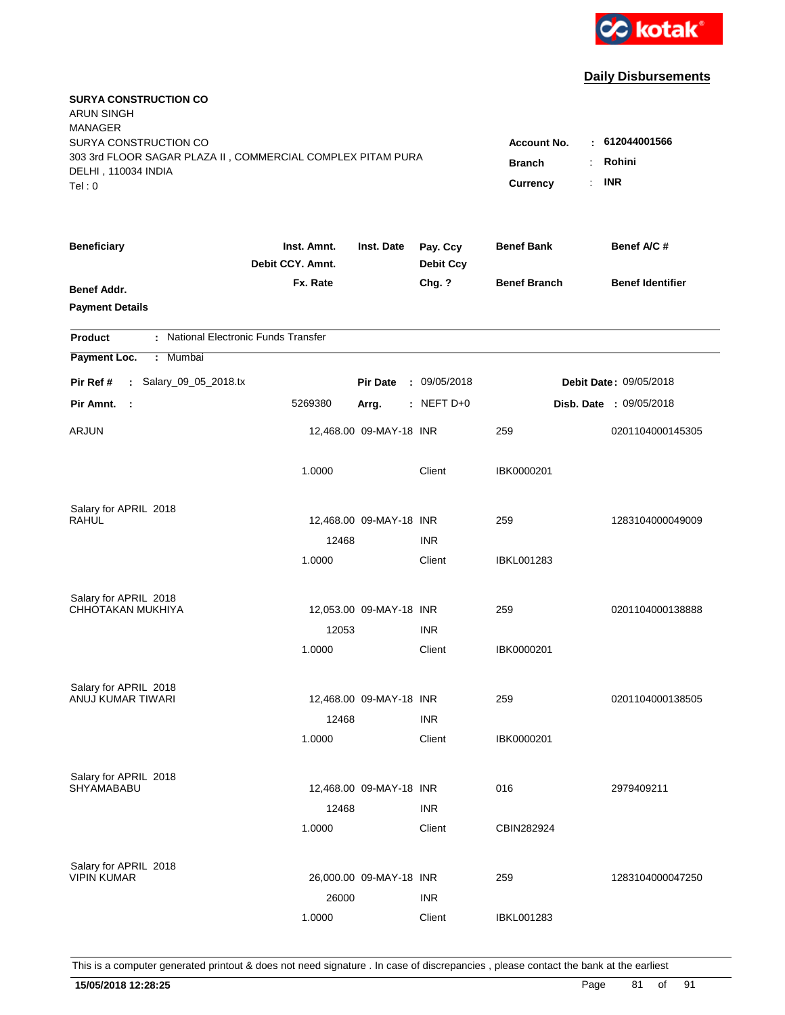

| <b>SURYA CONSTRUCTION CO</b><br><b>ARUN SINGH</b><br><b>MANAGER</b><br>SURYA CONSTRUCTION CO<br>303 3rd FLOOR SAGAR PLAZA II, COMMERCIAL COMPLEX PITAM PURA |                                 |                         |                              | Account No.<br><b>Branch</b><br>÷. | : 612044001566<br>Rohini       |
|-------------------------------------------------------------------------------------------------------------------------------------------------------------|---------------------------------|-------------------------|------------------------------|------------------------------------|--------------------------------|
| DELHI, 110034 INDIA<br>Tel: 0                                                                                                                               |                                 |                         |                              | Currency<br>÷.                     | <b>INR</b>                     |
| <b>Beneficiary</b>                                                                                                                                          | Inst. Amnt.<br>Debit CCY. Amnt. | Inst. Date              | Pay. Ccy<br><b>Debit Ccy</b> | <b>Benef Bank</b>                  | Benef A/C #                    |
| Benef Addr.<br><b>Payment Details</b>                                                                                                                       | Fx. Rate                        |                         | Chg. ?                       | <b>Benef Branch</b>                | <b>Benef Identifier</b>        |
| : National Electronic Funds Transfer<br><b>Product</b>                                                                                                      |                                 |                         |                              |                                    |                                |
| Payment Loc.<br>Mumbai<br>÷.                                                                                                                                |                                 |                         |                              |                                    |                                |
| : Salary_09_05_2018.tx<br>Pir Ref #                                                                                                                         |                                 | <b>Pir Date</b>         | : 09/05/2018                 |                                    | <b>Debit Date: 09/05/2018</b>  |
| Pir Amnt.<br>- 1                                                                                                                                            | 5269380                         | Arrg.                   | $:$ NEFT D+0                 |                                    | <b>Disb. Date : 09/05/2018</b> |
| ARJUN                                                                                                                                                       |                                 | 12,468.00 09-MAY-18 INR |                              | 259                                | 0201104000145305               |
|                                                                                                                                                             | 1.0000                          |                         | Client                       | IBK0000201                         |                                |
| Salary for APRIL 2018                                                                                                                                       |                                 |                         |                              |                                    |                                |
| <b>RAHUL</b>                                                                                                                                                |                                 | 12,468.00 09-MAY-18 INR |                              | 259                                | 1283104000049009               |
|                                                                                                                                                             | 12468<br>1.0000                 |                         | <b>INR</b><br>Client         | IBKL001283                         |                                |
|                                                                                                                                                             |                                 |                         |                              |                                    |                                |
| Salary for APRIL 2018                                                                                                                                       |                                 |                         |                              |                                    |                                |
| CHHOTAKAN MUKHIYA                                                                                                                                           |                                 | 12,053.00 09-MAY-18 INR |                              | 259                                | 0201104000138888               |
|                                                                                                                                                             | 12053                           |                         | <b>INR</b>                   |                                    |                                |
|                                                                                                                                                             | 1.0000                          |                         | Client                       | IBK0000201                         |                                |
| Salary for APRIL 2018                                                                                                                                       |                                 |                         |                              |                                    |                                |
| <b>ANUJ KUMAR TIWARI</b>                                                                                                                                    |                                 | 12,468.00 09-MAY-18 INR |                              | 259                                | 0201104000138505               |
|                                                                                                                                                             | 12468                           |                         | <b>INR</b>                   |                                    |                                |
|                                                                                                                                                             | 1.0000                          |                         | Client                       | IBK0000201                         |                                |
| Salary for APRIL 2018                                                                                                                                       |                                 |                         |                              |                                    |                                |
| SHYAMABABU                                                                                                                                                  |                                 | 12,468.00 09-MAY-18 INR |                              | 016                                | 2979409211                     |
|                                                                                                                                                             | 12468                           |                         | <b>INR</b>                   |                                    |                                |
|                                                                                                                                                             | 1.0000                          |                         | Client                       | CBIN282924                         |                                |
|                                                                                                                                                             |                                 |                         |                              |                                    |                                |
| Salary for APRIL 2018<br><b>VIPIN KUMAR</b>                                                                                                                 |                                 | 26,000.00 09-MAY-18 INR |                              | 259                                | 1283104000047250               |
|                                                                                                                                                             | 26000                           |                         | <b>INR</b>                   |                                    |                                |
|                                                                                                                                                             | 1.0000                          |                         | Client                       | <b>IBKL001283</b>                  |                                |
|                                                                                                                                                             |                                 |                         |                              |                                    |                                |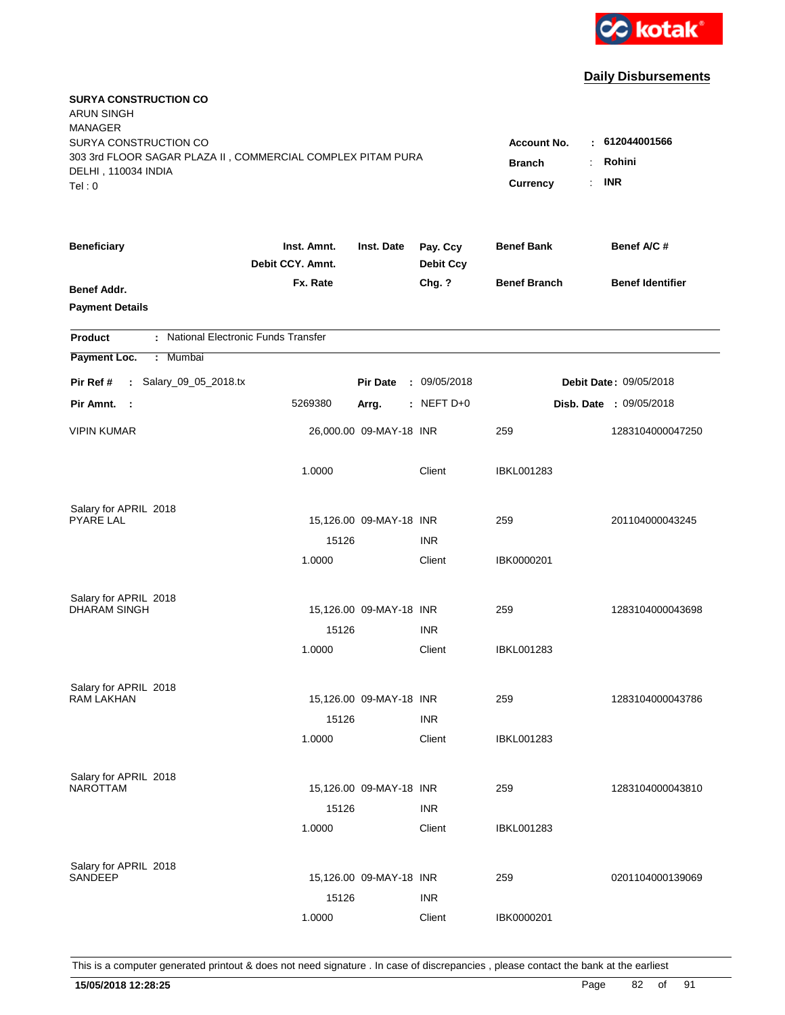

| <b>SURYA CONSTRUCTION CO</b><br><b>ARUN SINGH</b><br><b>MANAGER</b><br>SURYA CONSTRUCTION CO<br>303 3rd FLOOR SAGAR PLAZA II, COMMERCIAL COMPLEX PITAM PURA<br>DELHI, 110034 INDIA<br>Tel: 0 | Account No.<br><b>Branch</b><br>Currency | : 612044001566<br>Rohini<br>÷.<br><b>INR</b><br>÷. |                              |                     |                                |
|----------------------------------------------------------------------------------------------------------------------------------------------------------------------------------------------|------------------------------------------|----------------------------------------------------|------------------------------|---------------------|--------------------------------|
| <b>Beneficiary</b>                                                                                                                                                                           | Inst. Amnt.<br>Debit CCY. Amnt.          | Inst. Date                                         | Pay. Ccy<br><b>Debit Ccy</b> | <b>Benef Bank</b>   | Benef A/C #                    |
| Benef Addr.<br><b>Payment Details</b>                                                                                                                                                        | Fx. Rate                                 |                                                    | Chg. ?                       | <b>Benef Branch</b> | <b>Benef Identifier</b>        |
| : National Electronic Funds Transfer<br><b>Product</b>                                                                                                                                       |                                          |                                                    |                              |                     |                                |
| Payment Loc.<br>Mumbai<br>÷.                                                                                                                                                                 |                                          |                                                    |                              |                     |                                |
| : Salary_09_05_2018.tx<br>Pir Ref #                                                                                                                                                          |                                          | <b>Pir Date</b>                                    | : 09/05/2018                 |                     | <b>Debit Date: 09/05/2018</b>  |
| Pir Amnt. :                                                                                                                                                                                  | 5269380                                  | Arrg.                                              | $:$ NEFT D+0                 |                     | <b>Disb. Date : 09/05/2018</b> |
| <b>VIPIN KUMAR</b>                                                                                                                                                                           |                                          | 26,000.00 09-MAY-18 INR                            |                              | 259                 | 1283104000047250               |
|                                                                                                                                                                                              | 1.0000                                   |                                                    | Client                       | <b>IBKL001283</b>   |                                |
| Salary for APRIL 2018                                                                                                                                                                        |                                          |                                                    |                              |                     |                                |
| <b>PYARE LAL</b>                                                                                                                                                                             | 15126                                    | 15,126.00 09-MAY-18 INR                            | <b>INR</b>                   | 259                 | 201104000043245                |
|                                                                                                                                                                                              | 1.0000                                   |                                                    | Client                       | IBK0000201          |                                |
| Salary for APRIL 2018                                                                                                                                                                        |                                          |                                                    |                              |                     |                                |
| <b>DHARAM SINGH</b>                                                                                                                                                                          |                                          | 15,126.00 09-MAY-18 INR                            |                              | 259                 | 1283104000043698               |
|                                                                                                                                                                                              | 15126                                    |                                                    | <b>INR</b>                   |                     |                                |
|                                                                                                                                                                                              | 1.0000                                   |                                                    | Client                       | IBKL001283          |                                |
| Salary for APRIL 2018<br><b>RAM LAKHAN</b>                                                                                                                                                   |                                          |                                                    |                              |                     |                                |
|                                                                                                                                                                                              |                                          | 15,126.00 09-MAY-18 INR                            |                              | 259                 | 1283104000043786               |
|                                                                                                                                                                                              | 15126<br>1.0000                          |                                                    | <b>INR</b><br>Client         | IBKL001283          |                                |
|                                                                                                                                                                                              |                                          |                                                    |                              |                     |                                |
| Salary for APRIL 2018<br><b>NAROTTAM</b>                                                                                                                                                     |                                          | 15,126.00 09-MAY-18 INR                            |                              | 259                 | 1283104000043810               |
|                                                                                                                                                                                              | 15126                                    |                                                    | <b>INR</b>                   |                     |                                |
|                                                                                                                                                                                              | 1.0000                                   |                                                    | Client                       | <b>IBKL001283</b>   |                                |
| Salary for APRIL 2018                                                                                                                                                                        |                                          |                                                    |                              |                     |                                |
| <b>SANDEEP</b>                                                                                                                                                                               |                                          | 15,126.00 09-MAY-18 INR                            |                              | 259                 | 0201104000139069               |
|                                                                                                                                                                                              | 15126                                    |                                                    | <b>INR</b>                   |                     |                                |
|                                                                                                                                                                                              | 1.0000                                   |                                                    | Client                       | IBK0000201          |                                |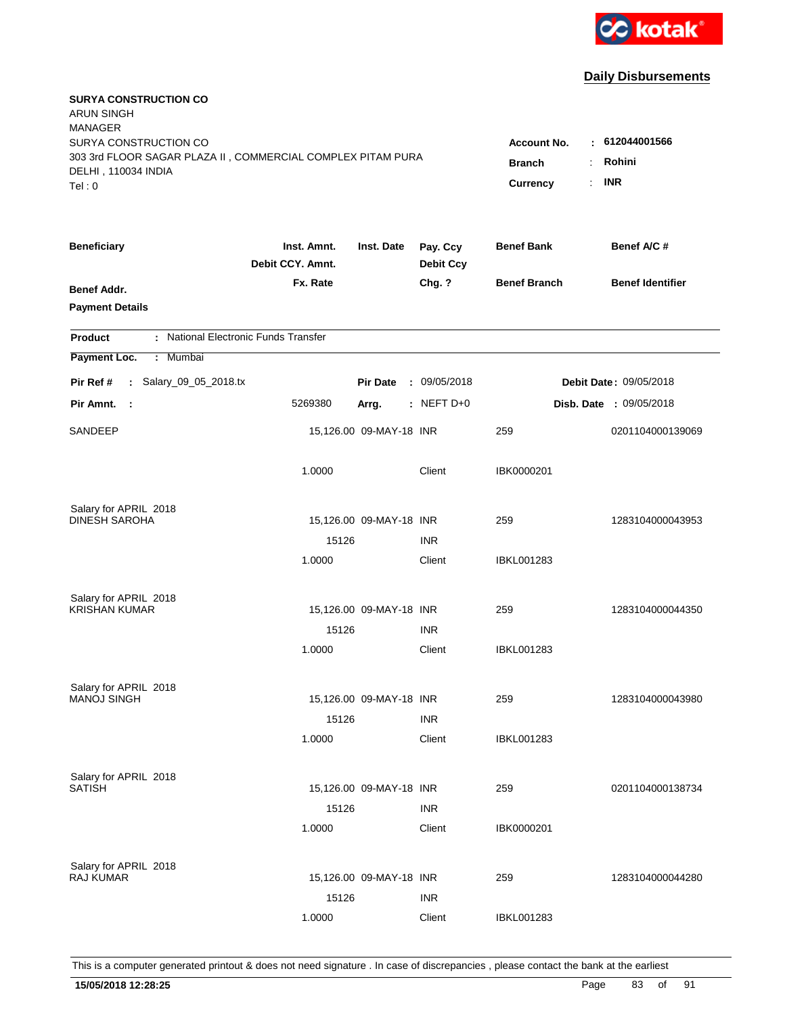

| <b>SURYA CONSTRUCTION CO</b><br><b>ARUN SINGH</b><br><b>MANAGER</b><br>SURYA CONSTRUCTION CO<br>303 3rd FLOOR SAGAR PLAZA II, COMMERCIAL COMPLEX PITAM PURA |                                 |                         |                              | <b>Account No.</b><br><b>Branch</b><br>÷ | : 612044001566<br>Rohini       |
|-------------------------------------------------------------------------------------------------------------------------------------------------------------|---------------------------------|-------------------------|------------------------------|------------------------------------------|--------------------------------|
| DELHI, 110034 INDIA<br>Tel: 0                                                                                                                               |                                 |                         |                              | Currency<br>÷.                           | <b>INR</b>                     |
| <b>Beneficiary</b>                                                                                                                                          | Inst. Amnt.<br>Debit CCY. Amnt. | Inst. Date              | Pay. Ccy<br><b>Debit Ccy</b> | <b>Benef Bank</b>                        | Benef A/C #                    |
| Benef Addr.<br><b>Payment Details</b>                                                                                                                       | Fx. Rate                        |                         | Chg. ?                       | <b>Benef Branch</b>                      | <b>Benef Identifier</b>        |
| : National Electronic Funds Transfer<br><b>Product</b>                                                                                                      |                                 |                         |                              |                                          |                                |
| Payment Loc.<br>Mumbai<br>÷.                                                                                                                                |                                 |                         |                              |                                          |                                |
| : Salary_09_05_2018.tx<br>Pir Ref #                                                                                                                         |                                 | <b>Pir Date</b>         | : 09/05/2018                 |                                          | Debit Date: 09/05/2018         |
| Pir Amnt.<br>- 1                                                                                                                                            | 5269380                         | Arrg.                   | : NEFT D+0                   |                                          | <b>Disb. Date : 09/05/2018</b> |
| SANDEEP                                                                                                                                                     |                                 | 15,126.00 09-MAY-18 INR |                              | 259                                      | 0201104000139069               |
|                                                                                                                                                             | 1.0000                          |                         | Client                       | IBK0000201                               |                                |
| Salary for APRIL 2018                                                                                                                                       |                                 |                         |                              |                                          |                                |
| <b>DINESH SAROHA</b>                                                                                                                                        | 15126                           | 15,126.00 09-MAY-18 INR | <b>INR</b>                   | 259                                      | 1283104000043953               |
|                                                                                                                                                             | 1.0000                          |                         | Client                       | IBKL001283                               |                                |
|                                                                                                                                                             |                                 |                         |                              |                                          |                                |
| Salary for APRIL 2018<br><b>KRISHAN KUMAR</b>                                                                                                               |                                 | 15,126.00 09-MAY-18 INR |                              | 259                                      | 1283104000044350               |
|                                                                                                                                                             | 15126                           |                         | <b>INR</b>                   |                                          |                                |
|                                                                                                                                                             | 1.0000                          |                         | Client                       | IBKL001283                               |                                |
| Salary for APRIL 2018                                                                                                                                       |                                 |                         |                              |                                          |                                |
| <b>MANOJ SINGH</b>                                                                                                                                          |                                 | 15,126.00 09-MAY-18 INR |                              | 259                                      | 1283104000043980               |
|                                                                                                                                                             | 15126                           |                         | <b>INR</b>                   |                                          |                                |
|                                                                                                                                                             | 1.0000                          |                         | Client                       | <b>IBKL001283</b>                        |                                |
| Salary for APRIL 2018                                                                                                                                       |                                 |                         |                              |                                          |                                |
| <b>SATISH</b>                                                                                                                                               |                                 | 15,126.00 09-MAY-18 INR |                              | 259                                      | 0201104000138734               |
|                                                                                                                                                             | 15126                           |                         | <b>INR</b>                   |                                          |                                |
|                                                                                                                                                             | 1.0000                          |                         | Client                       | IBK0000201                               |                                |
| Salary for APRIL 2018                                                                                                                                       |                                 |                         |                              |                                          |                                |
| <b>RAJ KUMAR</b>                                                                                                                                            |                                 | 15,126.00 09-MAY-18 INR |                              | 259                                      | 1283104000044280               |
|                                                                                                                                                             | 15126                           |                         | <b>INR</b>                   |                                          |                                |
|                                                                                                                                                             | 1.0000                          |                         | Client                       | <b>IBKL001283</b>                        |                                |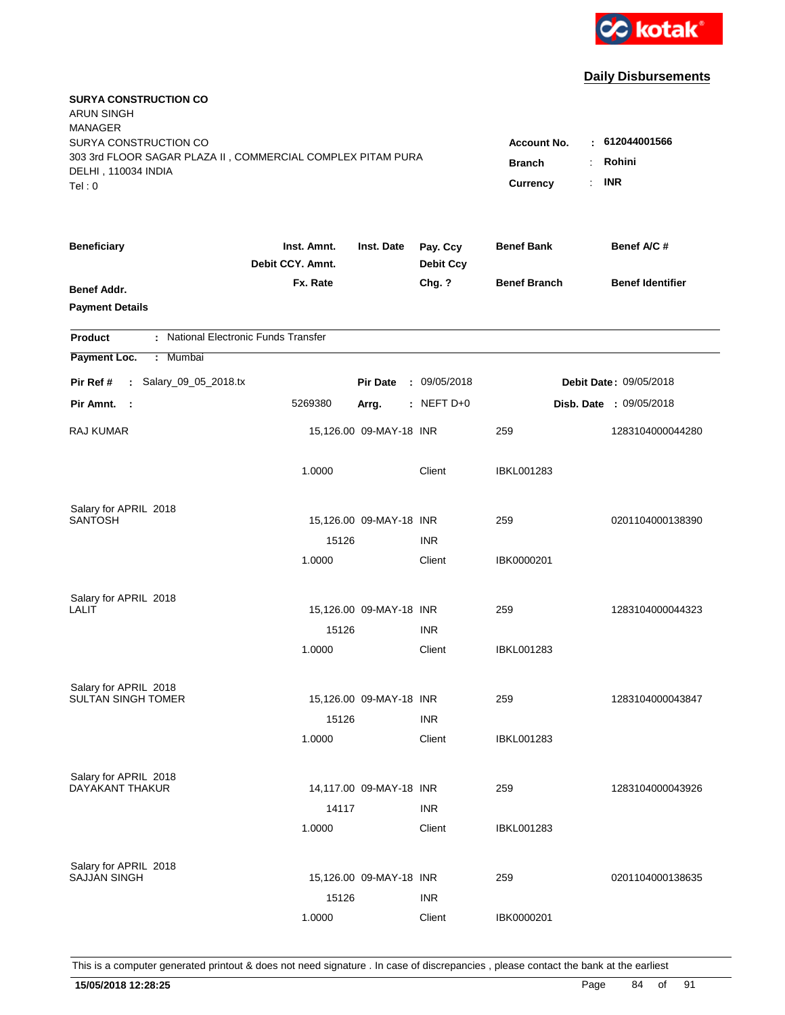

| <b>SURYA CONSTRUCTION CO</b><br><b>ARUN SINGH</b><br><b>MANAGER</b>                                                   |                                                       |                                        |                              |                     |                                |
|-----------------------------------------------------------------------------------------------------------------------|-------------------------------------------------------|----------------------------------------|------------------------------|---------------------|--------------------------------|
| SURYA CONSTRUCTION CO<br>303 3rd FLOOR SAGAR PLAZA II, COMMERCIAL COMPLEX PITAM PURA<br>DELHI, 110034 INDIA<br>Tel: 0 | <b>Account No.</b><br><b>Branch</b><br>Currency<br>÷. | : 612044001566<br>Rohini<br><b>INR</b> |                              |                     |                                |
|                                                                                                                       |                                                       |                                        |                              |                     |                                |
| <b>Beneficiary</b>                                                                                                    | Inst. Amnt.<br>Debit CCY. Amnt.                       | Inst. Date                             | Pay. Ccy<br><b>Debit Ccy</b> | <b>Benef Bank</b>   | Benef A/C #                    |
| Benef Addr.<br><b>Payment Details</b>                                                                                 | Fx. Rate                                              |                                        | Chg. ?                       | <b>Benef Branch</b> | <b>Benef Identifier</b>        |
| : National Electronic Funds Transfer<br><b>Product</b>                                                                |                                                       |                                        |                              |                     |                                |
| Payment Loc.<br>Mumbai<br>÷.                                                                                          |                                                       |                                        |                              |                     |                                |
| : Salary_09_05_2018.tx<br>Pir Ref #                                                                                   |                                                       | <b>Pir Date</b>                        | : 09/05/2018                 |                     | Debit Date: 09/05/2018         |
| Pir Amnt. :                                                                                                           | 5269380                                               | Arrg.                                  | : NEFT $D+0$                 |                     | <b>Disb. Date : 09/05/2018</b> |
| RAJ KUMAR                                                                                                             |                                                       | 15,126.00 09-MAY-18 INR                |                              | 259                 | 1283104000044280               |
|                                                                                                                       | 1.0000                                                |                                        | Client                       | <b>IBKL001283</b>   |                                |
| Salary for APRIL 2018                                                                                                 |                                                       |                                        |                              |                     |                                |
| <b>SANTOSH</b>                                                                                                        | 15126                                                 | 15,126.00 09-MAY-18 INR                | <b>INR</b>                   | 259                 | 0201104000138390               |
|                                                                                                                       | 1.0000                                                |                                        | Client                       | IBK0000201          |                                |
| Salary for APRIL 2018                                                                                                 |                                                       |                                        |                              |                     |                                |
| LALIT                                                                                                                 |                                                       | 15,126.00 09-MAY-18 INR                |                              | 259                 | 1283104000044323               |
|                                                                                                                       | 15126                                                 |                                        | <b>INR</b>                   |                     |                                |
|                                                                                                                       | 1.0000                                                |                                        | Client                       | IBKL001283          |                                |
| Salary for APRIL 2018                                                                                                 |                                                       |                                        |                              |                     |                                |
| <b>SULTAN SINGH TOMER</b>                                                                                             |                                                       | 15,126.00 09-MAY-18 INR                |                              | 259                 | 1283104000043847               |
|                                                                                                                       | 15126                                                 |                                        | <b>INR</b>                   |                     |                                |
|                                                                                                                       | 1.0000                                                |                                        | Client                       | <b>IBKL001283</b>   |                                |
| Salary for APRIL 2018                                                                                                 |                                                       |                                        |                              |                     |                                |
| DAYAKANT THAKUR                                                                                                       |                                                       | 14,117.00 09-MAY-18 INR                |                              | 259                 | 1283104000043926               |
|                                                                                                                       | 14117<br>1.0000                                       |                                        | <b>INR</b><br>Client         | <b>IBKL001283</b>   |                                |
|                                                                                                                       |                                                       |                                        |                              |                     |                                |
| Salary for APRIL 2018<br><b>SAJJAN SINGH</b>                                                                          |                                                       | 15,126.00 09-MAY-18 INR                |                              | 259                 | 0201104000138635               |
|                                                                                                                       | 15126                                                 |                                        | <b>INR</b>                   |                     |                                |
|                                                                                                                       | 1.0000                                                |                                        | Client                       | IBK0000201          |                                |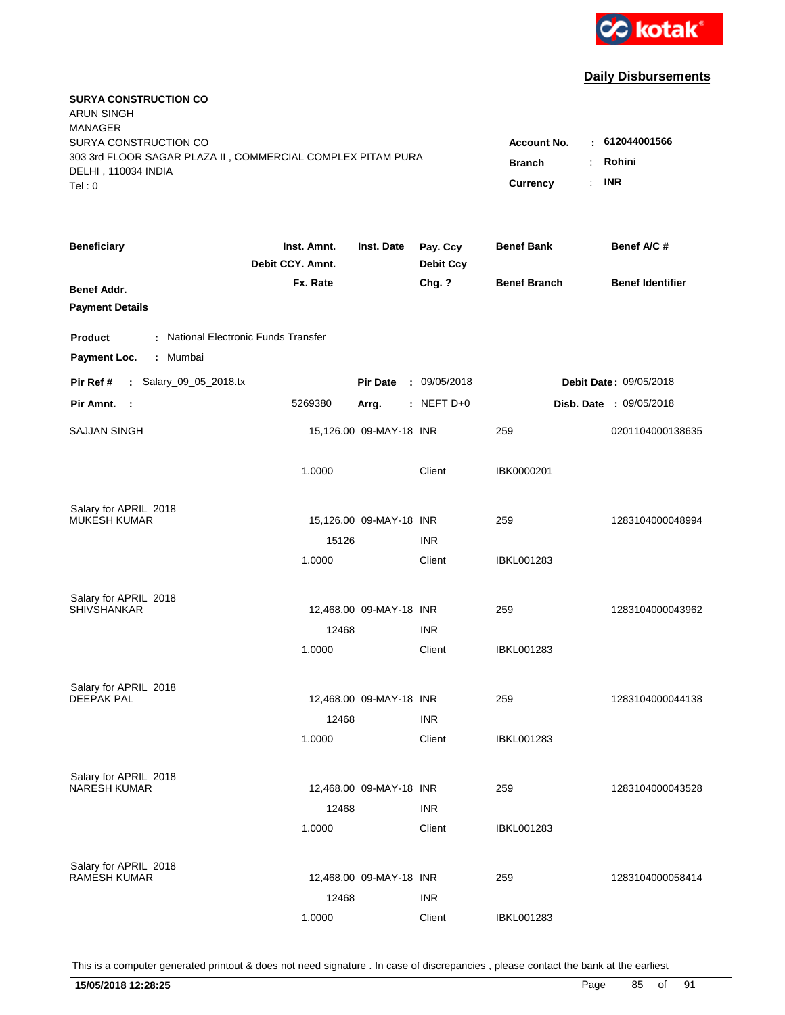

| <b>SURYA CONSTRUCTION CO</b><br><b>ARUN SINGH</b><br><b>MANAGER</b><br>SURYA CONSTRUCTION CO<br>303 3rd FLOOR SAGAR PLAZA II, COMMERCIAL COMPLEX PITAM PURA<br>DELHI, 110034 INDIA<br>Tel: 0 | <b>Account No.</b><br><b>Branch</b><br><b>Currency</b> | : 612044001566<br>Rohini<br>÷<br><b>INR</b><br>÷. |                              |                     |                                |
|----------------------------------------------------------------------------------------------------------------------------------------------------------------------------------------------|--------------------------------------------------------|---------------------------------------------------|------------------------------|---------------------|--------------------------------|
| <b>Beneficiary</b>                                                                                                                                                                           | Inst. Amnt.<br>Debit CCY. Amnt.                        | Inst. Date                                        | Pay. Ccy<br><b>Debit Ccy</b> | <b>Benef Bank</b>   | Benef A/C #                    |
| Benef Addr.<br><b>Payment Details</b>                                                                                                                                                        | Fx. Rate                                               |                                                   | Chg. ?                       | <b>Benef Branch</b> | <b>Benef Identifier</b>        |
| : National Electronic Funds Transfer<br><b>Product</b>                                                                                                                                       |                                                        |                                                   |                              |                     |                                |
| Payment Loc.<br>Mumbai<br>÷.                                                                                                                                                                 |                                                        |                                                   |                              |                     |                                |
| : Salary_09_05_2018.tx<br>Pir Ref #                                                                                                                                                          |                                                        | <b>Pir Date</b>                                   | : 09/05/2018                 |                     | Debit Date: 09/05/2018         |
| Pir Amnt.<br>$\sim$ 1                                                                                                                                                                        | 5269380                                                | Arrg.                                             | : NEFT D+0                   |                     | <b>Disb. Date : 09/05/2018</b> |
| <b>SAJJAN SINGH</b>                                                                                                                                                                          |                                                        | 15,126.00 09-MAY-18 INR                           |                              | 259                 | 0201104000138635               |
|                                                                                                                                                                                              | 1.0000                                                 |                                                   | Client                       | IBK0000201          |                                |
| Salary for APRIL 2018                                                                                                                                                                        |                                                        |                                                   |                              |                     |                                |
| <b>MUKESH KUMAR</b>                                                                                                                                                                          | 15126                                                  | 15,126.00 09-MAY-18 INR                           | <b>INR</b>                   | 259                 | 1283104000048994               |
|                                                                                                                                                                                              | 1.0000                                                 |                                                   | Client                       | <b>IBKL001283</b>   |                                |
| Salary for APRIL 2018<br><b>SHIVSHANKAR</b>                                                                                                                                                  |                                                        | 12,468.00 09-MAY-18 INR                           |                              | 259                 | 1283104000043962               |
|                                                                                                                                                                                              | 12468                                                  |                                                   | <b>INR</b>                   |                     |                                |
|                                                                                                                                                                                              | 1.0000                                                 |                                                   | Client                       | <b>IBKL001283</b>   |                                |
| Salary for APRIL 2018                                                                                                                                                                        |                                                        |                                                   |                              |                     |                                |
| <b>DEEPAK PAL</b>                                                                                                                                                                            |                                                        | 12,468.00 09-MAY-18 INR                           |                              | 259                 | 1283104000044138               |
|                                                                                                                                                                                              | 12468                                                  |                                                   | <b>INR</b>                   |                     |                                |
|                                                                                                                                                                                              | 1.0000                                                 |                                                   | Client                       | IBKL001283          |                                |
| Salary for APRIL 2018<br><b>NARESH KUMAR</b>                                                                                                                                                 |                                                        | 12,468.00 09-MAY-18 INR                           |                              | 259                 | 1283104000043528               |
|                                                                                                                                                                                              | 12468                                                  |                                                   | <b>INR</b>                   |                     |                                |
|                                                                                                                                                                                              | 1.0000                                                 |                                                   | Client                       | <b>IBKL001283</b>   |                                |
| Salary for APRIL 2018<br><b>RAMESH KUMAR</b>                                                                                                                                                 | 12468                                                  | 12,468.00 09-MAY-18 INR                           | <b>INR</b>                   | 259                 | 1283104000058414               |
|                                                                                                                                                                                              | 1.0000                                                 |                                                   | Client                       | <b>IBKL001283</b>   |                                |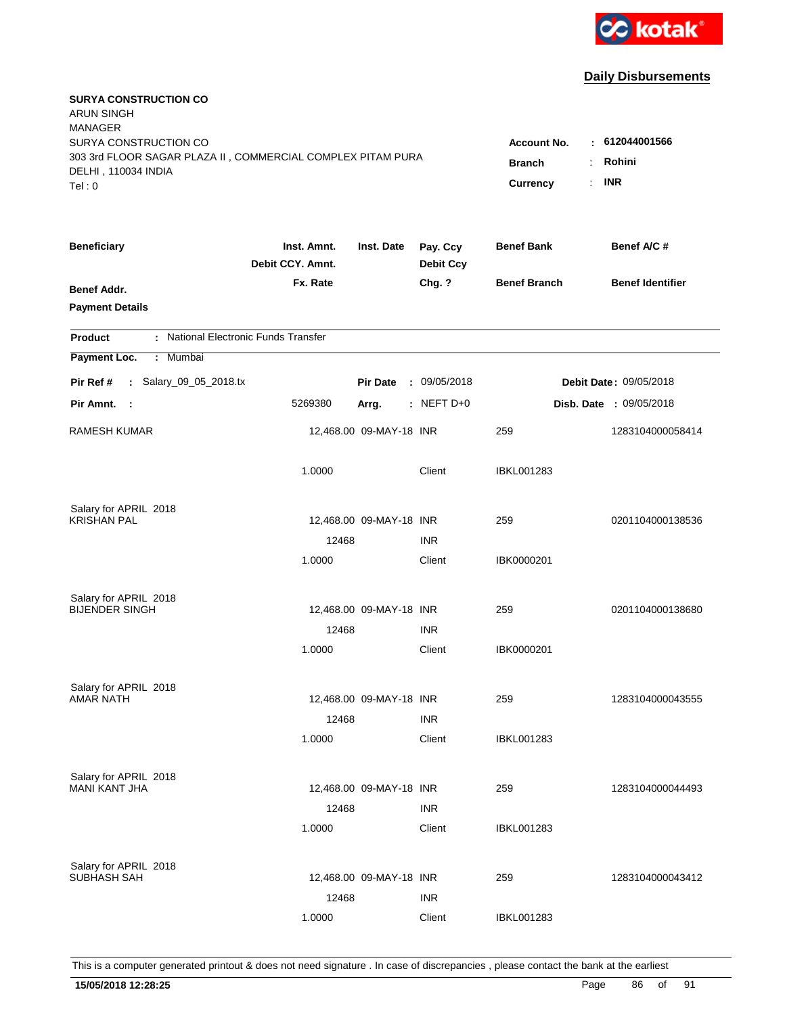

| <b>SURYA CONSTRUCTION CO</b><br><b>ARUN SINGH</b><br><b>MANAGER</b><br>SURYA CONSTRUCTION CO<br>303 3rd FLOOR SAGAR PLAZA II, COMMERCIAL COMPLEX PITAM PURA<br>DELHI, 110034 INDIA<br>Tel: 0 | <b>Account No.</b><br><b>Branch</b><br>÷<br>Currency<br>÷. | : 612044001566<br>Rohini<br><b>INR</b> |                              |                     |                                |
|----------------------------------------------------------------------------------------------------------------------------------------------------------------------------------------------|------------------------------------------------------------|----------------------------------------|------------------------------|---------------------|--------------------------------|
| <b>Beneficiary</b>                                                                                                                                                                           | Inst. Amnt.<br>Debit CCY. Amnt.                            | Inst. Date                             | Pay. Ccy<br><b>Debit Ccy</b> | <b>Benef Bank</b>   | Benef A/C #                    |
| Benef Addr.<br><b>Payment Details</b>                                                                                                                                                        | Fx. Rate                                                   |                                        | Chg. ?                       | <b>Benef Branch</b> | <b>Benef Identifier</b>        |
| : National Electronic Funds Transfer<br><b>Product</b>                                                                                                                                       |                                                            |                                        |                              |                     |                                |
| Payment Loc.<br>Mumbai<br>÷.                                                                                                                                                                 |                                                            |                                        |                              |                     |                                |
| : Salary_09_05_2018.tx<br>Pir Ref #                                                                                                                                                          |                                                            | <b>Pir Date</b>                        | : 09/05/2018                 |                     | Debit Date: 09/05/2018         |
| Pir Amnt.<br>$\sim$ 1                                                                                                                                                                        | 5269380                                                    | Arrg.                                  | : NEFT D+0                   |                     | <b>Disb. Date : 09/05/2018</b> |
| <b>RAMESH KUMAR</b>                                                                                                                                                                          |                                                            | 12,468.00 09-MAY-18 INR                |                              | 259                 | 1283104000058414               |
|                                                                                                                                                                                              | 1.0000                                                     |                                        | Client                       | <b>IBKL001283</b>   |                                |
| Salary for APRIL 2018                                                                                                                                                                        |                                                            |                                        |                              |                     |                                |
| <b>KRISHAN PAL</b>                                                                                                                                                                           |                                                            | 12,468.00 09-MAY-18 INR                |                              | 259                 | 0201104000138536               |
|                                                                                                                                                                                              | 12468<br>1.0000                                            |                                        | <b>INR</b><br>Client         | IBK0000201          |                                |
|                                                                                                                                                                                              |                                                            |                                        |                              |                     |                                |
| Salary for APRIL 2018                                                                                                                                                                        |                                                            |                                        |                              |                     |                                |
| <b>BIJENDER SINGH</b>                                                                                                                                                                        |                                                            | 12,468.00 09-MAY-18 INR                |                              | 259                 | 0201104000138680               |
|                                                                                                                                                                                              | 12468                                                      |                                        | <b>INR</b>                   |                     |                                |
|                                                                                                                                                                                              | 1.0000                                                     |                                        | Client                       | IBK0000201          |                                |
| Salary for APRIL 2018                                                                                                                                                                        |                                                            |                                        |                              |                     |                                |
| <b>AMAR NATH</b>                                                                                                                                                                             |                                                            | 12,468.00 09-MAY-18 INR                |                              | 259                 | 1283104000043555               |
|                                                                                                                                                                                              | 12468                                                      |                                        | <b>INR</b>                   |                     |                                |
|                                                                                                                                                                                              | 1.0000                                                     |                                        | Client                       | <b>IBKL001283</b>   |                                |
|                                                                                                                                                                                              |                                                            |                                        |                              |                     |                                |
| Salary for APRIL 2018<br><b>MANI KANT JHA</b>                                                                                                                                                |                                                            | 12,468.00 09-MAY-18 INR                |                              | 259                 | 1283104000044493               |
|                                                                                                                                                                                              | 12468                                                      |                                        | <b>INR</b>                   |                     |                                |
|                                                                                                                                                                                              | 1.0000                                                     |                                        | Client                       | <b>IBKL001283</b>   |                                |
|                                                                                                                                                                                              |                                                            |                                        |                              |                     |                                |
| Salary for APRIL 2018<br>SUBHASH SAH                                                                                                                                                         |                                                            | 12,468.00 09-MAY-18 INR                |                              | 259                 | 1283104000043412               |
|                                                                                                                                                                                              | 12468                                                      |                                        | <b>INR</b>                   |                     |                                |
|                                                                                                                                                                                              | 1.0000                                                     |                                        | Client                       | <b>IBKL001283</b>   |                                |
|                                                                                                                                                                                              |                                                            |                                        |                              |                     |                                |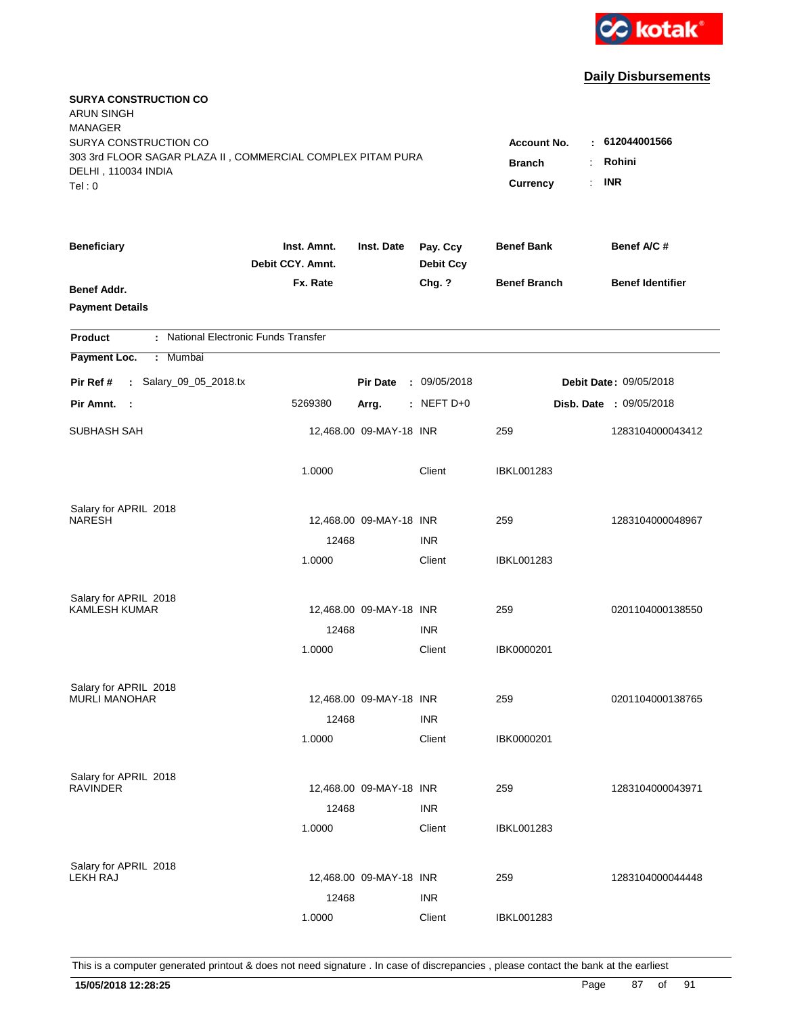

| <b>SURYA CONSTRUCTION CO</b><br><b>ARUN SINGH</b><br><b>MANAGER</b><br>SURYA CONSTRUCTION CO<br>303 3rd FLOOR SAGAR PLAZA II, COMMERCIAL COMPLEX PITAM PURA<br>DELHI, 110034 INDIA<br>Tel: 0 | Account No.<br><b>Branch</b><br>Currency | : 612044001566<br>Rohini<br>÷.<br><b>INR</b><br>÷. |                              |                     |                                |
|----------------------------------------------------------------------------------------------------------------------------------------------------------------------------------------------|------------------------------------------|----------------------------------------------------|------------------------------|---------------------|--------------------------------|
| <b>Beneficiary</b>                                                                                                                                                                           | Inst. Amnt.<br>Debit CCY. Amnt.          | Inst. Date                                         | Pay. Ccy<br><b>Debit Ccy</b> | <b>Benef Bank</b>   | Benef A/C #                    |
| Benef Addr.<br><b>Payment Details</b>                                                                                                                                                        | Fx. Rate                                 |                                                    | Chg. ?                       | <b>Benef Branch</b> | <b>Benef Identifier</b>        |
| : National Electronic Funds Transfer<br><b>Product</b>                                                                                                                                       |                                          |                                                    |                              |                     |                                |
| Payment Loc.<br>Mumbai<br>÷.                                                                                                                                                                 |                                          |                                                    |                              |                     |                                |
| : Salary_09_05_2018.tx<br>Pir Ref #                                                                                                                                                          |                                          | <b>Pir Date</b>                                    | : 09/05/2018                 |                     | <b>Debit Date: 09/05/2018</b>  |
| Pir Amnt. :                                                                                                                                                                                  | 5269380                                  | Arrg.                                              | $:$ NEFT D+0                 |                     | <b>Disb. Date : 09/05/2018</b> |
| SUBHASH SAH                                                                                                                                                                                  |                                          | 12,468.00 09-MAY-18 INR                            |                              | 259                 | 1283104000043412               |
|                                                                                                                                                                                              | 1.0000                                   |                                                    | Client                       | <b>IBKL001283</b>   |                                |
| Salary for APRIL 2018                                                                                                                                                                        |                                          |                                                    |                              |                     |                                |
| <b>NARESH</b>                                                                                                                                                                                | 12468                                    | 12,468.00 09-MAY-18 INR                            | <b>INR</b>                   | 259                 | 1283104000048967               |
|                                                                                                                                                                                              | 1.0000                                   |                                                    | Client                       | IBKL001283          |                                |
| Salary for APRIL 2018                                                                                                                                                                        |                                          |                                                    |                              |                     |                                |
| <b>KAMLESH KUMAR</b>                                                                                                                                                                         |                                          | 12,468.00 09-MAY-18 INR                            |                              | 259                 | 0201104000138550               |
|                                                                                                                                                                                              | 12468                                    |                                                    | <b>INR</b>                   |                     |                                |
|                                                                                                                                                                                              | 1.0000                                   |                                                    | Client                       | IBK0000201          |                                |
| Salary for APRIL 2018                                                                                                                                                                        |                                          |                                                    |                              |                     |                                |
| <b>MURLI MANOHAR</b>                                                                                                                                                                         |                                          | 12,468.00 09-MAY-18 INR                            |                              | 259                 | 0201104000138765               |
|                                                                                                                                                                                              | 12468                                    |                                                    | <b>INR</b>                   |                     |                                |
|                                                                                                                                                                                              | 1.0000                                   |                                                    | Client                       | IBK0000201          |                                |
| Salary for APRIL 2018                                                                                                                                                                        |                                          |                                                    |                              |                     |                                |
| <b>RAVINDER</b>                                                                                                                                                                              |                                          | 12,468.00 09-MAY-18 INR                            |                              | 259                 | 1283104000043971               |
|                                                                                                                                                                                              | 12468<br>1.0000                          |                                                    | <b>INR</b><br>Client         | <b>IBKL001283</b>   |                                |
| Salary for APRIL 2018<br><b>LEKH RAJ</b>                                                                                                                                                     |                                          | 12,468.00 09-MAY-18 INR                            |                              | 259                 | 1283104000044448               |
|                                                                                                                                                                                              | 12468                                    |                                                    | <b>INR</b>                   |                     |                                |
|                                                                                                                                                                                              | 1.0000                                   |                                                    | Client                       | <b>IBKL001283</b>   |                                |
|                                                                                                                                                                                              |                                          |                                                    |                              |                     |                                |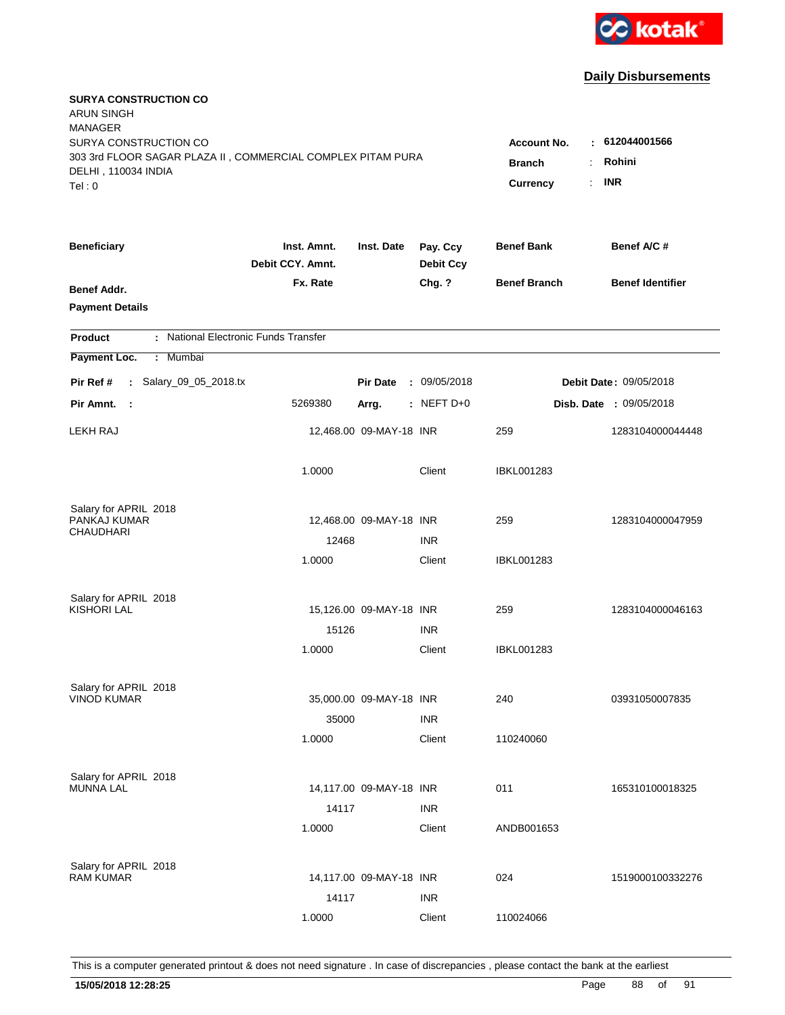

| <b>SURYA CONSTRUCTION CO</b><br><b>ARUN SINGH</b><br><b>MANAGER</b><br>SURYA CONSTRUCTION CO<br>303 3rd FLOOR SAGAR PLAZA II, COMMERCIAL COMPLEX PITAM PURA<br>DELHI, 110034 INDIA<br>Tel: 0 | <b>Account No.</b><br><b>Branch</b><br>÷<br>$\ddot{\phantom{a}}$<br><b>Currency</b> | $-612044001566$<br>Rohini<br><b>INR</b> |                              |                     |                                |
|----------------------------------------------------------------------------------------------------------------------------------------------------------------------------------------------|-------------------------------------------------------------------------------------|-----------------------------------------|------------------------------|---------------------|--------------------------------|
| <b>Beneficiary</b>                                                                                                                                                                           | Inst. Amnt.<br>Debit CCY. Amnt.                                                     | Inst. Date                              | Pay. Ccy<br><b>Debit Ccy</b> | <b>Benef Bank</b>   | Benef A/C #                    |
| <b>Benef Addr.</b><br><b>Payment Details</b>                                                                                                                                                 | Fx. Rate                                                                            |                                         | Chg. ?                       | <b>Benef Branch</b> | <b>Benef Identifier</b>        |
| : National Electronic Funds Transfer<br><b>Product</b>                                                                                                                                       |                                                                                     |                                         |                              |                     |                                |
| Mumbai<br>Payment Loc.<br>÷.                                                                                                                                                                 |                                                                                     |                                         |                              |                     |                                |
| : Salary_09_05_2018.tx<br>Pir Ref #                                                                                                                                                          |                                                                                     | <b>Pir Date</b>                         | : 09/05/2018                 |                     | <b>Debit Date: 09/05/2018</b>  |
| Pir Amnt.<br>$\mathbb{R}^2$                                                                                                                                                                  | 5269380                                                                             | Arrg.                                   | : NEFT D+0                   |                     | <b>Disb. Date : 09/05/2018</b> |
| <b>LEKH RAJ</b>                                                                                                                                                                              |                                                                                     | 12,468.00 09-MAY-18 INR                 |                              | 259                 | 1283104000044448               |
|                                                                                                                                                                                              | 1.0000                                                                              |                                         | Client                       | <b>IBKL001283</b>   |                                |
| Salary for APRIL 2018<br>PANKAJ KUMAR<br><b>CHAUDHARI</b>                                                                                                                                    | 12468                                                                               | 12,468.00 09-MAY-18 INR                 | <b>INR</b>                   | 259                 | 1283104000047959               |
|                                                                                                                                                                                              | 1.0000                                                                              |                                         | Client                       | IBKL001283          |                                |
| Salary for APRIL 2018<br><b>KISHORI LAL</b>                                                                                                                                                  | 15126                                                                               | 15,126.00 09-MAY-18 INR                 | <b>INR</b>                   | 259                 | 1283104000046163               |
|                                                                                                                                                                                              | 1.0000                                                                              |                                         | Client                       | <b>IBKL001283</b>   |                                |
| Salary for APRIL 2018<br><b>VINOD KUMAR</b>                                                                                                                                                  | 35000                                                                               | 35,000.00 09-MAY-18 INR                 | <b>INR</b>                   | 240                 | 03931050007835                 |
|                                                                                                                                                                                              | 1.0000                                                                              |                                         | Client                       | 110240060           |                                |
| Salary for APRIL 2018<br><b>MUNNA LAL</b>                                                                                                                                                    | 14117                                                                               | 14,117.00 09-MAY-18 INR                 | <b>INR</b>                   | 011                 | 165310100018325                |
|                                                                                                                                                                                              | 1.0000                                                                              |                                         | Client                       | ANDB001653          |                                |
| Salary for APRIL 2018<br><b>RAM KUMAR</b>                                                                                                                                                    | 14117                                                                               | 14,117.00 09-MAY-18 INR                 | <b>INR</b>                   | 024                 | 1519000100332276               |
|                                                                                                                                                                                              | 1.0000                                                                              |                                         | Client                       | 110024066           |                                |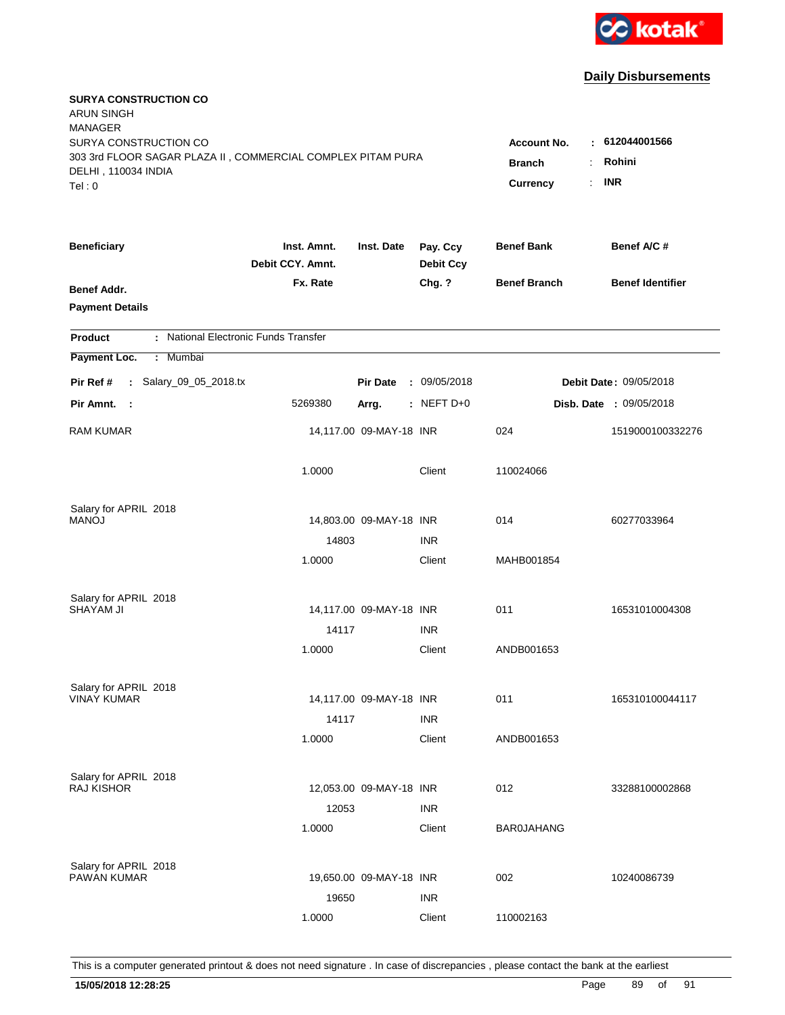

| <b>SURYA CONSTRUCTION CO</b><br><b>ARUN SINGH</b><br><b>MANAGER</b><br>SURYA CONSTRUCTION CO<br>303 3rd FLOOR SAGAR PLAZA II, COMMERCIAL COMPLEX PITAM PURA<br>DELHI, 110034 INDIA<br>Tel: 0 |                                 |                         |                              | <b>Account No.</b><br>$\sim$<br><b>Branch</b><br>÷<br>Currency<br>÷. | 612044001566<br>Rohini<br><b>INR</b> |
|----------------------------------------------------------------------------------------------------------------------------------------------------------------------------------------------|---------------------------------|-------------------------|------------------------------|----------------------------------------------------------------------|--------------------------------------|
| <b>Beneficiary</b>                                                                                                                                                                           | Inst. Amnt.<br>Debit CCY. Amnt. | Inst. Date              | Pay. Ccy<br><b>Debit Ccy</b> | <b>Benef Bank</b>                                                    | Benef A/C #                          |
| Benef Addr.<br><b>Payment Details</b>                                                                                                                                                        | Fx. Rate                        |                         | Chg. ?                       | <b>Benef Branch</b>                                                  | <b>Benef Identifier</b>              |
| : National Electronic Funds Transfer<br><b>Product</b>                                                                                                                                       |                                 |                         |                              |                                                                      |                                      |
| Payment Loc.<br>: Mumbai                                                                                                                                                                     |                                 |                         |                              |                                                                      |                                      |
| : Salary_09_05_2018.tx<br>Pir Ref #                                                                                                                                                          |                                 | <b>Pir Date</b>         | : 09/05/2018                 |                                                                      | Debit Date: 09/05/2018               |
| Pir Amnt. :                                                                                                                                                                                  | 5269380                         | Arrg.                   | $:$ NEFT D+0                 |                                                                      | Disb. Date : 09/05/2018              |
| <b>RAM KUMAR</b>                                                                                                                                                                             |                                 | 14,117.00 09-MAY-18 INR |                              | 024                                                                  | 1519000100332276                     |
|                                                                                                                                                                                              | 1.0000                          |                         | Client                       | 110024066                                                            |                                      |
| Salary for APRIL 2018                                                                                                                                                                        |                                 |                         |                              |                                                                      |                                      |
| <b>MANOJ</b>                                                                                                                                                                                 |                                 | 14,803.00 09-MAY-18 INR |                              | 014                                                                  | 60277033964                          |
|                                                                                                                                                                                              | 14803<br>1.0000                 |                         | <b>INR</b><br>Client         | MAHB001854                                                           |                                      |
|                                                                                                                                                                                              |                                 |                         |                              |                                                                      |                                      |
| Salary for APRIL 2018<br>SHAYAM JI                                                                                                                                                           |                                 | 14,117.00 09-MAY-18 INR |                              | 011                                                                  | 16531010004308                       |
|                                                                                                                                                                                              | 14117                           |                         | <b>INR</b>                   |                                                                      |                                      |
|                                                                                                                                                                                              | 1.0000                          |                         | Client                       | ANDB001653                                                           |                                      |
|                                                                                                                                                                                              |                                 |                         |                              |                                                                      |                                      |
| Salary for APRIL 2018                                                                                                                                                                        |                                 |                         |                              |                                                                      |                                      |
| <b>VINAY KUMAR</b>                                                                                                                                                                           |                                 | 14,117.00 09-MAY-18 INR |                              | 011                                                                  | 165310100044117                      |
|                                                                                                                                                                                              | 14117<br>1.0000                 |                         | <b>INR</b><br>Client         | ANDB001653                                                           |                                      |
|                                                                                                                                                                                              |                                 |                         |                              |                                                                      |                                      |
| Salary for APRIL 2018                                                                                                                                                                        |                                 |                         |                              |                                                                      |                                      |
| <b>RAJ KISHOR</b>                                                                                                                                                                            |                                 | 12,053.00 09-MAY-18 INR |                              | 012                                                                  | 33288100002868                       |
|                                                                                                                                                                                              | 12053                           |                         | <b>INR</b>                   |                                                                      |                                      |
|                                                                                                                                                                                              | 1.0000                          |                         | Client                       | <b>BAR0JAHANG</b>                                                    |                                      |
| Salary for APRIL 2018                                                                                                                                                                        |                                 |                         |                              |                                                                      |                                      |
| <b>PAWAN KUMAR</b>                                                                                                                                                                           |                                 | 19,650.00 09-MAY-18 INR |                              | 002                                                                  | 10240086739                          |
|                                                                                                                                                                                              | 19650                           |                         | <b>INR</b>                   |                                                                      |                                      |
|                                                                                                                                                                                              | 1.0000                          |                         | Client                       | 110002163                                                            |                                      |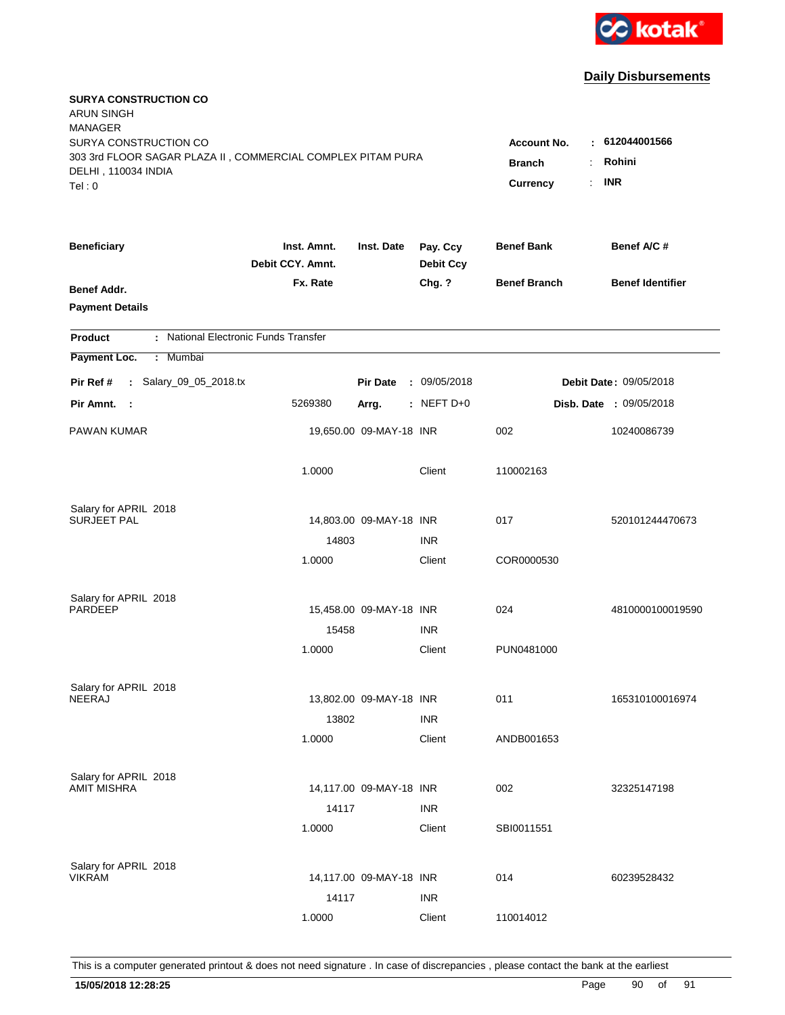

| <b>SURYA CONSTRUCTION CO</b><br><b>ARUN SINGH</b><br><b>MANAGER</b><br>SURYA CONSTRUCTION CO |                                 |                         |                              | <b>Account No.</b>                     | $\pm 612044001566$      |
|----------------------------------------------------------------------------------------------|---------------------------------|-------------------------|------------------------------|----------------------------------------|-------------------------|
| 303 3rd FLOOR SAGAR PLAZA II, COMMERCIAL COMPLEX PITAM PURA<br>DELHI, 110034 INDIA<br>Tel: 0 |                                 |                         |                              | <b>Branch</b><br><b>Currency</b><br>÷. | Rohini<br><b>INR</b>    |
| <b>Beneficiary</b>                                                                           | Inst. Amnt.<br>Debit CCY. Amnt. | Inst. Date              | Pay. Ccy<br><b>Debit Ccy</b> | <b>Benef Bank</b>                      | Benef A/C #             |
| Benef Addr.<br><b>Payment Details</b>                                                        | Fx. Rate                        |                         | Chg. ?                       | <b>Benef Branch</b>                    | <b>Benef Identifier</b> |
| : National Electronic Funds Transfer<br><b>Product</b>                                       |                                 |                         |                              |                                        |                         |
| Payment Loc.<br>Mumbai<br>÷.                                                                 |                                 |                         |                              |                                        |                         |
| : Salary_09_05_2018.tx<br>Pir Ref #                                                          |                                 | <b>Pir Date</b>         | : 09/05/2018                 |                                        | Debit Date: 09/05/2018  |
| Pir Amnt.<br>$\sim$ 1                                                                        | 5269380                         | Arrg.                   | : NEFT D+0                   |                                        | Disb. Date : 09/05/2018 |
| PAWAN KUMAR                                                                                  |                                 | 19,650.00 09-MAY-18 INR |                              | 002                                    | 10240086739             |
|                                                                                              | 1.0000                          |                         | Client                       | 110002163                              |                         |
| Salary for APRIL 2018                                                                        |                                 |                         |                              |                                        |                         |
| <b>SURJEET PAL</b>                                                                           | 14803                           | 14,803.00 09-MAY-18 INR | <b>INR</b>                   | 017                                    | 520101244470673         |
|                                                                                              | 1.0000                          |                         | Client                       | COR0000530                             |                         |
| Salary for APRIL 2018<br><b>PARDEEP</b>                                                      |                                 | 15,458.00 09-MAY-18 INR |                              | 024                                    | 4810000100019590        |
|                                                                                              | 15458                           |                         | <b>INR</b>                   |                                        |                         |
|                                                                                              | 1.0000                          |                         | Client                       | PUN0481000                             |                         |
| Salary for APRIL 2018                                                                        |                                 |                         |                              |                                        |                         |
| <b>NEERAJ</b>                                                                                |                                 | 13,802.00 09-MAY-18 INR |                              | 011                                    | 165310100016974         |
|                                                                                              | 13802                           |                         | <b>INR</b>                   |                                        |                         |
|                                                                                              | 1.0000                          |                         | Client                       | ANDB001653                             |                         |
| Salary for APRIL 2018                                                                        |                                 |                         |                              |                                        |                         |
| <b>AMIT MISHRA</b>                                                                           |                                 | 14,117.00 09-MAY-18 INR |                              | 002                                    | 32325147198             |
|                                                                                              | 14117                           |                         | <b>INR</b>                   |                                        |                         |
|                                                                                              | 1.0000                          |                         | Client                       | SBI0011551                             |                         |
| Salary for APRIL 2018                                                                        |                                 |                         |                              |                                        |                         |
| <b>VIKRAM</b>                                                                                |                                 | 14,117.00 09-MAY-18 INR |                              | 014                                    | 60239528432             |
|                                                                                              | 14117                           |                         | <b>INR</b>                   |                                        |                         |
|                                                                                              | 1.0000                          |                         | Client                       | 110014012                              |                         |